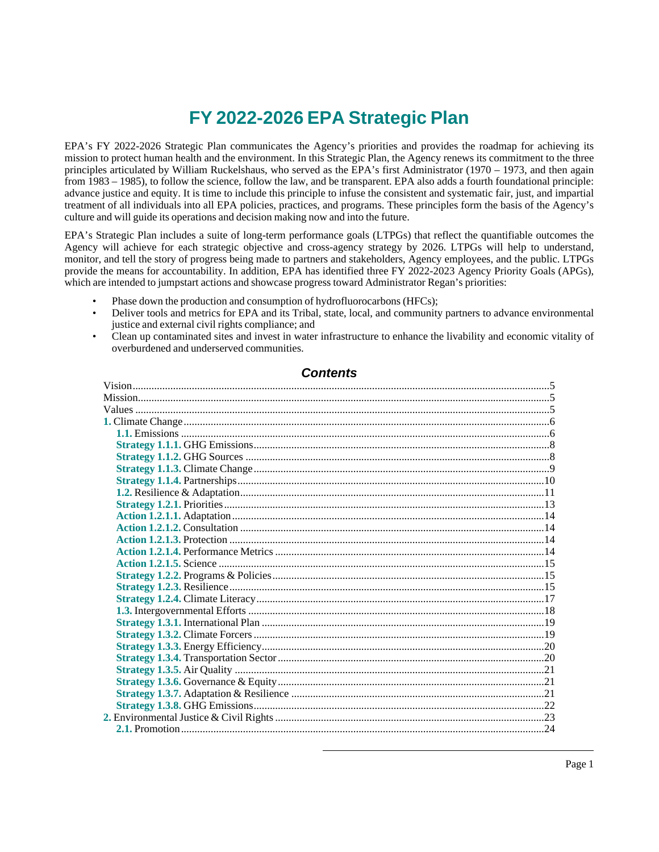# **FY 2022-2026 EPA Strategic Plan**

EPA's FY 2022-2026 Strategic Plan communicates the Agency's priorities and provides the roadmap for achieving its mission to protect human health and the environment. In this Strategic Plan, the Agency renews its commitment to the three principles articulated by William Ruckelshaus, who served as the EPA's first Administrator (1970 – 1973, and then again from 1983 – 1985), to follow the science, follow the law, and be transparent. EPA also adds a fourth foundational principle: advance justice and equity. It is time to include this principle to infuse the consistent and systematic fair, just, and impartial treatment of all individuals into all EPA policies, practices, and programs. These principles form the basis of the Agency's culture and will guide its operations and decision making now and into the future.

EPA's Strategic Plan includes a suite of long-term performance goals (LTPGs) that reflect the quantifiable outcomes the Agency will achieve for each strategic objective and cross-agency strategy by 2026. LTPGs will help to understand, monitor, and tell the story of progress being made to partners and stakeholders, Agency employees, and the public. LTPGs provide the means for accountability. In addition, EPA has identified three FY 2022-2023 Agency Priority Goals (APGs), which are intended to jumpstart actions and showcase progress toward Administrator Regan's priorities:

- Phase down the production and consumption of hydrofluorocarbons (HFCs);
- Deliver tools and metrics for EPA and its Tribal, state, local, and community partners to advance environmental justice and external civil rights compliance; and
- Clean up contaminated sites and invest in water infrastructure to enhance the livability and economic vitality of overburdened and underserved communities.

# **Contents**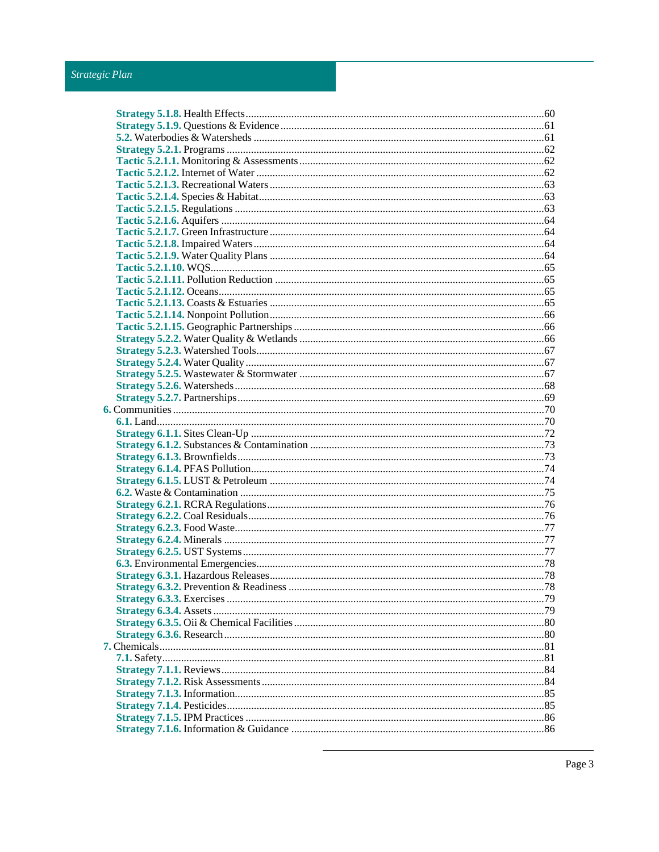# Strategic Plan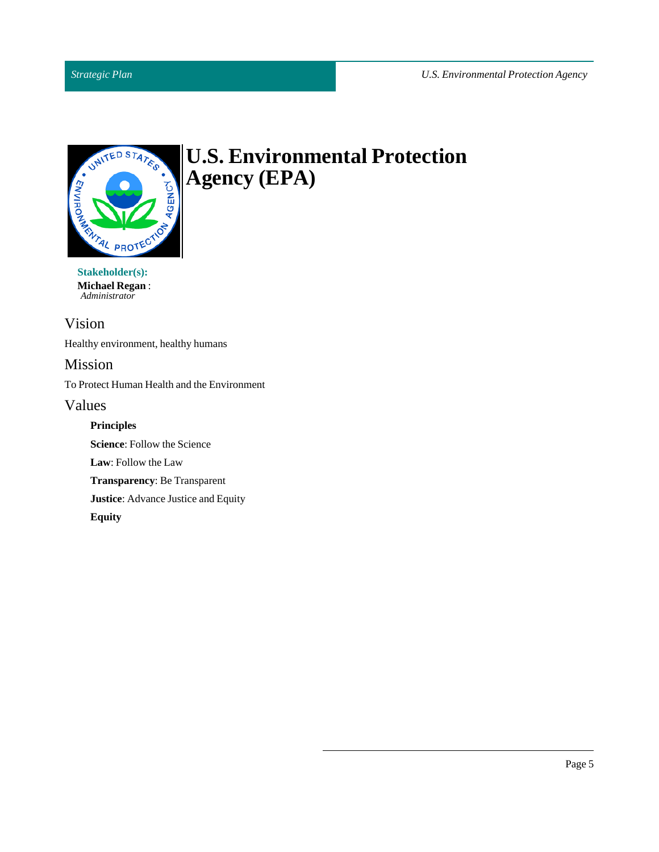# *Strategic Plan*



# **U.S. Environmental Protection Agency (EPA)**

**Michael Regan**: *Administrator*

# <span id="page-4-0"></span>Vision

Healthy environment, healthy humans

# <span id="page-4-1"></span>Mission

To Protect Human Health and the Environment

# <span id="page-4-2"></span>Values

**Principles**

**Science:** Follow the Science

Law: Follow the Law

**Transparency**: Be Transparent

**Justice**: Advance Justice and Equity

**Equity**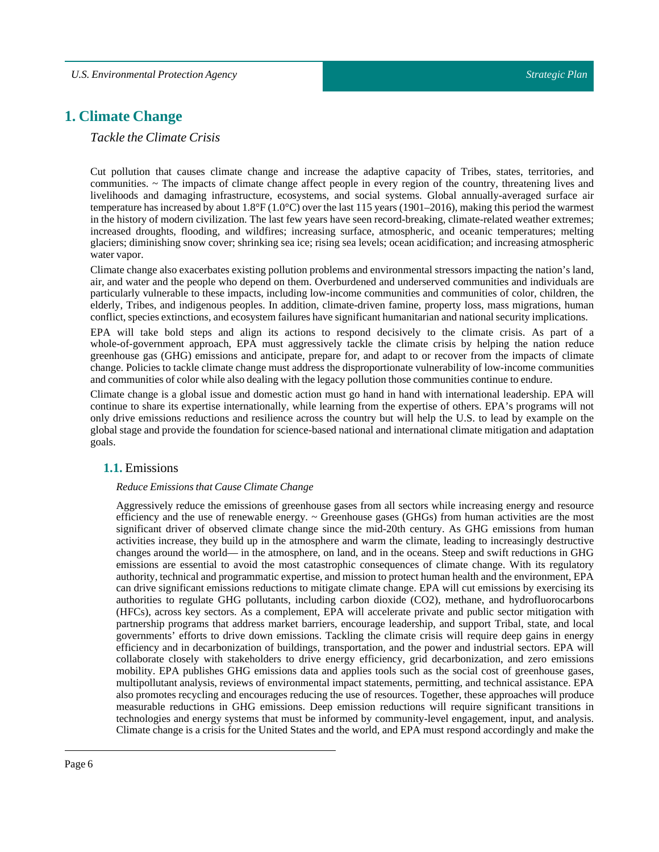# <span id="page-5-0"></span>**1. Climate Change**

# *Tackle the Climate Crisis*

Cut pollution that causes climate change and increase the adaptive capacity of Tribes, states, territories, and communities. ~ The impacts of climate change affect people in every region of the country, threatening lives and livelihoods and damaging infrastructure, ecosystems, and social systems. Global annually-averaged surface air temperature has increased by about  $1.8^{\circ}F(1.0^{\circ}C)$  over the last 115 years (1901–2016), making this period the warmest in the history of modern civilization. The last few years have seen record-breaking, climate-related weather extremes; increased droughts, flooding, and wildfires; increasing surface, atmospheric, and oceanic temperatures; melting glaciers; diminishing snow cover; shrinking sea ice; rising sea levels; ocean acidification; and increasing atmospheric water vapor.

Climate change also exacerbates existing pollution problems and environmental stressors impacting the nation's land, air, and water and the people who depend on them. Overburdened and underserved communities and individuals are particularly vulnerable to these impacts, including low-income communities and communities of color, children, the elderly, Tribes, and indigenous peoples. In addition, climate-driven famine, property loss, mass migrations, human conflict, species extinctions, and ecosystem failures have significant humanitarian and national security implications.

EPA will take bold steps and align its actions to respond decisively to the climate crisis. As part of a whole-of-government approach, EPA must aggressively tackle the climate crisis by helping the nation reduce greenhouse gas (GHG) emissions and anticipate, prepare for, and adapt to or recover from the impacts of climate change. Policies to tackle climate change must address the disproportionate vulnerability of low-income communities and communities of color while also dealing with the legacy pollution those communities continue to endure.

Climate change is a global issue and domestic action must go hand in hand with international leadership. EPA will continue to share its expertise internationally, while learning from the expertise of others. EPA's programs will not only drive emissions reductions and resilience across the country but will help the U.S. to lead by example on the global stage and provide the foundation for science-based national and international climate mitigation and adaptation goals.

# <span id="page-5-1"></span>**1.1.** Emissions

### *Reduce Emissions that Cause Climate Change*

Aggressively reduce the emissions of greenhouse gases from all sectors while increasing energy and resource efficiency and the use of renewable energy. ~ Greenhouse gases (GHGs) from human activities are the most significant driver of observed climate change since the mid-20th century. As GHG emissions from human activities increase, they build up in the atmosphere and warm the climate, leading to increasingly destructive changes around the world— in the atmosphere, on land, and in the oceans. Steep and swift reductions in GHG emissions are essential to avoid the most catastrophic consequences of climate change. With its regulatory authority, technical and programmatic expertise, and mission to protect human health and the environment. EPA can drive significant emissions reductions to mitigate climate change. EPA will cut emissions by exercising its authorities to regulate GHG pollutants, including carbon dioxide (CO2), methane, and hydrofluorocarbons (HFCs), across key sectors. As a complement, EPA will accelerate private and public sector mitigation with partnership programs that address market barriers, encourage leadership, and support Tribal, state, and local governments' efforts to drive down emissions. Tackling the climate crisis will require deep gains in energy efficiency and in decarbonization of buildings, transportation, and the power and industrial sectors. EPA will collaborate closely with stakeholders to drive energy efficiency, grid decarbonization, and zero emissions mobility. EPA publishes GHG emissions data and applies tools such as the social cost of greenhouse gases, multipollutant analysis, reviews of environmental impact statements, permitting, and technical assistance. EPA also promotes recycling and encourages reducing the use of resources. Together, these approaches will produce measurable reductions in GHG emissions. Deep emission reductions will require significant transitions in technologies and energy systems that must be informed by community-level engagement, input, and analysis. Climate change is a crisis for the United States and the world, and EPA must respond accordingly and make the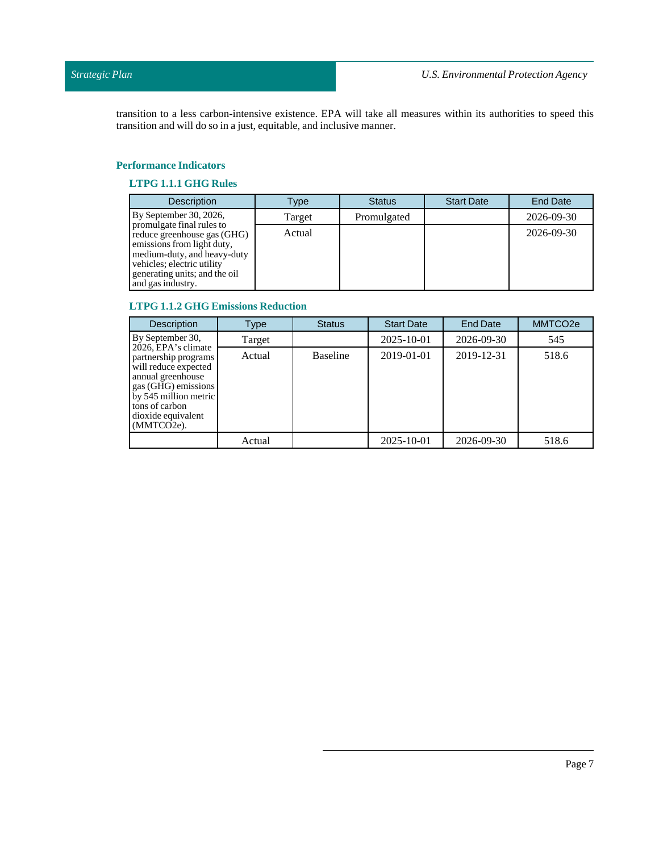transition to a less carbon-intensive existence. EPA will take all measures within its authorities to speed this transition and will do so in a just, equitable, and inclusive manner.

## **Performance Indicators**

# **LTPG 1.1.1 GHG Rules**

| <b>Description</b>                                                                                                                                                                                        | Type   | <b>Status</b> | <b>Start Date</b> | <b>End Date</b> |
|-----------------------------------------------------------------------------------------------------------------------------------------------------------------------------------------------------------|--------|---------------|-------------------|-----------------|
| By September 30, 2026,                                                                                                                                                                                    | Target | Promulgated   |                   | 2026-09-30      |
| promulgate final rules to<br>reduce greenhouse gas (GHG)<br>emissions from light duty,<br>medium-duty, and heavy-duty<br>vehicles; electric utility<br>generating units; and the oil<br>and gas industry. | Actual |               |                   | 2026-09-30      |

# **LTPG 1.1.2 GHG Emissions Reduction**

| <b>Description</b>                                                                                                                                                                             | Type   | <b>Status</b>   | <b>Start Date</b> | <b>End Date</b> | MMTCO <sub>2e</sub> |
|------------------------------------------------------------------------------------------------------------------------------------------------------------------------------------------------|--------|-----------------|-------------------|-----------------|---------------------|
| By September 30,                                                                                                                                                                               | Target |                 | 2025-10-01        | 2026-09-30      | 545                 |
| 2026, EPA's climate<br>partnership programs<br>will reduce expected<br>annual greenhouse<br>gas (GHG) emissions<br>by 545 million metric<br>tons of carbon<br>dioxide equivalent<br>(MMTCO2e). | Actual | <b>Baseline</b> | 2019-01-01        | 2019-12-31      | 518.6               |
|                                                                                                                                                                                                | Actual |                 | 2025-10-01        | 2026-09-30      | 518.6               |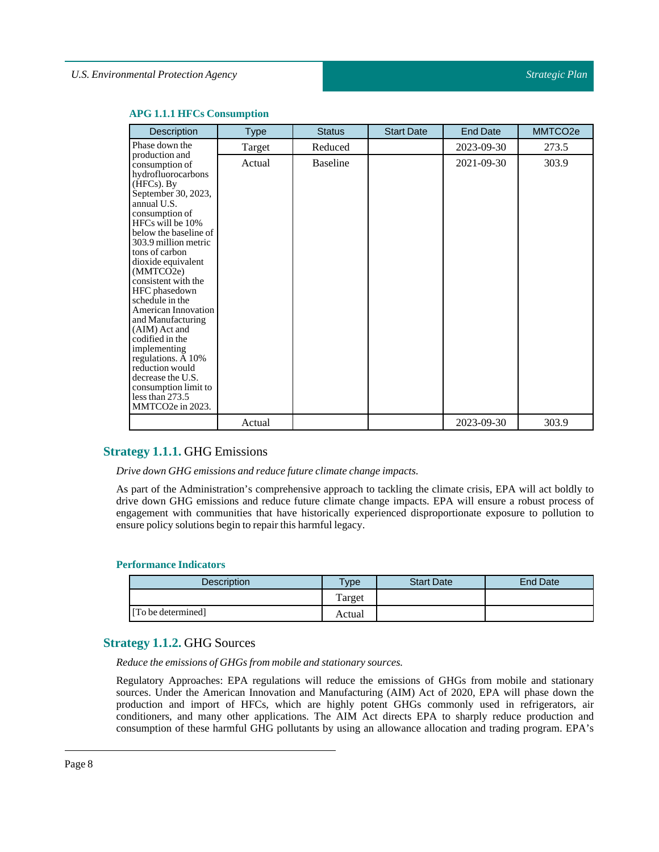| Description                                                                                                                                                                                                                                                                                                                                                                                                                                                                                                                                       | <b>Type</b> | <b>Status</b>   | <b>Start Date</b> | <b>End Date</b> | MMTCO <sub>2e</sub> |
|---------------------------------------------------------------------------------------------------------------------------------------------------------------------------------------------------------------------------------------------------------------------------------------------------------------------------------------------------------------------------------------------------------------------------------------------------------------------------------------------------------------------------------------------------|-------------|-----------------|-------------------|-----------------|---------------------|
| Phase down the                                                                                                                                                                                                                                                                                                                                                                                                                                                                                                                                    | Target      | Reduced         |                   | 2023-09-30      | 273.5               |
| production and<br>consumption of<br>hydrofluorocarbons<br>$(HFCs)$ . By<br>September 30, 2023,<br>annual U.S.<br>consumption of<br>HFCs will be 10%<br>below the baseline of<br>303.9 million metric<br>tons of carbon<br>dioxide equivalent<br>(MMTCO2e)<br>consistent with the<br>HFC phasedown<br>schedule in the<br>American Innovation<br>and Manufacturing<br>(AIM) Act and<br>codified in the<br>implementing<br>regulations. A 10%<br>reduction would<br>decrease the U.S.<br>consumption limit to<br>less than 273.5<br>MMTCO2e in 2023. | Actual      | <b>Baseline</b> |                   | 2021-09-30      | 303.9               |
|                                                                                                                                                                                                                                                                                                                                                                                                                                                                                                                                                   | Actual      |                 |                   | 2023-09-30      | 303.9               |

#### **APG 1.1.1 HFCs Consumption**

# <span id="page-7-0"></span>**Strategy 1.1.1.** GHG Emissions

*Drive down GHG emissions and reduce future climate change impacts.*

As part of the Administration's comprehensive approach to tackling the climate crisis, EPA will act boldly to drive down GHG emissions and reduce future climate change impacts. EPA will ensure a robust process of engagement with communities that have historically experienced disproportionate exposure to pollution to ensure policy solutions begin to repair this harmful legacy.

#### **Performance Indicators**

| Description        | $v_{\rm p}$ | <b>Start Date</b> | End Date |
|--------------------|-------------|-------------------|----------|
|                    | Target      |                   |          |
| [To be determined] | Actual      |                   |          |

# <span id="page-7-1"></span>**Strategy 1.1.2.** GHG Sources

*Reduce the emissions of GHGs from mobile and stationary sources.*

Regulatory Approaches: EPA regulations will reduce the emissions of GHGs from mobile and stationary sources. Under the American Innovation and Manufacturing (AIM) Act of 2020, EPA will phase down the production and import of HFCs, which are highly potent GHGs commonly used in refrigerators, air conditioners, and many other applications. The AIM Act directs EPA to sharply reduce production and consumption of these harmful GHG pollutants by using an allowance allocation and trading program. EPA's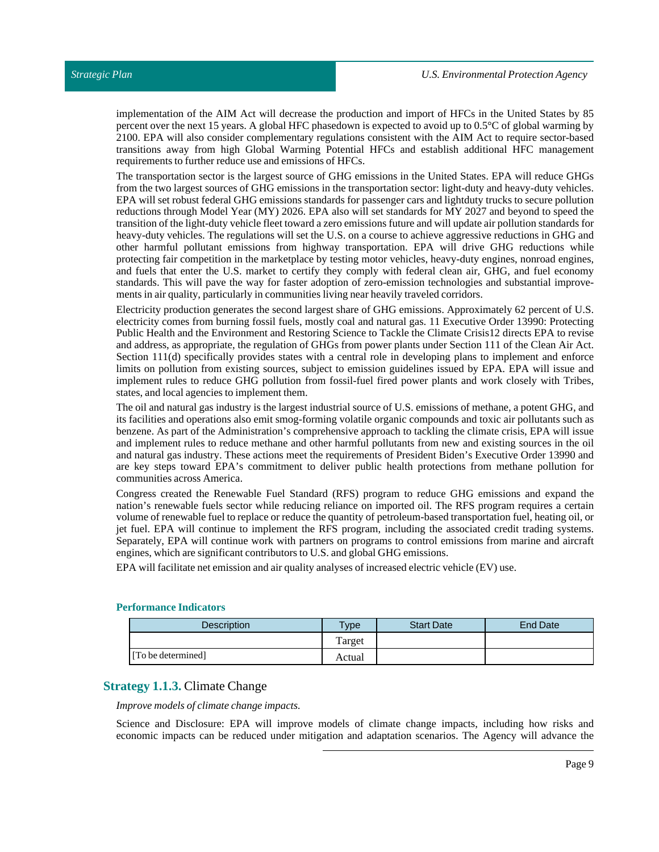implementation of the AIM Act will decrease the production and import of HFCs in the United States by 85 percent over the next 15 years. A global HFC phasedown is expected to avoid up to 0.5°C of global warming by 2100. EPA will also consider complementary regulations consistent with the AIM Act to require sector-based transitions away from high Global Warming Potential HFCs and establish additional HFC management requirements to further reduce use and emissions of HFCs.

The transportation sector is the largest source of GHG emissions in the United States. EPA will reduce GHGs from the two largest sources of GHG emissions in the transportation sector: light-duty and heavy-duty vehicles. EPA will set robust federal GHG emissions standards for passenger cars and lightduty trucks to secure pollution reductions through Model Year (MY) 2026. EPA also will set standards for MY 2027 and beyond to speed the transition of the light-duty vehicle fleet toward a zero emissions future and will update air pollution standards for heavy-duty vehicles. The regulations will set the U.S. on a course to achieve aggressive reductions in GHG and other harmful pollutant emissions from highway transportation. EPA will drive GHG reductions while protecting fair competition in the marketplace by testing motor vehicles, heavy-duty engines, nonroad engines, and fuels that enter the U.S. market to certify they comply with federal clean air, GHG, and fuel economy standards. This will pave the way for faster adoption of zero-emission technologies and substantial improvements in air quality, particularly in communities living near heavily traveled corridors.

Electricity production generates the second largest share of GHG emissions. Approximately 62 percent of U.S. electricity comes from burning fossil fuels, mostly coal and natural gas. 11 Executive Order 13990: Protecting Public Health and the Environment and Restoring Science to Tackle the Climate Crisis12 directs EPA to revise and address, as appropriate, the regulation of GHGs from power plants under Section 111 of the Clean Air Act. Section 111(d) specifically provides states with a central role in developing plans to implement and enforce limits on pollution from existing sources, subject to emission guidelines issued by EPA. EPA will issue and implement rules to reduce GHG pollution from fossil-fuel fired power plants and work closely with Tribes, states, and local agencies to implement them.

The oil and natural gas industry is the largest industrial source of U.S. emissions of methane, a potent GHG, and its facilities and operations also emit smog-forming volatile organic compounds and toxic air pollutants such as benzene. As part of the Administration's comprehensive approach to tackling the climate crisis, EPA will issue and implement rules to reduce methane and other harmful pollutants from new and existing sources in the oil and natural gas industry. These actions meet the requirements of President Biden's Executive Order 13990 and are key steps toward EPA's commitment to deliver public health protections from methane pollution for communities across America.

Congress created the Renewable Fuel Standard (RFS) program to reduce GHG emissions and expand the nation's renewable fuels sector while reducing reliance on imported oil. The RFS program requires a certain volume of renewable fuel to replace or reduce the quantity of petroleum-based transportation fuel, heating oil, or jet fuel. EPA will continue to implement the RFS program, including the associated credit trading systems. Separately, EPA will continue work with partners on programs to control emissions from marine and aircraft engines, which are significant contributors to U.S. and global GHG emissions.

EPA will facilitate net emission and air quality analyses of increased electric vehicle (EV) use.

| <b>Description</b> | Type   | <b>Start Date</b> | End Date |
|--------------------|--------|-------------------|----------|
|                    | Target |                   |          |
| [To be determined] | Actual |                   |          |

#### **Performance Indicators**

# <span id="page-8-0"></span>**Strategy 1.1.3.** Climate Change

#### *Improve models of climate change impacts.*

Science and Disclosure: EPA will improve models of climate change impacts, including how risks and economic impacts can be reduced under mitigation and adaptation scenarios. The Agency will advance the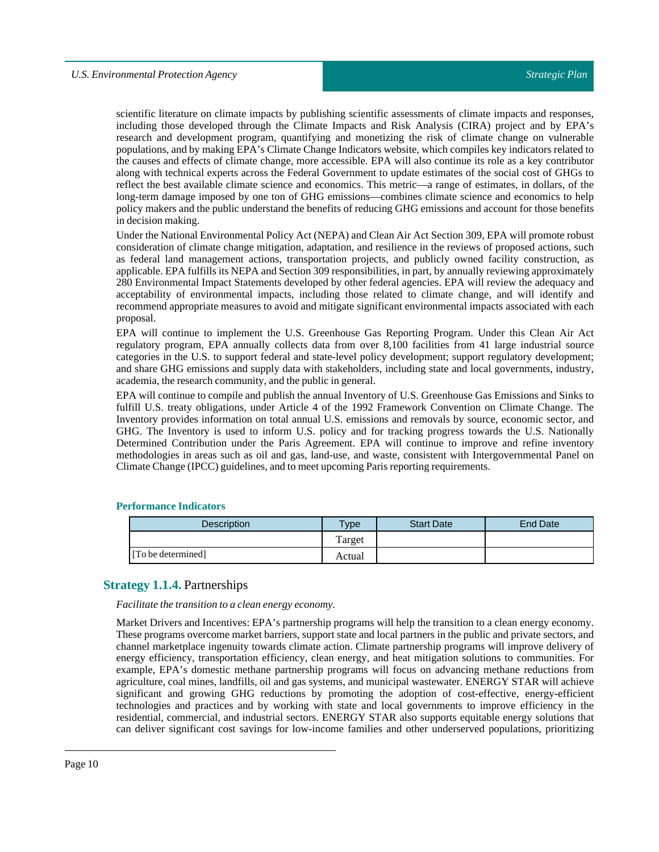scientific literature on climate impacts by publishing scientific assessments of climate impacts and responses, including those developed through the Climate Impacts and Risk Analysis (CIRA) project and by EPA's research and development program, quantifying and monetizing the risk of climate change on vulnerable populations, and by making EPA's Climate Change Indicators website, which compiles key indicators related to the causes and effects of climate change, more accessible. EPA will also continue its role as a key contributor along with technical experts across the Federal Government to update estimates of the social cost of GHGs to reflect the best available climate science and economics. This metric—a range of estimates, in dollars, of the long-term damage imposed by one ton of GHG emissions—combines climate science and economics to help policy makers and the public understand the benefits of reducing GHG emissions and account for those benefits in decision making.

Under the National Environmental Policy Act (NEPA) and Clean Air Act Section 309, EPA will promote robust consideration of climate change mitigation, adaptation, and resilience in the reviews of proposed actions, such as federal land management actions, transportation projects, and publicly owned facility construction, as applicable. EPA fulfills its NEPA and Section 309 responsibilities, in part, by annually reviewing approximately 280 Environmental Impact Statements developed by other federal agencies. EPA will review the adequacy and acceptability of environmental impacts, including those related to climate change, and will identify and recommend appropriate measures to avoid and mitigate significant environmental impacts associated with each proposal.

EPA will continue to implement the U.S. Greenhouse Gas Reporting Program. Under this Clean Air Act regulatory program, EPA annually collects data from over 8,100 facilities from 41 large industrial source categories in the U.S. to support federal and state-level policy development; support regulatory development; and share GHG emissions and supply data with stakeholders, including state and local governments, industry, academia, the research community, and the public in general.

EPA will continue to compile and publish the annual Inventory of U.S. Greenhouse Gas Emissions and Sinks to fulfill U.S. treaty obligations, under Article 4 of the 1992 Framework Convention on Climate Change. The Inventory provides information on total annual U.S. emissions and removals by source, economic sector, and GHG. The Inventory is used to inform U.S. policy and for tracking progress towards the U.S. Nationally Determined Contribution under the Paris Agreement. EPA will continue to improve and refine inventory methodologies in areas such as oil and gas, land-use, and waste, consistent with Intergovernmental Panel on Climate Change (IPCC) guidelines, and to meet upcoming Paris reporting requirements.

| <b>Description</b> | $T$ <sub>ype</sub> | <b>Start Date</b> | End Date |
|--------------------|--------------------|-------------------|----------|
|                    | Target             |                   |          |
| [To be determined] | Actual             |                   |          |

#### **Performance Indicators**

# <span id="page-9-0"></span>**Strategy 1.1.4.** Partnerships

#### *Facilitate the transition to a clean energy economy.*

Market Drivers and Incentives: EPA's partnership programs will help the transition to a clean energy economy. These programs overcome market barriers, support state and local partners in the public and private sectors, and channel marketplace ingenuity towards climate action. Climate partnership programs will improve delivery of energy efficiency, transportation efficiency, clean energy, and heat mitigation solutions to communities. For example, EPA's domestic methane partnership programs will focus on advancing methane reductions from agriculture, coal mines, landfills, oil and gas systems, and municipal wastewater. ENERGY STAR will achieve significant and growing GHG reductions by promoting the adoption of cost-effective, energy-efficient technologies and practices and by working with state and local governments to improve efficiency in the residential, commercial, and industrial sectors. ENERGY STAR also supports equitable energy solutions that can deliver significant cost savings for low-income families and other underserved populations, prioritizing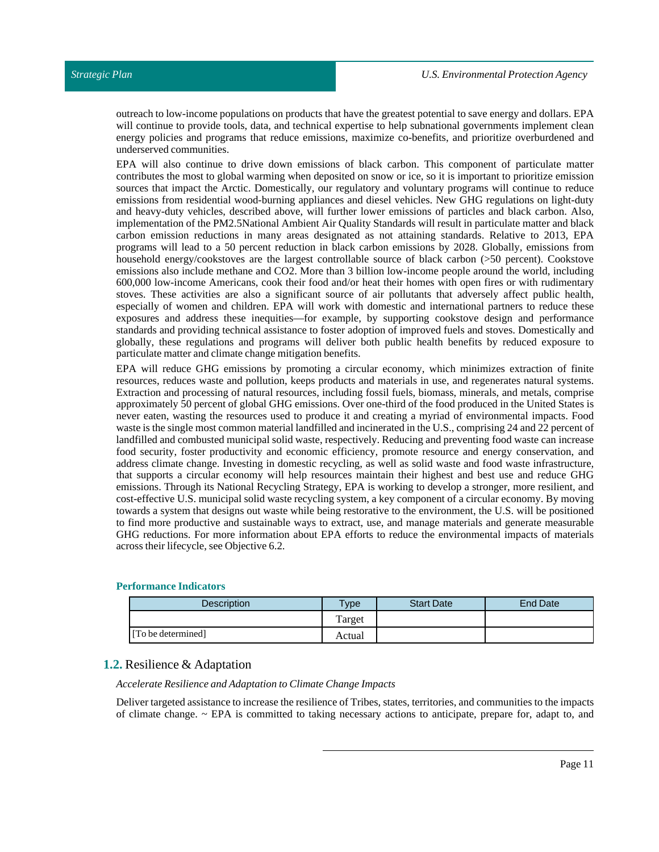outreach to low-income populations on products that have the greatest potential to save energy and dollars. EPA will continue to provide tools, data, and technical expertise to help subnational governments implement clean energy policies and programs that reduce emissions, maximize co-benefits, and prioritize overburdened and underserved communities.

EPA will also continue to drive down emissions of black carbon. This component of particulate matter contributes the most to global warming when deposited on snow or ice, so it is important to prioritize emission sources that impact the Arctic. Domestically, our regulatory and voluntary programs will continue to reduce emissions from residential wood-burning appliances and diesel vehicles. New GHG regulations on light-duty and heavy-duty vehicles, described above, will further lower emissions of particles and black carbon. Also, implementation of the PM2.5National Ambient Air Quality Standards will result in particulate matter and black carbon emission reductions in many areas designated as not attaining standards. Relative to 2013, EPA programs will lead to a 50 percent reduction in black carbon emissions by 2028. Globally, emissions from household energy/cookstoves are the largest controllable source of black carbon (>50 percent). Cookstove emissions also include methane and CO2. More than 3 billion low-income people around the world, including 600,000 low-income Americans, cook their food and/or heat their homes with open fires or with rudimentary stoves. These activities are also a significant source of air pollutants that adversely affect public health, especially of women and children. EPA will work with domestic and international partners to reduce these exposures and address these inequities—for example, by supporting cookstove design and performance standards and providing technical assistance to foster adoption of improved fuels and stoves. Domestically and globally, these regulations and programs will deliver both public health benefits by reduced exposure to particulate matter and climate change mitigation benefits.

EPA will reduce GHG emissions by promoting a circular economy, which minimizes extraction of finite resources, reduces waste and pollution, keeps products and materials in use, and regenerates natural systems. Extraction and processing of natural resources, including fossil fuels, biomass, minerals, and metals, comprise approximately 50 percent of global GHG emissions. Over one-third of the food produced in the United States is never eaten, wasting the resources used to produce it and creating a myriad of environmental impacts. Food waste is the single most common material landfilled and incinerated in the U.S., comprising 24 and 22 percent of landfilled and combusted municipal solid waste, respectively. Reducing and preventing food waste can increase food security, foster productivity and economic efficiency, promote resource and energy conservation, and address climate change. Investing in domestic recycling, as well as solid waste and food waste infrastructure, that supports a circular economy will help resources maintain their highest and best use and reduce GHG emissions. Through its National Recycling Strategy, EPA is working to develop a stronger, more resilient, and cost-effective U.S. municipal solid waste recycling system, a key component of a circular economy. By moving towards a system that designs out waste while being restorative to the environment, the U.S. will be positioned to find more productive and sustainable ways to extract, use, and manage materials and generate measurable GHG reductions. For more information about EPA efforts to reduce the environmental impacts of materials across their lifecycle, see Objective 6.2.

## **Performance Indicators**

| <b>Description</b> | $T$ <sub>ype</sub> | <b>Start Date</b> | End Date |
|--------------------|--------------------|-------------------|----------|
|                    | Target             |                   |          |
| [To be determined] | Actual             |                   |          |

# <span id="page-10-0"></span>**1.2.** Resilience & Adaptation

#### *Accelerate Resilience and Adaptation to Climate Change Impacts*

Deliver targeted assistance to increase the resilience of Tribes, states, territories, and communities to the impacts of climate change.  $\sim$  EPA is committed to taking necessary actions to anticipate, prepare for, adapt to, and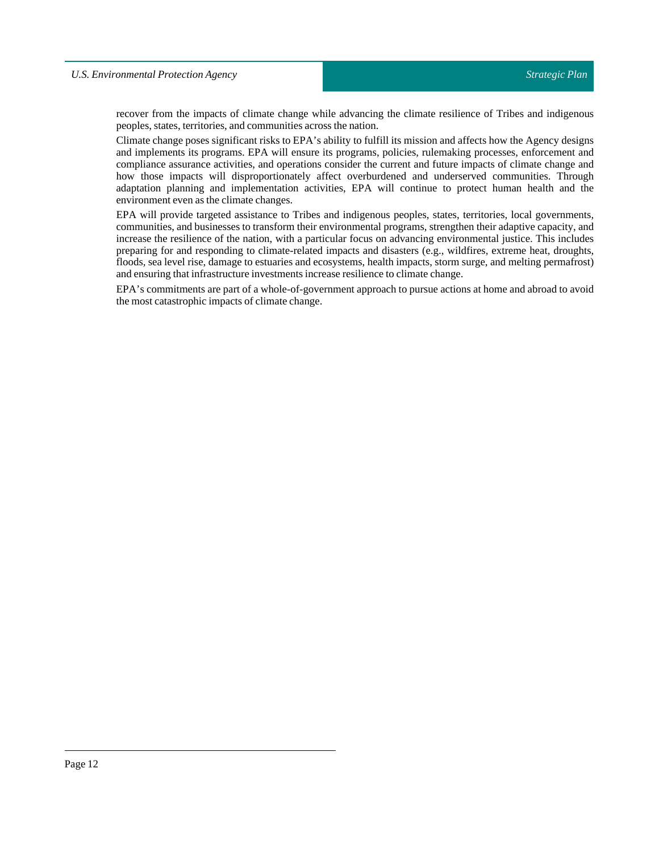recover from the impacts of climate change while advancing the climate resilience of Tribes and indigenous peoples, states, territories, and communities across the nation.

Climate change poses significant risks to EPA's ability to fulfill its mission and affects how the Agency designs and implements its programs. EPA will ensure its programs, policies, rulemaking processes, enforcement and compliance assurance activities, and operations consider the current and future impacts of climate change and how those impacts will disproportionately affect overburdened and underserved communities. Through adaptation planning and implementation activities, EPA will continue to protect human health and the environment even as the climate changes.

EPA will provide targeted assistance to Tribes and indigenous peoples, states, territories, local governments, communities, and businesses to transform their environmental programs, strengthen their adaptive capacity, and increase the resilience of the nation, with a particular focus on advancing environmental justice. This includes preparing for and responding to climate-related impacts and disasters (e.g., wildfires, extreme heat, droughts, floods, sea level rise, damage to estuaries and ecosystems, health impacts, storm surge, and melting permafrost) and ensuring that infrastructure investments increase resilience to climate change.

EPA's commitments are part of a whole-of-government approach to pursue actions at home and abroad to avoid the most catastrophic impacts of climate change.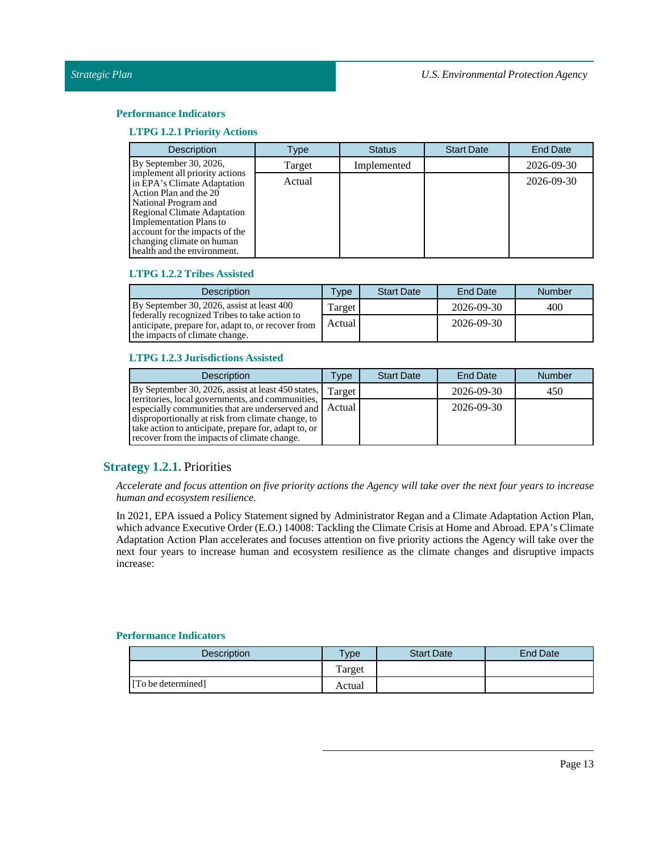## **Performance Indicators**

## **LTPG 1.2.1 Priority Actions**

| <b>Description</b>                                                                                                                                                                                                                                                                    | Type   | <b>Status</b> | <b>Start Date</b> | <b>End Date</b> |
|---------------------------------------------------------------------------------------------------------------------------------------------------------------------------------------------------------------------------------------------------------------------------------------|--------|---------------|-------------------|-----------------|
| By September 30, 2026,                                                                                                                                                                                                                                                                | Target | Implemented   |                   | 2026-09-30      |
| implement all priority actions<br>in EPA's Climate Adaptation<br>Action Plan and the 20<br>National Program and<br><b>Regional Climate Adaptation</b><br><b>Implementation Plans to</b><br>account for the impacts of the<br>changing climate on human<br>health and the environment. | Actual |               |                   | 2026-09-30      |

# **LTPG 1.2.2 Tribes Assisted**

| <b>Description</b>                                                                                                                    | <b>Type</b> | <b>Start Date</b> | End Date   | Number |
|---------------------------------------------------------------------------------------------------------------------------------------|-------------|-------------------|------------|--------|
| By September 30, 2026, assist at least 400                                                                                            | Target      |                   | 2026-09-30 | 400    |
| federally recognized Tribes to take action to<br>anticipate, prepare for, adapt to, or recover from<br>the impacts of climate change. | Actual      |                   | 2026-09-30 |        |

#### **LTPG 1.2.3 Jurisdictions Assisted**

| <b>Description</b>                                                                                  | Type   | <b>Start Date</b> | End Date   | <b>Number</b> |
|-----------------------------------------------------------------------------------------------------|--------|-------------------|------------|---------------|
| By September 30, 2026, assist at least 450 states,   Target                                         |        |                   | 2026-09-30 | 450           |
| territories, local governments, and communities,<br>especially communities that are underserved and | Actual |                   | 2026-09-30 |               |
| disproportionally at risk from climate change, to                                                   |        |                   |            |               |
| take action to anticipate, prepare for, adapt to, or<br>recover from the impacts of climate change. |        |                   |            |               |

# <span id="page-12-0"></span>**Strategy 1.2.1.** Priorities

Accelerate and focus attention on five priority actions the Agency will take over the next four years to increase *human and ecosystem resilience.*

In 2021, EPA issued a Policy Statement signed by Administrator Regan and a Climate Adaptation Action Plan, which advance Executive Order (E.O.) 14008: Tackling the Climate Crisis at Home and Abroad. EPA's Climate Adaptation Action Plan accelerates and focuses attention on five priority actions the Agency will take over the next four years to increase human and ecosystem resilience as the climate changes and disruptive impacts increase:

| <b>Description</b> | Type   | <b>Start Date</b> | End Date |
|--------------------|--------|-------------------|----------|
|                    | Target |                   |          |
| [To be determined] | Actual |                   |          |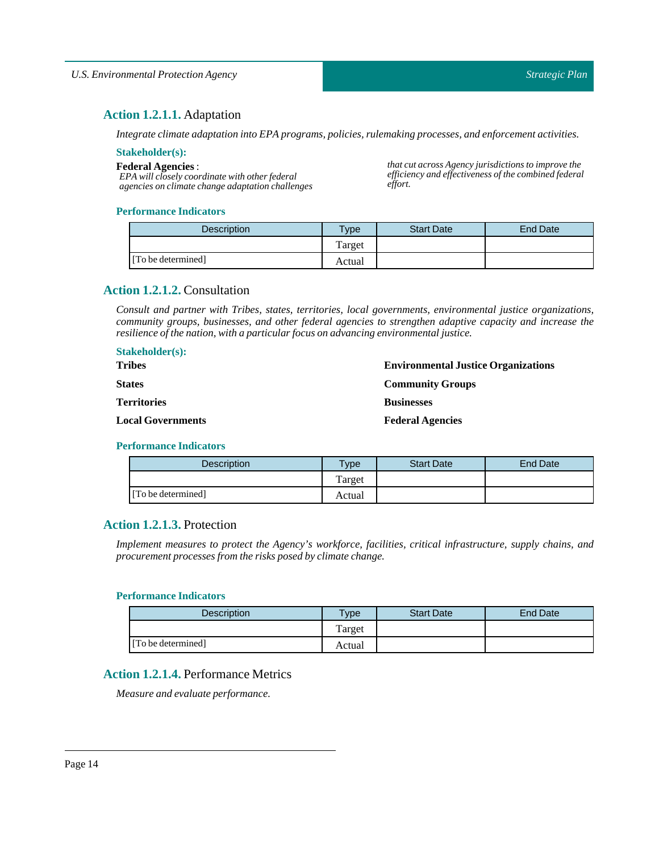*that cut across Agency jurisdictions to improve the efficiency and effectiveness of the combined federal*

# <span id="page-13-0"></span>**Action 1.2.1.1.** Adaptation

*Integrate climate adaptation into EPA programs, policies, rulemaking processes, and enforcement activities.*

#### **Stakeholder(s):**

**Federal Agencies** :

**Stakeholder(s):**

*EPA will closely coordinate with other federal agencies on climate change adaptation challenges*

#### **Performance Indicators**

| <b>Description</b> | <b>Type</b> | <b>Start Date</b> | <b>End Date</b> |
|--------------------|-------------|-------------------|-----------------|
|                    | Target      |                   |                 |
| [To be determined] | Actual      |                   |                 |

*effort.*

# <span id="page-13-1"></span>**Action 1.2.1.2.** Consultation

*Consult and partner with Tribes, states, territories, local governments, environmental justice organizations, community groups, businesses, and other federal agencies to strengthen adaptive capacity and increase the resilience ofthe nation, with a particular focus on advancing environmentaljustice.*

| <b>Stakeholder(s):</b>   |                                            |
|--------------------------|--------------------------------------------|
| <b>Tribes</b>            | <b>Environmental Justice Organizations</b> |
| <b>States</b>            | <b>Community Groups</b>                    |
| <b>Territories</b>       | <b>Businesses</b>                          |
| <b>Local Governments</b> | <b>Federal Agencies</b>                    |

#### **Performance Indicators**

| <b>Description</b> | $T$ ype | <b>Start Date</b> | End Date |
|--------------------|---------|-------------------|----------|
|                    | Target  |                   |          |
| [To be determined] | Actual  |                   |          |

# <span id="page-13-2"></span>**Action 1.2.1.3.** Protection

*Implement measures to protect the Agency's workforce, facilities, critical infrastructure, supply chains, and procurement processes from the risks posed by climate change.*

#### **Performance Indicators**

| <b>Description</b> | <b>Type</b> | <b>Start Date</b> | End Date |
|--------------------|-------------|-------------------|----------|
|                    | Target      |                   |          |
| [To be determined] | Actual      |                   |          |

# <span id="page-13-3"></span>**Action 1.2.1.4.** Performance Metrics

*Measure and evaluate performance.*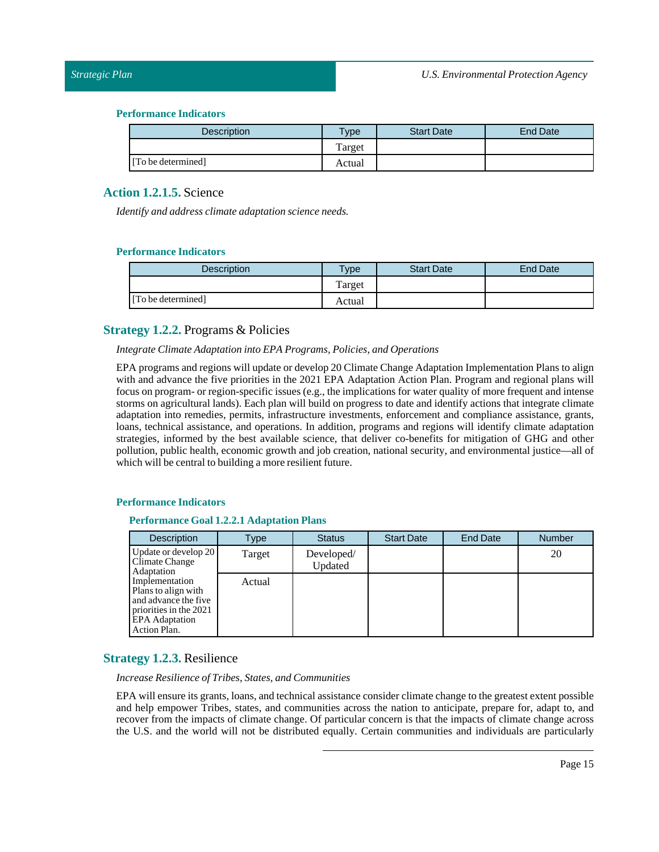#### **Performance Indicators**

| <b>Description</b> | Type   | <b>Start Date</b> | <b>End Date</b> |
|--------------------|--------|-------------------|-----------------|
|                    | Target |                   |                 |
| [To be determined] | Actual |                   |                 |

# <span id="page-14-0"></span>**Action 1.2.1.5.** Science

*Identify and address climate adaptation science needs.*

## **Performance Indicators**

| <b>Description</b> | Type   | <b>Start Date</b> | <b>End Date</b> |
|--------------------|--------|-------------------|-----------------|
|                    | Target |                   |                 |
| [To be determined] | Actual |                   |                 |

# <span id="page-14-1"></span>**Strategy 1.2.2.** Programs & Policies

#### *Integrate Climate Adaptation into EPA Programs, Policies, and Operations*

EPA programs and regions will update or develop 20 Climate Change Adaptation Implementation Plans to align with and advance the five priorities in the 2021 EPA Adaptation Action Plan. Program and regional plans will focus on program- or region-specific issues (e.g., the implications for water quality of more frequent and intense storms on agricultural lands). Each plan will build on progress to date and identify actions that integrate climate adaptation into remedies, permits, infrastructure investments, enforcement and compliance assistance, grants, loans, technical assistance, and operations. In addition, programs and regions will identify climate adaptation strategies, informed by the best available science, that deliver co-benefits for mitigation of GHG and other pollution, public health, economic growth and job creation, national security, and environmental justice—all of which will be central to building a more resilient future.

#### **Performance Indicators**

#### **Performance Goal 1.2.2.1 Adaptation Plans**

| <b>Description</b>                                                                                                               | Type   | <b>Status</b>         | <b>Start Date</b> | <b>End Date</b> | <b>Number</b> |
|----------------------------------------------------------------------------------------------------------------------------------|--------|-----------------------|-------------------|-----------------|---------------|
| Update or develop 20<br>Climate Change<br>Adaptation                                                                             | Target | Developed/<br>Updated |                   |                 | 20            |
| Implementation<br>Plans to align with<br>and advance the five<br>priorities in the 2021<br><b>EPA</b> Adaptation<br>Action Plan. | Actual |                       |                   |                 |               |

# <span id="page-14-2"></span>**Strategy 1.2.3.** Resilience

*Increase Resilience ofTribes, States, and Communities*

EPA will ensure its grants, loans, and technical assistance consider climate change to the greatest extent possible and help empower Tribes, states, and communities across the nation to anticipate, prepare for, adapt to, and recover from the impacts of climate change. Of particular concern is that the impacts of climate change across the U.S. and the world will not be distributed equally. Certain communities and individuals are particularly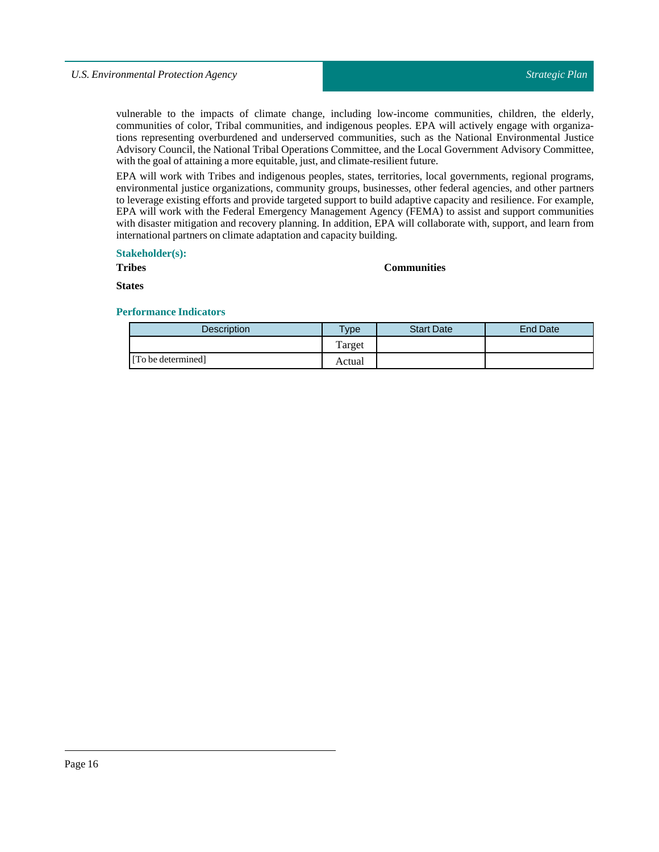vulnerable to the impacts of climate change, including low-income communities, children, the elderly, communities of color, Tribal communities, and indigenous peoples. EPA will actively engage with organizations representing overburdened and underserved communities, such as the National Environmental Justice Advisory Council, the National Tribal Operations Committee, and the Local Government Advisory Committee, with the goal of attaining a more equitable, just, and climate-resilient future.

EPA will work with Tribes and indigenous peoples, states, territories, local governments, regional programs, environmental justice organizations, community groups, businesses, other federal agencies, and other partners to leverage existing efforts and provide targeted support to build adaptive capacity and resilience. For example, EPA will work with the Federal Emergency Management Agency (FEMA) to assist and support communities with disaster mitigation and recovery planning. In addition, EPA will collaborate with, support, and learn from international partners on climate adaptation and capacity building.

## **Stakeholder(s):**

**Tribes**

#### **Communities**

**States**

| <b>Description</b> | <b>Type</b> | <b>Start Date</b> | <b>End Date</b> |
|--------------------|-------------|-------------------|-----------------|
|                    | Target      |                   |                 |
| [To be determined] | Actual      |                   |                 |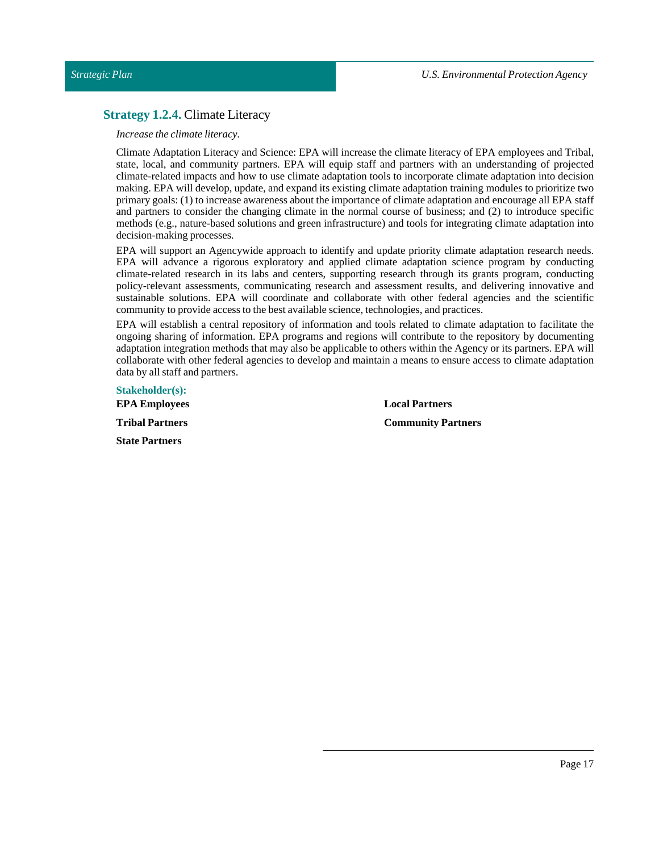# <span id="page-16-0"></span>**Strategy 1.2.4.** Climate Literacy

*Increase the climate literacy.*

Climate Adaptation Literacy and Science: EPA will increase the climate literacy of EPA employees and Tribal, state, local, and community partners. EPA will equip staff and partners with an understanding of projected climate-related impacts and how to use climate adaptation tools to incorporate climate adaptation into decision making. EPA will develop, update, and expand its existing climate adaptation training modules to prioritize two primary goals: (1) to increase awareness about the importance of climate adaptation and encourage all EPA staff and partners to consider the changing climate in the normal course of business; and (2) to introduce specific methods (e.g., nature-based solutions and green infrastructure) and tools for integrating climate adaptation into decision-making processes.

EPA will support an Agencywide approach to identify and update priority climate adaptation research needs. EPA will advance a rigorous exploratory and applied climate adaptation science program by conducting climate-related research in its labs and centers, supporting research through its grants program, conducting policy-relevant assessments, communicating research and assessment results, and delivering innovative and sustainable solutions. EPA will coordinate and collaborate with other federal agencies and the scientific community to provide access to the best available science,technologies, and practices.

EPA will establish a central repository of information and tools related to climate adaptation to facilitate the ongoing sharing of information. EPA programs and regions will contribute to the repository by documenting adaptation integration methods that may also be applicable to others within the Agency or its partners. EPA will collaborate with other federal agencies to develop and maintain a means to ensure access to climate adaptation data by all staff and partners.

**Stakeholder(s): EPA Employees Tribal Partners State Partners**

**Local Partners Community Partners**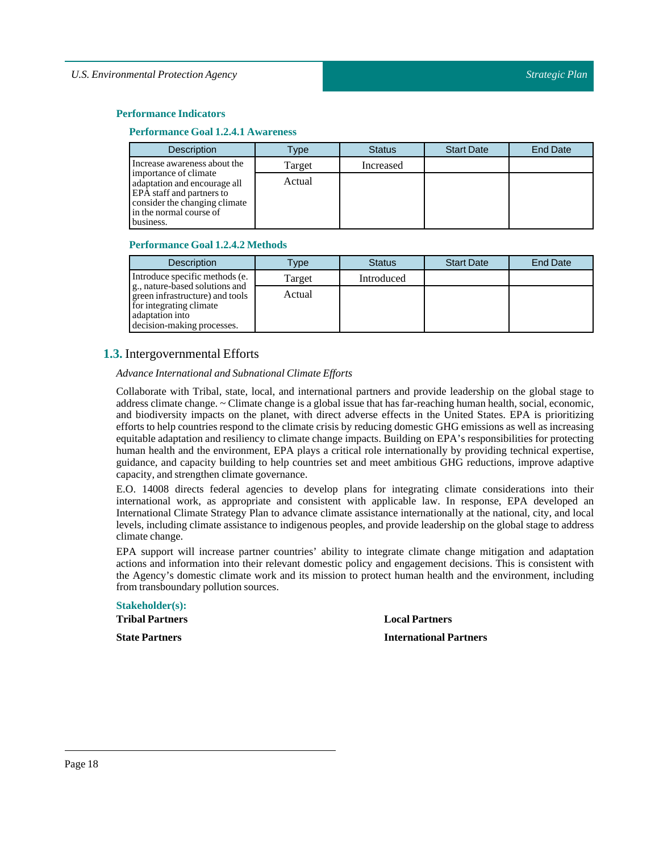#### **Performance Indicators**

#### **Performance Goal 1.2.4.1 Awareness**

| <b>Description</b>                                                                                                                                          | Type   | <b>Status</b> | <b>Start Date</b> | <b>End Date</b> |
|-------------------------------------------------------------------------------------------------------------------------------------------------------------|--------|---------------|-------------------|-----------------|
| Increase awareness about the                                                                                                                                | Target | Increased     |                   |                 |
| importance of climate<br>adaptation and encourage all<br>EPA staff and partners to<br>consider the changing climate<br>in the normal course of<br>business. | Actual |               |                   |                 |

#### **Performance Goal 1.2.4.2 Methods**

| <b>Description</b>                                                                                                                            | <b>Type</b> | <b>Status</b> | <b>Start Date</b> | <b>End Date</b> |
|-----------------------------------------------------------------------------------------------------------------------------------------------|-------------|---------------|-------------------|-----------------|
| Introduce specific methods (e.                                                                                                                | Target      | Introduced    |                   |                 |
| g., nature-based solutions and<br>green infrastructure) and tools<br>for integrating climate<br>adaptation into<br>decision-making processes. | Actual      |               |                   |                 |

# <span id="page-17-0"></span>**1.3.** Intergovernmental Efforts

# *Advance International and Subnational Climate Efforts*

Collaborate with Tribal, state, local, and international partners and provide leadership on the global stage to address climate change. ~ Climate change is a global issue that has far-reaching human health, social, economic, and biodiversity impacts on the planet, with direct adverse effects in the United States. EPA is prioritizing efforts to help countries respond to the climate crisis by reducing domestic GHG emissions as well as increasing equitable adaptation and resiliency to climate change impacts. Building on EPA's responsibilities for protecting human health and the environment, EPA plays a critical role internationally by providing technical expertise, guidance, and capacity building to help countries set and meet ambitious GHG reductions, improve adaptive capacity, and strengthen climate governance.

E.O. 14008 directs federal agencies to develop plans for integrating climate considerations into their international work, as appropriate and consistent with applicable law. In response, EPA developed an International Climate Strategy Plan to advance climate assistance internationally at the national, city, and local levels, including climate assistance to indigenous peoples, and provide leadership on the global stage to address climate change.

EPA support will increase partner countries' ability to integrate climate change mitigation and adaptation actions and information into their relevant domestic policy and engagement decisions. This is consistent with the Agency's domestic climate work and its mission to protect human health and the environment, including from transboundary pollution sources.

| <b>Stakeholder(s):</b> |
|------------------------|
| <b>Tribal Partners</b> |
| <b>State Partners</b>  |

**Local Partners**

**International Partners**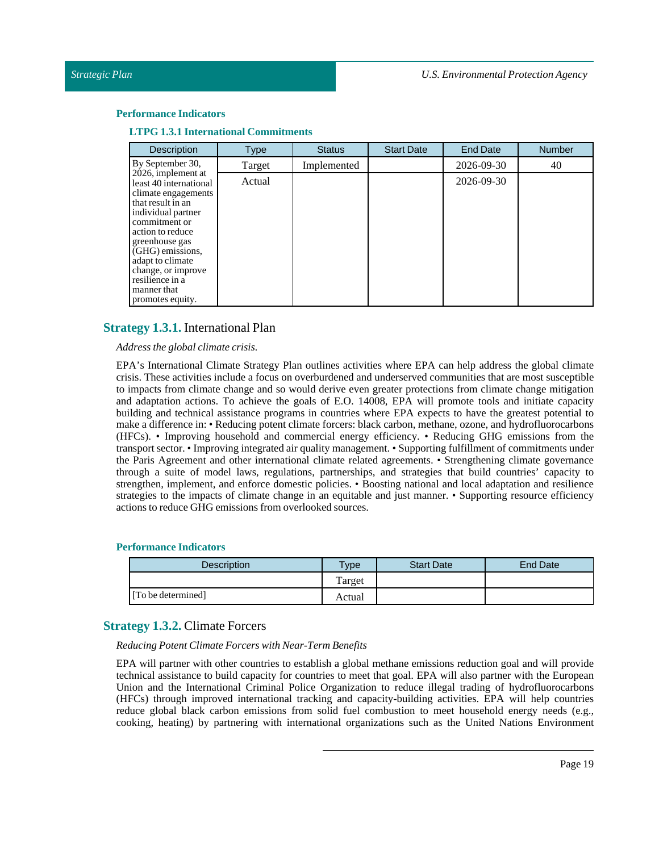#### **Performance Indicators**

**LTPG 1.3.1 International Commitments**

| <b>Description</b>                                                                                                                                                                                                                                                                        | <b>Type</b> | <b>Status</b> | <b>Start Date</b> | <b>End Date</b> | <b>Number</b> |
|-------------------------------------------------------------------------------------------------------------------------------------------------------------------------------------------------------------------------------------------------------------------------------------------|-------------|---------------|-------------------|-----------------|---------------|
| By September 30,                                                                                                                                                                                                                                                                          | Target      | Implemented   |                   | 2026-09-30      | 40            |
| 2026, implement at<br>least 40 international<br>climate engagements<br>that result in an<br>individual partner<br>commitment or<br>action to reduce<br>greenhouse gas<br>(GHG) emissions,<br>adapt to climate<br>change, or improve<br>resilience in a<br>manner that<br>promotes equity. | Actual      |               |                   | 2026-09-30      |               |

# <span id="page-18-0"></span>**Strategy 1.3.1.** International Plan

## *Address the global climate crisis.*

EPA's International Climate Strategy Plan outlines activities where EPA can help address the global climate crisis. These activities include a focus on overburdened and underserved communities that are most susceptible to impacts from climate change and so would derive even greater protections from climate change mitigation and adaptation actions. To achieve the goals of E.O. 14008, EPA will promote tools and initiate capacity building and technical assistance programs in countries where EPA expects to have the greatest potential to make a difference in: • Reducing potent climate forcers: black carbon, methane, ozone, and hydrofluorocarbons (HFCs). • Improving household and commercial energy efficiency. • Reducing GHG emissions from the transport sector. • Improving integrated air quality management. • Supporting fulfillment of commitments under the Paris Agreement and other international climate related agreements. • Strengthening climate governance through a suite of model laws, regulations, partnerships, and strategies that build countries' capacity to strengthen, implement, and enforce domestic policies. • Boosting national and local adaptation and resilience strategies to the impacts of climate change in an equitable and just manner. • Supporting resource efficiency actions to reduce GHG emissions from overlooked sources.

#### **Performance Indicators**

| <b>Description</b> | <b>Type</b> | <b>Start Date</b> | <b>End Date</b> |
|--------------------|-------------|-------------------|-----------------|
|                    | Target      |                   |                 |
| [To be determined] | Actual      |                   |                 |

# <span id="page-18-1"></span>**Strategy 1.3.2.** Climate Forcers

#### *Reducing Potent Climate Forcers with Near-Term Benefits*

EPA will partner with other countries to establish a global methane emissions reduction goal and will provide technical assistance to build capacity for countries to meet that goal. EPA will also partner with the European Union and the International Criminal Police Organization to reduce illegal trading of hydrofluorocarbons (HFCs) through improved international tracking and capacity-building activities. EPA will help countries reduce global black carbon emissions from solid fuel combustion to meet household energy needs (e.g., cooking, heating) by partnering with international organizations such as the United Nations Environment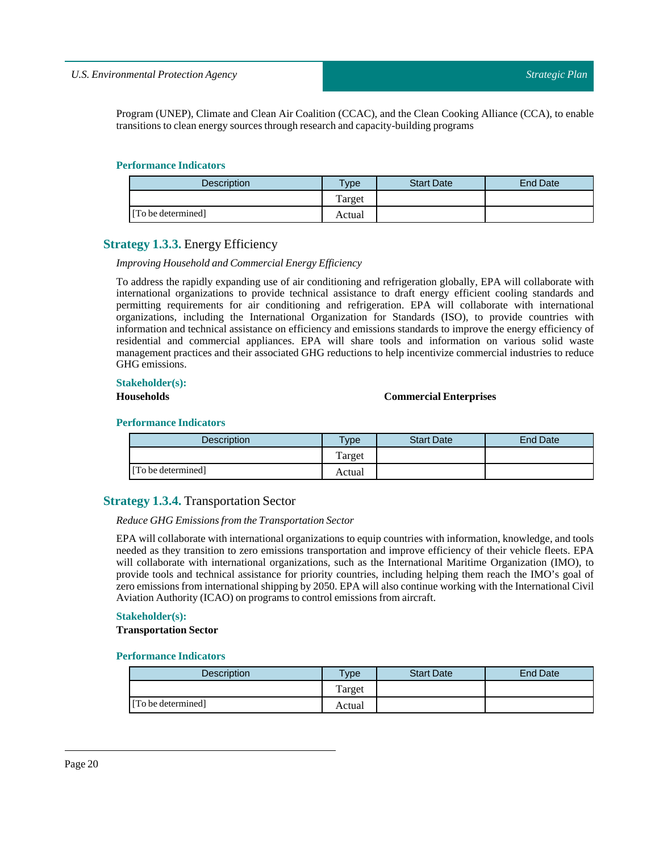Program (UNEP), Climate and Clean Air Coalition (CCAC), and the Clean Cooking Alliance (CCA), to enable transitions to clean energy sources through research and capacity-building programs

#### **Performance Indicators**

| <b>Description</b> | Type   | <b>Start Date</b> | End Date |
|--------------------|--------|-------------------|----------|
|                    | Target |                   |          |
| [To be determined] | Actual |                   |          |

# <span id="page-19-0"></span>**Strategy 1.3.3.** Energy Efficiency

#### *Improving Household and Commercial Energy Efficiency*

To address the rapidly expanding use of air conditioning and refrigeration globally, EPA will collaborate with international organizations to provide technical assistance to draft energy efficient cooling standards and permitting requirements for air conditioning and refrigeration. EPA will collaborate with international organizations, including the International Organization for Standards (ISO), to provide countries with information and technical assistance on efficiency and emissions standards to improve the energy efficiency of residential and commercial appliances. EPA will share tools and information on various solid waste management practices and their associated GHG reductions to help incentivize commercial industries to reduce GHG emissions.

## **Stakeholder(s):**

# **Households Commercial Enterprises**

#### **Performance Indicators**

| Description        | $T$ <sub>V</sub> $pe$ | <b>Start Date</b> | <b>End Date</b> |
|--------------------|-----------------------|-------------------|-----------------|
|                    | Target                |                   |                 |
| [To be determined] | Actual                |                   |                 |

# <span id="page-19-1"></span>**Strategy 1.3.4.** Transportation Sector

## *Reduce GHG Emissions from theTransportation Sector*

EPA will collaborate with international organizations to equip countries with information, knowledge, and tools needed as they transition to zero emissions transportation and improve efficiency of their vehicle fleets. EPA will collaborate with international organizations, such as the International Maritime Organization (IMO), to provide tools and technical assistance for priority countries, including helping them reach the IMO's goal of zero emissions from international shipping by 2050. EPA will also continue working with the International Civil Aviation Authority (ICAO) on programs to control emissions from aircraft.

#### **Stakeholder(s):**

**Transportation Sector** 

| <b>Description</b> | Type   | <b>Start Date</b> | End Date |
|--------------------|--------|-------------------|----------|
|                    | Target |                   |          |
| [To be determined] | Actual |                   |          |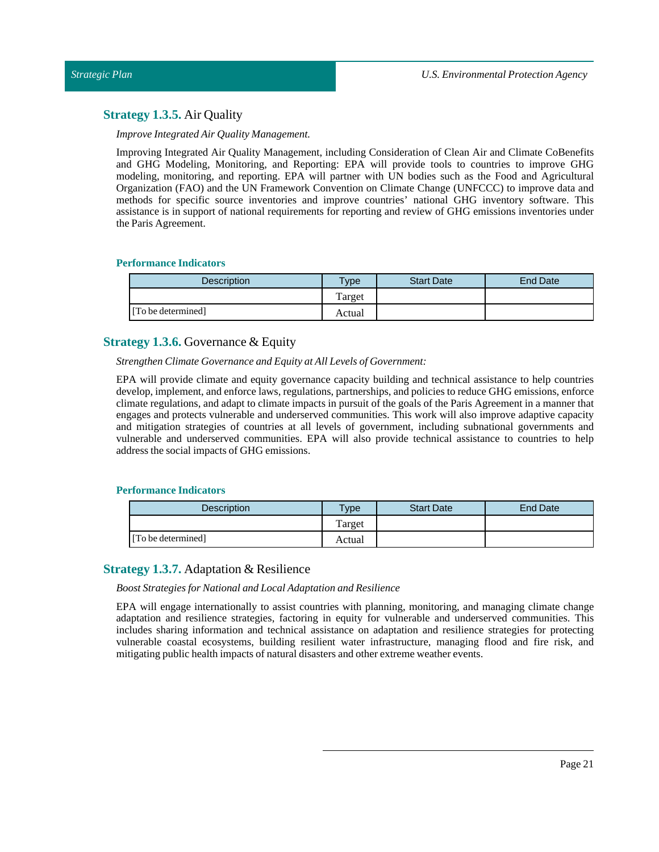# <span id="page-20-0"></span>**Strategy 1.3.5.** Air Quality

*Improve Integrated Air Quality Management.*

Improving Integrated Air Quality Management, including Consideration of Clean Air and Climate CoBenefits and GHG Modeling, Monitoring, and Reporting: EPA will provide tools to countries to improve GHG modeling, monitoring, and reporting. EPA will partner with UN bodies such as the Food and Agricultural Organization (FAO) and the UN Framework Convention on Climate Change (UNFCCC) to improve data and methods for specific source inventories and improve countries' national GHG inventory software. This assistance is in support of national requirements for reporting and review of GHG emissions inventories under the Paris Agreement.

# **Performance Indicators**

| <b>Description</b> | <b>Type</b> | <b>Start Date</b> | End Date |
|--------------------|-------------|-------------------|----------|
|                    | Target      |                   |          |
| [To be determined] | Actual      |                   |          |

# <span id="page-20-1"></span>**Strategy 1.3.6.** Governance & Equity

*Strengthen Climate Governance and Equity at AllLevels of Government:*

EPA will provide climate and equity governance capacity building and technical assistance to help countries develop, implement, and enforce laws, regulations, partnerships, and policies to reduce GHG emissions, enforce climate regulations, and adapt to climate impacts in pursuit of the goals of the Paris Agreement in a manner that engages and protects vulnerable and underserved communities. This work will also improve adaptive capacity and mitigation strategies of countries at all levels of government, including subnational governments and vulnerable and underserved communities. EPA will also provide technical assistance to countries to help address the social impacts of GHG emissions.

# **Performance Indicators**

| <b>Description</b> | vpe    | <b>Start Date</b> | End Date |
|--------------------|--------|-------------------|----------|
|                    | Target |                   |          |
| [To be determined] | Actual |                   |          |

# <span id="page-20-2"></span>**Strategy 1.3.7.** Adaptation & Resilience

#### *Boost Strategies for National andLocal Adaptation and Resilience*

EPA will engage internationally to assist countries with planning, monitoring, and managing climate change adaptation and resilience strategies, factoring in equity for vulnerable and underserved communities. This includes sharing information and technical assistance on adaptation and resilience strategies for protecting vulnerable coastal ecosystems, building resilient water infrastructure, managing flood and fire risk, and mitigating public health impacts of natural disasters and other extreme weather events.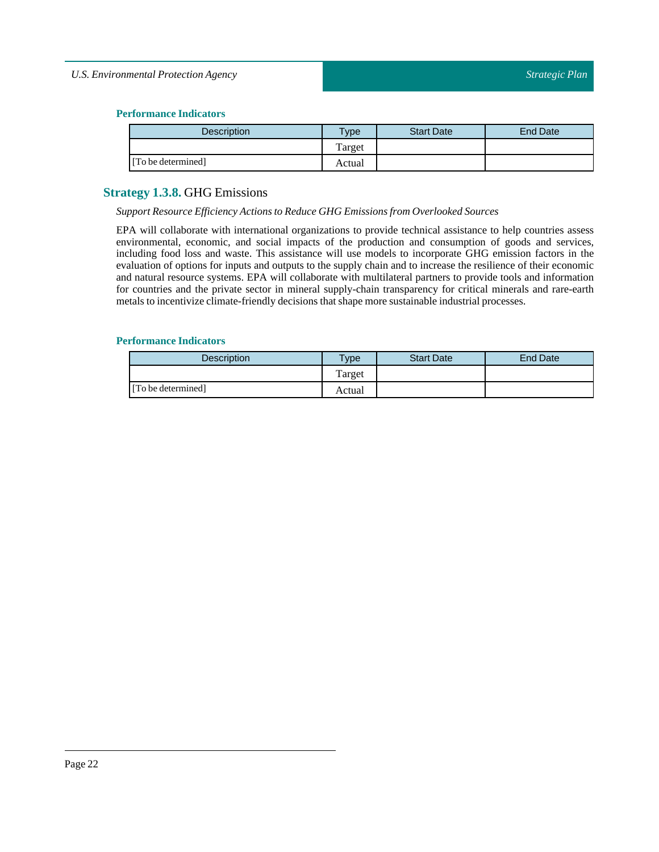# **Performance Indicators**

| Description        | vpe    | <b>Start Date</b> | End Date |
|--------------------|--------|-------------------|----------|
|                    | Target |                   |          |
| [To be determined] | Actual |                   |          |

# <span id="page-21-0"></span>**Strategy 1.3.8.** GHG Emissions

#### *Support Resource Efficiency Actions to Reduce GHG Emissions from Overlooked Sources*

EPA will collaborate with international organizations to provide technical assistance to help countries assess environmental, economic, and social impacts of the production and consumption of goods and services, including food loss and waste. This assistance will use models to incorporate GHG emission factors in the evaluation of options for inputs and outputs to the supply chain and to increase the resilience of their economic and natural resource systems. EPA will collaborate with multilateral partners to provide tools and information for countries and the private sector in mineral supply-chain transparency for critical minerals and rare-earth metals to incentivize climate-friendly decisions that shape more sustainable industrial processes.

| <b>Description</b> | <b>Type</b> | <b>Start Date</b> | <b>End Date</b> |
|--------------------|-------------|-------------------|-----------------|
|                    | Target      |                   |                 |
| [To be determined] | Actual      |                   |                 |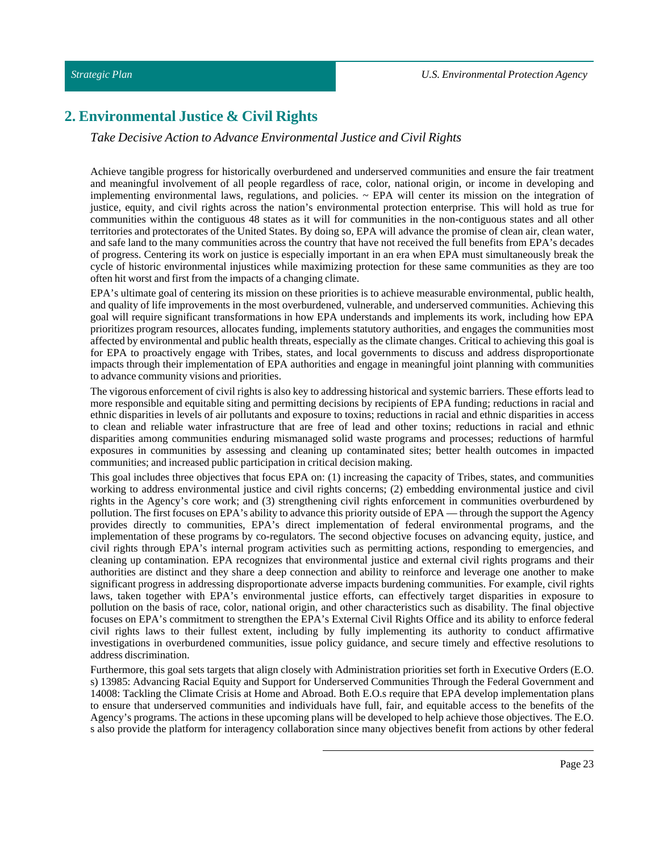# <span id="page-22-0"></span>**2. Environmental Justice & Civil Rights**

# *Take Decisive Action to Advance Environmental Justice and Civil Rights*

Achieve tangible progress for historically overburdened and underserved communities and ensure the fair treatment and meaningful involvement of all people regardless of race, color, national origin, or income in developing and implementing environmental laws, regulations, and policies.  $\sim$  EPA will center its mission on the integration of justice, equity, and civil rights across the nation's environmental protection enterprise. This will hold as true for communities within the contiguous 48 states as it will for communities in the non-contiguous states and all other territories and protectorates of the United States. By doing so, EPA will advance the promise of clean air, clean water, and safe land to the many communities across the country that have not received the full benefits from EPA's decades of progress. Centering its work on justice is especially important in an era when EPA must simultaneously break the cycle of historic environmental injustices while maximizing protection for these same communities as they are too often hit worst and first from the impacts of a changing climate.

EPA's ultimate goal of centering its mission on these priorities is to achieve measurable environmental, public health, and quality of life improvements in the most overburdened, vulnerable, and underserved communities. Achieving this goal will require significant transformations in how EPA understands and implements its work, including how EPA prioritizes program resources, allocates funding, implements statutory authorities, and engages the communities most affected by environmental and public health threats, especially as the climate changes. Critical to achieving this goal is for EPA to proactively engage with Tribes, states, and local governments to discuss and address disproportionate impacts through their implementation of EPA authorities and engage in meaningful joint planning with communities to advance community visions and priorities.

The vigorous enforcement of civil rights is also key to addressing historical and systemic barriers. These efforts lead to more responsible and equitable siting and permitting decisions by recipients of EPA funding; reductions in racial and ethnic disparities in levels of air pollutants and exposure to toxins; reductions in racial and ethnic disparities in access to clean and reliable water infrastructure that are free of lead and other toxins; reductions in racial and ethnic disparities among communities enduring mismanaged solid waste programs and processes; reductions of harmful exposures in communities by assessing and cleaning up contaminated sites; better health outcomes in impacted communities; and increased public participation in critical decision making.

This goal includes three objectives that focus EPA on: (1) increasing the capacity of Tribes, states, and communities working to address environmental justice and civil rights concerns; (2) embedding environmental justice and civil rights in the Agency's core work; and (3) strengthening civil rights enforcement in communities overburdened by pollution. The first focuses on EPA's ability to advance this priority outside of EPA — through the support the Agency provides directly to communities, EPA's direct implementation of federal environmental programs, and the implementation of these programs by co-regulators. The second objective focuses on advancing equity, justice, and civil rights through EPA's internal program activities such as permitting actions, responding to emergencies, and cleaning up contamination. EPA recognizes that environmental justice and external civil rights programs and their authorities are distinct and they share a deep connection and ability to reinforce and leverage one another to make significant progress in addressing disproportionate adverse impacts burdening communities. For example, civil rights laws, taken together with EPA's environmental justice efforts, can effectively target disparities in exposure to pollution on the basis of race, color, national origin, and other characteristics such as disability. The final objective focuses on EPA's commitment to strengthen the EPA's External Civil Rights Office and its ability to enforce federal civil rights laws to their fullest extent, including by fully implementing its authority to conduct affirmative investigations in overburdened communities, issue policy guidance, and secure timely and effective resolutions to address discrimination.

Furthermore, this goal sets targets that align closely with Administration priorities set forth in Executive Orders (E.O. s) 13985: Advancing Racial Equity and Support for Underserved Communities Through the Federal Government and 14008: Tackling the Climate Crisis at Home and Abroad. Both E.O.s require that EPA develop implementation plans to ensure that underserved communities and individuals have full, fair, and equitable access to the benefits of the Agency's programs. The actions in these upcoming plans will be developed to help achieve those objectives. The E.O. s also provide the platform for interagency collaboration since many objectives benefit from actions by other federal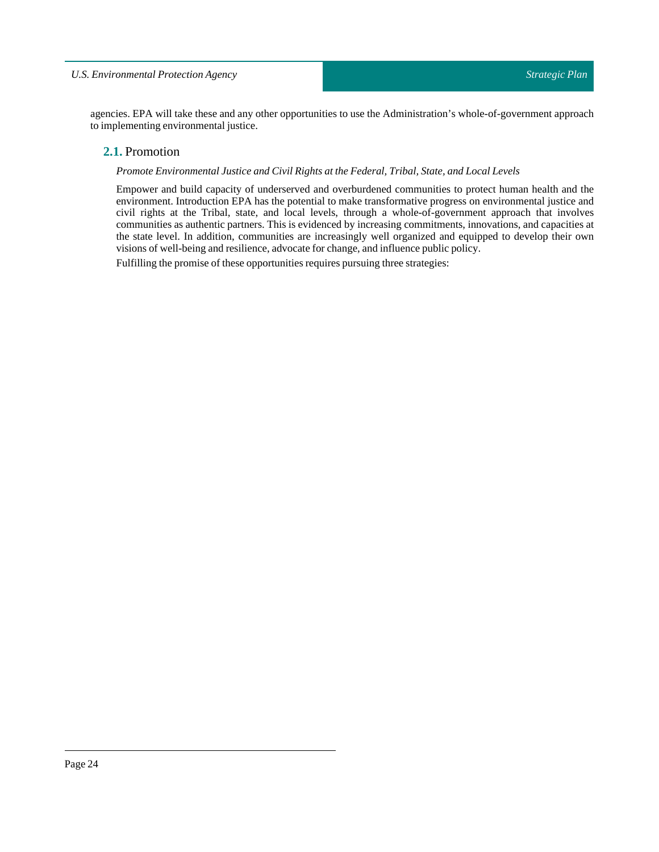<span id="page-23-0"></span>agencies. EPA will take these and any other opportunities to use the Administration's whole-of-government approach to implementing environmental justice.

# **2.1.** Promotion

## *Promote Environmental Justice and Civil Rights atthe Federal,Tribal, State, andLocalLevels*

Empower and build capacity of underserved and overburdened communities to protect human health and the environment. Introduction EPA has the potential to make transformative progress on environmental justice and civil rights at the Tribal, state, and local levels, through a whole-of-government approach that involves communities as authentic partners. This is evidenced by increasing commitments, innovations, and capacities at the state level. In addition, communities are increasingly well organized and equipped to develop their own visions of well-being and resilience, advocate for change, and influence public policy.

Fulfilling the promise of these opportunities requires pursuing three strategies: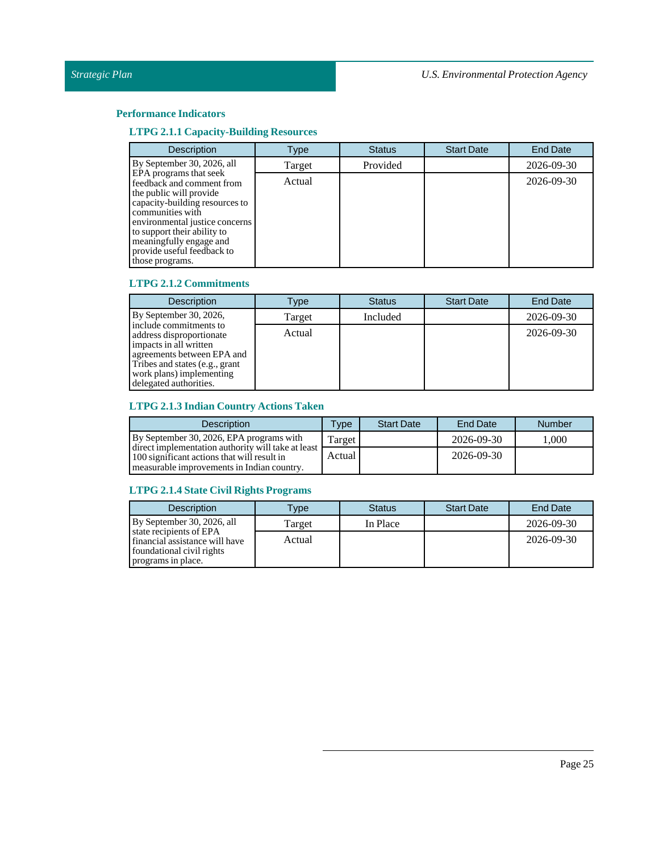# **Performance Indicators**

# **LTPG 2.1.1 Capacity-Building Resources**

| <b>Description</b>                                                                                                                                                                                                                                                                | Type   | <b>Status</b> | <b>Start Date</b> | <b>End Date</b> |
|-----------------------------------------------------------------------------------------------------------------------------------------------------------------------------------------------------------------------------------------------------------------------------------|--------|---------------|-------------------|-----------------|
| By September 30, 2026, all                                                                                                                                                                                                                                                        | Target | Provided      |                   | 2026-09-30      |
| EPA programs that seek<br>feedback and comment from<br>the public will provide<br>capacity-building resources to<br>communities with<br>environmental justice concerns<br>to support their ability to<br>meaningfully engage and<br>provide useful feedback to<br>those programs. | Actual |               |                   | 2026-09-30      |

## **LTPG 2.1.2 Commitments**

| <b>Description</b>                                                                                                                                                                                 | Type   | <b>Status</b> | <b>Start Date</b> | <b>End Date</b> |
|----------------------------------------------------------------------------------------------------------------------------------------------------------------------------------------------------|--------|---------------|-------------------|-----------------|
| By September 30, 2026,                                                                                                                                                                             | Target | Included      |                   | 2026-09-30      |
| include commitments to<br>address disproportionate<br>impacts in all written<br>agreements between EPA and<br>Tribes and states (e.g., grant<br>work plans) implementing<br>delegated authorities. | Actual |               |                   | 2026-09-30      |

# **LTPG 2.1.3 Indian Country Actions Taken**

| <b>Description</b>                                                                                                                              | Type   | <b>Start Date</b> | End Date   | <b>Number</b> |
|-------------------------------------------------------------------------------------------------------------------------------------------------|--------|-------------------|------------|---------------|
| By September 30, 2026, EPA programs with                                                                                                        | Target |                   | 2026-09-30 | 1.000         |
| direct implementation authority will take at least<br>100 significant actions that will result in<br>measurable improvements in Indian country. | Actual |                   | 2026-09-30 |               |

# **LTPG 2.1.4State Civil Rights Programs**

| <b>Description</b>                                                                                           | <b>Type</b> | <b>Status</b> | <b>Start Date</b> | End Date         |
|--------------------------------------------------------------------------------------------------------------|-------------|---------------|-------------------|------------------|
| By September 30, 2026, all                                                                                   | Target      | In Place      |                   | 2026-09-30       |
| state recipients of EPA<br>financial assistance will have<br>foundational civil rights<br>programs in place. | Actual      |               |                   | $2026 - 09 - 30$ |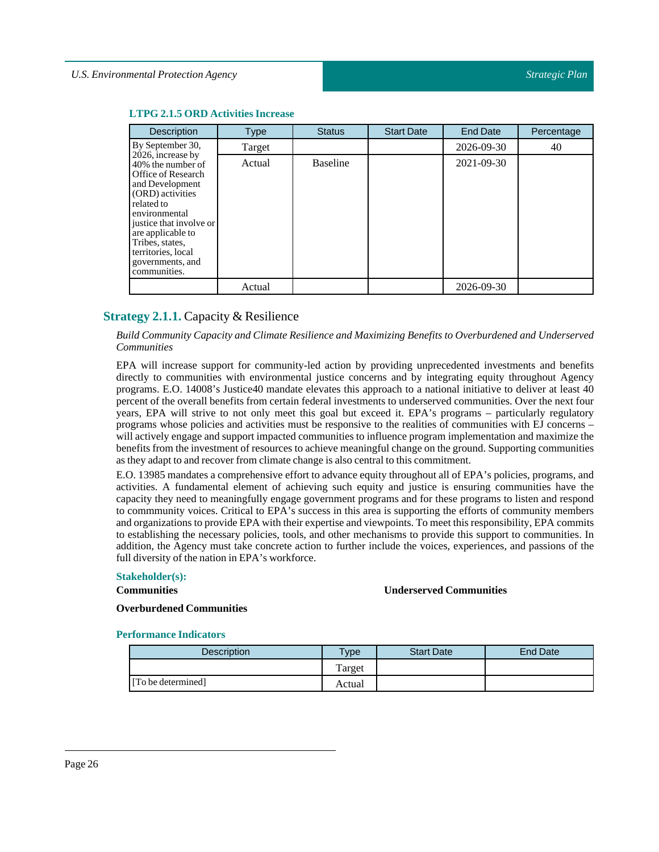| Description                                                                                                                                                                                                                                                     | <b>Type</b> | <b>Status</b>   | <b>Start Date</b> | <b>End Date</b> | Percentage |
|-----------------------------------------------------------------------------------------------------------------------------------------------------------------------------------------------------------------------------------------------------------------|-------------|-----------------|-------------------|-----------------|------------|
| By September 30,                                                                                                                                                                                                                                                | Target      |                 |                   | 2026-09-30      | 40         |
| 2026, increase by<br>40% the number of<br>Office of Research<br>and Development<br>(ORD) activities<br>related to<br>environmental<br>justice that involve or<br>are applicable to<br>Tribes, states,<br>territories, local<br>governments, and<br>communities. | Actual      | <b>Baseline</b> |                   | 2021-09-30      |            |
|                                                                                                                                                                                                                                                                 | Actual      |                 |                   | 2026-09-30      |            |

#### **LTPG 2.1.5 ORD Activities Increase**

# <span id="page-25-0"></span>**Strategy 2.1.1.** Capacity & Resilience

*Build Community Capacity and Climate Resilience and Maximizing Benefits to Overburdened and Underserved Communities*

EPA will increase support for community-led action by providing unprecedented investments and benefits directly to communities with environmental justice concerns and by integrating equity throughout Agency programs. E.O. 14008's Justice40 mandate elevates this approach to a national initiative to deliver at least 40 percent of the overall benefits from certain federal investments to underserved communities. Over the next four years, EPA will strive to not only meet this goal but exceed it. EPA's programs – particularly regulatory programs whose policies and activities must be responsive to the realities of communities with EJ concerns – will actively engage and support impacted communities to influence program implementation and maximize the benefits from the investment of resources to achieve meaningful change on the ground. Supporting communities as they adapt to and recover from climate change is also central to this commitment.

E.O. 13985 mandates a comprehensive effort to advance equity throughout all of EPA's policies, programs, and activities. A fundamental element of achieving such equity and justice is ensuring communities have the capacity they need to meaningfully engage government programs and for these programs to listen and respond to commmunity voices. Critical to EPA's success in this area is supporting the efforts of community members and organizations to provide EPA with their expertise and viewpoints. To meetthis responsibility, EPA commits to establishing the necessary policies, tools, and other mechanisms to provide this support to communities. In addition, the Agency must take concrete action to further include the voices, experiences, and passions of the full diversity of the nation in EPA's workforce.

#### **Stakeholder(s):**

#### **Communities**

**Underserved Communities**

**Overburdened Communities**

| <b>Description</b> | Type   | <b>Start Date</b> | <b>End Date</b> |
|--------------------|--------|-------------------|-----------------|
|                    | Target |                   |                 |
| [To be determined] | Actual |                   |                 |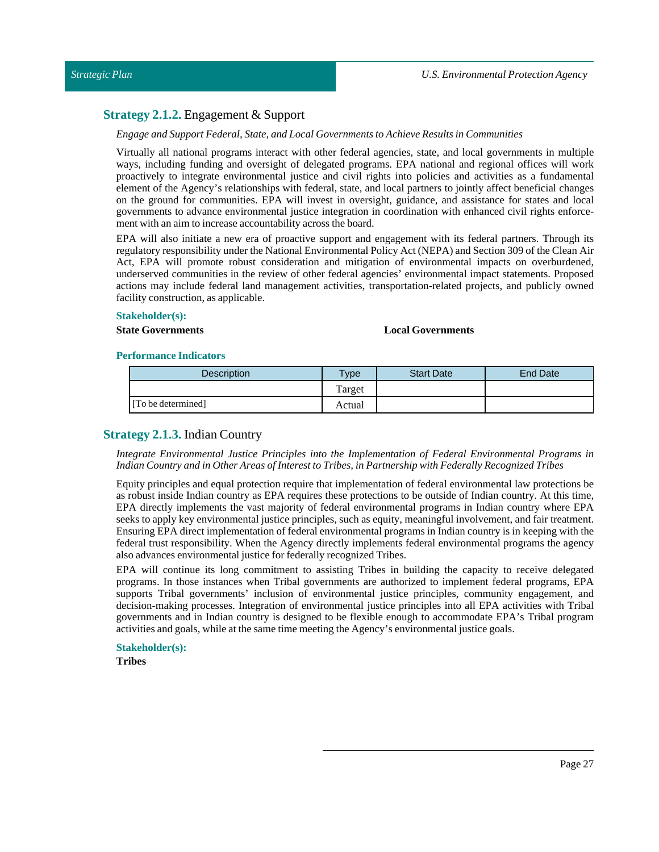# <span id="page-26-0"></span>**Strategy 2.1.2.** Engagement & Support

#### *Engage and Support Federal, State, andLocal Governments to Achieve Results in Communities*

Virtually all national programs interact with other federal agencies, state, and local governments in multiple ways, including funding and oversight of delegated programs. EPA national and regional offices will work proactively to integrate environmental justice and civil rights into policies and activities as a fundamental element of the Agency's relationships with federal, state, and local partners to jointly affect beneficial changes on the ground for communities. EPA will invest in oversight, guidance, and assistance for states and local governments to advance environmental justice integration in coordination with enhanced civil rights enforcement with an aim to increase accountability across the board.

EPA will also initiate a new era of proactive support and engagement with its federal partners. Through its regulatory responsibility under the National Environmental Policy Act (NEPA) and Section 309 of the Clean Air Act, EPA will promote robust consideration and mitigation of environmental impacts on overburdened, underserved communities in the review of other federal agencies' environmental impact statements. Proposed actions may include federal land management activities, transportation-related projects, and publicly owned facility construction, as applicable.

#### **Stakeholder(s):**

#### **State Governments Local Governments**

#### **Performance Indicators**

| Description        | $v_{\rm Vpe}$ | <b>Start Date</b> | <b>End Date</b> |
|--------------------|---------------|-------------------|-----------------|
|                    | Target        |                   |                 |
| [To be determined] | Actual        |                   |                 |

# <span id="page-26-1"></span>**Strategy 2.1.3.** Indian Country

#### *Integrate Environmental Justice Principles into the Implementation of Federal Environmental Programs in Indian Country and in Other Areas of InteresttoTribes,in Partnership with Federally RecognizedTribes*

Equity principles and equal protection require that implementation of federal environmental law protections be as robust inside Indian country as EPA requires these protections to be outside of Indian country. At this time, EPA directly implements the vast majority of federal environmental programs in Indian country where EPA seeks to apply key environmental justice principles, such as equity, meaningful involvement, and fair treatment. Ensuring EPA direct implementation of federal environmental programs in Indian country is in keeping with the federal trust responsibility. When the Agency directly implements federal environmental programs the agency also advances environmental justice for federally recognized Tribes.

EPA will continue its long commitment to assisting Tribes in building the capacity to receive delegated programs. In those instances when Tribal governments are authorized to implement federal programs, EPA supports Tribal governments' inclusion of environmental justice principles, community engagement, and decision-making processes. Integration of environmental justice principles into all EPA activities with Tribal governments and in Indian country is designed to be flexible enough to accommodate EPA's Tribal program activities and goals, while at the same time meeting the Agency's environmental justice goals.

# **Stakeholder(s):**

**Tribes**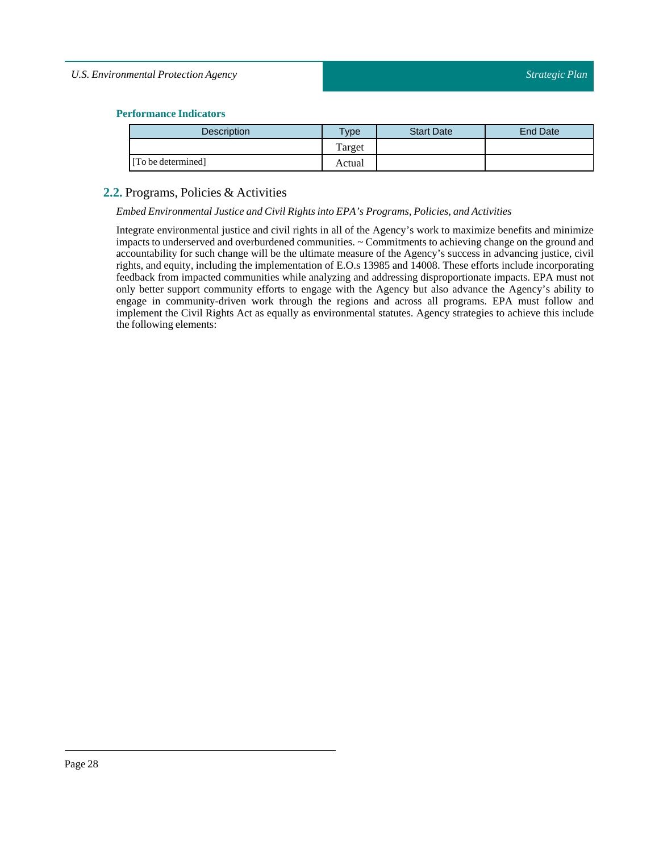# **Performance Indicators**

| <b>Description</b> | <b>Type</b> | <b>Start Date</b> | <b>End Date</b> |
|--------------------|-------------|-------------------|-----------------|
|                    | Target      |                   |                 |
| [To be determined] | Actual      |                   |                 |

# <span id="page-27-0"></span>**2.2.** Programs, Policies & Activities

#### *Embed Environmental Justice and Civil Rights into EPA's Programs, Policies, and Activities*

Integrate environmental justice and civil rights in all of the Agency's work to maximize benefits and minimize impacts to underserved and overburdened communities. ~ Commitments to achieving change on the ground and accountability for such change will be the ultimate measure of the Agency's success in advancing justice, civil rights, and equity, including the implementation of E.O.s 13985 and 14008. These efforts include incorporating feedback from impacted communities while analyzing and addressing disproportionate impacts. EPA must not only better support community efforts to engage with the Agency but also advance the Agency's ability to engage in community-driven work through the regions and across all programs. EPA must follow and implement the Civil Rights Act as equally as environmental statutes. Agency strategies to achieve this include the following elements: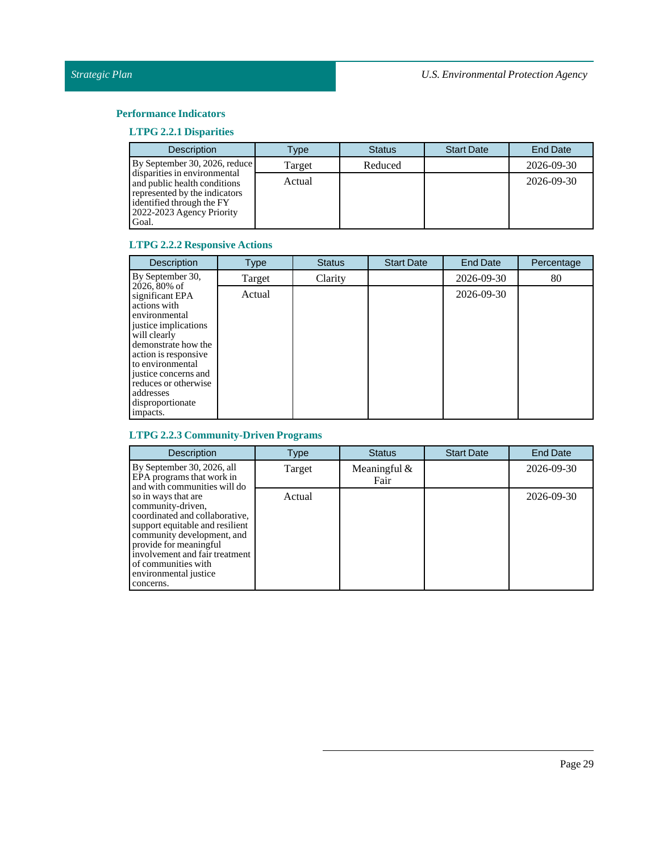# **Performance Indicators**

# **LTPG 2.2.1 Disparities**

| <b>Description</b>                                                                                                                                               | Type   | <b>Status</b> | <b>Start Date</b> | <b>End Date</b> |
|------------------------------------------------------------------------------------------------------------------------------------------------------------------|--------|---------------|-------------------|-----------------|
| By September 30, 2026, reduce                                                                                                                                    | Target | Reduced       |                   | 2026-09-30      |
| disparities in environmental<br>and public health conditions<br>represented by the indicators<br>identified through the FY<br>2022-2023 Agency Priority<br>Goal. | Actual |               |                   | 2026-09-30      |

# **LTPG 2.2.2 Responsive Actions**

| <b>Description</b>                                                                                                                                                                                                                                                        | <b>Type</b> | <b>Status</b> | <b>Start Date</b> | <b>End Date</b> | Percentage |
|---------------------------------------------------------------------------------------------------------------------------------------------------------------------------------------------------------------------------------------------------------------------------|-------------|---------------|-------------------|-----------------|------------|
| By September 30,                                                                                                                                                                                                                                                          | Target      | Clarity       |                   | 2026-09-30      | 80         |
| 2026, 80% of<br>significant EPA<br>actions with<br>environmental<br>justice implications<br>will clearly<br>demonstrate how the<br>action is responsive.<br>to environmental<br>justice concerns and<br>reduces or otherwise<br>addresses<br>disproportionate<br>impacts. | Actual      |               |                   | 2026-09-30      |            |

# **LTPG 2.2.3 Community-Driven Programs**

| <b>Description</b>                                                                                                                                                                                                                                                   | Type   | <b>Status</b>          | <b>Start Date</b> | <b>End Date</b> |
|----------------------------------------------------------------------------------------------------------------------------------------------------------------------------------------------------------------------------------------------------------------------|--------|------------------------|-------------------|-----------------|
| By September 30, 2026, all<br>EPA programs that work in<br>and with communities will do                                                                                                                                                                              | Target | Meaningful $&$<br>Fair |                   | 2026-09-30      |
| so in ways that are<br>community-driven,<br>coordinated and collaborative,<br>support equitable and resilient<br>community development, and<br>provide for meaningful<br>involvement and fair treatment<br>of communities with<br>environmental justice<br>concerns. | Actual |                        |                   | 2026-09-30      |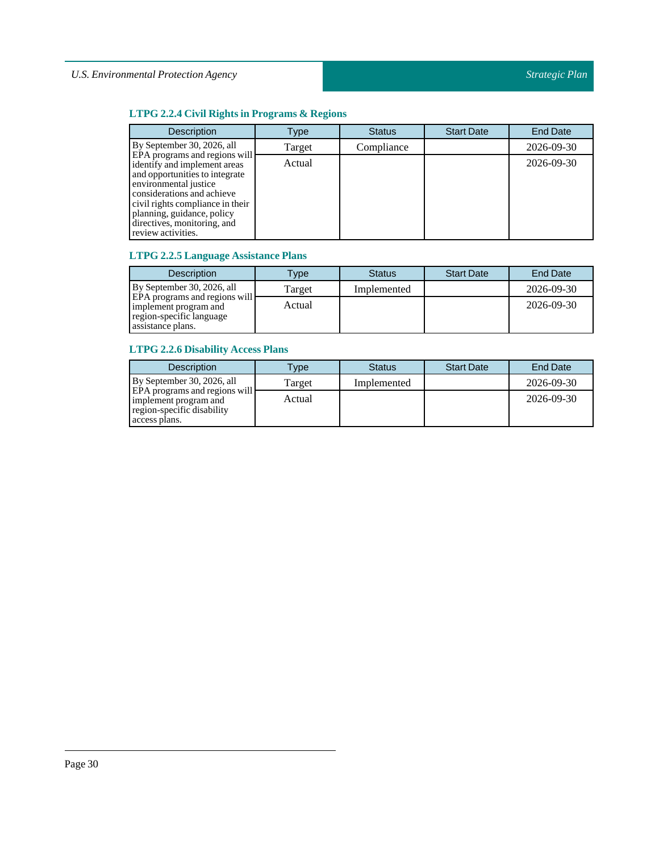# **LTPG 2.2.4 Civil Rights in Programs & Regions**

| <b>Description</b>                                                                                                                                                                                                                                                            | Type   | <b>Status</b> | <b>Start Date</b> | <b>End Date</b> |
|-------------------------------------------------------------------------------------------------------------------------------------------------------------------------------------------------------------------------------------------------------------------------------|--------|---------------|-------------------|-----------------|
| By September 30, 2026, all                                                                                                                                                                                                                                                    | Target | Compliance    |                   | 2026-09-30      |
| EPA programs and regions will<br>identify and implement areas<br>and opportunities to integrate<br>environmental justice<br>considerations and achieve<br>civil rights compliance in their<br>planning, guidance, policy<br>directives, monitoring, and<br>review activities. | Actual |               |                   | 2026-09-30      |

# **LTPG 2.2.5 Language Assistance Plans**

| <b>Description</b>                                                                        | Type   | <b>Status</b> | <b>Start Date</b> | End Date   |
|-------------------------------------------------------------------------------------------|--------|---------------|-------------------|------------|
| By September 30, 2026, all                                                                | Target | Implemented   |                   | 2026-09-30 |
| <b>EPA</b> programs and regions will<br>implement program and<br>region-specific language | Actual |               |                   | 2026-09-30 |
| assistance plans.                                                                         |        |               |                   |            |

# **LTPG 2.2.6 Disability Access Plans**

| <b>Description</b>                                                                                    | Type   | <b>Status</b> | <b>Start Date</b> | <b>End Date</b> |
|-------------------------------------------------------------------------------------------------------|--------|---------------|-------------------|-----------------|
| By September 30, 2026, all                                                                            | Target | Implemented   |                   | 2026-09-30      |
| EPA programs and regions will<br>implement program and<br>region-specific disability<br>access plans. | Actual |               |                   | 2026-09-30      |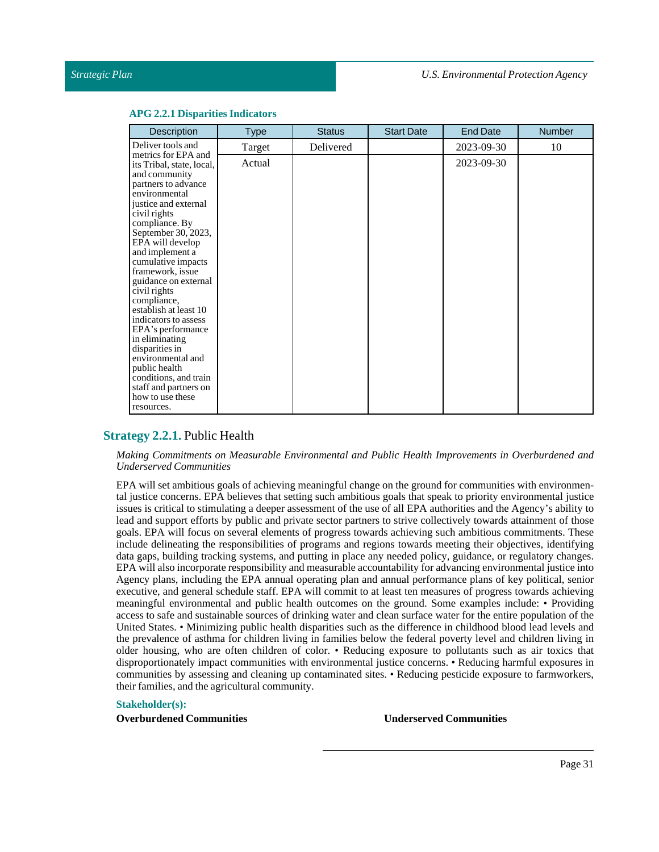#### **APG 2.2.1 Disparities Indicators**

# <span id="page-30-0"></span>**Strategy 2.2.1.** Public Health

#### *Making Commitments on Measurable Environmental and Public Health Improvements in Overburdened and Underserved Communities*

EPA will set ambitious goals of achieving meaningful change on the ground for communities with environmental justice concerns. EPA believes that setting such ambitious goals that speak to priority environmental justice issues is critical to stimulating a deeper assessment of the use of all EPA authorities and the Agency's ability to lead and support efforts by public and private sector partners to strive collectively towards attainment of those goals. EPA will focus on several elements of progress towards achieving such ambitious commitments. These include delineating the responsibilities of programs and regions towards meeting their objectives, identifying data gaps, building tracking systems, and putting in place any needed policy, guidance, or regulatory changes. EPA will also incorporate responsibility and measurable accountability for advancing environmental justice into Agency plans, including the EPA annual operating plan and annual performance plans of key political, senior executive, and general schedule staff. EPA will commit to at least ten measures of progress towards achieving meaningful environmental and public health outcomes on the ground. Some examples include: • Providing access to safe and sustainable sources of drinking water and clean surface water for the entire population of the United States. • Minimizing public health disparities such as the difference in childhood blood lead levels and the prevalence of asthma for children living in families below the federal poverty level and children living in older housing, who are often children of color. • Reducing exposure to pollutants such as air toxics that disproportionately impact communities with environmental justice concerns. • Reducing harmful exposures in communities by assessing and cleaning up contaminated sites. • Reducing pesticide exposure to farmworkers, their families, and the agricultural community.

#### **Stakeholder(s):**

**Overburdened Communities Underserved Communities**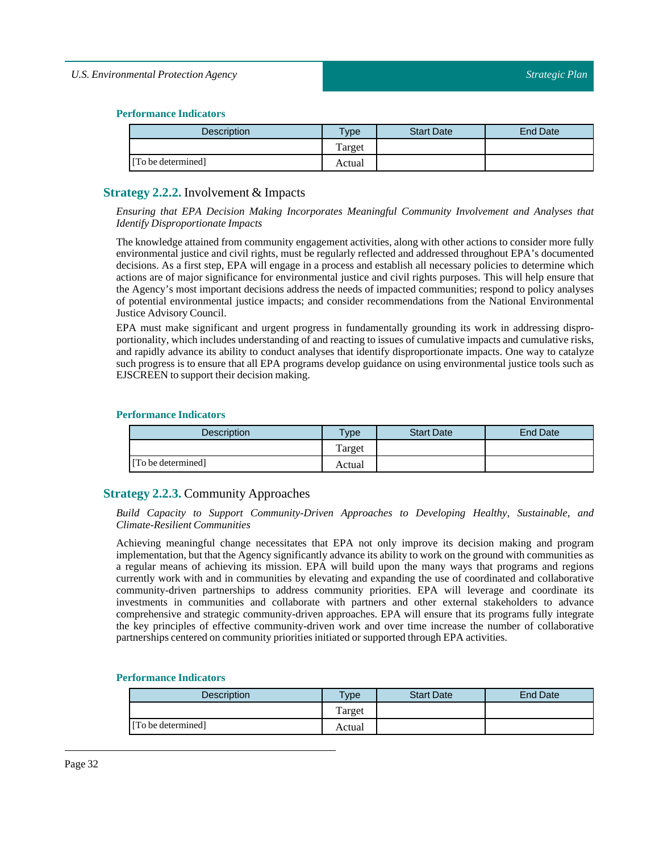## **Performance Indicators**

| <b>Description</b> | Type   | <b>Start Date</b> | End Date |
|--------------------|--------|-------------------|----------|
|                    | Target |                   |          |
| [To be determined] | Actual |                   |          |

# <span id="page-31-0"></span>**Strategy 2.2.2.** Involvement & Impacts

*Ensuring that EPA Decision Making Incorporates Meaningful Community Involvement and Analyses that Identify Disproportionate Impacts*

The knowledge attained from community engagement activities, along with other actions to consider more fully environmental justice and civil rights, must be regularly reflected and addressed throughout EPA's documented decisions. As a first step, EPA will engage in a process and establish all necessary policies to determine which actions are of major significance for environmental justice and civil rights purposes. This will help ensure that the Agency's most important decisions address the needs of impacted communities; respond to policy analyses of potential environmental justice impacts; and consider recommendations from the National Environmental Justice Advisory Council.

EPA must make significant and urgent progress in fundamentally grounding its work in addressing disproportionality, which includes understanding of and reacting to issues of cumulative impacts and cumulative risks, and rapidly advance its ability to conduct analyses that identify disproportionate impacts. One way to catalyze such progress is to ensure that all EPA programs develop guidance on using environmental justice tools such as EJSCREEN to support their decision making.

## **Performance Indicators**

| <b>Description</b> | <b>Type</b> | <b>Start Date</b> | End Date |
|--------------------|-------------|-------------------|----------|
|                    | Target      |                   |          |
| [To be determined] | Actual      |                   |          |

# <span id="page-31-1"></span>**Strategy 2.2.3.** Community Approaches

*Build Capacity to Support Community-Driven Approaches to Developing Healthy, Sustainable, and Climate-Resilient Communities*

Achieving meaningful change necessitates that EPA not only improve its decision making and program implementation, but that the Agency significantly advance its ability to work on the ground with communities as a regular means of achieving its mission. EPA will build upon the many ways that programs and regions currently work with and in communities by elevating and expanding the use of coordinated and collaborative community-driven partnerships to address community priorities. EPA will leverage and coordinate its investments in communities and collaborate with partners and other external stakeholders to advance comprehensive and strategic community-driven approaches. EPA will ensure that its programs fully integrate the key principles of effective community-driven work and over time increase the number of collaborative partnerships centered on community priorities initiated or supported through EPA activities.

| <b>Description</b> | $T$ vpe | <b>Start Date</b> | <b>End Date</b> |
|--------------------|---------|-------------------|-----------------|
|                    | Target  |                   |                 |
| [To be determined] | Actual  |                   |                 |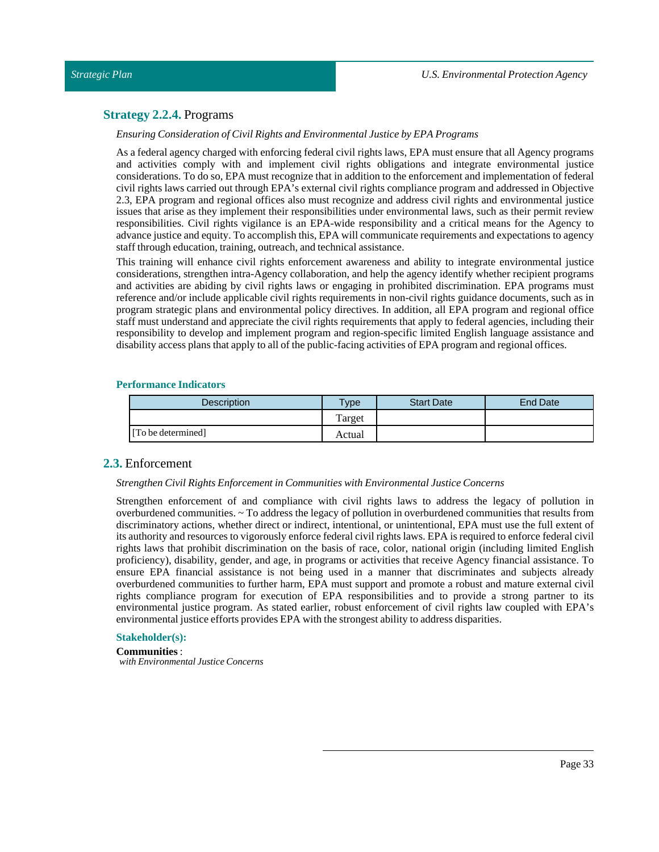# <span id="page-32-0"></span>**Strategy 2.2.4.** Programs

*Ensuring Consideration of Civil Rights and Environmental Justice by EPA Programs*

As a federal agency charged with enforcing federal civil rights laws, EPA must ensure that all Agency programs and activities comply with and implement civil rights obligations and integrate environmental justice considerations. To do so, EPA must recognize that in addition to the enforcement and implementation of federal civil rights laws carried out through EPA's external civil rights compliance program and addressed in Objective 2.3, EPA program and regional offices also must recognize and address civil rights and environmental justice issues that arise as they implement their responsibilities under environmental laws, such as their permit review responsibilities. Civil rights vigilance is an EPA-wide responsibility and a critical means for the Agency to advance justice and equity. To accomplish this, EPA will communicate requirements and expectations to agency staff through education, training, outreach, and technical assistance.

This training will enhance civil rights enforcement awareness and ability to integrate environmental justice considerations, strengthen intra-Agency collaboration, and help the agency identify whether recipient programs and activities are abiding by civil rights laws or engaging in prohibited discrimination. EPA programs must reference and/or include applicable civil rights requirements in non-civil rights guidance documents, such as in program strategic plans and environmental policy directives. In addition, all EPA program and regional office staff must understand and appreciate the civil rights requirements that apply to federal agencies, including their responsibility to develop and implement program and region-specific limited English language assistance and disability access plans that apply to all of the public-facing activities of EPA program and regional offices.

## **Performance Indicators**

| <b>Description</b> | $T$ <sub>V</sub> $pe$ | <b>Start Date</b> | <b>End Date</b> |
|--------------------|-----------------------|-------------------|-----------------|
|                    | Target                |                   |                 |
| [To be determined] | Actual                |                   |                 |

# <span id="page-32-1"></span>**2.3.** Enforcement

#### *Strengthen Civil Rights Enforcementin Communities with Environmental Justice Concerns*

Strengthen enforcement of and compliance with civil rights laws to address the legacy of pollution in overburdened communities. ~ To address the legacy of pollution in overburdened communities that results from discriminatory actions, whether direct or indirect, intentional, or unintentional, EPA must use the full extent of its authority and resources to vigorously enforce federal civil rights laws. EPA is required to enforce federal civil rights laws that prohibit discrimination on the basis of race, color, national origin (including limited English proficiency), disability, gender, and age, in programs or activities that receive Agency financial assistance. To ensure EPA financial assistance is not being used in a manner that discriminates and subjects already overburdened communities to further harm, EPA must support and promote a robust and mature external civil rights compliance program for execution of EPA responsibilities and to provide a strong partner to its environmental justice program. As stated earlier, robust enforcement of civil rights law coupled with EPA's environmental justice efforts provides EPA with the strongest ability to address disparities.

#### **Stakeholder(s):**

**Communities** : *with Environmental Justice Concerns*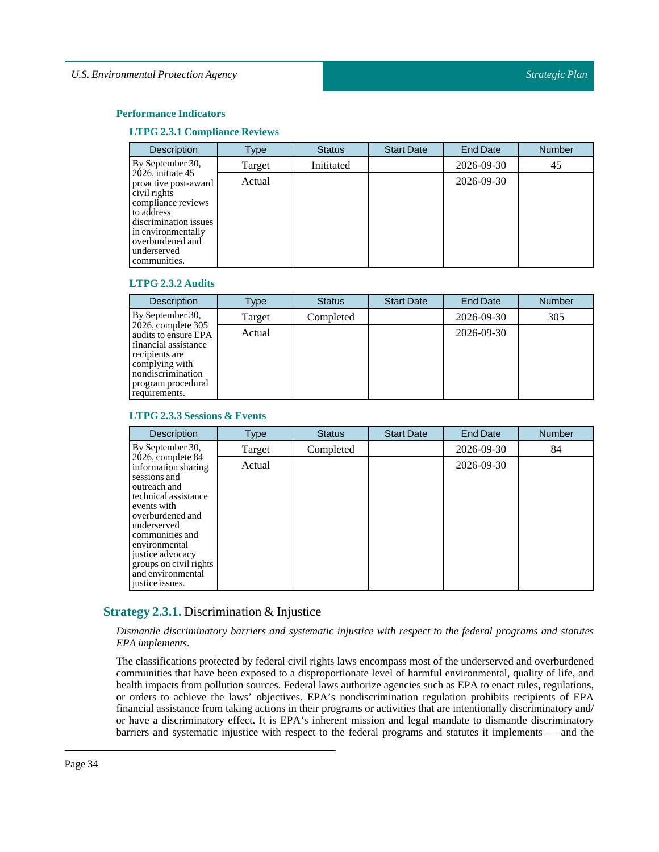## **Performance Indicators**

#### **LTPG 2.3.1 Compliance Reviews**

| <b>Description</b>                                                                                                                                                                                 | Type   | <b>Status</b> | <b>Start Date</b> | <b>End Date</b> | Number |
|----------------------------------------------------------------------------------------------------------------------------------------------------------------------------------------------------|--------|---------------|-------------------|-----------------|--------|
| By September 30,                                                                                                                                                                                   | Target | Inititated    |                   | 2026-09-30      | 45     |
| $2026$ , initiate 45<br>proactive post-award<br>civil rights<br>compliance reviews<br>to address<br>discrimination issues<br>in environmentally<br>overburdened and<br>underserved<br>communities. | Actual |               |                   | 2026-09-30      |        |

## **LTPG 2.3.2 Audits**

| <b>Description</b>                                                                                                                                                 | Type   | <b>Status</b> | <b>Start Date</b> | <b>End Date</b> | <b>Number</b> |
|--------------------------------------------------------------------------------------------------------------------------------------------------------------------|--------|---------------|-------------------|-----------------|---------------|
| By September 30,                                                                                                                                                   | Target | Completed     |                   | 2026-09-30      | 305           |
| 2026, complete 305<br>audits to ensure EPA<br>financial assistance<br>recipients are<br>complying with<br>nondiscrimination<br>program procedural<br>requirements. | Actual |               |                   | 2026-09-30      |               |

## **LTPG 2.3.3Sessions & Events**

| <b>Description</b>                                                                                                                                                                                                                                                                | <b>Type</b> | <b>Status</b> | <b>Start Date</b> | <b>End Date</b> | <b>Number</b> |
|-----------------------------------------------------------------------------------------------------------------------------------------------------------------------------------------------------------------------------------------------------------------------------------|-------------|---------------|-------------------|-----------------|---------------|
| By September 30,                                                                                                                                                                                                                                                                  | Target      | Completed     |                   | 2026-09-30      | 84            |
| $2026$ , complete $84$<br>information sharing<br>sessions and<br>outreach and<br>technical assistance<br>events with<br>overburdened and<br>underserved<br>communities and<br>environmental<br>justice advocacy<br>groups on civil rights<br>and environmental<br>justice issues. | Actual      |               |                   | 2026-09-30      |               |

# <span id="page-33-0"></span>**Strategy 2.3.1.** Discrimination & Injustice

*Dismantle discriminatory barriers and systematic injustice with respect to the federal programs and statutes EPA implements.*

The classifications protected by federal civil rights laws encompass most of the underserved and overburdened communities that have been exposed to a disproportionate level of harmful environmental, quality of life, and health impacts from pollution sources. Federal laws authorize agencies such as EPA to enact rules, regulations, or orders to achieve the laws' objectives. EPA's nondiscrimination regulation prohibits recipients of EPA financial assistance from taking actions in their programs or activities that are intentionally discriminatory and/ or have a discriminatory effect. It is EPA's inherent mission and legal mandate to dismantle discriminatory barriers and systematic injustice with respect to the federal programs and statutes it implements — and the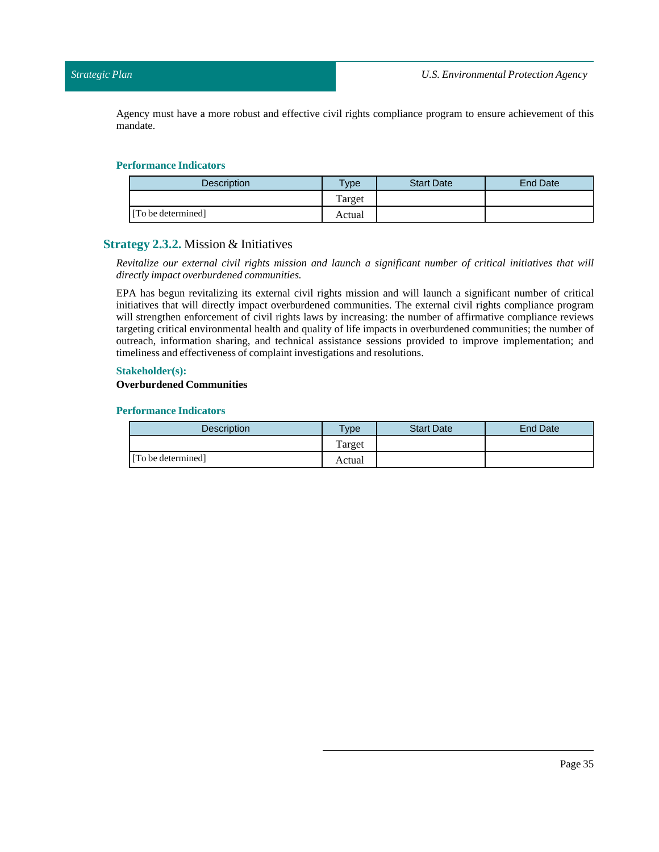Agency must have a more robust and effective civil rights compliance program to ensure achievement of this mandate.

## **Performance Indicators**

| Description        | $v$ pe | <b>Start Date</b> | <b>End Date</b> |
|--------------------|--------|-------------------|-----------------|
|                    | Target |                   |                 |
| [To be determined] | Actual |                   |                 |

# <span id="page-34-0"></span>**Strategy 2.3.2.** Mission & Initiatives

*Revitalize our external civil rights mission and launch a significant number of critical initiatives that will directly impact overburdened communities.*

EPA has begun revitalizing its external civil rights mission and will launch a significant number of critical initiatives that will directly impact overburdened communities. The external civil rights compliance program will strengthen enforcement of civil rights laws by increasing: the number of affirmative compliance reviews targeting critical environmental health and quality of life impacts in overburdened communities; the number of outreach, information sharing, and technical assistance sessions provided to improve implementation; and timeliness and effectiveness of complaint investigations and resolutions.

## **Stakeholder(s):**

## **Overburdened Communities**

| <b>Description</b> | Type   | <b>Start Date</b> | <b>End Date</b> |
|--------------------|--------|-------------------|-----------------|
|                    | Target |                   |                 |
| [To be determined] | Actual |                   |                 |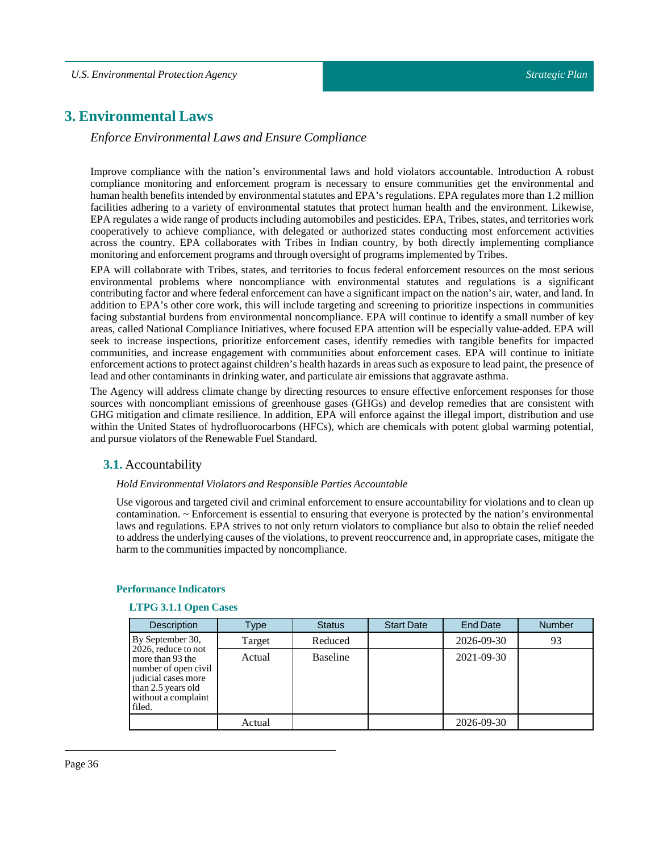# <span id="page-35-0"></span>**3. Environmental Laws**

# *Enforce Environmental Laws and Ensure Compliance*

Improve compliance with the nation's environmental laws and hold violators accountable. Introduction A robust compliance monitoring and enforcement program is necessary to ensure communities get the environmental and human health benefits intended by environmental statutes and EPA's regulations. EPA regulates more than 1.2 million facilities adhering to a variety of environmental statutes that protect human health and the environment. Likewise, EPA regulates a wide range of products including automobiles and pesticides. EPA, Tribes, states, and territories work cooperatively to achieve compliance, with delegated or authorized states conducting most enforcement activities across the country. EPA collaborates with Tribes in Indian country, by both directly implementing compliance monitoring and enforcement programs and through oversight of programs implemented by Tribes.

EPA will collaborate with Tribes, states, and territories to focus federal enforcement resources on the most serious environmental problems where noncompliance with environmental statutes and regulations is a significant contributing factor and where federal enforcement can have a significant impact on the nation's air, water, and land. In addition to EPA's other core work, this will include targeting and screening to prioritize inspections in communities facing substantial burdens from environmental noncompliance. EPA will continue to identify a small number of key areas, called National Compliance Initiatives, where focused EPA attention will be especially value-added. EPA will seek to increase inspections, prioritize enforcement cases, identify remedies with tangible benefits for impacted communities, and increase engagement with communities about enforcement cases. EPA will continue to initiate enforcement actions to protect against children's health hazards in areas such as exposure to lead paint, the presence of lead and other contaminants in drinking water, and particulate air emissions that aggravate asthma.

The Agency will address climate change by directing resources to ensure effective enforcement responses for those sources with noncompliant emissions of greenhouse gases (GHGs) and develop remedies that are consistent with GHG mitigation and climate resilience. In addition, EPA will enforce against the illegal import, distribution and use within the United States of hydrofluorocarbons (HFCs), which are chemicals with potent global warming potential, and pursue violators of the Renewable Fuel Standard.

# <span id="page-35-1"></span>**3.1.** Accountability

#### *Hold Environmental Violators and Responsible Parties Accountable*

Use vigorous and targeted civil and criminal enforcement to ensure accountability for violations and to clean up contamination. ~ Enforcement is essential to ensuring that everyone is protected by the nation's environmental laws and regulations. EPA strives to not only return violators to compliance but also to obtain the relief needed to address the underlying causes of the violations, to prevent reoccurrence and, in appropriate cases, mitigate the harm to the communities impacted by noncompliance.

| <b>Description</b>                                                                                                                            | Type   | <b>Status</b>   | <b>Start Date</b> | <b>End Date</b>  | <b>Number</b> |
|-----------------------------------------------------------------------------------------------------------------------------------------------|--------|-----------------|-------------------|------------------|---------------|
| By September 30,                                                                                                                              | Target | Reduced         |                   | 2026-09-30       | 93            |
| 2026, reduce to not<br>more than 93 the<br>number of open civil<br>judicial cases more<br>than 2.5 years old<br>without a complaint<br>filed. | Actual | <b>Baseline</b> |                   | $2021 - 09 - 30$ |               |
|                                                                                                                                               | Actual |                 |                   | 2026-09-30       |               |

#### **Performance Indicators**

#### **LTPG 3.1.1 Open Cases**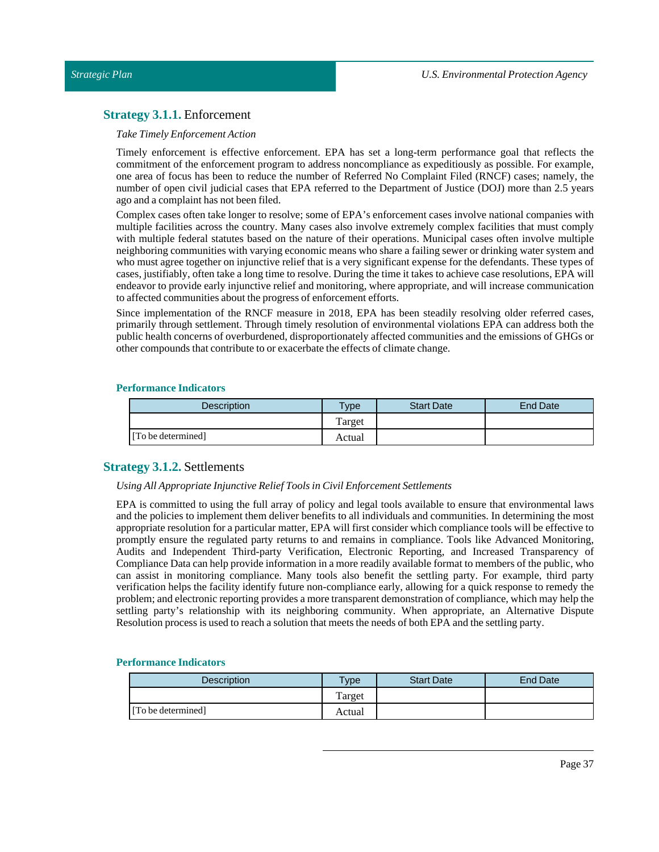# **Strategy 3.1.1.** Enforcement

#### *TakeTimely Enforcement Action*

Timely enforcement is effective enforcement. EPA has set a long-term performance goal that reflects the commitment of the enforcement program to address noncompliance as expeditiously as possible. For example, one area of focus has been to reduce the number of Referred No Complaint Filed (RNCF) cases; namely, the number of open civil judicial cases that EPA referred to the Department of Justice (DOJ) more than 2.5 years ago and a complaint has not been filed.

Complex cases often take longer to resolve; some of EPA's enforcement cases involve national companies with multiple facilities across the country. Many cases also involve extremely complex facilities that must comply with multiple federal statutes based on the nature of their operations. Municipal cases often involve multiple neighboring communities with varying economic means who share a failing sewer or drinking water system and who must agree together on injunctive relief that is a very significant expense for the defendants. These types of cases, justifiably, often take a long time to resolve. During the time it takes to achieve case resolutions, EPA will endeavor to provide early injunctive relief and monitoring, where appropriate, and will increase communication to affected communities about the progress of enforcement efforts.

Since implementation of the RNCF measure in 2018, EPA has been steadily resolving older referred cases, primarily through settlement. Through timely resolution of environmental violations EPA can address both the public health concerns of overburdened, disproportionately affected communities and the emissions of GHGs or other compounds that contribute to or exacerbate the effects of climate change.

## **Performance Indicators**

| <b>Description</b> | <b>Type</b> | <b>Start Date</b> | End Date |
|--------------------|-------------|-------------------|----------|
|                    | Target      |                   |          |
| [To be determined] | Actual      |                   |          |

# **Strategy 3.1.2.** Settlements

## *Using All Appropriate Injunctive ReliefTools in Civil Enforcement Settlements*

EPA is committed to using the full array of policy and legal tools available to ensure that environmental laws and the policies to implement them deliver benefits to all individuals and communities. In determining the most appropriate resolution for a particular matter, EPA will first consider which compliance tools will be effective to promptly ensure the regulated party returns to and remains in compliance. Tools like Advanced Monitoring, Audits and Independent Third-party Verification, Electronic Reporting, and Increased Transparency of Compliance Data can help provide information in a more readily available format to members of the public, who can assist in monitoring compliance. Many tools also benefit the settling party. For example, third party verification helps the facility identify future non-compliance early, allowing for a quick response to remedy the problem; and electronic reporting provides a more transparent demonstration of compliance, which may help the settling party's relationship with its neighboring community. When appropriate, an Alternative Dispute Resolution process is used to reach a solution that meets the needs of both EPA and the settling party.

| Description        | Type   | <b>Start Date</b> | End Date |
|--------------------|--------|-------------------|----------|
|                    | Target |                   |          |
| [To be determined] | Actual |                   |          |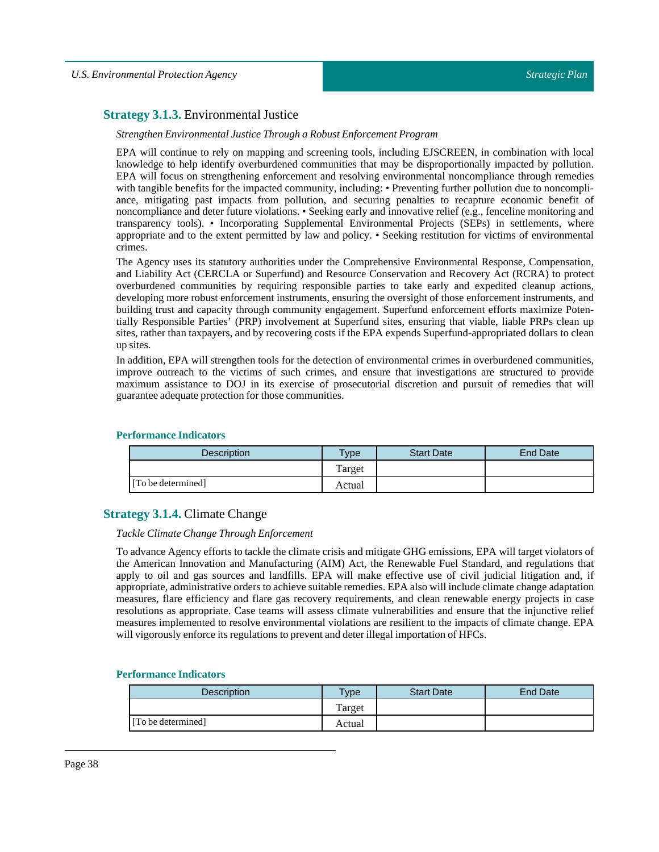# **Strategy 3.1.3.** Environmental Justice

#### *Strengthen Environmental JusticeThrough a Robust Enforcement Program*

EPA will continue to rely on mapping and screening tools, including EJSCREEN, in combination with local knowledge to help identify overburdened communities that may be disproportionally impacted by pollution. EPA will focus on strengthening enforcement and resolving environmental noncompliance through remedies with tangible benefits for the impacted community, including: • Preventing further pollution due to noncompliance, mitigating past impacts from pollution, and securing penalties to recapture economic benefit of noncompliance and deter future violations. • Seeking early and innovative relief (e.g., fenceline monitoring and transparency tools). • Incorporating Supplemental Environmental Projects (SEPs) in settlements, where appropriate and to the extent permitted by law and policy. • Seeking restitution for victims of environmental crimes.

The Agency uses its statutory authorities under the Comprehensive Environmental Response, Compensation, and Liability Act (CERCLA or Superfund) and Resource Conservation and Recovery Act (RCRA) to protect overburdened communities by requiring responsible parties to take early and expedited cleanup actions, developing more robust enforcement instruments, ensuring the oversight of those enforcement instruments, and building trust and capacity through community engagement. Superfund enforcement efforts maximize Potentially Responsible Parties' (PRP) involvement at Superfund sites, ensuring that viable, liable PRPs clean up sites, rather than taxpayers, and by recovering costs if the EPA expends Superfund-appropriated dollars to clean up sites.

In addition, EPA will strengthen tools for the detection of environmental crimes in overburdened communities, improve outreach to the victims of such crimes, and ensure that investigations are structured to provide maximum assistance to DOJ in its exercise of prosecutorial discretion and pursuit of remedies that will guarantee adequate protection for those communities.

### **Performance Indicators**

| <b>Description</b> | $T$ vpe | <b>Start Date</b> | End Date |
|--------------------|---------|-------------------|----------|
|                    | Target  |                   |          |
| [To be determined] | Actual  |                   |          |

# **Strategy 3.1.4.** Climate Change

## *Tackle Climate ChangeThrough Enforcement*

To advance Agency efforts to tackle the climate crisis and mitigate GHG emissions, EPA will target violators of the American Innovation and Manufacturing (AIM) Act, the Renewable Fuel Standard, and regulations that apply to oil and gas sources and landfills. EPA will make effective use of civil judicial litigation and, if appropriate, administrative orders to achieve suitable remedies. EPA also willinclude climate change adaptation measures, flare efficiency and flare gas recovery requirements, and clean renewable energy projects in case resolutions as appropriate. Case teams will assess climate vulnerabilities and ensure that the injunctive relief measures implemented to resolve environmental violations are resilient to the impacts of climate change. EPA will vigorously enforce its regulations to prevent and deter illegalimportation of HFCs.

| Description        | $T$ ype | <b>Start Date</b> | End Date |
|--------------------|---------|-------------------|----------|
|                    | Target  |                   |          |
| [To be determined] | Actual  |                   |          |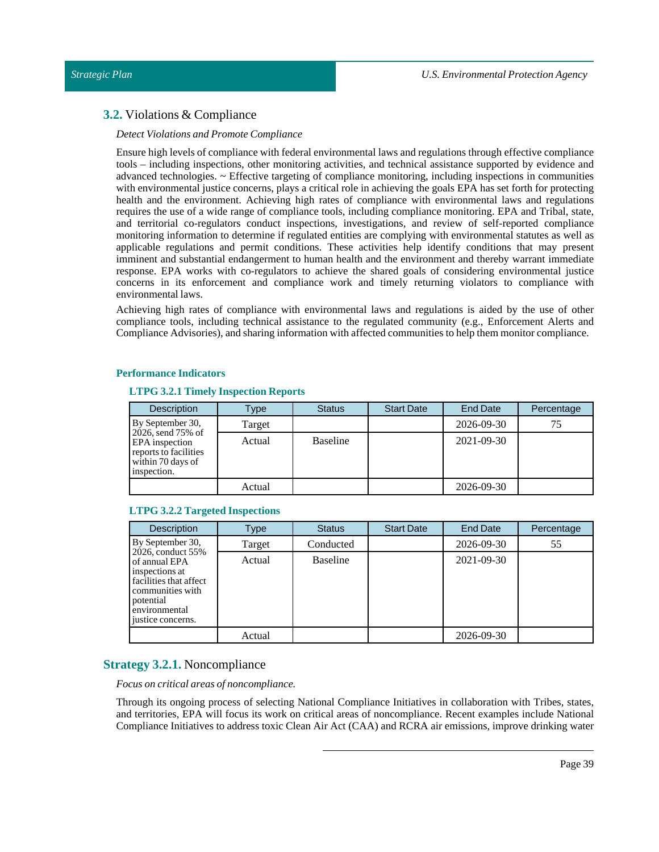# **3.2.** Violations & Compliance

## *Detect Violations and Promote Compliance*

Ensure high levels of compliance with federal environmental laws and regulations through effective compliance tools – including inspections, other monitoring activities, and technical assistance supported by evidence and advanced technologies. ~ Effective targeting of compliance monitoring, including inspections in communities with environmental justice concerns, plays a critical role in achieving the goals EPA has set forth for protecting health and the environment. Achieving high rates of compliance with environmental laws and regulations requires the use of a wide range of compliance tools, including compliance monitoring. EPA and Tribal, state, and territorial co-regulators conduct inspections, investigations, and review of self-reported compliance monitoring information to determine if regulated entities are complying with environmental statutes as well as applicable regulations and permit conditions. These activities help identify conditions that may present imminent and substantial endangerment to human health and the environment and thereby warrant immediate response. EPA works with co-regulators to achieve the shared goals of considering environmental justice concerns in its enforcement and compliance work and timely returning violators to compliance with environmental laws.

Achieving high rates of compliance with environmental laws and regulations is aided by the use of other compliance tools, including technical assistance to the regulated community (e.g., Enforcement Alerts and Compliance Advisories), and sharing information with affected communities to help them monitor compliance.

# **Performance Indicators**

# **LTPG 3.2.1 Timely Inspection Reports**

| <b>Description</b>                                                                               | Type   | <b>Status</b>   | <b>Start Date</b> | End Date   | Percentage |
|--------------------------------------------------------------------------------------------------|--------|-----------------|-------------------|------------|------------|
| By September 30,                                                                                 | Target |                 |                   | 2026-09-30 | 75         |
| 2026, send 75% of<br>EPA inspection<br>reports to facilities<br>within 70 days of<br>inspection. | Actual | <b>Baseline</b> |                   | 2021-09-30 |            |
|                                                                                                  | Actual |                 |                   | 2026-09-30 |            |

## **LTPG 3.2.2 Targeted Inspections**

| <b>Description</b>                                                                                                                                    | Type   | <b>Status</b>   | <b>Start Date</b> | <b>End Date</b> | Percentage |
|-------------------------------------------------------------------------------------------------------------------------------------------------------|--------|-----------------|-------------------|-----------------|------------|
| By September 30,                                                                                                                                      | Target | Conducted       |                   | 2026-09-30      | 55         |
| 2026, conduct 55%<br>of annual EPA<br>inspections at<br>facilities that affect<br>communities with<br>potential<br>environmental<br>justice concerns. | Actual | <b>Baseline</b> |                   | 2021-09-30      |            |
|                                                                                                                                                       | Actual |                 |                   | 2026-09-30      |            |

# **Strategy 3.2.1.** Noncompliance

*Focus on critical areas of noncompliance.*

Through its ongoing process of selecting National Compliance Initiatives in collaboration with Tribes, states, and territories, EPA will focus its work on critical areas of noncompliance. Recent examples include National Compliance Initiatives to address toxic Clean Air Act (CAA) and RCRA air emissions, improve drinking water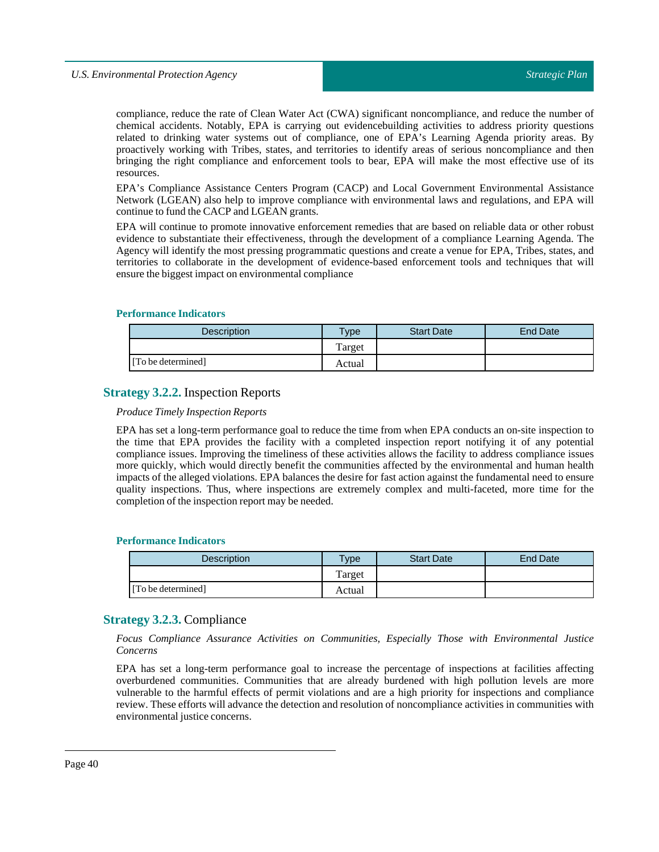compliance, reduce the rate of Clean Water Act (CWA) significant noncompliance, and reduce the number of chemical accidents. Notably, EPA is carrying out evidencebuilding activities to address priority questions related to drinking water systems out of compliance, one of EPA's Learning Agenda priority areas. By proactively working with Tribes, states, and territories to identify areas of serious noncompliance and then bringing the right compliance and enforcement tools to bear, EPA will make the most effective use of its resources.

EPA's Compliance Assistance Centers Program (CACP) and Local Government Environmental Assistance Network (LGEAN) also help to improve compliance with environmental laws and regulations, and EPA will continue to fund the CACP and LGEAN grants.

EPA will continue to promote innovative enforcement remedies that are based on reliable data or other robust evidence to substantiate their effectiveness, through the development of a compliance Learning Agenda. The Agency will identify the most pressing programmatic questions and create a venue for EPA, Tribes, states, and territories to collaborate in the development of evidence-based enforcement tools and techniques that will ensure the biggestimpact on environmental compliance

## **Performance Indicators**

| Description        | $T$ <sub>ype</sub> | <b>Start Date</b> | End Date |
|--------------------|--------------------|-------------------|----------|
|                    | Target             |                   |          |
| [To be determined] | Actual             |                   |          |

# **Strategy 3.2.2.** Inspection Reports

#### *ProduceTimely Inspection Reports*

EPA has set a long-term performance goal to reduce the time from when EPA conducts an on-site inspection to the time that EPA provides the facility with a completed inspection report notifying it of any potential compliance issues. Improving the timeliness of these activities allows the facility to address compliance issues more quickly, which would directly benefit the communities affected by the environmental and human health impacts of the alleged violations. EPA balances the desire for fast action against the fundamental need to ensure quality inspections. Thus, where inspections are extremely complex and multi-faceted, more time for the completion of the inspection report may be needed.

## **Performance Indicators**

| <b>Description</b> | $T$ <sub>V</sub> $pe$ | <b>Start Date</b> | <b>End Date</b> |
|--------------------|-----------------------|-------------------|-----------------|
|                    | Target                |                   |                 |
| [To be determined] | Actual                |                   |                 |

# **Strategy 3.2.3.** Compliance

*Focus Compliance Assurance Activities on Communities, Especially Those with Environmental Justice Concerns*

EPA has set a long-term performance goal to increase the percentage of inspections at facilities affecting overburdened communities. Communities that are already burdened with high pollution levels are more vulnerable to the harmful effects of permit violations and are a high priority for inspections and compliance review. These efforts will advance the detection and resolution of noncompliance activities in communities with environmental justice concerns.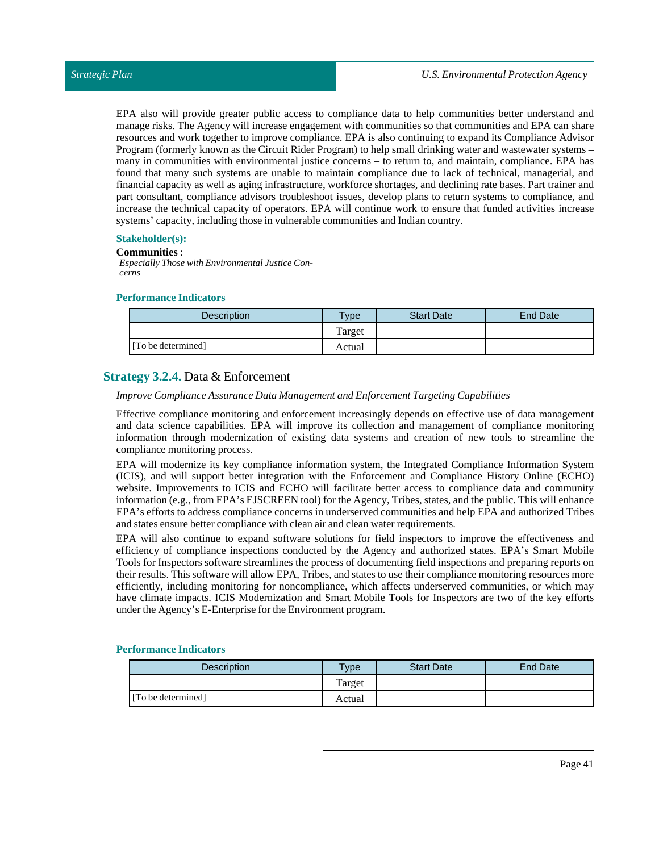EPA also will provide greater public access to compliance data to help communities better understand and manage risks. The Agency will increase engagement with communities so that communities and EPA can share resources and work together to improve compliance. EPA is also continuing to expand its Compliance Advisor Program (formerly known as the Circuit Rider Program) to help small drinking water and wastewater systems – many in communities with environmental justice concerns – to return to, and maintain, compliance. EPA has found that many such systems are unable to maintain compliance due to lack of technical, managerial, and financial capacity as well as aging infrastructure, workforce shortages, and declining rate bases. Part trainer and part consultant, compliance advisors troubleshoot issues, develop plans to return systems to compliance, and increase the technical capacity of operators. EPA will continue work to ensure that funded activities increase systems' capacity, including those in vulnerable communities and Indian country.

## **Stakeholder(s):**

#### **Communities** :

*Especially Those with Environmental Justice Concerns*

#### **Performance Indicators**

| <b>Description</b> | <b>Type</b> | <b>Start Date</b> | End Date |
|--------------------|-------------|-------------------|----------|
|                    | Target      |                   |          |
| [To be determined] | Actual      |                   |          |

# **Strategy 3.2.4.** Data & Enforcement

#### *Improve Compliance Assurance Data Management and EnforcementTargeting Capabilities*

Effective compliance monitoring and enforcement increasingly depends on effective use of data management and data science capabilities. EPA will improve its collection and management of compliance monitoring information through modernization of existing data systems and creation of new tools to streamline the compliance monitoring process.

EPA will modernize its key compliance information system, the Integrated Compliance Information System (ICIS), and will support better integration with the Enforcement and Compliance History Online (ECHO) website. Improvements to ICIS and ECHO will facilitate better access to compliance data and community information (e.g., from EPA's EJSCREEN tool) for the Agency, Tribes, states, and the public. This will enhance EPA's efforts to address compliance concerns in underserved communities and help EPA and authorized Tribes and states ensure better compliance with clean air and clean water requirements.

EPA will also continue to expand software solutions for field inspectors to improve the effectiveness and efficiency of compliance inspections conducted by the Agency and authorized states. EPA's Smart Mobile Tools for Inspectors software streamlines the process of documenting field inspections and preparing reports on their results. This software will allow EPA, Tribes, and states to use their compliance monitoring resources more efficiently, including monitoring for noncompliance, which affects underserved communities, or which may have climate impacts. ICIS Modernization and Smart Mobile Tools for Inspectors are two of the key efforts under the Agency's E-Enterprise for the Environment program.

| Description        | Type   | <b>Start Date</b> | End Date |
|--------------------|--------|-------------------|----------|
|                    | Target |                   |          |
| [To be determined] | Actual |                   |          |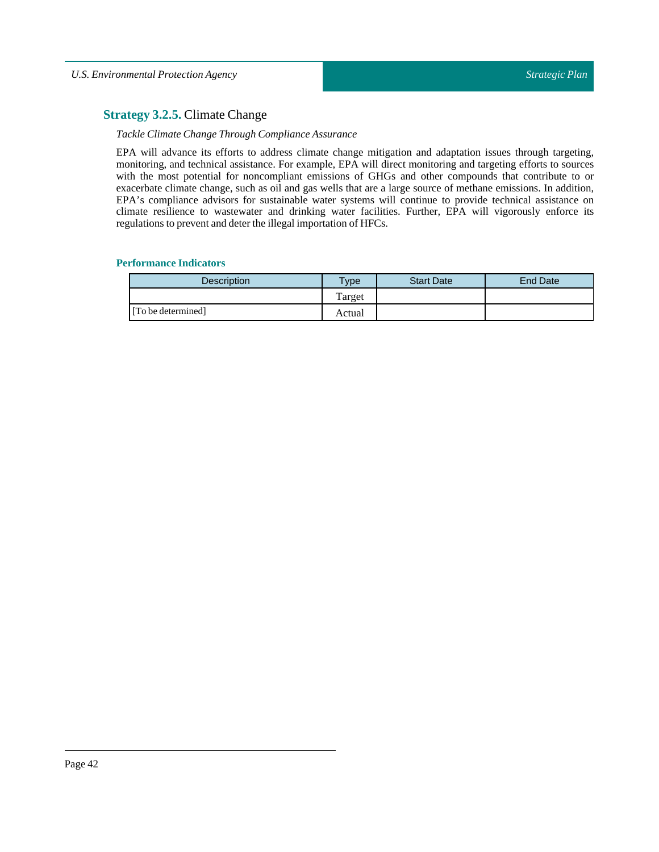# **Strategy 3.2.5.** Climate Change

## *Tackle Climate ChangeThrough Compliance Assurance*

EPA will advance its efforts to address climate change mitigation and adaptation issues through targeting, monitoring, and technical assistance. For example, EPA will direct monitoring and targeting efforts to sources with the most potential for noncompliant emissions of GHGs and other compounds that contribute to or exacerbate climate change, such as oil and gas wells that are a large source of methane emissions. In addition, EPA's compliance advisors for sustainable water systems will continue to provide technical assistance on climate resilience to wastewater and drinking water facilities. Further, EPA will vigorously enforce its regulations to prevent and deter the illegal importation of HFCs.

| <b>Description</b> | <b>Type</b> | <b>Start Date</b> | <b>End Date</b> |
|--------------------|-------------|-------------------|-----------------|
|                    | Target      |                   |                 |
| [To be determined] | Actual      |                   |                 |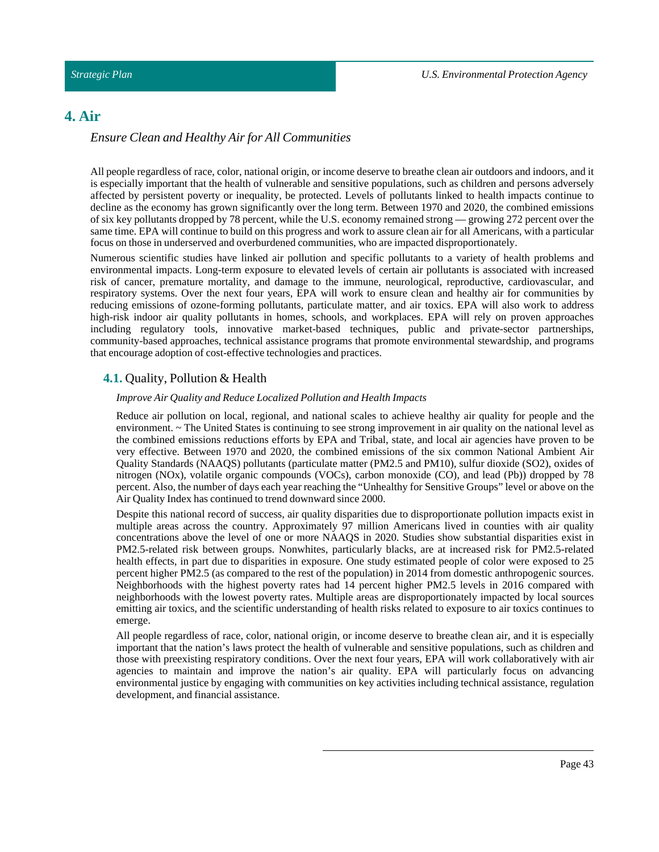# **4. Air**

# *Ensure Clean and Healthy Air for All Communities*

All people regardless of race, color, national origin, or income deserve to breathe clean air outdoors and indoors, and it is especially important that the health of vulnerable and sensitive populations, such as children and persons adversely affected by persistent poverty or inequality, be protected. Levels of pollutants linked to health impacts continue to decline as the economy has grown significantly over the long term. Between 1970 and 2020, the combined emissions of six key pollutants dropped by 78 percent, while the U.S. economy remained strong — growing 272 percent over the same time. EPA will continue to build on this progress and work to assure clean air for all Americans, with a particular focus on those in underserved and overburdened communities, who are impacted disproportionately.

Numerous scientific studies have linked air pollution and specific pollutants to a variety of health problems and environmental impacts. Long-term exposure to elevated levels of certain air pollutants is associated with increased risk of cancer, premature mortality, and damage to the immune, neurological, reproductive, cardiovascular, and respiratory systems. Over the next four years, EPA will work to ensure clean and healthy air for communities by reducing emissions of ozone-forming pollutants, particulate matter, and air toxics. EPA will also work to address high-risk indoor air quality pollutants in homes, schools, and workplaces. EPA will rely on proven approaches including regulatory tools, innovative market-based techniques, public and private-sector partnerships, community-based approaches, technical assistance programs that promote environmental stewardship, and programs that encourage adoption of cost-effective technologies and practices.

# **4.1.** Quality, Pollution & Health

## *Improve Air Quality and ReduceLocalized Pollution and Health Impacts*

Reduce air pollution on local, regional, and national scales to achieve healthy air quality for people and the environment. ~ The United States is continuing to see strong improvement in air quality on the national level as the combined emissions reductions efforts by EPA and Tribal, state, and local air agencies have proven to be very effective. Between 1970 and 2020, the combined emissions of the six common National Ambient Air Quality Standards (NAAQS) pollutants (particulate matter (PM2.5 and PM10), sulfur dioxide (SO2), oxides of nitrogen (NOx), volatile organic compounds (VOCs), carbon monoxide (CO), and lead (Pb)) dropped by 78 percent. Also, the number of days each year reaching the "Unhealthy for Sensitive Groups" level or above on the Air Quality Index has continued to trend downward since 2000.

Despite this national record of success, air quality disparities due to disproportionate pollution impacts exist in multiple areas across the country. Approximately 97 million Americans lived in counties with air quality concentrations above the level of one or more NAAQS in 2020. Studies show substantial disparities exist in PM2.5-related risk between groups. Nonwhites, particularly blacks, are at increased risk for PM2.5-related health effects, in part due to disparities in exposure. One study estimated people of color were exposed to 25 percent higher PM2.5 (as compared to the rest of the population) in 2014 from domestic anthropogenic sources. Neighborhoods with the highest poverty rates had 14 percent higher PM2.5 levels in 2016 compared with neighborhoods with the lowest poverty rates. Multiple areas are disproportionately impacted by local sources emitting air toxics, and the scientific understanding of health risks related to exposure to air toxics continues to emerge.

All people regardless of race, color, national origin, or income deserve to breathe clean air, and it is especially important that the nation's laws protect the health of vulnerable and sensitive populations, such as children and those with preexisting respiratory conditions. Over the next four years, EPA will work collaboratively with air agencies to maintain and improve the nation's air quality. EPA will particularly focus on advancing environmental justice by engaging with communities on key activities including technical assistance, regulation development, and financial assistance.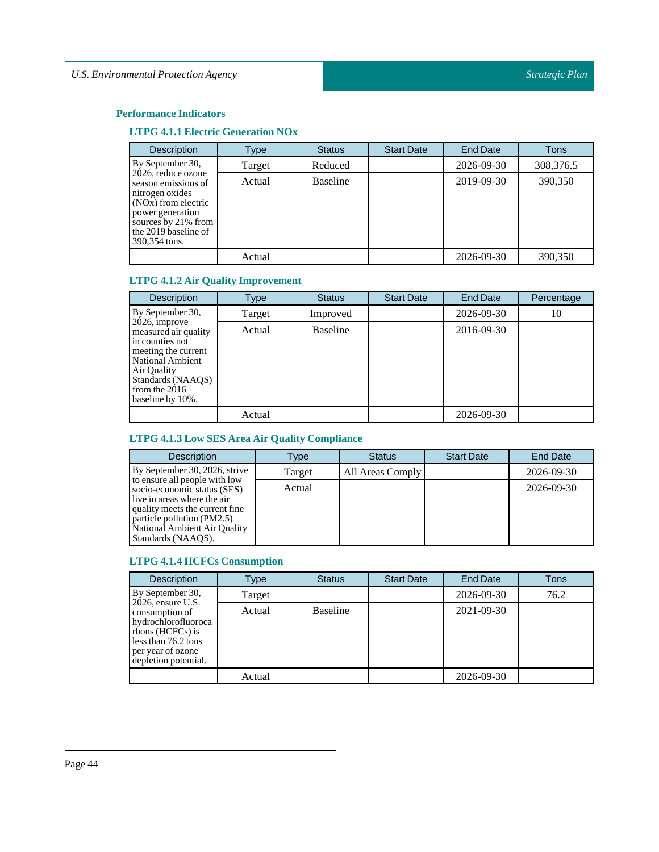# **LTPG 4.1.1 Electric Generation NOx**

| <b>Description</b>                                                                                                                                                                   | Type   | <b>Status</b>   | <b>Start Date</b> | <b>End Date</b> | <b>Tons</b> |
|--------------------------------------------------------------------------------------------------------------------------------------------------------------------------------------|--------|-----------------|-------------------|-----------------|-------------|
| By September 30,                                                                                                                                                                     | Target | Reduced         |                   | 2026-09-30      | 308,376.5   |
| 2026, reduce ozone<br>season emissions of<br>nitrogen oxides<br>(NO <sub>x</sub> ) from electric<br>power generation<br>sources by 21% from<br>the 2019 baseline of<br>390,354 tons. | Actual | <b>Baseline</b> |                   | 2019-09-30      | 390,350     |
|                                                                                                                                                                                      | Actual |                 |                   | 2026-09-30      | 390,350     |

# **LTPG 4.1.2 Air Quality Improvement**

| <b>Description</b>                                                                                                                                                             | Type   | <b>Status</b>   | <b>Start Date</b> | End Date   | Percentage |
|--------------------------------------------------------------------------------------------------------------------------------------------------------------------------------|--------|-----------------|-------------------|------------|------------|
| By September 30,                                                                                                                                                               | Target | Improved        |                   | 2026-09-30 | 10         |
| 2026, improve<br>measured air quality<br>in counties not<br>meeting the current<br>National Ambient<br>Air Quality<br>Standards (NAAOS)<br>from the $2016$<br>baseline by 10%. | Actual | <b>Baseline</b> |                   | 2016-09-30 |            |
|                                                                                                                                                                                | Actual |                 |                   | 2026-09-30 |            |

# **LTPG 4.1.3 Low SES Area Air Quality Compliance**

| <b>Description</b>                                                                                                                                                                                                 | Type   | <b>Status</b>    | <b>Start Date</b> | <b>End Date</b> |
|--------------------------------------------------------------------------------------------------------------------------------------------------------------------------------------------------------------------|--------|------------------|-------------------|-----------------|
| By September 30, 2026, strive                                                                                                                                                                                      | Target | All Areas Comply |                   | 2026-09-30      |
| to ensure all people with low<br>socio-economic status (SES)<br>live in areas where the air<br>quality meets the current fine.<br>particle pollution (PM2.5)<br>National Ambient Air Quality<br>Standards (NAAOS). | Actual |                  |                   | 2026-09-30      |

# **LTPG 4.1.4 HCFCs Consumption**

| <b>Description</b>                                                                                                                                    | Type   | <b>Status</b>   | <b>Start Date</b> | <b>End Date</b> | <b>Tons</b> |
|-------------------------------------------------------------------------------------------------------------------------------------------------------|--------|-----------------|-------------------|-----------------|-------------|
| By September 30,                                                                                                                                      | Target |                 |                   | 2026-09-30      | 76.2        |
| $2026$ , ensure U.S.<br>consumption of<br>hydrochlorofluoroca<br>rbons (HCFCs) is<br>less than 76.2 tons<br>per year of ozone<br>depletion potential. | Actual | <b>Baseline</b> |                   | 2021-09-30      |             |
|                                                                                                                                                       | Actual |                 |                   | 2026-09-30      |             |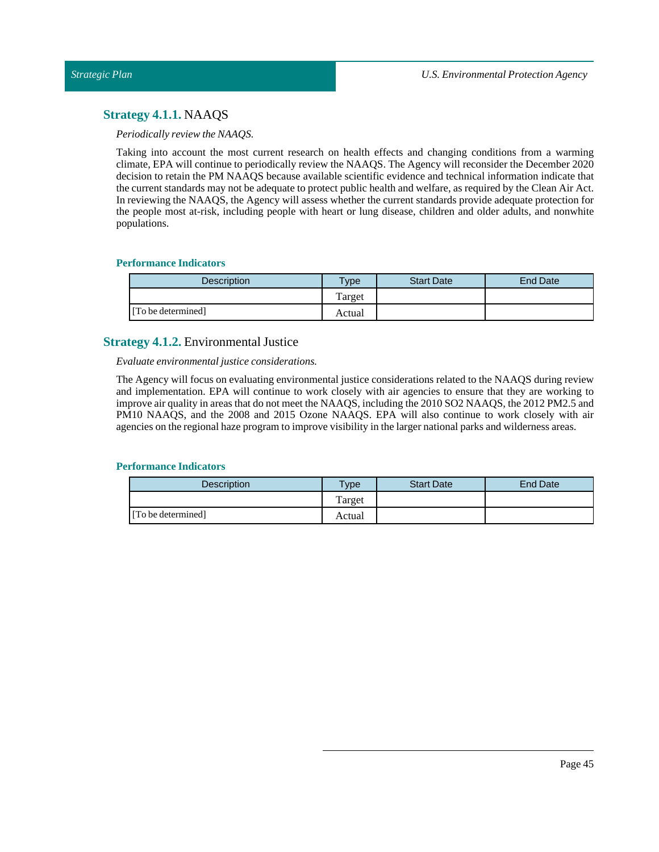# **Strategy 4.1.1.** NAAQS

# *Periodically review the NAAQS.*

Taking into account the most current research on health effects and changing conditions from a warming climate, EPA will continue to periodically review the NAAQS. The Agency will reconsider the December 2020 decision to retain the PM NAAQS because available scientific evidence and technical information indicate that the current standards may not be adequate to protect public health and welfare, as required by the Clean Air Act. In reviewing the NAAQS, the Agency will assess whether the current standards provide adequate protection for the people most at-risk, including people with heart or lung disease, children and older adults, and nonwhite populations.

# **Performance Indicators**

| Description        | Type   | <b>Start Date</b> | <b>End Date</b> |
|--------------------|--------|-------------------|-----------------|
|                    | Target |                   |                 |
| [To be determined] | Actual |                   |                 |

# **Strategy 4.1.2.** Environmental Justice

# *Evaluate environmentaljustice considerations.*

The Agency will focus on evaluating environmental justice considerations related to the NAAQS during review and implementation. EPA will continue to work closely with air agencies to ensure that they are working to improve air quality in areas that do not meet the NAAQS, including the 2010 SO2 NAAQS, the 2012 PM2.5 and PM10 NAAQS, and the 2008 and 2015 Ozone NAAQS. EPA will also continue to work closely with air agencies on the regional haze program to improve visibility in the larger national parks and wilderness areas.

| <b>Description</b> | $T$ <sub>ype</sub> | <b>Start Date</b> | End Date |
|--------------------|--------------------|-------------------|----------|
|                    | Target             |                   |          |
| [To be determined] | Actual             |                   |          |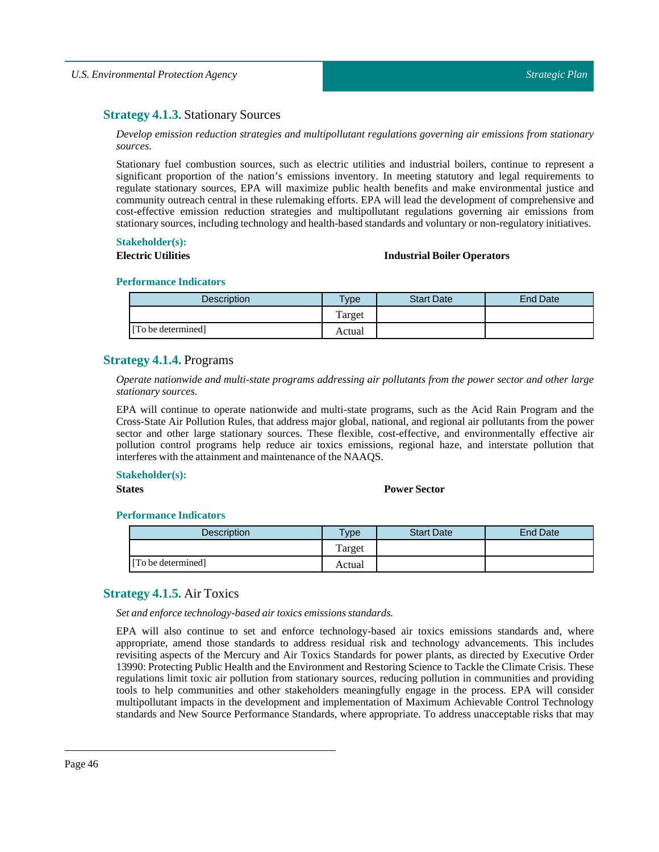# **Strategy 4.1.3.** Stationary Sources

*Develop emission reduction strategies and multipollutant regulations governing air emissions from stationary sources.*

Stationary fuel combustion sources, such as electric utilities and industrial boilers, continue to represent a significant proportion of the nation's emissions inventory. In meeting statutory and legal requirements to regulate stationary sources, EPA will maximize public health benefits and make environmental justice and community outreach central in these rulemaking efforts. EPA will lead the development of comprehensive and cost-effective emission reduction strategies and multipollutant regulations governing air emissions from stationary sources, including technology and health-based standards and voluntary or non-regulatory initiatives.

# **Stakeholder(s):**

# **Electric Utilities Industrial Boiler Operators**

#### **Performance Indicators**

| <b>Description</b> | $v$ pe | <b>Start Date</b> | End Date |
|--------------------|--------|-------------------|----------|
|                    | Target |                   |          |
| [To be determined] | Actual |                   |          |

# **Strategy 4.1.4.** Programs

*Operate nationwide and multi-state programs addressing air pollutants from the power sector and other large stationary sources.*

EPA will continue to operate nationwide and multi-state programs, such as the Acid Rain Program and the Cross-State Air Pollution Rules, that address major global, national, and regional air pollutants from the power sector and other large stationary sources. These flexible, cost-effective, and environmentally effective air pollution control programs help reduce air toxics emissions, regional haze, and interstate pollution that interferes with the attainment and maintenance of the NAAQS.

## **Stakeholder(s):**

#### **States Power Sector**

### **Performance Indicators**

| <b>Description</b> | Type   | <b>Start Date</b> | End Date |
|--------------------|--------|-------------------|----------|
|                    | Target |                   |          |
| [To be determined] | Actual |                   |          |

# **Strategy 4.1.5.** Air Toxics

*Set and enforce technology-based air toxics emissions standards.*

EPA will also continue to set and enforce technology-based air toxics emissions standards and, where appropriate, amend those standards to address residual risk and technology advancements. This includes revisiting aspects of the Mercury and Air Toxics Standards for power plants, as directed by Executive Order 13990: Protecting Public Health and the Environment and Restoring Science to Tackle the Climate Crisis. These regulations limit toxic air pollution from stationary sources, reducing pollution in communities and providing tools to help communities and other stakeholders meaningfully engage in the process. EPA will consider multipollutant impacts in the development and implementation of Maximum Achievable Control Technology standards and New Source Performance Standards, where appropriate. To address unacceptable risks that may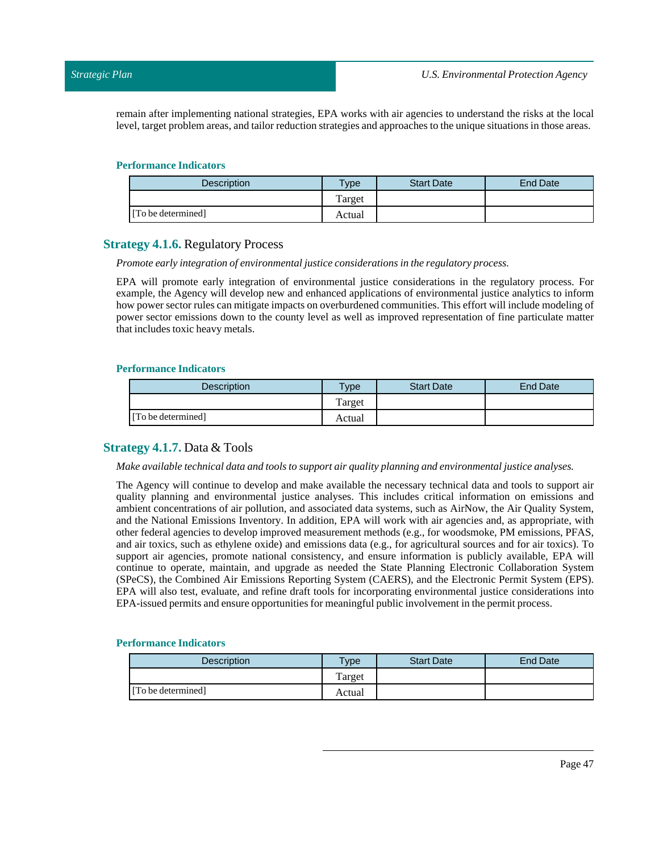remain after implementing national strategies, EPA works with air agencies to understand the risks at the local level, target problem areas, and tailor reduction strategies and approaches to the unique situations in those areas.

#### **Performance Indicators**

| <b>Description</b> | <b>Type</b> | <b>Start Date</b> | End Date |
|--------------------|-------------|-------------------|----------|
|                    | Target      |                   |          |
| [To be determined] | Actual      |                   |          |

# **Strategy 4.1.6.** Regulatory Process

#### *Promote early integration of environmentaljustice considerations in the regulatory process.*

EPA will promote early integration of environmental justice considerations in the regulatory process. For example, the Agency will develop new and enhanced applications of environmental justice analytics to inform how power sector rules can mitigate impacts on overburdened communities. This effort will include modeling of power sector emissions down to the county level as well as improved representation of fine particulate matter that includes toxic heavy metals.

#### **Performance Indicators**

| Description        | $v_{\rm p}$ | <b>Start Date</b> | End Date |
|--------------------|-------------|-------------------|----------|
|                    | Target      |                   |          |
| [To be determined] | Actual      |                   |          |

# **Strategy 4.1.7.** Data & Tools

#### *Make available technical data and tools to support air quality planning and environmentaljustice analyses.*

The Agency will continue to develop and make available the necessary technical data and tools to support air quality planning and environmental justice analyses. This includes critical information on emissions and ambient concentrations of air pollution, and associated data systems, such as AirNow, the Air Quality System, and the National Emissions Inventory. In addition, EPA will work with air agencies and, as appropriate, with other federal agencies to develop improved measurement methods (e.g., for woodsmoke, PM emissions, PFAS, and air toxics, such as ethylene oxide) and emissions data (e.g., for agricultural sources and for air toxics). To support air agencies, promote national consistency, and ensure information is publicly available, EPA will continue to operate, maintain, and upgrade as needed the State Planning Electronic Collaboration System (SPeCS), the Combined Air Emissions Reporting System (CAERS), and the Electronic Permit System (EPS). EPA will also test, evaluate, and refine draft tools for incorporating environmental justice considerations into EPA-issued permits and ensure opportunities for meaningful public involvementin the permit process.

| Description        | $T$ ype | <b>Start Date</b> | <b>End Date</b> |
|--------------------|---------|-------------------|-----------------|
|                    | Target  |                   |                 |
| [To be determined] | Actual  |                   |                 |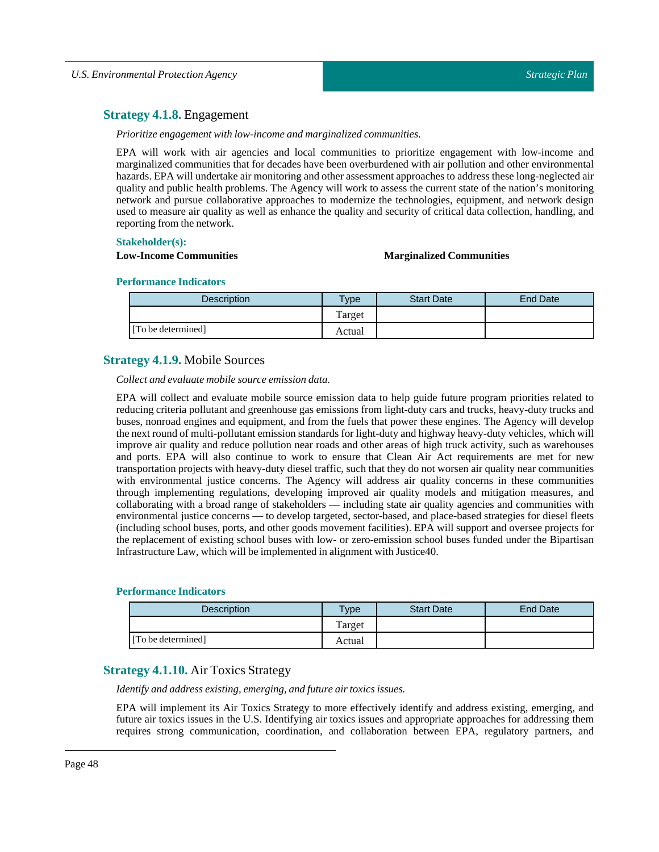# **Strategy 4.1.8.** Engagement

*Prioritize engagement with low-income and marginalized communities.*

EPA will work with air agencies and local communities to prioritize engagement with low-income and marginalized communities that for decades have been overburdened with air pollution and other environmental hazards. EPA will undertake air monitoring and other assessment approaches to address these long-neglected air quality and public health problems. The Agency will work to assess the current state of the nation's monitoring network and pursue collaborative approaches to modernize the technologies, equipment, and network design used to measure air quality as well as enhance the quality and security of critical data collection, handling, and reporting from the network.

# **Stakeholder(s):**

### **Low-Income Communities Marginalized Communities**

#### **Performance Indicators**

| <b>Description</b> | vpe    | <b>Start Date</b> | End Date |
|--------------------|--------|-------------------|----------|
|                    | Target |                   |          |
| [To be determined] | Actual |                   |          |

# **Strategy 4.1.9.** Mobile Sources

*Collect and evaluate mobile source emission data.*

EPA will collect and evaluate mobile source emission data to help guide future program priorities related to reducing criteria pollutant and greenhouse gas emissions from light-duty cars and trucks, heavy-duty trucks and buses, nonroad engines and equipment, and from the fuels that power these engines. The Agency will develop the next round of multi-pollutant emission standards for light-duty and highway heavy-duty vehicles, which will improve air quality and reduce pollution near roads and other areas of high truck activity, such as warehouses and ports. EPA will also continue to work to ensure that Clean Air Act requirements are met for new transportation projects with heavy-duty diesel traffic, such that they do not worsen air quality near communities with environmental justice concerns. The Agency will address air quality concerns in these communities through implementing regulations, developing improved air quality models and mitigation measures, and collaborating with a broad range of stakeholders — including state air quality agencies and communities with environmental justice concerns — to develop targeted, sector-based, and place-based strategies for diesel fleets (including school buses, ports, and other goods movement facilities). EPA will support and oversee projects for the replacement of existing school buses with low- or zero-emission school buses funded under the Bipartisan Infrastructure Law, which will be implemented in alignment with Justice40.

## **Performance Indicators**

| <b>Description</b> | $T$ <sub>V</sub> $pe$ | <b>Start Date</b> | <b>End Date</b> |
|--------------------|-----------------------|-------------------|-----------------|
|                    | Target                |                   |                 |
| [To be determined] | Actual                |                   |                 |

# **Strategy 4.1.10.** Air Toxics Strategy

*Identify and address existing, emerging, and future air toxics issues.*

EPA will implement its Air Toxics Strategy to more effectively identify and address existing, emerging, and future air toxics issues in the U.S. Identifying air toxics issues and appropriate approaches for addressing them requires strong communication, coordination, and collaboration between EPA, regulatory partners, and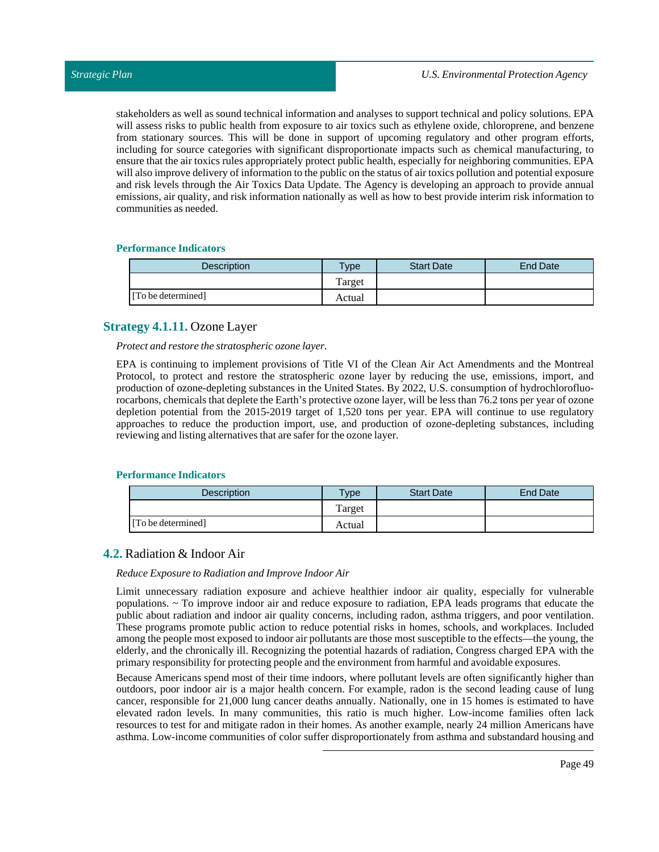stakeholders as well as sound technical information and analyses to support technical and policy solutions. EPA will assess risks to public health from exposure to air toxics such as ethylene oxide, chloroprene, and benzene from stationary sources. This will be done in support of upcoming regulatory and other program efforts, including for source categories with significant disproportionate impacts such as chemical manufacturing, to ensure that the air toxics rules appropriately protect public health, especially for neighboring communities. EPA will also improve delivery of information to the public on the status of air toxics pollution and potential exposure and risk levels through the Air Toxics Data Update. The Agency is developing an approach to provide annual emissions, air quality, and risk information nationally as well as how to best provide interim risk information to communities as needed.

# **Performance Indicators**

| Description        | $T$ ype | <b>Start Date</b> | <b>End Date</b> |
|--------------------|---------|-------------------|-----------------|
|                    | Target  |                   |                 |
| [To be determined] | Actual  |                   |                 |

# **Strategy 4.1.11.** Ozone Layer

*Protect and restore the stratospheric ozone layer.*

EPA is continuing to implement provisions of Title VI of the Clean Air Act Amendments and the Montreal Protocol, to protect and restore the stratospheric ozone layer by reducing the use, emissions, import, and production of ozone-depleting substances in the United States. By 2022, U.S. consumption of hydrochlorofluorocarbons, chemicals that deplete the Earth's protective ozone layer, will be less than 76.2 tons per year of ozone depletion potential from the 2015-2019 target of 1,520 tons per year. EPA will continue to use regulatory approaches to reduce the production import, use, and production of ozone-depleting substances, including reviewing and listing alternatives that are safer for the ozone layer.

## **Performance Indicators**

| Description        | Type   | <b>Start Date</b> | <b>End Date</b> |
|--------------------|--------|-------------------|-----------------|
|                    | Target |                   |                 |
| [To be determined] | Actual |                   |                 |

# **4.2.** Radiation & Indoor Air

## *Reduce Exposure to Radiation and Improve Indoor Air*

Limit unnecessary radiation exposure and achieve healthier indoor air quality, especially for vulnerable populations. ~ To improve indoor air and reduce exposure to radiation, EPA leads programs that educate the public about radiation and indoor air quality concerns, including radon, asthma triggers, and poor ventilation. These programs promote public action to reduce potential risks in homes, schools, and workplaces. Included among the people most exposed to indoor air pollutants are those most susceptible to the effects—the young, the elderly, and the chronically ill. Recognizing the potential hazards of radiation, Congress charged EPA with the primary responsibility for protecting people and the environment from harmful and avoidable exposures.

Because Americans spend most of their time indoors, where pollutant levels are often significantly higher than outdoors, poor indoor air is a major health concern. For example, radon is the second leading cause of lung cancer, responsible for 21,000 lung cancer deaths annually. Nationally, one in 15 homes is estimated to have elevated radon levels. In many communities, this ratio is much higher. Low-income families often lack resources to test for and mitigate radon in their homes. As another example, nearly 24 million Americans have asthma. Low-income communities of color suffer disproportionately from asthma and substandard housing and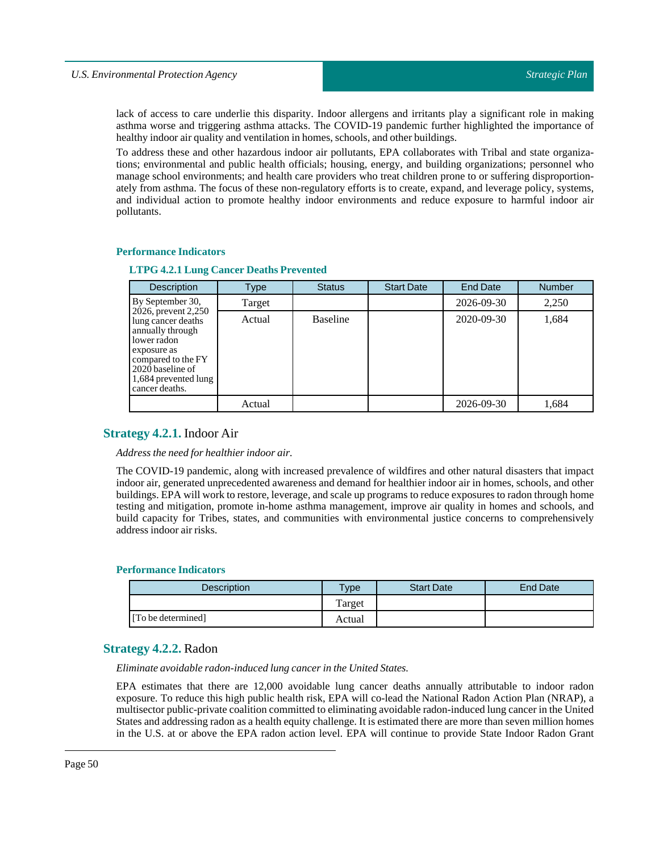lack of access to care underlie this disparity. Indoor allergens and irritants play a significant role in making asthma worse and triggering asthma attacks. The COVID-19 pandemic further highlighted the importance of healthy indoor air quality and ventilation in homes, schools, and other buildings.

To address these and other hazardous indoor air pollutants, EPA collaborates with Tribal and state organizations; environmental and public health officials; housing, energy, and building organizations; personnel who manage school environments; and health care providers who treat children prone to or suffering disproportionately from asthma. The focus of these non-regulatory efforts is to create, expand, and leverage policy, systems, and individual action to promote healthy indoor environments and reduce exposure to harmful indoor air pollutants.

#### **Performance Indicators**

#### **LTPG 4.2.1 Lung Cancer Deaths Prevented**

| <b>Description</b>                                                                                                                                                              | Type   | <b>Status</b>   | <b>Start Date</b> | <b>End Date</b> | <b>Number</b> |
|---------------------------------------------------------------------------------------------------------------------------------------------------------------------------------|--------|-----------------|-------------------|-----------------|---------------|
| By September 30,                                                                                                                                                                | Target |                 |                   | 2026-09-30      | 2,250         |
| 2026, prevent 2,250<br>lung cancer deaths<br>annually through<br>lower radon<br>exposure as<br>compared to the FY<br>2020 baseline of<br>1,684 prevented lung<br>cancer deaths. | Actual | <b>Baseline</b> |                   | 2020-09-30      | 1,684         |
|                                                                                                                                                                                 | Actual |                 |                   | 2026-09-30      | 1.684         |

## **Strategy 4.2.1.** Indoor Air

#### *Address the need for healthier indoor air.*

The COVID-19 pandemic, along with increased prevalence of wildfires and other natural disasters that impact indoor air, generated unprecedented awareness and demand for healthier indoor air in homes, schools, and other buildings. EPA will work to restore, leverage, and scale up programs to reduce exposures to radon through home testing and mitigation, promote in-home asthma management, improve air quality in homes and schools, and build capacity for Tribes, states, and communities with environmental justice concerns to comprehensively address indoor air risks.

#### **Performance Indicators**

| <b>Description</b> | $T$ vpe | <b>Start Date</b> | End Date |
|--------------------|---------|-------------------|----------|
|                    | Target  |                   |          |
| [To be determined] | Actual  |                   |          |

## **Strategy 4.2.2.** Radon

*Eliminate avoidable radon-induced lung cancer in the United States.*

EPA estimates that there are 12,000 avoidable lung cancer deaths annually attributable to indoor radon exposure. To reduce this high public health risk, EPA will co-lead the National Radon Action Plan (NRAP), a multisector public-private coalition committed to eliminating avoidable radon-induced lung cancer in the United States and addressing radon as a health equity challenge. It is estimated there are more than seven million homes in the U.S. at or above the EPA radon action level. EPA will continue to provide State Indoor Radon Grant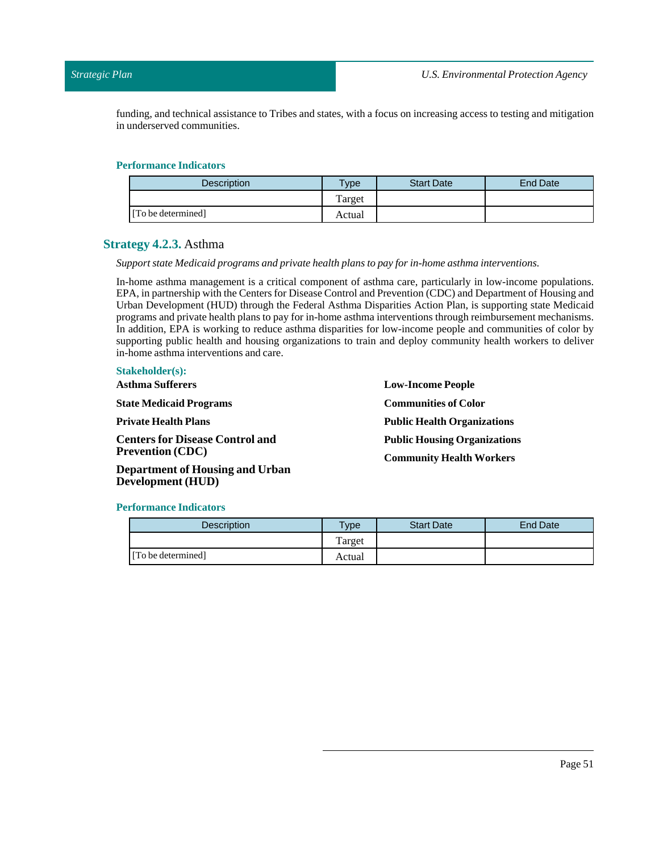funding, and technical assistance to Tribes and states, with a focus on increasing access to testing and mitigation in underserved communities.

## **Performance Indicators**

| Description        | $T$ <sub>V</sub> pe | <b>Start Date</b> | End Date |
|--------------------|---------------------|-------------------|----------|
|                    | Target              |                   |          |
| [To be determined] | Actual              |                   |          |

# **Strategy 4.2.3.** Asthma

#### *Support state Medicaid programs and private health plans to pay for in-home asthma interventions.*

In-home asthma management is a critical component of asthma care, particularly in low-income populations. EPA, in partnership with the Centers for Disease Control and Prevention (CDC) and Department of Housing and Urban Development (HUD) through the Federal Asthma Disparities Action Plan, is supporting state Medicaid programs and private health plans to pay for in-home asthma interventions through reimbursement mechanisms. In addition, EPA is working to reduce asthma disparities for low-income people and communities of color by supporting public health and housing organizations to train and deploy community health workers to deliver in-home asthma interventions and care.

| <b>Stakeholder(s):</b> |  |  |  |  |  |  |
|------------------------|--|--|--|--|--|--|
|------------------------|--|--|--|--|--|--|

**AsthmaSufferers State Medicaid Programs Private Health Plans Centers for Disease Control and Prevention (CDC) Department of Housing and Urban** **Low-Income People Communities of Color Public Health Organizations Public Housing Organizations Community Health Workers**

#### **Performance Indicators**

**Development (HUD)**

| Description        | $Type$ | <b>Start Date</b> | End Date |
|--------------------|--------|-------------------|----------|
|                    | Target |                   |          |
| [To be determined] | Actual |                   |          |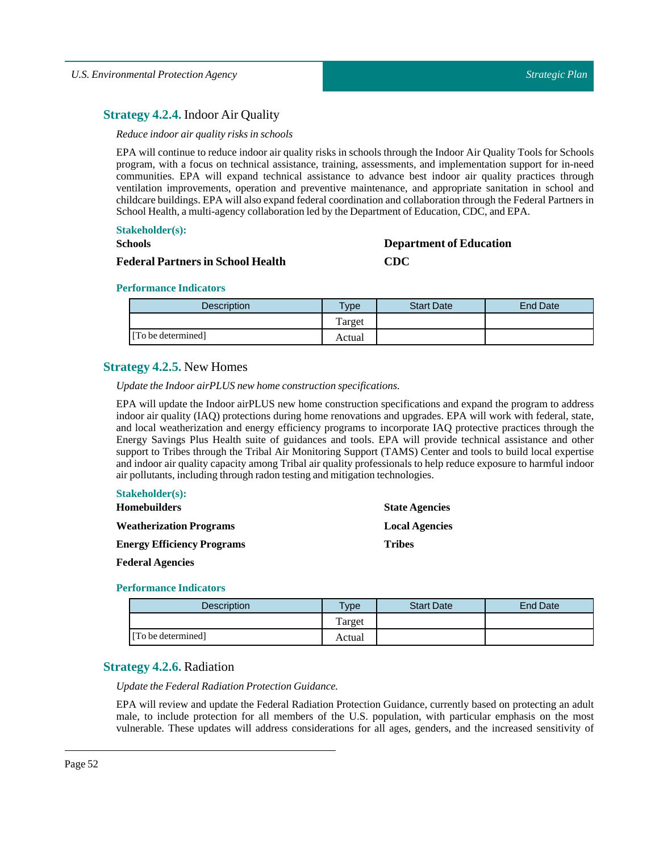# **Strategy 4.2.4.** Indoor Air Quality

### *Reduce indoor air quality risks in schools*

EPA will continue to reduce indoor air quality risks in schools through the Indoor Air Quality Tools for Schools program, with a focus on technical assistance, training, assessments, and implementation support for in-need communities. EPA will expand technical assistance to advance best indoor air quality practices through ventilation improvements, operation and preventive maintenance, and appropriate sanitation in school and childcare buildings. EPA will also expand federal coordination and collaboration through the Federal Partners in School Health, a multi-agency collaboration led by the Department of Education, CDC, and EPA.

# **Stakeholder(s):**

# **Schools**

## **Federal Partnersin School Health**

# **Department of Education CDC**

## **Performance Indicators**

| <b>Description</b> | Type   | <b>Start Date</b> | <b>End Date</b> |
|--------------------|--------|-------------------|-----------------|
|                    | Target |                   |                 |
| [To be determined] | Actual |                   |                 |

# **Strategy 4.2.5.** New Homes

*Update the Indoor airPLUS new home construction specifications.*

EPA will update the Indoor airPLUS new home construction specifications and expand the program to address indoor air quality (IAQ) protections during home renovations and upgrades. EPA will work with federal, state, and local weatherization and energy efficiency programs to incorporate IAQ protective practices through the Energy Savings Plus Health suite of guidances and tools. EPA will provide technical assistance and other support to Tribes through the Tribal Air Monitoring Support (TAMS) Center and tools to build local expertise and indoor air quality capacity among Tribal air quality professionals to help reduce exposure to harmful indoor air pollutants, including through radon testing and mitigation technologies.

| $\textbf{S}$ <i>lakeholder(s):</i> |                       |
|------------------------------------|-----------------------|
| <b>Homebuilders</b>                | <b>State Agencies</b> |
| <b>Weatherization Programs</b>     | <b>Local Agencies</b> |
| <b>Energy Efficiency Programs</b>  | <b>Tribes</b>         |

## **Federal Agencies**

**Stakeholder(s):**

## **Performance Indicators**

| <b>Description</b> | $T$ ype | <b>Start Date</b> | End Date |
|--------------------|---------|-------------------|----------|
|                    | Target  |                   |          |
| [To be determined] | Actual  |                   |          |

# **Strategy 4.2.6.** Radiation

*Update the Federal Radiation Protection Guidance.*

EPA will review and update the Federal Radiation Protection Guidance, currently based on protecting an adult male, to include protection for all members of the U.S. population, with particular emphasis on the most vulnerable. These updates will address considerations for all ages, genders, and the increased sensitivity of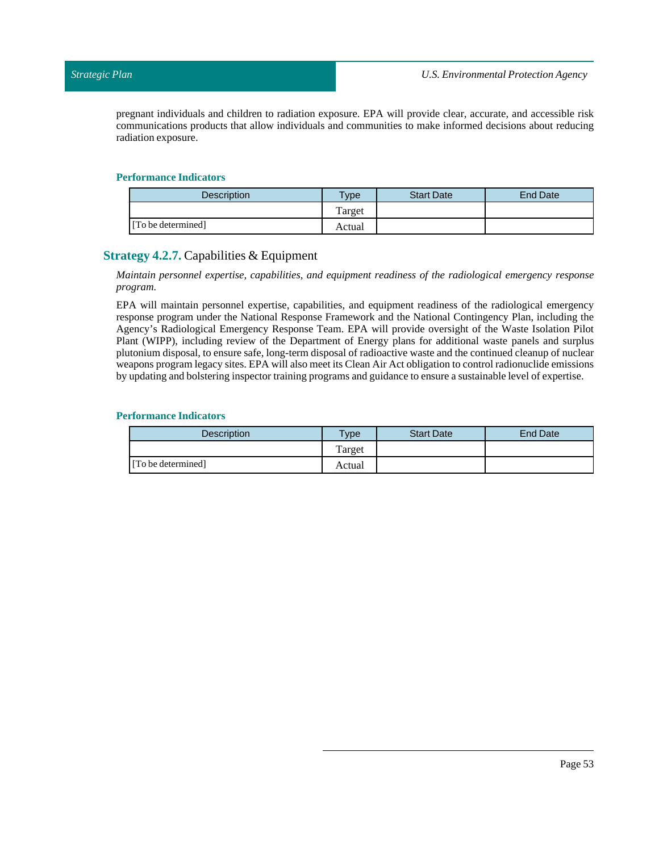pregnant individuals and children to radiation exposure. EPA will provide clear, accurate, and accessible risk communications products that allow individuals and communities to make informed decisions about reducing radiation exposure.

### **Performance Indicators**

| <b>Description</b> | $T$ <sub>ype</sub> | <b>Start Date</b> | End Date |
|--------------------|--------------------|-------------------|----------|
|                    | Target             |                   |          |
| [To be determined] | Actual             |                   |          |

# **Strategy 4.2.7.** Capabilities & Equipment

*Maintain personnel expertise, capabilities, and equipment readiness of the radiological emergency response program.*

EPA will maintain personnel expertise, capabilities, and equipment readiness of the radiological emergency response program under the National Response Framework and the National Contingency Plan, including the Agency's Radiological Emergency Response Team. EPA will provide oversight of the Waste Isolation Pilot Plant (WIPP), including review of the Department of Energy plans for additional waste panels and surplus plutonium disposal, to ensure safe, long-term disposal of radioactive waste and the continued cleanup of nuclear weapons program legacy sites. EPA will also meet its Clean Air Act obligation to control radionuclide emissions by updating and bolstering inspector training programs and guidance to ensure a sustainable level of expertise.

| <b>Description</b> | <b>Type</b> | <b>Start Date</b> | End Date |
|--------------------|-------------|-------------------|----------|
|                    | Target      |                   |          |
| [To be determined] | Actual      |                   |          |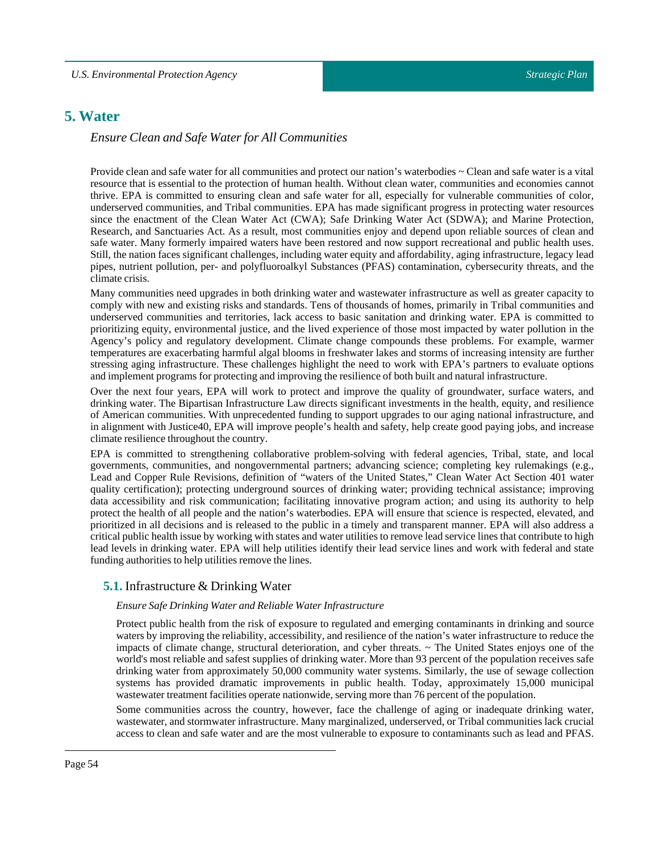# **5. Water**

# *Ensure Clean and Safe Water for All Communities*

Provide clean and safe water for all communities and protect our nation's waterbodies ~ Clean and safe water is a vital resource that is essential to the protection of human health. Without clean water, communities and economies cannot thrive. EPA is committed to ensuring clean and safe water for all, especially for vulnerable communities of color, underserved communities, and Tribal communities. EPA has made significant progress in protecting water resources since the enactment of the Clean Water Act (CWA); Safe Drinking Water Act (SDWA); and Marine Protection, Research, and Sanctuaries Act. As a result, most communities enjoy and depend upon reliable sources of clean and safe water. Many formerly impaired waters have been restored and now support recreational and public health uses. Still, the nation faces significant challenges, including water equity and affordability, aging infrastructure, legacy lead pipes, nutrient pollution, per- and polyfluoroalkyl Substances (PFAS) contamination, cybersecurity threats, and the climate crisis.

Many communities need upgrades in both drinking water and wastewater infrastructure as well as greater capacity to comply with new and existing risks and standards. Tens of thousands of homes, primarily in Tribal communities and underserved communities and territories, lack access to basic sanitation and drinking water. EPA is committed to prioritizing equity, environmental justice, and the lived experience of those most impacted by water pollution in the Agency's policy and regulatory development. Climate change compounds these problems. For example, warmer temperatures are exacerbating harmful algal blooms in freshwater lakes and storms of increasing intensity are further stressing aging infrastructure. These challenges highlight the need to work with EPA's partners to evaluate options and implement programs for protecting and improving the resilience of both built and natural infrastructure.

Over the next four years, EPA will work to protect and improve the quality of groundwater, surface waters, and drinking water. The Bipartisan Infrastructure Law directs significant investments in the health, equity, and resilience of American communities. With unprecedented funding to support upgrades to our aging national infrastructure, and in alignment with Justice40, EPA will improve people's health and safety, help create good paying jobs, and increase climate resilience throughout the country.

EPA is committed to strengthening collaborative problem-solving with federal agencies, Tribal, state, and local governments, communities, and nongovernmental partners; advancing science; completing key rulemakings (e.g., Lead and Copper Rule Revisions, definition of "waters of the United States," Clean Water Act Section 401 water quality certification); protecting underground sources of drinking water; providing technical assistance; improving data accessibility and risk communication; facilitating innovative program action; and using its authority to help protect the health of all people and the nation's waterbodies. EPA will ensure that science is respected, elevated, and prioritized in all decisions and is released to the public in a timely and transparent manner. EPA will also address a critical public health issue by working with states and water utilities to remove lead service lines that contribute to high lead levels in drinking water. EPA will help utilities identify their lead service lines and work with federal and state funding authorities to help utilities remove the lines.

# **5.1.** Infrastructure & Drinking Water

## *Ensure Safe Drinking Water and Reliable Water Infrastructure*

Protect public health from the risk of exposure to regulated and emerging contaminants in drinking and source waters by improving the reliability, accessibility, and resilience of the nation's water infrastructure to reduce the impacts of climate change, structural deterioration, and cyber threats. ~ The United States enjoys one of the world's most reliable and safest supplies of drinking water. More than 93 percent of the population receives safe drinking water from approximately 50,000 community water systems. Similarly, the use of sewage collection systems has provided dramatic improvements in public health. Today, approximately 15,000 municipal wastewater treatment facilities operate nationwide, serving more than 76 percent of the population.

Some communities across the country, however, face the challenge of aging or inadequate drinking water, wastewater, and stormwater infrastructure. Many marginalized, underserved, or Tribal communities lack crucial access to clean and safe water and are the most vulnerable to exposure to contaminants such as lead and PFAS.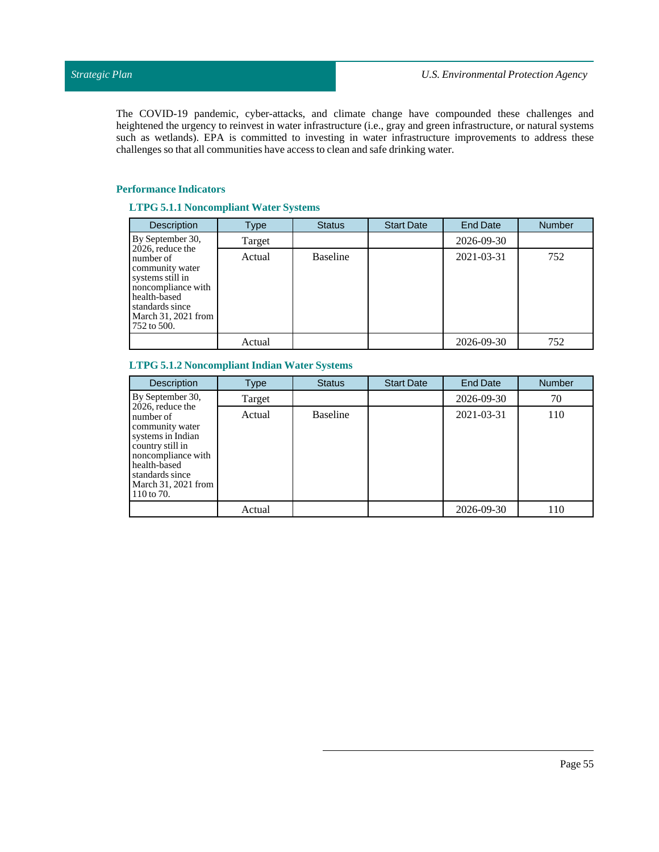The COVID-19 pandemic, cyber-attacks, and climate change have compounded these challenges and heightened the urgency to reinvest in water infrastructure (i.e., gray and green infrastructure, or natural systems such as wetlands). EPA is committed to investing in water infrastructure improvements to address these challenges so that all communities have access to clean and safe drinking water.

# **Performance Indicators**

# **LTPG 5.1.1 Noncompliant Water Systems**

| Description                                                                                                                                                         | Type   | <b>Status</b>   | <b>Start Date</b> | <b>End Date</b> | <b>Number</b> |
|---------------------------------------------------------------------------------------------------------------------------------------------------------------------|--------|-----------------|-------------------|-----------------|---------------|
| By September 30,                                                                                                                                                    | Target |                 |                   | 2026-09-30      |               |
| 2026, reduce the<br>number of<br>community water<br>systems still in<br>noncompliance with<br>health-based<br>standards since<br>March 31, 2021 from<br>752 to 500. | Actual | <b>Baseline</b> |                   | 2021-03-31      | 752           |
|                                                                                                                                                                     | Actual |                 |                   | 2026-09-30      | 752           |

# **LTPG 5.1.2 Noncompliant Indian WaterSystems**

| Description                                                                                                                                                                             | Type   | <b>Status</b>   | <b>Start Date</b> | <b>End Date</b> | <b>Number</b> |
|-----------------------------------------------------------------------------------------------------------------------------------------------------------------------------------------|--------|-----------------|-------------------|-----------------|---------------|
| By September 30,                                                                                                                                                                        | Target |                 |                   | 2026-09-30      | 70            |
| 2026, reduce the<br>number of<br>community water<br>systems in Indian<br>country still in<br>noncompliance with<br>health-based<br>standards since<br>March 31, 2021 from<br>110 to 70. | Actual | <b>Baseline</b> |                   | 2021-03-31      | 110           |
|                                                                                                                                                                                         | Actual |                 |                   | 2026-09-30      | 110           |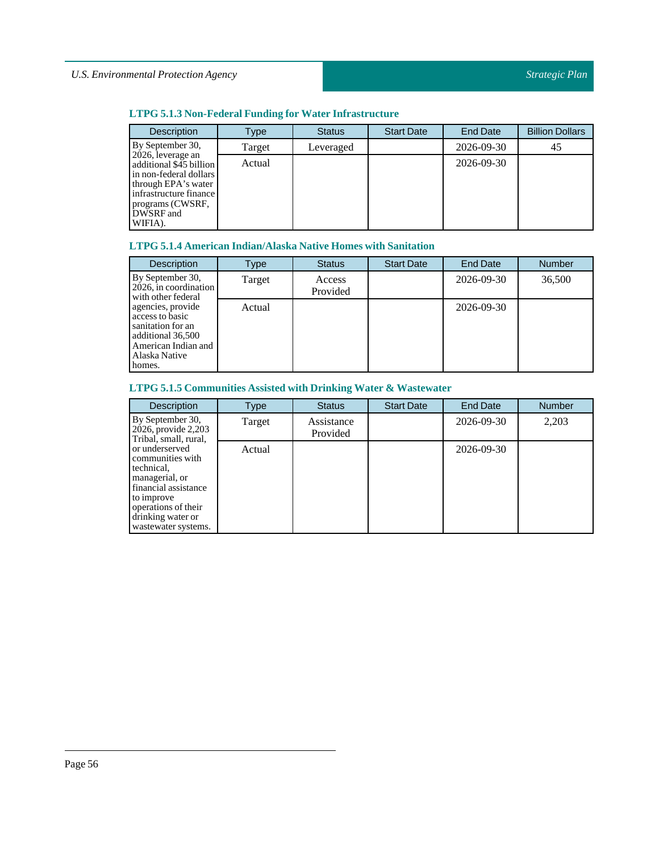# *U.S. Environmental Protection Agency*

# **LTPG 5.1.3 Non-Federal Funding for Water Infrastructure**

| <b>Description</b>                                                                                                                                                  | Type   | <b>Status</b> | <b>Start Date</b> | <b>End Date</b> | <b>Billion Dollars</b> |
|---------------------------------------------------------------------------------------------------------------------------------------------------------------------|--------|---------------|-------------------|-----------------|------------------------|
| By September 30,                                                                                                                                                    | Target | Leveraged     |                   | 2026-09-30      | 45                     |
| 2026, leverage an<br>additional \$45 billion<br>in non-federal dollars<br>through EPA's water<br>infrastructure finance<br>programs (CWSRF,<br>DWSRF and<br>WIFIA). | Actual |               |                   | 2026-09-30      |                        |

# **LTPG 5.1.4 American Indian/Alaska Native Homes with Sanitation**

| <b>Description</b>                                                                                                               | Type   | <b>Status</b>      | <b>Start Date</b> | <b>End Date</b> | <b>Number</b> |
|----------------------------------------------------------------------------------------------------------------------------------|--------|--------------------|-------------------|-----------------|---------------|
| By September 30,<br>$2026$ , in coordination<br>with other federal                                                               | Target | Access<br>Provided |                   | 2026-09-30      | 36,500        |
| agencies, provide<br>access to basic<br>sanitation for an<br>additional 36,500<br>American Indian and<br>Alaska Native<br>homes. | Actual |                    |                   | 2026-09-30      |               |

# **LTPG 5.1.5 Communities Assisted with Drinking Water & Wastewater**

| <b>Description</b>                                                                                                                                                          | Type   | <b>Status</b>          | <b>Start Date</b> | <b>End Date</b> | <b>Number</b> |
|-----------------------------------------------------------------------------------------------------------------------------------------------------------------------------|--------|------------------------|-------------------|-----------------|---------------|
| By September 30,<br>2026, provide 2,203<br>Tribal, small, rural,                                                                                                            | Target | Assistance<br>Provided |                   | 2026-09-30      | 2,203         |
| or underserved<br>communities with<br>technical,<br>managerial, or<br>financial assistance<br>to improve<br>operations of their<br>drinking water or<br>wastewater systems. | Actual |                        |                   | 2026-09-30      |               |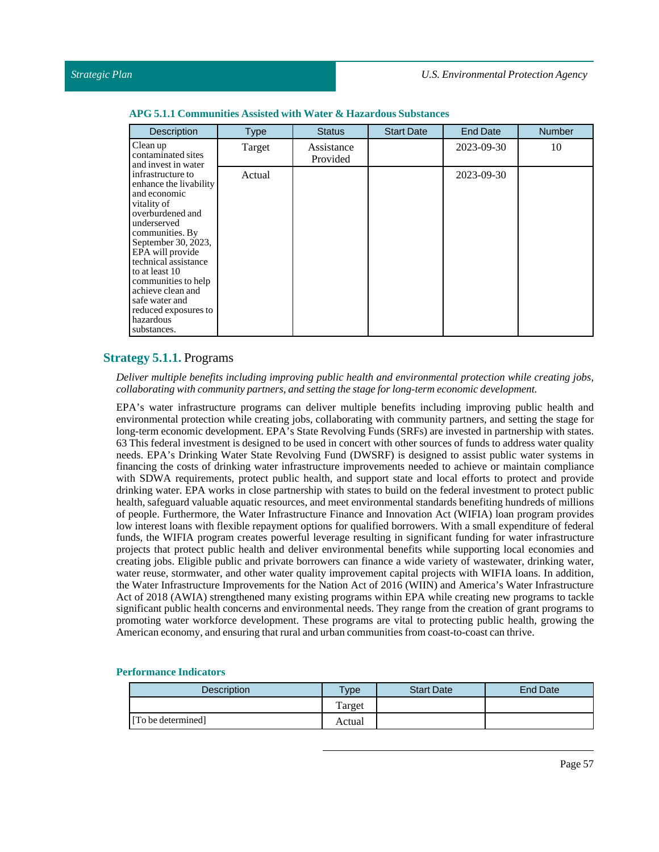| <b>Description</b>                                                                                                                                                                                                                                                                                                                      | <b>Type</b> | <b>Status</b>          | <b>Start Date</b> | <b>End Date</b> | <b>Number</b> |
|-----------------------------------------------------------------------------------------------------------------------------------------------------------------------------------------------------------------------------------------------------------------------------------------------------------------------------------------|-------------|------------------------|-------------------|-----------------|---------------|
| Clean up<br>contaminated sites<br>and invest in water                                                                                                                                                                                                                                                                                   | Target      | Assistance<br>Provided |                   | 2023-09-30      | 10            |
| infrastructure to<br>enhance the livability<br>and economic<br>vitality of<br>overburdened and<br>underserved<br>communities. By<br>September 30, 2023,<br>EPA will provide<br>technical assistance<br>to at least 10<br>communities to help<br>achieve clean and<br>safe water and<br>reduced exposures to<br>hazardous<br>substances. | Actual      |                        |                   | 2023-09-30      |               |

#### **APG 5.1.1** Communities Assisted with Water & Hazardous Substances

# **Strategy 5.1.1.** Programs

*Deliver multiple benefits including improving public health and environmental protection while creating jobs, collaborating with community partners, and setting the stage for long-term economic development.*

EPA's water infrastructure programs can deliver multiple benefits including improving public health and environmental protection while creating jobs, collaborating with community partners, and setting the stage for long-term economic development. EPA's State Revolving Funds (SRFs) are invested in partnership with states. 63 This federal investment is designed to be used in concert with other sources of funds to address water quality needs. EPA's Drinking Water State Revolving Fund (DWSRF) is designed to assist public water systems in financing the costs of drinking water infrastructure improvements needed to achieve or maintain compliance with SDWA requirements, protect public health, and support state and local efforts to protect and provide drinking water. EPA works in close partnership with states to build on the federal investment to protect public health, safeguard valuable aquatic resources, and meet environmental standards benefiting hundreds of millions of people. Furthermore, the Water Infrastructure Finance and Innovation Act (WIFIA) loan program provides low interest loans with flexible repayment options for qualified borrowers. With a small expenditure of federal funds, the WIFIA program creates powerful leverage resulting in significant funding for water infrastructure projects that protect public health and deliver environmental benefits while supporting local economies and creating jobs. Eligible public and private borrowers can finance a wide variety of wastewater, drinking water, water reuse, stormwater, and other water quality improvement capital projects with WIFIA loans. In addition, the Water Infrastructure Improvements for the Nation Act of 2016 (WIIN) and America's Water Infrastructure Act of 2018 (AWIA) strengthened many existing programs within EPA while creating new programs to tackle significant public health concerns and environmental needs. They range from the creation of grant programs to promoting water workforce development. These programs are vital to protecting public health, growing the American economy, and ensuring that rural and urban communities from coast-to-coast can thrive.

| Description        | Type   | <b>Start Date</b> | End Date |
|--------------------|--------|-------------------|----------|
|                    | Target |                   |          |
| [To be determined] | Actual |                   |          |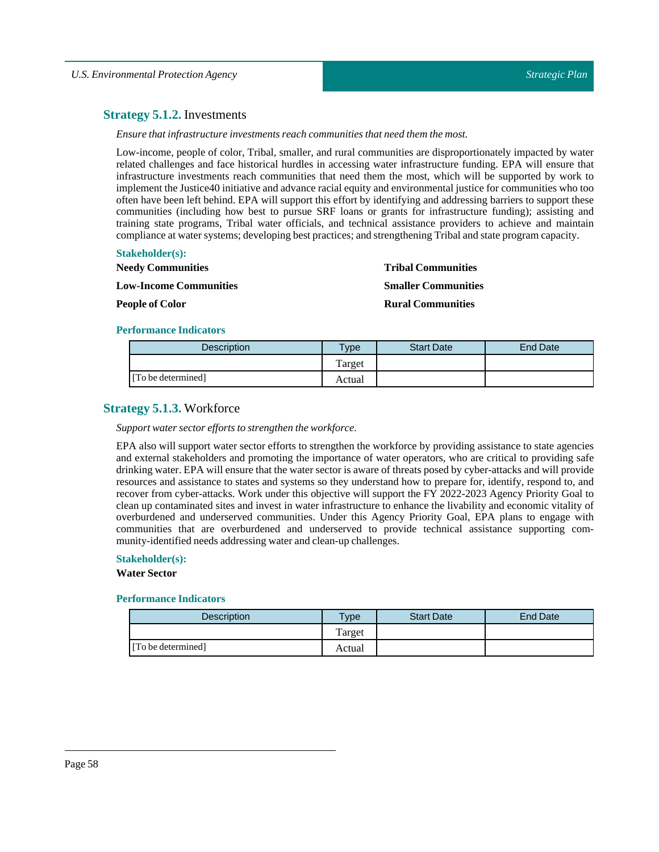# **Strategy 5.1.2.** Investments

*Ensure thatinfrastructure investments reach communities that need them the most.*

Low-income, people of color, Tribal, smaller, and rural communities are disproportionately impacted by water related challenges and face historical hurdles in accessing water infrastructure funding. EPA will ensure that infrastructure investments reach communities that need them the most, which will be supported by work to implement the Justice40 initiative and advance racial equity and environmental justice for communities who too often have been left behind. EPA will support this effort by identifying and addressing barriers to support these communities (including how best to pursue SRF loans or grants for infrastructure funding); assisting and training state programs, Tribal water officials, and technical assistance providers to achieve and maintain compliance at water systems; developing best practices; and strengthening Tribal and state program capacity.

## **Stakeholder(s):**

| <b>Needy Communities</b>      | <b>Tribal Communities</b>  |
|-------------------------------|----------------------------|
| <b>Low-Income Communities</b> | <b>Smaller Communities</b> |
| <b>People of Color</b>        | <b>Rural Communities</b>   |

#### **Performance Indicators**

| <b>Description</b> | $v$ pe | <b>Start Date</b> | End Date |
|--------------------|--------|-------------------|----------|
|                    | Target |                   |          |
| [To be determined] | Actual |                   |          |

# **Strategy 5.1.3.** Workforce

#### *Support water sector efforts to strengthen the workforce.*

EPA also will support water sector efforts to strengthen the workforce by providing assistance to state agencies and external stakeholders and promoting the importance of water operators, who are critical to providing safe drinking water. EPA will ensure that the water sector is aware of threats posed by cyber-attacks and will provide resources and assistance to states and systems so they understand how to prepare for, identify, respond to, and recover from cyber-attacks. Work under this objective will support the FY 2022-2023 Agency Priority Goal to clean up contaminated sites and invest in water infrastructure to enhance the livability and economic vitality of overburdened and underserved communities. Under this Agency Priority Goal, EPA plans to engage with communities that are overburdened and underserved to provide technical assistance supporting community-identified needs addressing water and clean-up challenges.

#### **Stakeholder(s):**

## **Water Sector**

| Description        | <b>Type</b> | <b>Start Date</b> | End Date |
|--------------------|-------------|-------------------|----------|
|                    | Target      |                   |          |
| [To be determined] | Actual      |                   |          |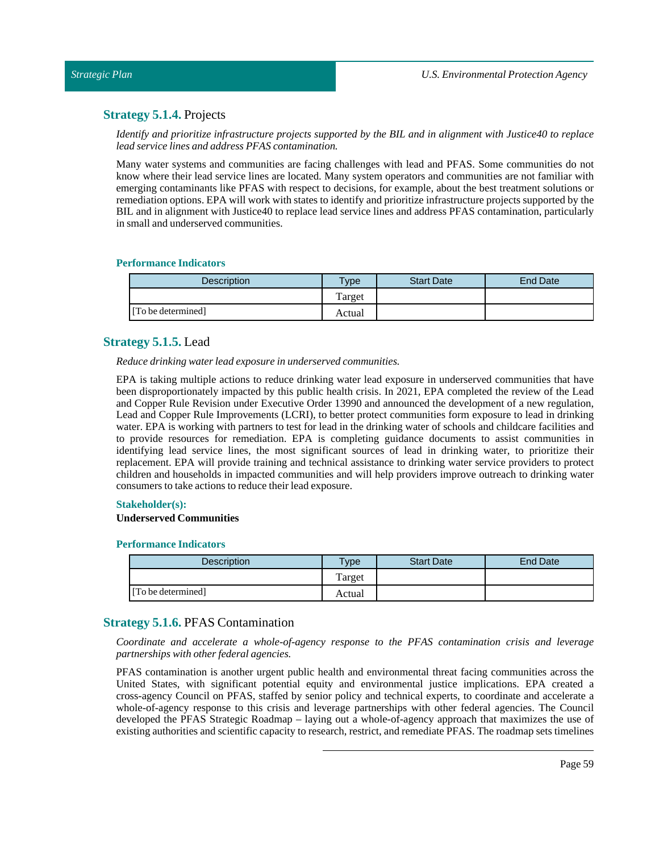# **Strategy 5.1.4.** Projects

*Identify and prioritize infrastructure projects supported by the BIL and in alignment with Justice40 to replace lead service lines and address PFAS contamination.*

Many water systems and communities are facing challenges with lead and PFAS. Some communities do not know where their lead service lines are located. Many system operators and communities are not familiar with emerging contaminants like PFAS with respect to decisions, for example, about the best treatment solutions or remediation options. EPA will work with states to identify and prioritize infrastructure projects supported by the BIL and in alignment with Justice40 to replace lead service lines and address PFAS contamination, particularly in small and underserved communities.

# **Performance Indicators**

| Description        | $T$ <sub>V</sub> $pe$ | <b>Start Date</b> | <b>End Date</b> |
|--------------------|-----------------------|-------------------|-----------------|
|                    | Target                |                   |                 |
| [To be determined] | Actual                |                   |                 |

# **Strategy 5.1.5.** Lead

*Reduce drinking water lead exposure in underserved communities.*

EPA is taking multiple actions to reduce drinking water lead exposure in underserved communities that have been disproportionately impacted by this public health crisis. In 2021, EPA completed the review of the Lead and Copper Rule Revision under Executive Order 13990 and announced the development of a new regulation, Lead and Copper Rule Improvements (LCRI), to better protect communities form exposure to lead in drinking water. EPA is working with partners to test for lead in the drinking water of schools and childcare facilities and to provide resources for remediation. EPA is completing guidance documents to assist communities in identifying lead service lines, the most significant sources of lead in drinking water, to prioritize their replacement. EPA will provide training and technical assistance to drinking water service providers to protect children and households in impacted communities and will help providers improve outreach to drinking water consumers to take actions to reduce their lead exposure.

## **Stakeholder(s):**

## **Underserved Communities**

## **Performance Indicators**

| <b>Description</b> | Type   | <b>Start Date</b> | <b>End Date</b> |
|--------------------|--------|-------------------|-----------------|
|                    | Target |                   |                 |
| [To be determined] | Actual |                   |                 |

# **Strategy 5.1.6.** PFAS Contamination

*Coordinate and accelerate a whole-of-agency response to the PFAS contamination crisis and leverage partnerships with other federal agencies.*

PFAS contamination is another urgent public health and environmental threat facing communities across the United States, with significant potential equity and environmental justice implications. EPA created a cross-agency Council on PFAS, staffed by senior policy and technical experts, to coordinate and accelerate a whole-of-agency response to this crisis and leverage partnerships with other federal agencies. The Council developed the PFAS Strategic Roadmap – laying out a whole-of-agency approach that maximizes the use of existing authorities and scientific capacity to research, restrict, and remediate PFAS. The roadmap sets timelines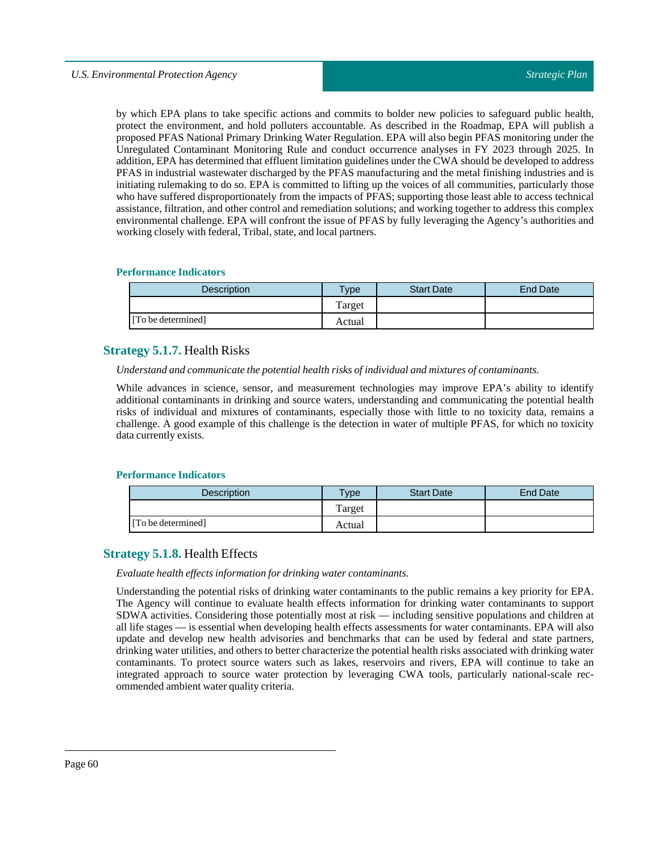by which EPA plans to take specific actions and commits to bolder new policies to safeguard public health, protect the environment, and hold polluters accountable. As described in the Roadmap, EPA will publish a proposed PFAS National Primary Drinking Water Regulation. EPA will also begin PFAS monitoring under the Unregulated Contaminant Monitoring Rule and conduct occurrence analyses in FY 2023 through 2025. In addition, EPA has determined that effluent limitation guidelines under the CWA should be developed to address PFAS in industrial wastewater discharged by the PFAS manufacturing and the metal finishing industries and is initiating rulemaking to do so. EPA is committed to lifting up the voices of all communities, particularly those who have suffered disproportionately from the impacts of PFAS; supporting those least able to access technical assistance, filtration, and other control and remediation solutions; and working together to address this complex environmental challenge. EPA will confront the issue of PFAS by fully leveraging the Agency's authorities and working closely with federal, Tribal, state, and local partners.

## **Performance Indicators**

| <b>Description</b> | vpe    | <b>Start Date</b> | End Date |
|--------------------|--------|-------------------|----------|
|                    | Target |                   |          |
| [To be determined] | Actual |                   |          |

# **Strategy 5.1.7.** Health Risks

## *Understand and communicate the potential health risks ofindividual and mixtures of contaminants.*

While advances in science, sensor, and measurement technologies may improve EPA's ability to identify additional contaminants in drinking and source waters, understanding and communicating the potential health risks of individual and mixtures of contaminants, especially those with little to no toxicity data, remains a challenge. A good example of this challenge is the detection in water of multiple PFAS, for which no toxicity data currently exists.

## **Performance Indicators**

| <b>Description</b> | $T$ <sub>V</sub> $pe$ | <b>Start Date</b> | End Date |
|--------------------|-----------------------|-------------------|----------|
|                    | Target                |                   |          |
| [To be determined] | Actual                |                   |          |

# **Strategy 5.1.8.** Health Effects

# *Evaluate health effects information for drinking water contaminants.*

Understanding the potential risks of drinking water contaminants to the public remains a key priority for EPA. The Agency will continue to evaluate health effects information for drinking water contaminants to support SDWA activities. Considering those potentially most at risk — including sensitive populations and children at all life stages — is essential when developing health effects assessments for water contaminants. EPA will also update and develop new health advisories and benchmarks that can be used by federal and state partners, drinking water utilities, and others to better characterize the potential health risks associated with drinking water contaminants. To protect source waters such as lakes, reservoirs and rivers, EPA will continue to take an integrated approach to source water protection by leveraging CWA tools, particularly national-scale recommended ambient water quality criteria.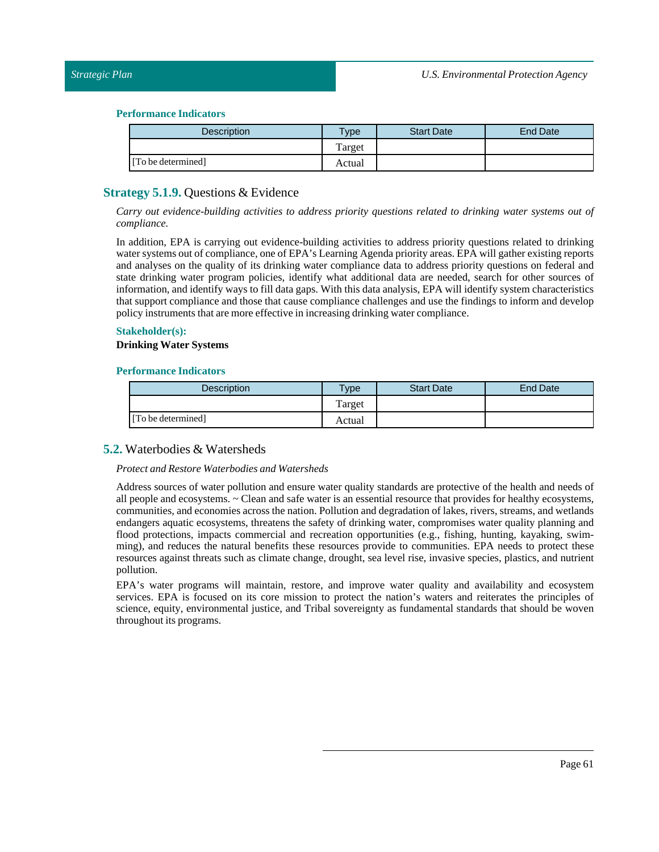| <b>Description</b> | Type   | <b>Start Date</b> | End Date |
|--------------------|--------|-------------------|----------|
|                    | Target |                   |          |
| [To be determined] | Actual |                   |          |

# **Strategy 5.1.9.** Questions & Evidence

*Carry out evidence-building activities to address priority questions related to drinking water systems out of compliance.*

In addition, EPA is carrying out evidence-building activities to address priority questions related to drinking water systems out of compliance, one of EPA's Learning Agenda priority areas. EPA will gather existing reports and analyses on the quality of its drinking water compliance data to address priority questions on federal and state drinking water program policies, identify what additional data are needed, search for other sources of information, and identify ways to fill data gaps. With this data analysis, EPA will identify system characteristics that support compliance and those that cause compliance challenges and use the findings to inform and develop policy instruments that are more effective in increasing drinking water compliance.

### **Stakeholder(s):**

#### **Drinking Water Systems**

#### **Performance Indicators**

| <b>Description</b> | <b>Type</b> | <b>Start Date</b> | End Date |
|--------------------|-------------|-------------------|----------|
|                    | Target      |                   |          |
| [To be determined] | Actual      |                   |          |

# **5.2.** Waterbodies & Watersheds

## *Protect and Restore Waterbodies and Watersheds*

Address sources of water pollution and ensure water quality standards are protective of the health and needs of all people and ecosystems. ~ Clean and safe water is an essential resource that provides for healthy ecosystems, communities, and economies across the nation. Pollution and degradation of lakes, rivers, streams, and wetlands endangers aquatic ecosystems, threatens the safety of drinking water, compromises water quality planning and flood protections, impacts commercial and recreation opportunities (e.g., fishing, hunting, kayaking, swimming), and reduces the natural benefits these resources provide to communities. EPA needs to protect these resources against threats such as climate change, drought, sea level rise, invasive species, plastics, and nutrient pollution.

EPA's water programs will maintain, restore, and improve water quality and availability and ecosystem services. EPA is focused on its core mission to protect the nation's waters and reiterates the principles of science, equity, environmental justice, and Tribal sovereignty as fundamental standards that should be woven throughout its programs.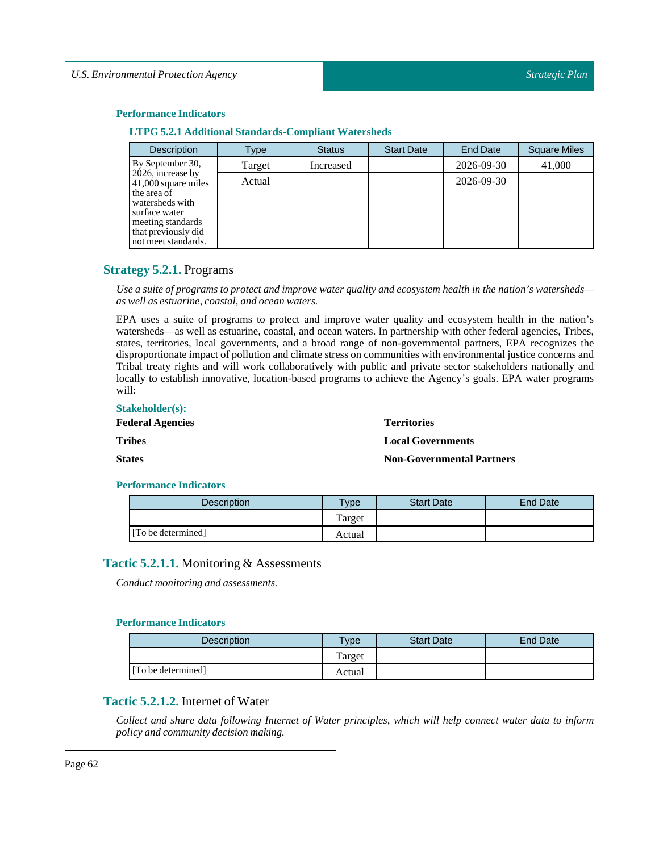|  |  |  |  | <b>LTPG 5.2.1 Additional Standards-Compliant Watersheds</b> |
|--|--|--|--|-------------------------------------------------------------|
|--|--|--|--|-------------------------------------------------------------|

| <b>Description</b>                                                                                                                                             | Type   | <b>Status</b> | <b>Start Date</b> | <b>End Date</b> | <b>Square Miles</b> |
|----------------------------------------------------------------------------------------------------------------------------------------------------------------|--------|---------------|-------------------|-----------------|---------------------|
| By September 30,                                                                                                                                               | Target | Increased     |                   | 2026-09-30      | 41,000              |
| 2026, increase by<br>41,000 square miles<br>the area of<br>watersheds with<br>surface water<br>meeting standards<br>that previously did<br>not meet standards. | Actual |               |                   | 2026-09-30      |                     |

# **Strategy 5.2.1.** Programs

Use a suite of programs to protect and improve water quality and ecosystem health in the nation's watersheds *as well as estuarine, coastal, and ocean waters.*

EPA uses a suite of programs to protect and improve water quality and ecosystem health in the nation's watersheds—as well as estuarine, coastal, and ocean waters. In partnership with other federal agencies, Tribes, states, territories, local governments, and a broad range of non-governmental partners, EPA recognizes the disproportionate impact of pollution and climate stress on communities with environmental justice concerns and Tribal treaty rights and will work collaboratively with public and private sector stakeholders nationally and locally to establish innovative, location-based programs to achieve the Agency's goals. EPA water programs will:

| <b>Stakeholder(s):</b>  |                                  |
|-------------------------|----------------------------------|
| <b>Federal Agencies</b> | <b>Territories</b>               |
| <b>Tribes</b>           | <b>Local Governments</b>         |
| <b>States</b>           | <b>Non-Governmental Partners</b> |

## **Performance Indicators**

| <b>Description</b> | <b>Type</b> | <b>Start Date</b> | End Date |
|--------------------|-------------|-------------------|----------|
|                    | Target      |                   |          |
| [To be determined] | Actual      |                   |          |

# **Tactic 5.2.1.1.** Monitoring & Assessments

*Conduct monitoring and assessments.*

## **Performance Indicators**

| <b>Description</b> | $v_{\rm p}$ | <b>Start Date</b> | <b>End Date</b> |
|--------------------|-------------|-------------------|-----------------|
|                    | Target      |                   |                 |
| [To be determined] | Actual      |                   |                 |

# **Tactic 5.2.1.2.** Internet of Water

Collect and share data following Internet of Water principles, which will help connect water data to inform *policy and community decision making.*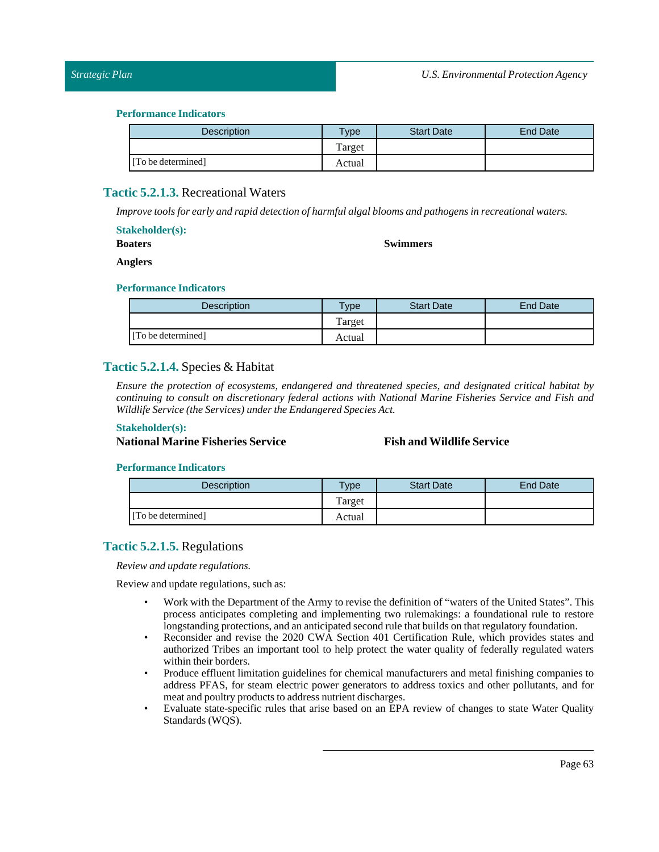| Description        | <b>Type</b> | <b>Start Date</b> | <b>End Date</b> |
|--------------------|-------------|-------------------|-----------------|
|                    | Target      |                   |                 |
| [To be determined] | Actual      |                   |                 |

# **Tactic 5.2.1.3.** Recreational Waters

*Improve tools for early and rapid detection of harmful algal blooms and pathogens in recreational waters.*

| <b>Stakeholder(s):</b> |  |  |  |  |
|------------------------|--|--|--|--|
|------------------------|--|--|--|--|

**Swimmers**

**Boaters Anglers**

# **Performance Indicators**

| <b>Description</b> | <b>Type</b> | <b>Start Date</b> | End Date |
|--------------------|-------------|-------------------|----------|
|                    | Target      |                   |          |
| [To be determined] | Actual      |                   |          |

# **Tactic 5.2.1.4.** Species & Habitat

*Ensure the protection of ecosystems, endangered and threatened species, and designated critical habitat by continuing to consult on discretionary federal actions with National Marine Fisheries Service and Fish and Wildlife Service (the Services) under the Endangered Species Act.*

## **Stakeholder(s):**

**National Marine Fisheries Service Fish and Wildlife Service**

## **Performance Indicators**

| Description        | $v$ pe | <b>Start Date</b> | End Date |
|--------------------|--------|-------------------|----------|
|                    | Target |                   |          |
| [To be determined] | Actual |                   |          |

# **Tactic 5.2.1.5.** Regulations

*Review and update regulations.*

Review and update regulations, such as:

- Work with the Department of the Army to revise the definition of "waters of the United States". This process anticipates completing and implementing two rulemakings: a foundational rule to restore longstanding protections, and an anticipated second rule that builds on that regulatory foundation.
- Reconsider and revise the 2020 CWA Section 401 Certification Rule, which provides states and authorized Tribes an important tool to help protect the water quality of federally regulated waters within their borders.
- Produce effluent limitation guidelines for chemical manufacturers and metal finishing companies to address PFAS, for steam electric power generators to address toxics and other pollutants, and for meat and poultry products to address nutrient discharges.
- Evaluate state-specific rules that arise based on an EPA review of changes to state Water Quality Standards (WQS).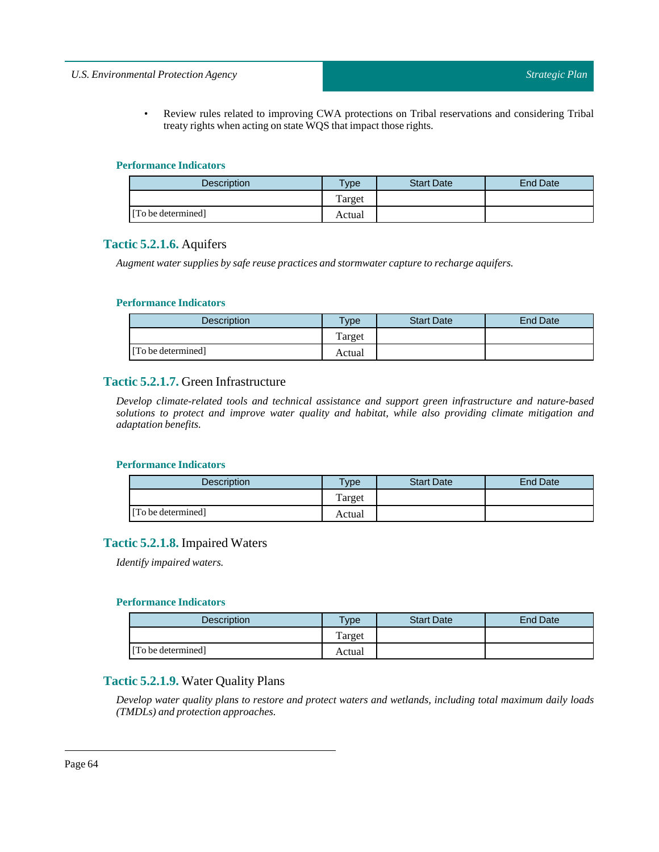# *U.S. Environmental Protection Agency*

• Review rules related to improving CWA protections on Tribal reservations and considering Tribal treaty rights when acting on state WQS that impact those rights.

## **Performance Indicators**

| <b>Description</b> | $v$ pe | <b>Start Date</b> | End Date |
|--------------------|--------|-------------------|----------|
|                    | Target |                   |          |
| [To be determined] | Actual |                   |          |

# **Tactic 5.2.1.6.** Aquifers

*Augment water supplies by safe reuse practices and stormwater capture to recharge aquifers.*

# **Performance Indicators**

| <b>Description</b> | <b>Type</b> | <b>Start Date</b> | End Date |
|--------------------|-------------|-------------------|----------|
|                    | Target      |                   |          |
| [To be determined] | Actual      |                   |          |

# **Tactic 5.2.1.7.** Green Infrastructure

*Develop climate-related tools and technical assistance and support green infrastructure and nature-based solutions to protect and improve water quality and habitat, while also providing climate mitigation and adaptation benefits.*

## **Performance Indicators**

| <b>Description</b> | <b>Type</b> | <b>Start Date</b> | <b>End Date</b> |
|--------------------|-------------|-------------------|-----------------|
|                    | Target      |                   |                 |
| [To be determined] | Actual      |                   |                 |

# **Tactic 5.2.1.8.** Impaired Waters

*Identify impaired waters.*

## **Performance Indicators**

| Description        | $v$ pe | <b>Start Date</b> | <b>End Date</b> |
|--------------------|--------|-------------------|-----------------|
|                    | Target |                   |                 |
| [To be determined] | Actual |                   |                 |

# **Tactic 5.2.1.9.** Water Quality Plans

*Develop water quality plans to restore and protect waters and wetlands, including total maximum daily loads (TMDLs) and protection approaches.*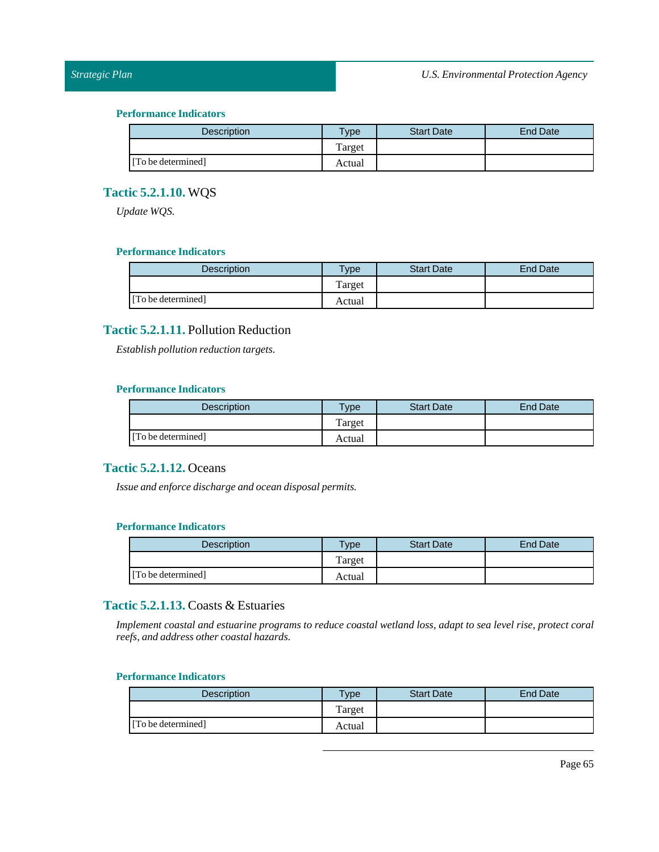# *Strategic Plan*

## **Performance Indicators**

| <b>Description</b> | Type   | <b>Start Date</b> | <b>End Date</b> |
|--------------------|--------|-------------------|-----------------|
|                    | Target |                   |                 |
| [To be determined] | Actual |                   |                 |

# **Tactic 5.2.1.10.** WQS

*Update WQS.*

# **Performance Indicators**

| <b>Description</b> | $T$ <sub>ype</sub> | <b>Start Date</b> | End Date |
|--------------------|--------------------|-------------------|----------|
|                    | Target             |                   |          |
| [To be determined] | Actual             |                   |          |

# **Tactic 5.2.1.11.** Pollution Reduction

*Establish pollution reduction targets.*

# **Performance Indicators**

| <b>Description</b> | $T$ vpe | <b>Start Date</b> | <b>End Date</b> |
|--------------------|---------|-------------------|-----------------|
|                    | Target  |                   |                 |
| [To be determined] | Actual  |                   |                 |

# **Tactic 5.2.1.12.** Oceans

*Issue and enforce discharge and ocean disposal permits.*

# **Performance Indicators**

| <b>Description</b> | $v$ pe | <b>Start Date</b> | <b>End Date</b> |
|--------------------|--------|-------------------|-----------------|
|                    | Target |                   |                 |
| [To be determined] | Actual |                   |                 |

# **Tactic 5.2.1.13.** Coasts & Estuaries

Implement coastal and estuarine programs to reduce coastal wetland loss, adapt to sea level rise, protect coral *reefs, and address other coastal hazards.*

| <b>Description</b> | Type   | <b>Start Date</b> | End Date |
|--------------------|--------|-------------------|----------|
|                    | Target |                   |          |
| [To be determined] | Actual |                   |          |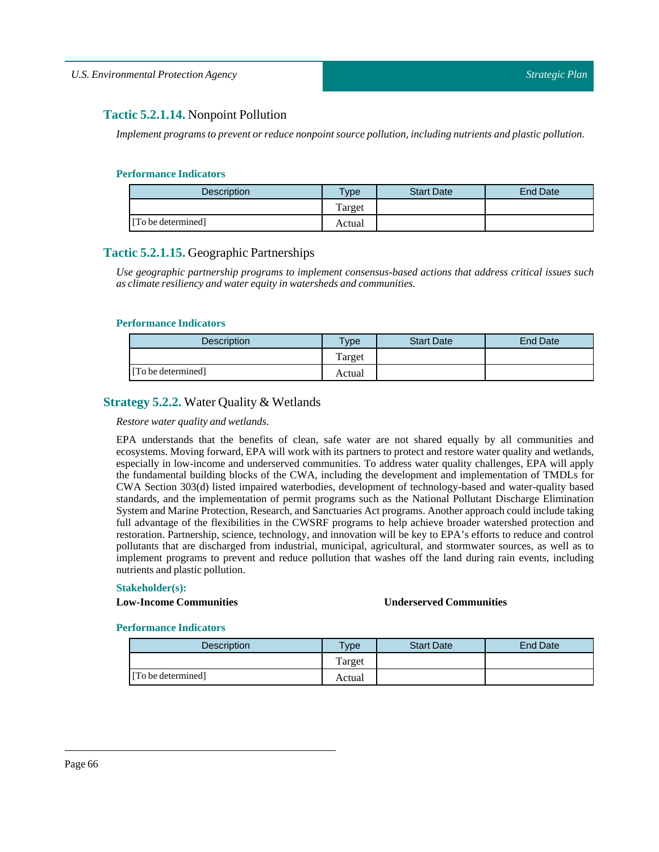# **Tactic 5.2.1.14.** Nonpoint Pollution

*Implement programs to prevent or reduce nonpoint source pollution,including nutrients and plastic pollution.*

## **Performance Indicators**

| <b>Description</b> | Type   | <b>Start Date</b> | End Date |
|--------------------|--------|-------------------|----------|
|                    | Target |                   |          |
| [To be determined] | Actual |                   |          |

# **Tactic 5.2.1.15.** Geographic Partnerships

*Use geographic partnership programs to implement consensus-based actions that address critical issues such as climate resiliency and water equity in watersheds and communities.*

## **Performance Indicators**

| <b>Description</b> | $T$ ype | <b>Start Date</b> | <b>End Date</b> |
|--------------------|---------|-------------------|-----------------|
|                    | Target  |                   |                 |
| [To be determined] | Actual  |                   |                 |

# **Strategy 5.2.2.** Water Quality & Wetlands

## *Restore water quality and wetlands.*

EPA understands that the benefits of clean, safe water are not shared equally by all communities and ecosystems. Moving forward, EPA will work with its partners to protect and restore water quality and wetlands, especially in low-income and underserved communities. To address water quality challenges, EPA will apply the fundamental building blocks of the CWA, including the development and implementation of TMDLs for CWA Section 303(d) listed impaired waterbodies, development of technology-based and water-quality based standards, and the implementation of permit programs such as the National Pollutant Discharge Elimination System and Marine Protection, Research, and Sanctuaries Act programs. Another approach could include taking full advantage of the flexibilities in the CWSRF programs to help achieve broader watershed protection and restoration. Partnership, science, technology, and innovation will be key to EPA's efforts to reduce and control pollutants that are discharged from industrial, municipal, agricultural, and stormwater sources, as well as to implement programs to prevent and reduce pollution that washes off the land during rain events, including nutrients and plastic pollution.

## **Stakeholder(s):**

# **Low-Income Communities Underserved Communities**

| <b>Description</b> | <b>Type</b> | <b>Start Date</b> | End Date |
|--------------------|-------------|-------------------|----------|
|                    | Target      |                   |          |
| [To be determined] | Actual      |                   |          |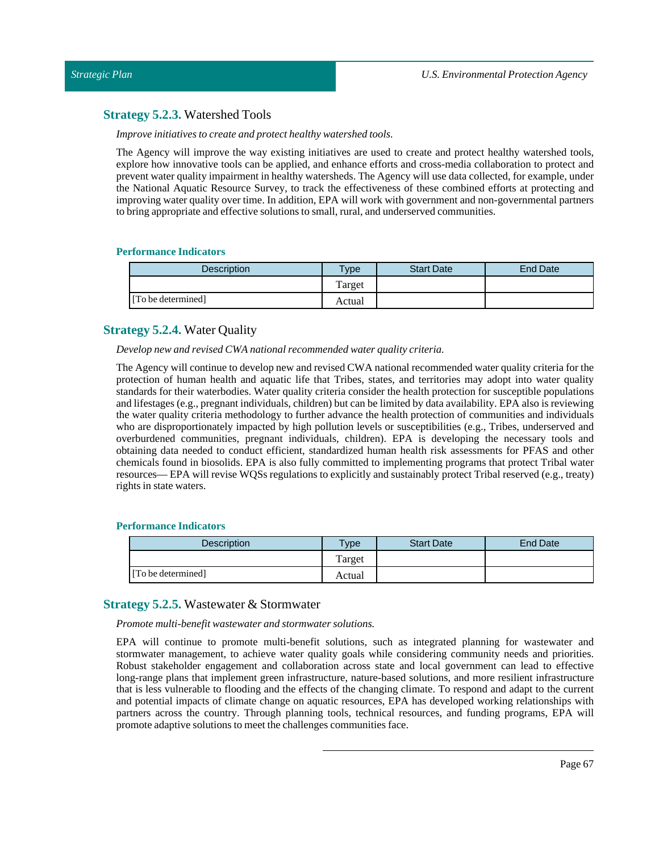# **Strategy 5.2.3.** Watershed Tools

*Improve initiatives to create and protect healthy watershed tools.*

The Agency will improve the way existing initiatives are used to create and protect healthy watershed tools, explore how innovative tools can be applied, and enhance efforts and cross-media collaboration to protect and prevent water quality impairment in healthy watersheds. The Agency will use data collected, for example, under the National Aquatic Resource Survey, to track the effectiveness of these combined efforts at protecting and improving water quality over time. In addition, EPA will work with government and non-governmental partners to bring appropriate and effective solutions to small, rural, and underserved communities.

# **Performance Indicators**

| Description        | <b>Type</b> | <b>Start Date</b> | <b>End Date</b> |
|--------------------|-------------|-------------------|-----------------|
|                    | Target      |                   |                 |
| [To be determined] | Actual      |                   |                 |

# **Strategy 5.2.4.** Water Quality

*Develop new and revised CWA national recommended water quality criteria.*

The Agency will continue to develop new and revised CWA national recommended water quality criteria for the protection of human health and aquatic life that Tribes, states, and territories may adopt into water quality standards for their waterbodies. Water quality criteria consider the health protection for susceptible populations and lifestages (e.g., pregnantindividuals, children) but can be limited by data availability. EPA also is reviewing the water quality criteria methodology to further advance the health protection of communities and individuals who are disproportionately impacted by high pollution levels or susceptibilities (e.g., Tribes, underserved and overburdened communities, pregnant individuals, children). EPA is developing the necessary tools and obtaining data needed to conduct efficient, standardized human health risk assessments for PFAS and other chemicals found in biosolids. EPA is also fully committed to implementing programs that protect Tribal water resources— EPA will revise WQSs regulations to explicitly and sustainably protect Tribal reserved (e.g., treaty) rights in state waters.

# **Performance Indicators**

| <b>Description</b> | $T$ ype | <b>Start Date</b> | <b>End Date</b> |
|--------------------|---------|-------------------|-----------------|
|                    | Target  |                   |                 |
| [To be determined] | Actual  |                   |                 |

# **Strategy 5.2.5.** Wastewater & Stormwater

*Promote multi-benefit wastewater and stormwater solutions.*

EPA will continue to promote multi-benefit solutions, such as integrated planning for wastewater and stormwater management, to achieve water quality goals while considering community needs and priorities. Robust stakeholder engagement and collaboration across state and local government can lead to effective long-range plans that implement green infrastructure, nature-based solutions, and more resilient infrastructure that is less vulnerable to flooding and the effects of the changing climate. To respond and adapt to the current and potential impacts of climate change on aquatic resources, EPA has developed working relationships with partners across the country. Through planning tools, technical resources, and funding programs, EPA will promote adaptive solutions to meet the challenges communities face.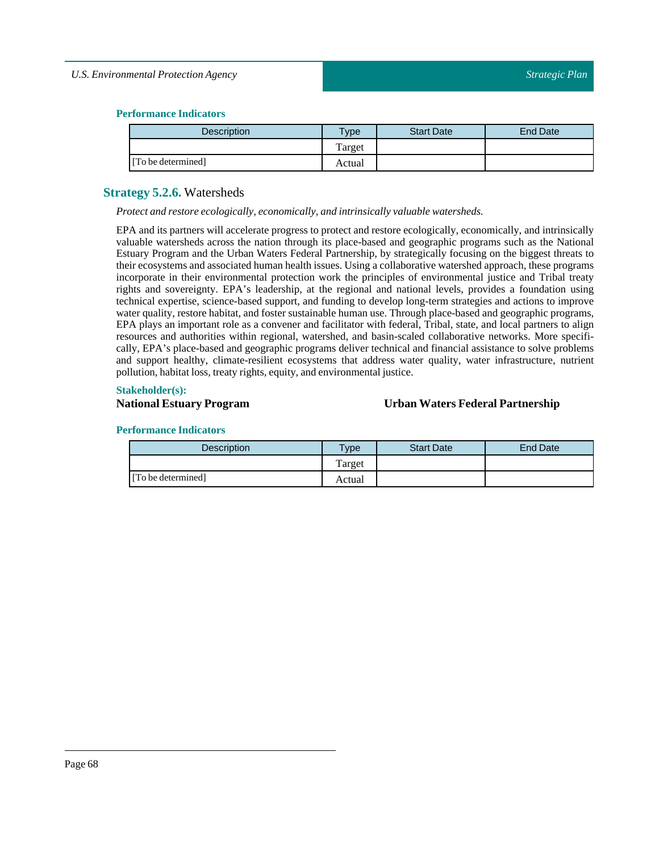# *U.S. Environmental Protection Agency*

# **Performance Indicators**

| <b>Description</b> | vpe    | <b>Start Date</b> | End Date |
|--------------------|--------|-------------------|----------|
|                    | Target |                   |          |
| [To be determined] | Actual |                   |          |

# **Strategy 5.2.6.** Watersheds

*Protect and restore ecologically, economically, and intrinsically valuable watersheds.*

EPA and its partners will accelerate progress to protect and restore ecologically, economically, and intrinsically valuable watersheds across the nation through its place-based and geographic programs such as the National Estuary Program and the Urban Waters Federal Partnership, by strategically focusing on the biggest threats to their ecosystems and associated human health issues. Using a collaborative watershed approach, these programs incorporate in their environmental protection work the principles of environmental justice and Tribal treaty rights and sovereignty. EPA's leadership, at the regional and national levels, provides a foundation using technical expertise, science-based support, and funding to develop long-term strategies and actions to improve water quality, restore habitat, and foster sustainable human use. Through place-based and geographic programs, EPA plays an important role as a convener and facilitator with federal, Tribal, state, and local partners to align resources and authorities within regional, watershed, and basin-scaled collaborative networks. More specifically, EPA's place-based and geographic programs deliver technical and financial assistance to solve problems and support healthy, climate-resilient ecosystems that address water quality, water infrastructure, nutrient pollution, habitat loss, treaty rights, equity, and environmental justice.

## **Stakeholder(s):**

# **National Estuary Program Urban Waters Federal Partnership**

| <b>Description</b> | $v$ pe | <b>Start Date</b> | End Date |
|--------------------|--------|-------------------|----------|
|                    | Target |                   |          |
| [To be determined] | Actual |                   |          |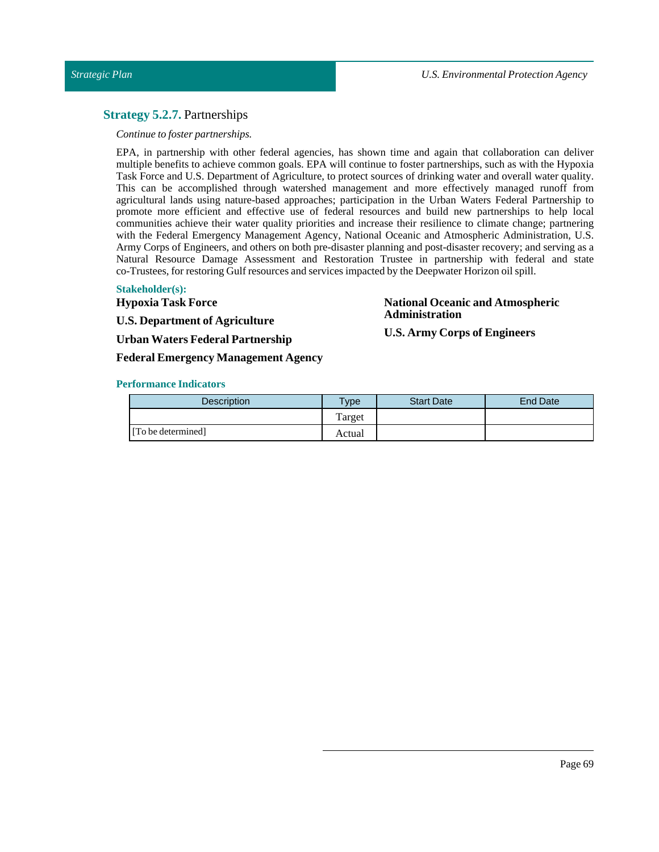# **Strategy 5.2.7.** Partnerships

## *Continue to foster partnerships.*

EPA, in partnership with other federal agencies, has shown time and again that collaboration can deliver multiple benefits to achieve common goals. EPA will continue to foster partnerships, such as with the Hypoxia Task Force and U.S. Department of Agriculture, to protect sources of drinking water and overall water quality. This can be accomplished through watershed management and more effectively managed runoff from agricultural lands using nature-based approaches; participation in the Urban Waters Federal Partnership to promote more efficient and effective use of federal resources and build new partnerships to help local communities achieve their water quality priorities and increase their resilience to climate change; partnering with the Federal Emergency Management Agency, National Oceanic and Atmospheric Administration, U.S. Army Corps of Engineers, and others on both pre-disaster planning and post-disaster recovery; and serving as a Natural Resource Damage Assessment and Restoration Trustee in partnership with federal and state co-Trustees, for restoring Gulf resources and services impacted by the Deepwater Horizon oil spill.

## **Stakeholder(s):**

**Hypoxia Task Force**

**U.S. Department of Agriculture**

**Urban Waters Federal Partnership**

**Federal Emergency Management Agency**

## **National Oceanic and Atmospheric Administration**

**U.S. Army Corps of Engineers**

| <b>Description</b> | $T$ ype | <b>Start Date</b> | <b>End Date</b> |
|--------------------|---------|-------------------|-----------------|
|                    | Target  |                   |                 |
| [To be determined] | Actual  |                   |                 |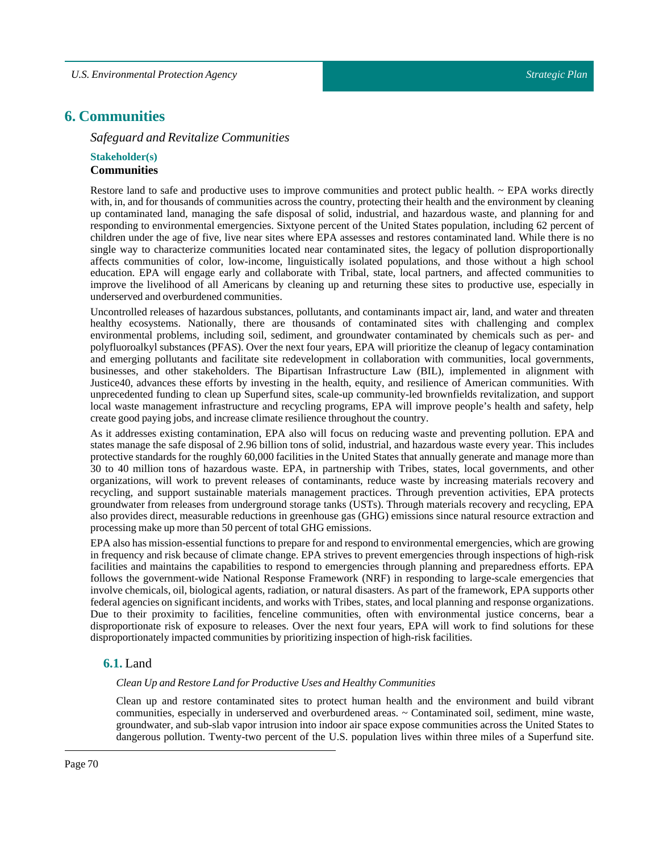# **6. Communities**

*Safeguard and Revitalize Communities*

# **Stakeholder(s) Communities**

Restore land to safe and productive uses to improve communities and protect public health. ~ EPA works directly with, in, and for thousands of communities across the country, protecting their health and the environment by cleaning up contaminated land, managing the safe disposal of solid, industrial, and hazardous waste, and planning for and responding to environmental emergencies. Sixtyone percent of the United States population, including 62 percent of children under the age of five, live near sites where EPA assesses and restores contaminated land. While there is no single way to characterize communities located near contaminated sites, the legacy of pollution disproportionally affects communities of color, low-income, linguistically isolated populations, and those without a high school education. EPA will engage early and collaborate with Tribal, state, local partners, and affected communities to improve the livelihood of all Americans by cleaning up and returning these sites to productive use, especially in underserved and overburdened communities.

Uncontrolled releases of hazardous substances, pollutants, and contaminants impact air, land, and water and threaten healthy ecosystems. Nationally, there are thousands of contaminated sites with challenging and complex environmental problems, including soil, sediment, and groundwater contaminated by chemicals such as per- and polyfluoroalkyl substances (PFAS). Over the next four years, EPA will prioritize the cleanup of legacy contamination and emerging pollutants and facilitate site redevelopment in collaboration with communities, local governments, businesses, and other stakeholders. The Bipartisan Infrastructure Law (BIL), implemented in alignment with Justice40, advances these efforts by investing in the health, equity, and resilience of American communities. With unprecedented funding to clean up Superfund sites, scale-up community-led brownfields revitalization, and support local waste management infrastructure and recycling programs, EPA will improve people's health and safety, help create good paying jobs, and increase climate resilience throughout the country.

As it addresses existing contamination, EPA also will focus on reducing waste and preventing pollution. EPA and states manage the safe disposal of 2.96 billion tons of solid, industrial, and hazardous waste every year. This includes protective standards for the roughly 60,000 facilities in the United States that annually generate and manage more than 30 to 40 million tons of hazardous waste. EPA, in partnership with Tribes, states, local governments, and other organizations, will work to prevent releases of contaminants, reduce waste by increasing materials recovery and recycling, and support sustainable materials management practices. Through prevention activities, EPA protects groundwater from releases from underground storage tanks (USTs). Through materials recovery and recycling, EPA also provides direct, measurable reductions in greenhouse gas (GHG) emissions since natural resource extraction and processing make up more than 50 percent of total GHG emissions.

EPA also has mission-essential functions to prepare for and respond to environmental emergencies, which are growing in frequency and risk because of climate change. EPA strives to prevent emergencies through inspections of high-risk facilities and maintains the capabilities to respond to emergencies through planning and preparedness efforts. EPA follows the government-wide National Response Framework (NRF) in responding to large-scale emergencies that involve chemicals, oil, biological agents, radiation, or natural disasters. As part of the framework, EPA supports other federal agencies on significantincidents, and works with Tribes, states, and local planning and response organizations. Due to their proximity to facilities, fenceline communities, often with environmental justice concerns, bear a disproportionate risk of exposure to releases. Over the next four years, EPA will work to find solutions for these disproportionately impacted communities by prioritizing inspection of high-risk facilities.

# **6.1.** Land

# *Clean Up and RestoreLand for Productive Uses and Healthy Communities*

Clean up and restore contaminated sites to protect human health and the environment and build vibrant communities, especially in underserved and overburdened areas. ~ Contaminated soil, sediment, mine waste, groundwater, and sub-slab vapor intrusion into indoor air space expose communities across the United States to dangerous pollution. Twenty-two percent of the U.S. population lives within three miles of a Superfund site.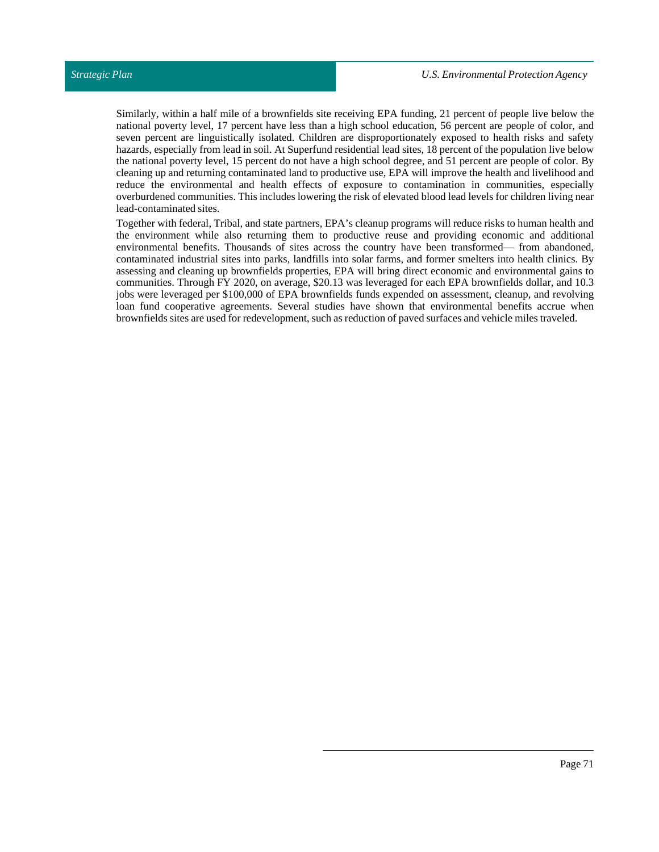Similarly, within a half mile of a brownfields site receiving EPA funding, 21 percent of people live below the national poverty level, 17 percent have less than a high school education, 56 percent are people of color, and seven percent are linguistically isolated. Children are disproportionately exposed to health risks and safety hazards, especially from lead in soil. At Superfund residential lead sites, 18 percent of the population live below the national poverty level, 15 percent do not have a high school degree, and 51 percent are people of color. By cleaning up and returning contaminated land to productive use, EPA will improve the health and livelihood and reduce the environmental and health effects of exposure to contamination in communities, especially overburdened communities. This includes lowering the risk of elevated blood lead levels for children living near lead-contaminated sites.

Together with federal, Tribal, and state partners, EPA's cleanup programs will reduce risks to human health and the environment while also returning them to productive reuse and providing economic and additional environmental benefits. Thousands of sites across the country have been transformed— from abandoned, contaminated industrial sites into parks, landfills into solar farms, and former smelters into health clinics. By assessing and cleaning up brownfields properties, EPA will bring direct economic and environmental gains to communities. Through FY 2020, on average, \$20.13 was leveraged for each EPA brownfields dollar, and 10.3 jobs were leveraged per \$100,000 of EPA brownfields funds expended on assessment, cleanup, and revolving loan fund cooperative agreements. Several studies have shown that environmental benefits accrue when brownfields sites are used for redevelopment, such as reduction of paved surfaces and vehicle miles traveled.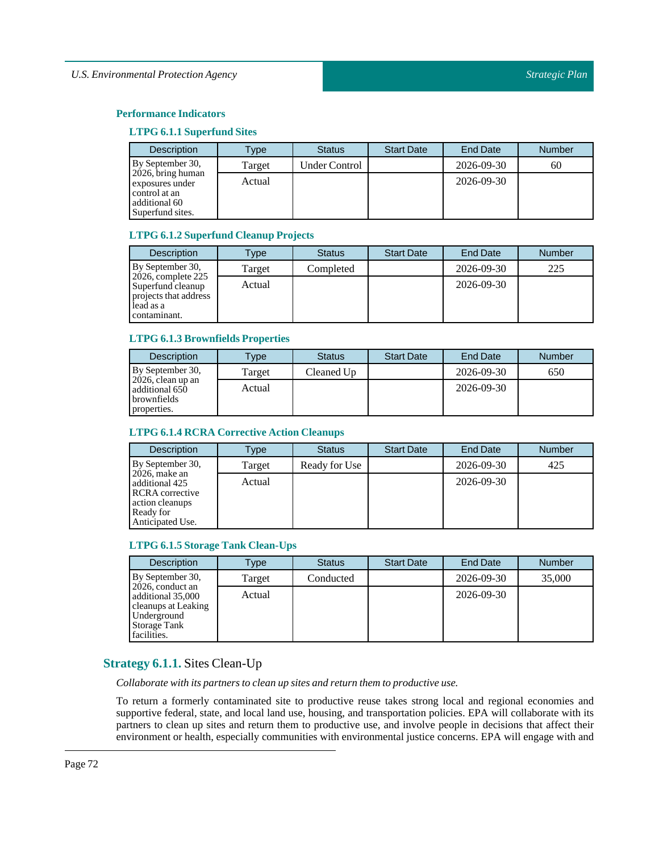# **LTPG 6.1.1 Superfund Sites**

| <b>Description</b>                                                                            | Type   | <b>Status</b>        | <b>Start Date</b> | <b>End Date</b> | <b>Number</b> |
|-----------------------------------------------------------------------------------------------|--------|----------------------|-------------------|-----------------|---------------|
| By September 30,                                                                              | Target | <b>Under Control</b> |                   | 2026-09-30      | 60            |
| $2026$ , bring human<br>exposures under<br>control at an<br>additional 60<br>Superfund sites. | Actual |                      |                   | 2026-09-30      |               |

## **LTPG 6.1.2Superfund Cleanup Projects**

| <b>Description</b>                                                                               | <b>Type</b> | <b>Status</b> | <b>Start Date</b> | <b>End Date</b> | <b>Number</b> |
|--------------------------------------------------------------------------------------------------|-------------|---------------|-------------------|-----------------|---------------|
| By September 30,                                                                                 | Target      | Completed     |                   | 2026-09-30      | 225           |
| $2026$ , complete 225<br>Superfund cleanup<br>projects that address<br>lead as a<br>contaminant. | Actual      |               |                   | 2026-09-30      |               |

# **LTPG 6.1.3 Brownfields Properties**

| <b>Description</b>                                                   | Type   | <b>Status</b> | <b>Start Date</b> | <b>End Date</b> | <b>Number</b> |
|----------------------------------------------------------------------|--------|---------------|-------------------|-----------------|---------------|
| By September 30,                                                     | Target | Cleaned Up    |                   | 2026-09-30      | 650           |
| $2026$ , clean up an<br>additional 650<br>brownfields<br>properties. | Actual |               |                   | 2026-09-30      |               |

# **LTPG 6.1.4 RCRA Corrective Action Cleanups**

| <b>Description</b>                                                                                        | Type   | <b>Status</b> | <b>Start Date</b> | End Date   | <b>Number</b> |
|-----------------------------------------------------------------------------------------------------------|--------|---------------|-------------------|------------|---------------|
| By September 30,                                                                                          | Target | Ready for Use |                   | 2026-09-30 | 425           |
| $2026$ , make an<br>additional 425<br>RCRA corrective<br>action cleanups<br>Ready for<br>Anticipated Use. | Actual |               |                   | 2026-09-30 |               |

# **LTPG 6.1.5Storage Tank Clean-Ups**

| <b>Description</b>                                                                                         | Type   | <b>Status</b> | <b>Start Date</b> | End Date   | <b>Number</b> |
|------------------------------------------------------------------------------------------------------------|--------|---------------|-------------------|------------|---------------|
| By September 30,                                                                                           | Target | Conducted     |                   | 2026-09-30 | 35,000        |
| 2026, conduct an<br>additional 35,000<br>cleanups at Leaking<br>Underground<br>Storage Tank<br>facilities. | Actual |               |                   | 2026-09-30 |               |

# **Strategy 6.1.1.** Sites Clean-Up

*Collaborate with its partners to clean up sites and return them to productive use.*

To return a formerly contaminated site to productive reuse takes strong local and regional economies and supportive federal, state, and local land use, housing, and transportation policies. EPA will collaborate with its partners to clean up sites and return them to productive use, and involve people in decisions that affect their environment or health, especially communities with environmental justice concerns. EPA will engage with and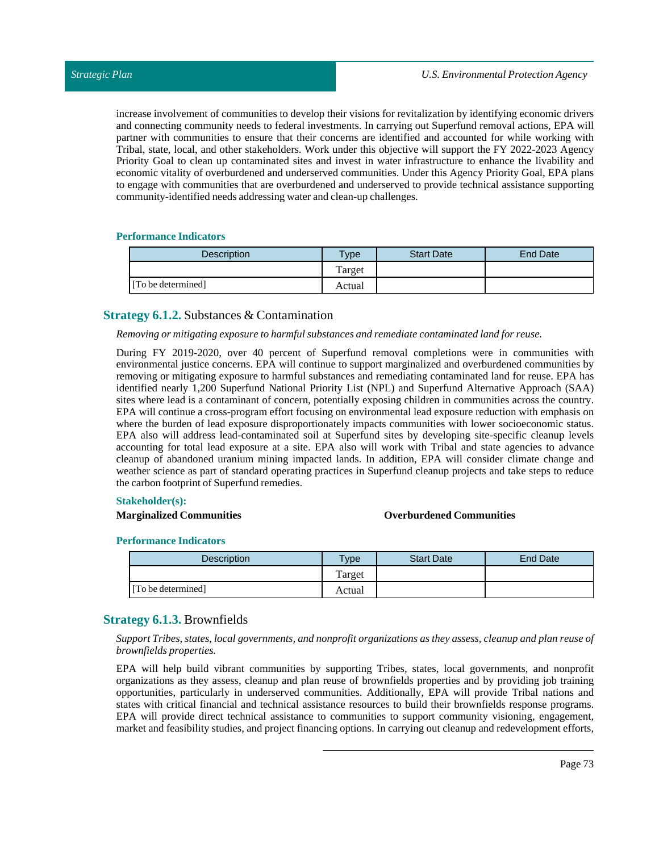increase involvement of communities to develop their visions for revitalization by identifying economic drivers and connecting community needs to federal investments. In carrying out Superfund removal actions, EPA will partner with communities to ensure that their concerns are identified and accounted for while working with Tribal, state, local, and other stakeholders. Work under this objective will support the FY 2022-2023 Agency Priority Goal to clean up contaminated sites and invest in water infrastructure to enhance the livability and economic vitality of overburdened and underserved communities. Under this Agency Priority Goal, EPA plans to engage with communities that are overburdened and underserved to provide technical assistance supporting community-identified needs addressing water and clean-up challenges.

#### **Performance Indicators**

| <b>Description</b> | vpe    | <b>Start Date</b> | End Date |
|--------------------|--------|-------------------|----------|
|                    | Target |                   |          |
| [To be determined] | Actual |                   |          |

# **Strategy 6.1.2.** Substances & Contamination

#### *Removing or mitigating exposure to harmful substances and remediate contaminated land for reuse.*

During FY 2019-2020, over 40 percent of Superfund removal completions were in communities with environmental justice concerns. EPA will continue to support marginalized and overburdened communities by removing or mitigating exposure to harmful substances and remediating contaminated land for reuse. EPA has identified nearly 1,200 Superfund National Priority List (NPL) and Superfund Alternative Approach (SAA) sites where lead is a contaminant of concern, potentially exposing children in communities across the country. EPA will continue a cross-program effort focusing on environmental lead exposure reduction with emphasis on where the burden of lead exposure disproportionately impacts communities with lower socioeconomic status. EPA also will address lead-contaminated soil at Superfund sites by developing site-specific cleanup levels accounting for total lead exposure at a site. EPA also will work with Tribal and state agencies to advance cleanup of abandoned uranium mining impacted lands. In addition, EPA will consider climate change and weather science as part of standard operating practices in Superfund cleanup projects and take steps to reduce the carbon footprint of Superfund remedies.

#### **Stakeholder(s):**

## **Marginalized Communities Overburdened Communities**

#### **Performance Indicators**

| <b>Description</b> | Type   | <b>Start Date</b> | End Date |
|--------------------|--------|-------------------|----------|
|                    | Target |                   |          |
| [To be determined] | Actual |                   |          |

# **Strategy 6.1.3.** Brownfields

#### *SupportTribes, states,local governments, and nonprofit organizations as they assess, cleanup and plan reuse of brownfields properties.*

EPA will help build vibrant communities by supporting Tribes, states, local governments, and nonprofit organizations as they assess, cleanup and plan reuse of brownfields properties and by providing job training opportunities, particularly in underserved communities. Additionally, EPA will provide Tribal nations and states with critical financial and technical assistance resources to build their brownfields response programs. EPA will provide direct technical assistance to communities to support community visioning, engagement, market and feasibility studies, and project financing options. In carrying out cleanup and redevelopment efforts,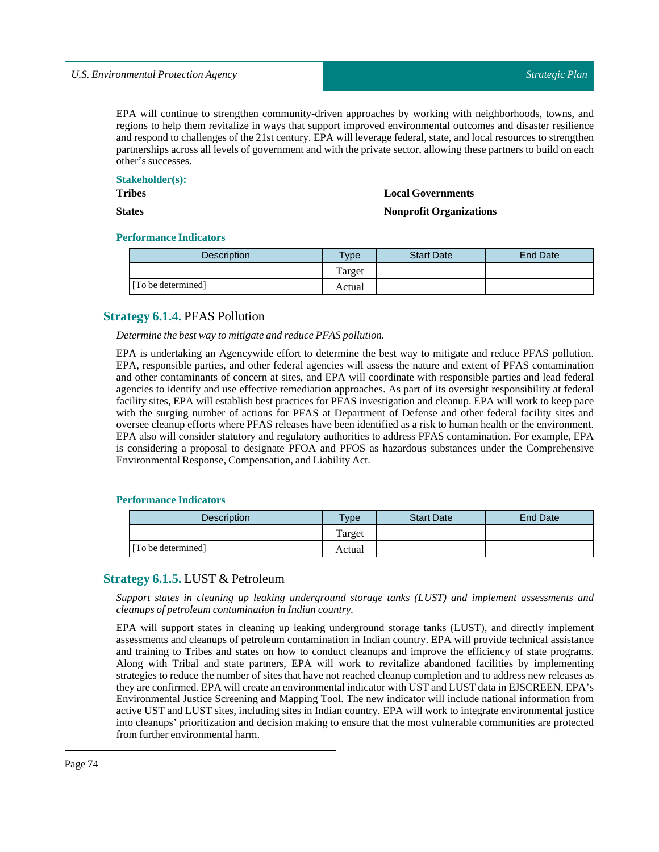EPA will continue to strengthen community-driven approaches by working with neighborhoods, towns, and regions to help them revitalize in ways that support improved environmental outcomes and disaster resilience and respond to challenges of the 21st century. EPA will leverage federal, state, and local resources to strengthen partnerships across all levels of government and with the private sector, allowing these partners to build on each other's successes.

#### **Stakeholder(s):**

**Tribes**

**States**

#### **Local Governments**

#### **Nonprofit Organizations**

#### **Performance Indicators**

| <b>Description</b> | $TV$ pe | <b>Start Date</b> | End Date |
|--------------------|---------|-------------------|----------|
|                    | Target  |                   |          |
| [To be determined] | Actual  |                   |          |

# **Strategy 6.1.4.** PFAS Pollution

*Determine the best way to mitigate and reduce PFAS pollution.*

EPA is undertaking an Agencywide effort to determine the best way to mitigate and reduce PFAS pollution. EPA, responsible parties, and other federal agencies will assess the nature and extent of PFAS contamination and other contaminants of concern at sites, and EPA will coordinate with responsible parties and lead federal agencies to identify and use effective remediation approaches. As part of its oversight responsibility at federal facility sites, EPA will establish best practices for PFAS investigation and cleanup. EPA will work to keep pace with the surging number of actions for PFAS at Department of Defense and other federal facility sites and oversee cleanup efforts where PFAS releases have been identified as a risk to human health or the environment. EPA also will consider statutory and regulatory authorities to address PFAS contamination. For example, EPA is considering a proposal to designate PFOA and PFOS as hazardous substances under the Comprehensive Environmental Response, Compensation, and Liability Act.

#### **Performance Indicators**

| Description        | $v$ pe | <b>Start Date</b> | <b>End Date</b> |
|--------------------|--------|-------------------|-----------------|
|                    | Target |                   |                 |
| [To be determined] | Actual |                   |                 |

# **Strategy 6.1.5.** LUST & Petroleum

*Support states in cleaning up leaking underground storage tanks (LUST) and implement assessments and cleanups of petroleum contamination in Indian country.*

EPA will support states in cleaning up leaking underground storage tanks (LUST), and directly implement assessments and cleanups of petroleum contamination in Indian country. EPA will provide technical assistance and training to Tribes and states on how to conduct cleanups and improve the efficiency of state programs. Along with Tribal and state partners, EPA will work to revitalize abandoned facilities by implementing strategies to reduce the number of sites that have not reached cleanup completion and to address new releases as they are confirmed. EPA will create an environmentalindicator with UST and LUST data in EJSCREEN, EPA's Environmental Justice Screening and Mapping Tool. The new indicator will include national information from active UST and LUST sites, including sites in Indian country. EPA will work to integrate environmental justice into cleanups' prioritization and decision making to ensure that the most vulnerable communities are protected from further environmental harm.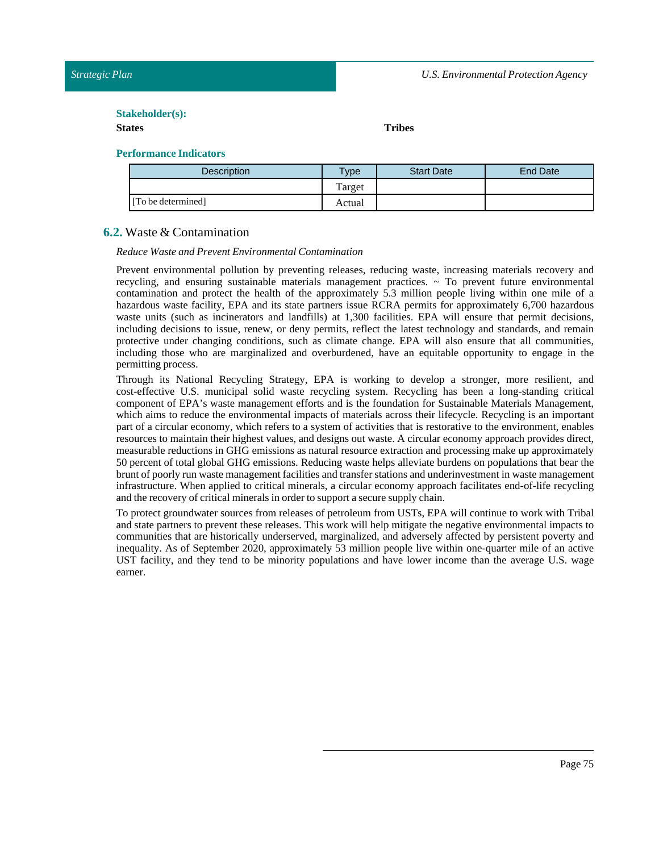#### $Stakeholder(s):$

#### **States Tribes**

# **Performance Indicators**

| <b>Description</b> | $v_{\rm p}$  | <b>Start Date</b> | End Date |
|--------------------|--------------|-------------------|----------|
|                    | m<br>l'arget |                   |          |
| [To be determined] | Actual       |                   |          |

# **6.2.** Waste & Contamination

#### *Reduce Waste and Prevent Environmental Contamination*

Prevent environmental pollution by preventing releases, reducing waste, increasing materials recovery and recycling, and ensuring sustainable materials management practices.  $\sim$  To prevent future environmental contamination and protect the health of the approximately 5.3 million people living within one mile of a hazardous waste facility, EPA and its state partners issue RCRA permits for approximately 6,700 hazardous waste units (such as incinerators and landfills) at 1,300 facilities. EPA will ensure that permit decisions, including decisions to issue, renew, or deny permits, reflect the latest technology and standards, and remain protective under changing conditions, such as climate change. EPA will also ensure that all communities, including those who are marginalized and overburdened, have an equitable opportunity to engage in the permitting process.

Through its National Recycling Strategy, EPA is working to develop a stronger, more resilient, and cost-effective U.S. municipal solid waste recycling system. Recycling has been a long-standing critical component of EPA's waste management efforts and is the foundation for Sustainable Materials Management, which aims to reduce the environmental impacts of materials across their lifecycle. Recycling is an important part of a circular economy, which refers to a system of activities that is restorative to the environment, enables resources to maintain their highest values, and designs out waste. A circular economy approach provides direct, measurable reductions in GHG emissions as natural resource extraction and processing make up approximately 50 percent of total global GHG emissions. Reducing waste helps alleviate burdens on populations that bear the brunt of poorly run waste management facilities and transfer stations and underinvestment in waste management infrastructure. When applied to critical minerals, a circular economy approach facilitates end-of-life recycling and the recovery of critical minerals in order to support a secure supply chain.

To protect groundwater sources from releases of petroleum from USTs, EPA will continue to work with Tribal and state partners to prevent these releases. This work will help mitigate the negative environmental impacts to communities that are historically underserved, marginalized, and adversely affected by persistent poverty and inequality. As of September 2020, approximately 53 million people live within one-quarter mile of an active UST facility, and they tend to be minority populations and have lower income than the average U.S. wage earner.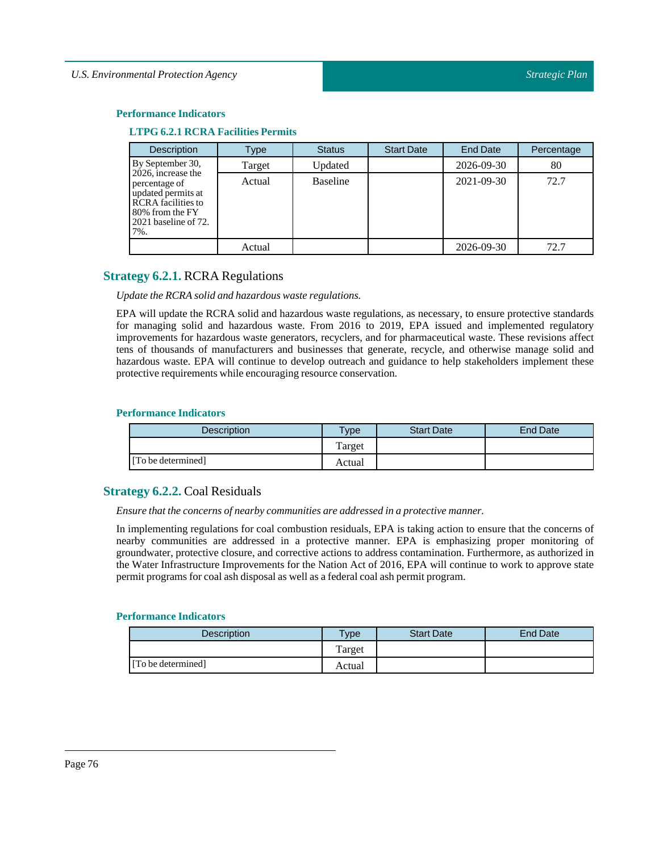#### **Performance Indicators**

#### **LTPG 6.2.1 RCRA Facilities Permits**

| <b>Description</b>                                                                                                                       | Type   | <b>Status</b>   | <b>Start Date</b> | <b>End Date</b> | Percentage |
|------------------------------------------------------------------------------------------------------------------------------------------|--------|-----------------|-------------------|-----------------|------------|
| By September 30,                                                                                                                         | Target | Updated         |                   | 2026-09-30      | 80         |
| 2026, increase the<br>percentage of<br>updated permits at<br><b>RCRA</b> facilities to<br>80% from the FY<br>2021 baseline of 72.<br>7%. | Actual | <b>Baseline</b> |                   | 2021-09-30      | 72.7       |
|                                                                                                                                          | Actual |                 |                   | 2026-09-30      | 72.7       |

# **Strategy 6.2.1.** RCRA Regulations

*Update the RCRA solid and hazardous waste regulations.*

EPA will update the RCRA solid and hazardous waste regulations, as necessary, to ensure protective standards for managing solid and hazardous waste. From 2016 to 2019, EPA issued and implemented regulatory improvements for hazardous waste generators, recyclers, and for pharmaceutical waste. These revisions affect tens of thousands of manufacturers and businesses that generate, recycle, and otherwise manage solid and hazardous waste. EPA will continue to develop outreach and guidance to help stakeholders implement these protective requirements while encouraging resource conservation.

#### **Performance Indicators**

| <b>Description</b> | Type   | <b>Start Date</b> | <b>End Date</b> |
|--------------------|--------|-------------------|-----------------|
|                    | Target |                   |                 |
| [To be determined] | Actual |                   |                 |

# **Strategy 6.2.2.** Coal Residuals

*Ensure that the concerns of nearby communities are addressed in a protective manner.* 

In implementing regulations for coal combustion residuals, EPA is taking action to ensure that the concerns of nearby communities are addressed in a protective manner. EPA is emphasizing proper monitoring of groundwater, protective closure, and corrective actions to address contamination. Furthermore, as authorized in the Water Infrastructure Improvements for the Nation Act of 2016, EPA will continue to work to approve state permit programs for coal ash disposal as well as a federal coal ash permit program.

| <b>Description</b> | $v_{\rm p}$ | <b>Start Date</b> | End Date |
|--------------------|-------------|-------------------|----------|
|                    | Target      |                   |          |
| [To be determined] | Actual      |                   |          |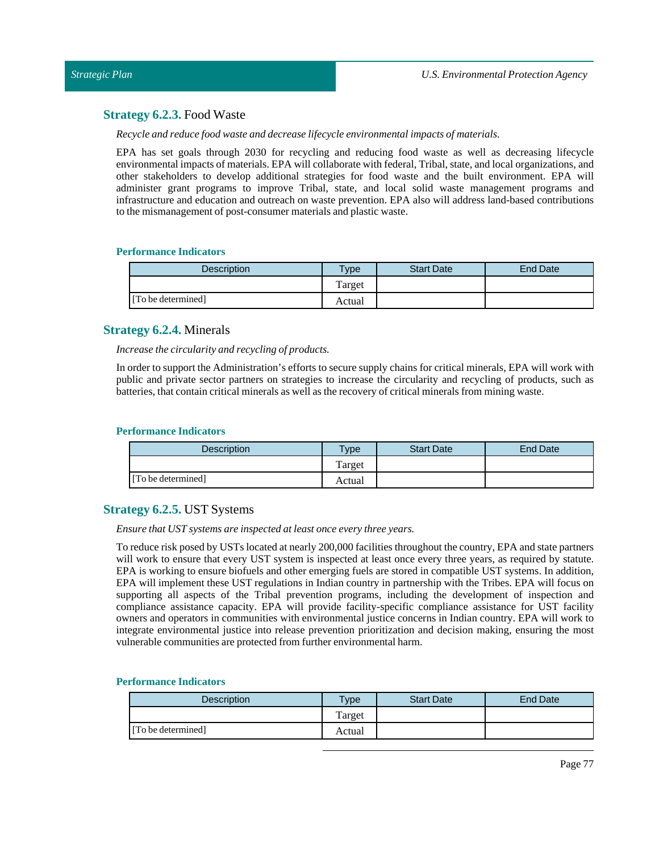# **Strategy 6.2.3.** Food Waste

*Recycle and reduce food waste and decrease lifecycle environmentalimpacts of materials.*

EPA has set goals through 2030 for recycling and reducing food waste as well as decreasing lifecycle environmentalimpacts of materials. EPA will collaborate with federal, Tribal, state, and local organizations, and other stakeholders to develop additional strategies for food waste and the built environment. EPA will administer grant programs to improve Tribal, state, and local solid waste management programs and infrastructure and education and outreach on waste prevention. EPA also will address land-based contributions to the mismanagement of post-consumer materials and plastic waste.

## **Performance Indicators**

| <b>Description</b> | $TV$ pe | <b>Start Date</b> | <b>End Date</b> |
|--------------------|---------|-------------------|-----------------|
|                    | Target  |                   |                 |
| [To be determined] | Actual  |                   |                 |

# **Strategy 6.2.4.** Minerals

*Increase the circularity and recycling of products.*

In order to support the Administration's efforts to secure supply chains for critical minerals, EPA will work with public and private sector partners on strategies to increase the circularity and recycling of products, such as batteries, that contain critical minerals as well as the recovery of critical minerals from mining waste.

#### **Performance Indicators**

| <b>Description</b> | <b>Type</b> | <b>Start Date</b> | End Date |
|--------------------|-------------|-------------------|----------|
|                    | Target      |                   |          |
| [To be determined] | Actual      |                   |          |

# **Strategy 6.2.5.** UST Systems

*Ensure that USTsystems are inspected atleast once every three years.*

To reduce risk posed by USTs located at nearly 200,000 facilities throughoutthe country, EPA and state partners will work to ensure that every UST system is inspected at least once every three years, as required by statute. EPA is working to ensure biofuels and other emerging fuels are stored in compatible UST systems. In addition, EPA will implement these UST regulations in Indian country in partnership with the Tribes. EPA will focus on supporting all aspects of the Tribal prevention programs, including the development of inspection and compliance assistance capacity. EPA will provide facility-specific compliance assistance for UST facility owners and operators in communities with environmental justice concerns in Indian country. EPA will work to integrate environmental justice into release prevention prioritization and decision making, ensuring the most vulnerable communities are protected from further environmental harm.

| <b>Description</b> | <b>Vpe</b> | <b>Start Date</b> | End Date |
|--------------------|------------|-------------------|----------|
|                    | Target     |                   |          |
| [To be determined] | Actual     |                   |          |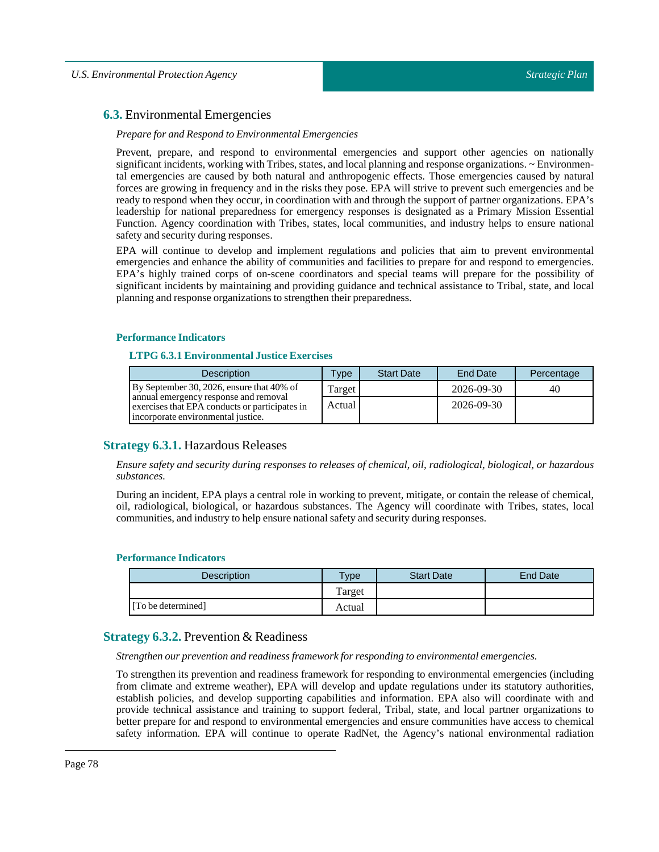# **6.3.** Environmental Emergencies

#### *Prepare for and Respond to Environmental Emergencies*

Prevent, prepare, and respond to environmental emergencies and support other agencies on nationally significant incidents, working with Tribes, states, and local planning and response organizations.  $\sim$  Environmental emergencies are caused by both natural and anthropogenic effects. Those emergencies caused by natural forces are growing in frequency and in the risks they pose. EPA will strive to prevent such emergencies and be ready to respond when they occur, in coordination with and through the support of partner organizations. EPA's leadership for national preparedness for emergency responses is designated as a Primary Mission Essential Function. Agency coordination with Tribes, states, local communities, and industry helps to ensure national safety and security during responses.

EPA will continue to develop and implement regulations and policies that aim to prevent environmental emergencies and enhance the ability of communities and facilities to prepare for and respond to emergencies. EPA's highly trained corps of on-scene coordinators and special teams will prepare for the possibility of significant incidents by maintaining and providing guidance and technical assistance to Tribal, state, and local planning and response organizations to strengthen their preparedness.

#### **Performance Indicators**

# **LTPG 6.3.1 Environmental Justice Exercises**

| <b>Description</b>                                                                                                            | Type   | <b>Start Date</b> | End Date   | Percentage |
|-------------------------------------------------------------------------------------------------------------------------------|--------|-------------------|------------|------------|
| By September 30, 2026, ensure that 40% of                                                                                     | Target |                   | 2026-09-30 | 40         |
| annual emergency response and removal<br>exercises that EPA conducts or participates in<br>incorporate environmental justice. | Actual |                   | 2026-09-30 |            |

# **Strategy 6.3.1.** Hazardous Releases

*Ensure safety and security during responses to releases of chemical, oil, radiological, biological, or hazardous substances.*

During an incident, EPA plays a central role in working to prevent, mitigate, or contain the release of chemical, oil, radiological, biological, or hazardous substances. The Agency will coordinate with Tribes, states, local communities, and industry to help ensure national safety and security during responses.

#### **Performance Indicators**

| Description        | $T$ vpe | <b>Start Date</b> | <b>End Date</b> |
|--------------------|---------|-------------------|-----------------|
|                    | Target  |                   |                 |
| [To be determined] | Actual  |                   |                 |

#### **Strategy 6.3.2.** Prevention & Readiness

*Strengthen our prevention and readiness framework for responding to environmental emergencies.*

To strengthen its prevention and readiness framework for responding to environmental emergencies (including from climate and extreme weather), EPA will develop and update regulations under its statutory authorities, establish policies, and develop supporting capabilities and information. EPA also will coordinate with and provide technical assistance and training to support federal, Tribal, state, and local partner organizations to better prepare for and respond to environmental emergencies and ensure communities have access to chemical safety information. EPA will continue to operate RadNet, the Agency's national environmental radiation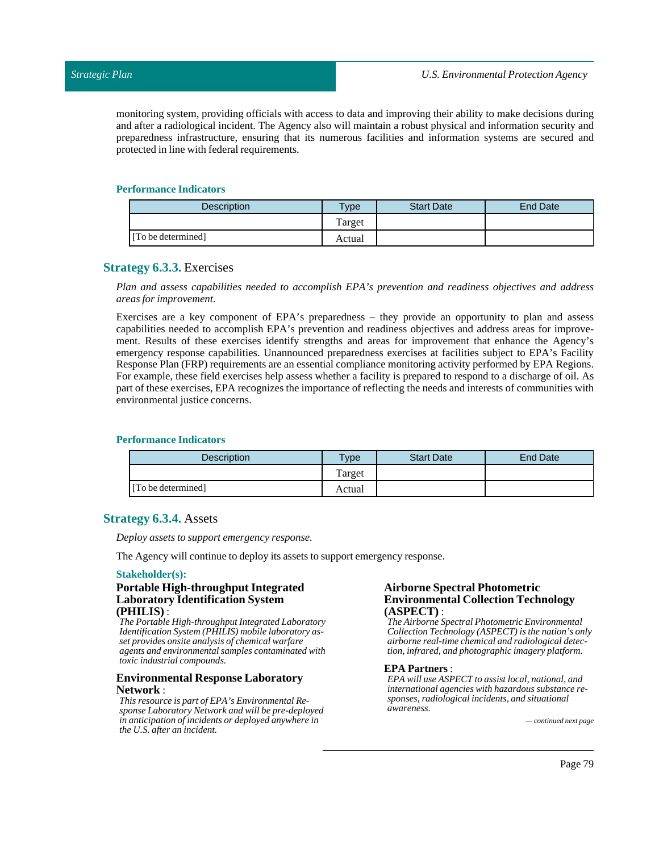monitoring system, providing officials with access to data and improving their ability to make decisions during and after a radiological incident. The Agency also will maintain a robust physical and information security and preparedness infrastructure, ensuring that its numerous facilities and information systems are secured and protected in line with federal requirements.

#### **Performance Indicators**

| <b>Description</b> | <b>Vpe</b> | <b>Start Date</b> | End Date |
|--------------------|------------|-------------------|----------|
|                    | Farget     |                   |          |
| [To be determined] | Actual     |                   |          |

# **Strategy 6.3.3.** Exercises

*Plan and assess capabilities needed to accomplish EPA's prevention and readiness objectives and address areas for improvement.*

Exercises are a key component of EPA's preparedness – they provide an opportunity to plan and assess capabilities needed to accomplish EPA's prevention and readiness objectives and address areas for improvement. Results of these exercises identify strengths and areas for improvement that enhance the Agency's emergency response capabilities. Unannounced preparedness exercises at facilities subject to EPA's Facility Response Plan (FRP) requirements are an essential compliance monitoring activity performed by EPA Regions. For example, these field exercises help assess whether a facility is prepared to respond to a discharge of oil. As part of these exercises, EPA recognizes the importance of reflecting the needs and interests of communities with environmental justice concerns.

#### **Performance Indicators**

| <b>Description</b> | $T$ <sub>V</sub> pe | <b>Start Date</b> | <b>End Date</b> |
|--------------------|---------------------|-------------------|-----------------|
|                    | Target              |                   |                 |
| [To be determined] | Actual              |                   |                 |

#### **Strategy 6.3.4.** Assets

*Deploy assets to support emergency response.*

The Agency will continue to deploy its assets to support emergency response.

#### **Stakeholder(s):**

#### **Portable High-throughput Integrated Laboratory Identification System (PHILIS)** :

*The Portable High-throughput Integrated Laboratory Identification System (PHILIS) mobile laboratory asset provides onsite analysis of chemical warfare agents and environmental samples contaminated with toxic industrial compounds.*

#### **Environmental Response Laboratory Network** :

*This resource is part of EPA's Environmental Response Laboratory Network and will be pre-deployed in anticipation of incidents or deployed anywhere in the U.S. after an incident.*

#### **Airborne Spectral Photometric Environmental Collection Technology (ASPECT)** :

*The Airborne Spectral Photometric Environmental Collection Technology (ASPECT) is the nation's only airborne real-time chemical and radiological detection, infrared, and photographic imagery platform.*

#### **EPA Partners** :

*EPA will use ASPECT to assist local, national, and international agencies with hazardous substance responses, radiological incidents, and situational awareness.*

*— continued next page*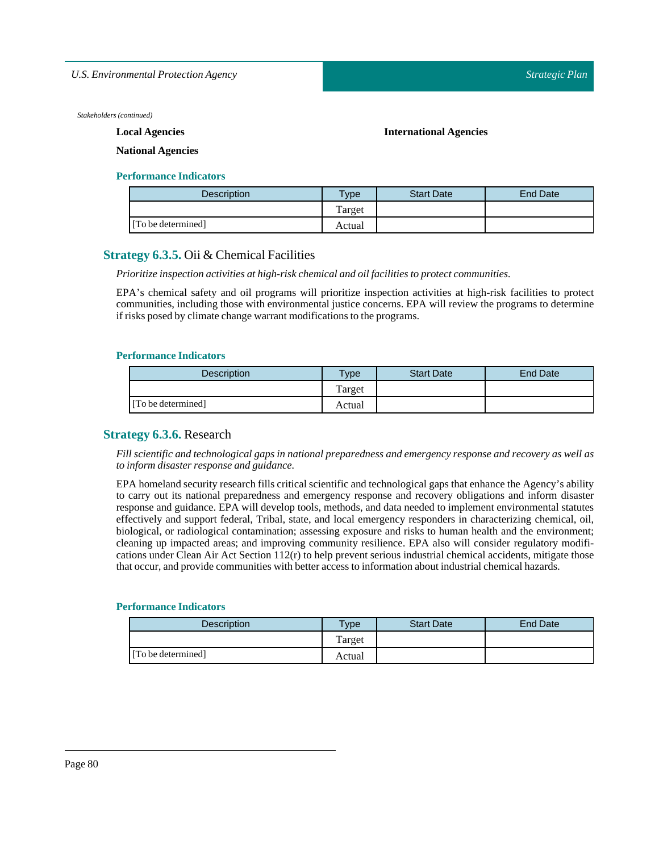*U.S. Environmental Protection Agency*

*Stakeholders (continued)*

**Local Agencies**

**International Agencies**

**National Agencies**

#### **Performance Indicators**

| Description        | $T$ ype | <b>Start Date</b> | End Date |
|--------------------|---------|-------------------|----------|
|                    | Target  |                   |          |
| [To be determined] | Actual  |                   |          |

# **Strategy 6.3.5.** Oii & Chemical Facilities

*Prioritize inspection activities at high-risk chemical and oilfacilities to protect communities.*

EPA's chemical safety and oil programs will prioritize inspection activities at high-risk facilities to protect communities, including those with environmental justice concerns. EPA will review the programs to determine if risks posed by climate change warrant modifications to the programs.

#### **Performance Indicators**

| <b>Description</b> | $T$ <sub>ype</sub> | <b>Start Date</b> | <b>End Date</b> |
|--------------------|--------------------|-------------------|-----------------|
|                    | Target             |                   |                 |
| [To be determined] | Actual             |                   |                 |

# **Strategy 6.3.6.** Research

*Fill scientific and technological gaps in national preparedness and emergency response and recovery as well as to inform disaster response and guidance.*

EPA homeland security research fills critical scientific and technological gaps that enhance the Agency's ability to carry out its national preparedness and emergency response and recovery obligations and inform disaster response and guidance. EPA will develop tools, methods, and data needed to implement environmental statutes effectively and support federal, Tribal, state, and local emergency responders in characterizing chemical, oil, biological, or radiological contamination; assessing exposure and risks to human health and the environment; cleaning up impacted areas; and improving community resilience. EPA also will consider regulatory modifications under Clean Air Act Section 112(r) to help prevent serious industrial chemical accidents, mitigate those that occur, and provide communities with better access to information aboutindustrial chemical hazards.

| Description        | $v$ pe | <b>Start Date</b> | <b>End Date</b> |
|--------------------|--------|-------------------|-----------------|
|                    | Target |                   |                 |
| [To be determined] | Actual |                   |                 |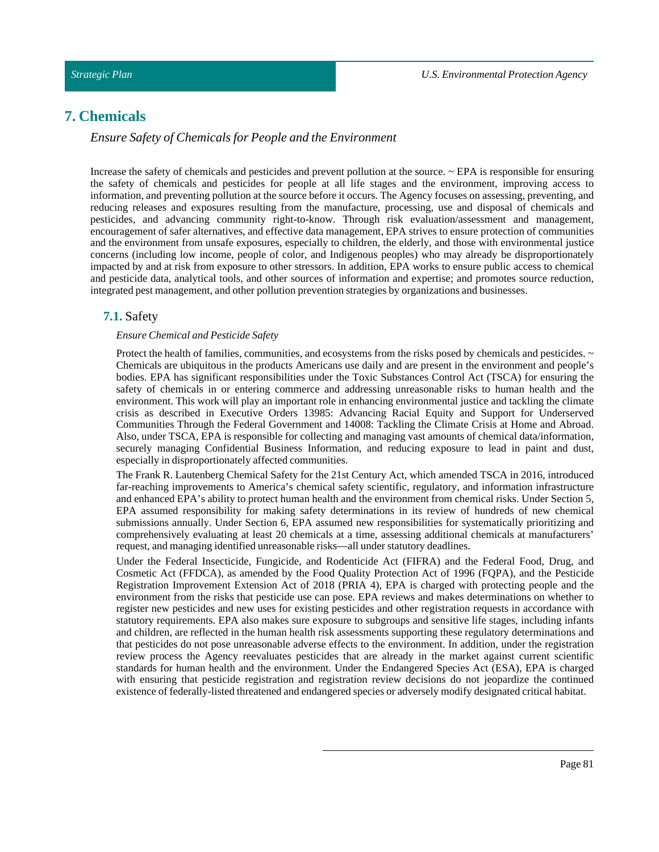# **7. Chemicals**

# *Ensure Safety of Chemicals for People and the Environment*

Increase the safety of chemicals and pesticides and prevent pollution at the source. ~ EPA is responsible for ensuring the safety of chemicals and pesticides for people at all life stages and the environment, improving access to information, and preventing pollution at the source before it occurs. The Agency focuses on assessing, preventing, and reducing releases and exposures resulting from the manufacture, processing, use and disposal of chemicals and pesticides, and advancing community right-to-know. Through risk evaluation/assessment and management, encouragement of safer alternatives, and effective data management, EPA strives to ensure protection of communities and the environment from unsafe exposures, especially to children, the elderly, and those with environmental justice concerns (including low income, people of color, and Indigenous peoples) who may already be disproportionately impacted by and at risk from exposure to other stressors. In addition, EPA works to ensure public access to chemical and pesticide data, analytical tools, and other sources of information and expertise; and promotes source reduction, integrated pest management, and other pollution prevention strategies by organizations and businesses.

# **7.1.** Safety

#### *Ensure Chemical and Pesticide Safety*

Protect the health of families, communities, and ecosystems from the risks posed by chemicals and pesticides.  $\sim$ Chemicals are ubiquitous in the products Americans use daily and are present in the environment and people's bodies. EPA has significant responsibilities under the Toxic Substances Control Act (TSCA) for ensuring the safety of chemicals in or entering commerce and addressing unreasonable risks to human health and the environment. This work will play an important role in enhancing environmental justice and tackling the climate crisis as described in Executive Orders 13985: Advancing Racial Equity and Support for Underserved Communities Through the Federal Government and 14008: Tackling the Climate Crisis at Home and Abroad. Also, under TSCA, EPA is responsible for collecting and managing vast amounts of chemical data/information, securely managing Confidential Business Information, and reducing exposure to lead in paint and dust, especially in disproportionately affected communities.

The Frank R. Lautenberg Chemical Safety for the 21st Century Act, which amended TSCA in 2016, introduced far-reaching improvements to America's chemical safety scientific, regulatory, and information infrastructure and enhanced EPA's ability to protect human health and the environment from chemical risks. Under Section 5, EPA assumed responsibility for making safety determinations in its review of hundreds of new chemical submissions annually. Under Section 6, EPA assumed new responsibilities for systematically prioritizing and comprehensively evaluating at least 20 chemicals at a time, assessing additional chemicals at manufacturers' request, and managing identified unreasonable risks—all under statutory deadlines.

Under the Federal Insecticide, Fungicide, and Rodenticide Act (FIFRA) and the Federal Food, Drug, and Cosmetic Act (FFDCA), as amended by the Food Quality Protection Act of 1996 (FQPA), and the Pesticide Registration Improvement Extension Act of 2018 (PRIA 4), EPA is charged with protecting people and the environment from the risks that pesticide use can pose. EPA reviews and makes determinations on whether to register new pesticides and new uses for existing pesticides and other registration requests in accordance with statutory requirements. EPA also makes sure exposure to subgroups and sensitive life stages, including infants and children, are reflected in the human health risk assessments supporting these regulatory determinations and that pesticides do not pose unreasonable adverse effects to the environment. In addition, under the registration review process the Agency reevaluates pesticides that are already in the market against current scientific standards for human health and the environment. Under the Endangered Species Act (ESA), EPA is charged with ensuring that pesticide registration and registration review decisions do not jeopardize the continued existence of federally-listed threatened and endangered species or adversely modify designated critical habitat.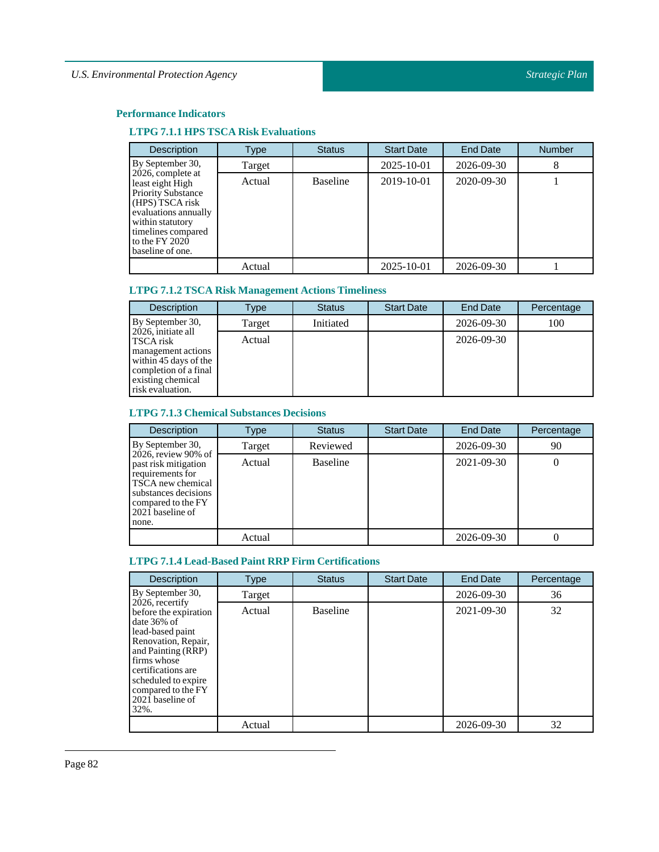# **Performance Indicators**

# **LTPG 7.1.1 HPS TSCA Risk Evaluations**

| <b>Description</b>                                                                                                                                                                              | Type   | <b>Status</b>   | <b>Start Date</b> | <b>End Date</b>  | <b>Number</b> |
|-------------------------------------------------------------------------------------------------------------------------------------------------------------------------------------------------|--------|-----------------|-------------------|------------------|---------------|
| By September 30,                                                                                                                                                                                | Target |                 | 2025-10-01        | 2026-09-30       | 8             |
| 2026, complete at<br>least eight High<br><b>Priority Substance</b><br>(HPS) TSCA risk<br>evaluations annually<br>within statutory<br>timelines compared<br>to the $FY$ 2020<br>baseline of one. | Actual | <b>Baseline</b> | 2019-10-01        | $2020 - 09 - 30$ |               |
|                                                                                                                                                                                                 | Actual |                 | 2025-10-01        | 2026-09-30       |               |

# **LTPG 7.1.2 TSCA Risk Management Actions Timeliness**

| <b>Description</b>                                                                                                                               | Type   | <b>Status</b> | <b>Start Date</b> | End Date   | Percentage |
|--------------------------------------------------------------------------------------------------------------------------------------------------|--------|---------------|-------------------|------------|------------|
| By September 30,                                                                                                                                 | Target | Initiated     |                   | 2026-09-30 | 100        |
| 2026, initiate all<br>TSCA risk<br>management actions<br>within 45 days of the<br>completion of a final<br>existing chemical<br>risk evaluation. | Actual |               |                   | 2026-09-30 |            |

# **LTPG 7.1.3 ChemicalSubstances Decisions**

| <b>Description</b>                                                                                                                                              | Type   | <b>Status</b>   | <b>Start Date</b> | <b>End Date</b> | Percentage |
|-----------------------------------------------------------------------------------------------------------------------------------------------------------------|--------|-----------------|-------------------|-----------------|------------|
| By September 30,                                                                                                                                                | Target | Reviewed        |                   | 2026-09-30      | 90         |
| 2026, review 90% of<br>past risk mitigation<br>requirements for<br>TSCA new chemical<br>substances decisions<br>compared to the FY<br>2021 baseline of<br>none. | Actual | <b>Baseline</b> |                   | 2021-09-30      | U          |
|                                                                                                                                                                 | Actual |                 |                   | 2026-09-30      |            |

# **LTPG 7.1.4 Lead-Based Paint RRP Firm Certifications**

| <b>Description</b>                                                                                                                                                                                                                        | Type   | <b>Status</b>   | <b>Start Date</b> | End Date   | Percentage |
|-------------------------------------------------------------------------------------------------------------------------------------------------------------------------------------------------------------------------------------------|--------|-----------------|-------------------|------------|------------|
| By September 30,                                                                                                                                                                                                                          | Target |                 |                   | 2026-09-30 | 36         |
| 2026, recertify<br>before the expiration<br>date $36\%$ of<br>lead-based paint<br>Renovation, Repair,<br>and Painting (RRP)<br>firms whose<br>certifications are<br>scheduled to expire<br>compared to the FY<br>2021 baseline of<br>32%. | Actual | <b>Baseline</b> |                   | 2021-09-30 | 32         |
|                                                                                                                                                                                                                                           | Actual |                 |                   | 2026-09-30 | 32         |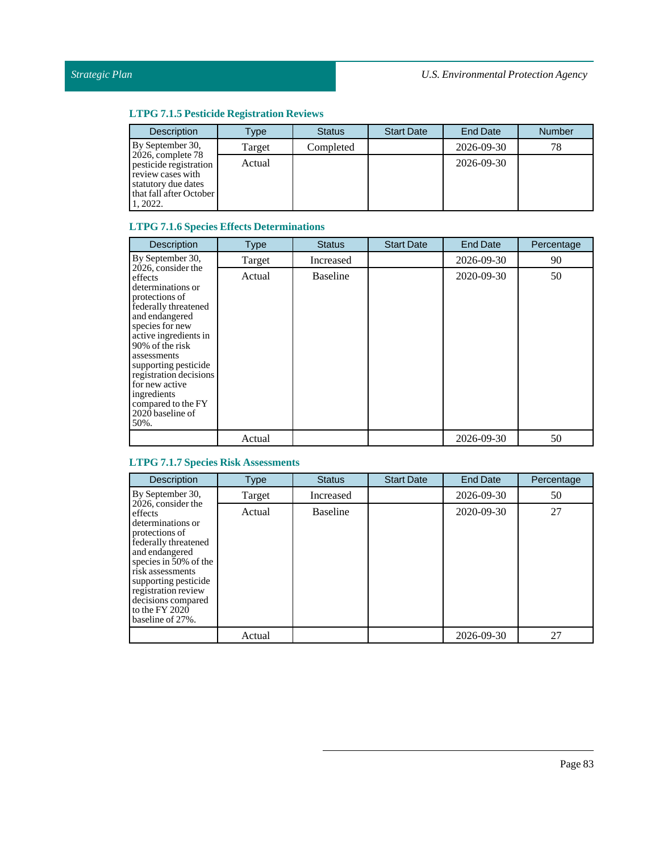# **LTPG 7.1.5 Pesticide Registration Reviews**

| <b>Description</b>                                                                                                                 | Type   | <b>Status</b> | <b>Start Date</b> | <b>End Date</b> | <b>Number</b> |
|------------------------------------------------------------------------------------------------------------------------------------|--------|---------------|-------------------|-----------------|---------------|
| By September 30,                                                                                                                   | Target | Completed     |                   | 2026-09-30      | 78            |
| $2026$ , complete $78$<br>pesticide registration<br>review cases with<br>statutory due dates<br>that fall after October<br>1.2022. | Actual |               |                   | 2026-09-30      |               |

# **LTPG 7.1.6Species Effects Determinations**

| Description                                                                                                                                                                                                                                                                                                                       | <b>Type</b> | <b>Status</b>   | <b>Start Date</b> | End Date   | Percentage |
|-----------------------------------------------------------------------------------------------------------------------------------------------------------------------------------------------------------------------------------------------------------------------------------------------------------------------------------|-------------|-----------------|-------------------|------------|------------|
| By September 30,                                                                                                                                                                                                                                                                                                                  | Target      | Increased       |                   | 2026-09-30 | 90         |
| 2026, consider the<br>effects<br>determinations or<br>protections of<br>federally threatened<br>and endangered<br>species for new<br>active ingredients in<br>90% of the risk<br>assessments<br>supporting pesticide<br>registration decisions<br>for new active<br>ingredients<br>compared to the FY<br>2020 baseline of<br>50%. | Actual      | <b>Baseline</b> |                   | 2020-09-30 | 50         |
|                                                                                                                                                                                                                                                                                                                                   | Actual      |                 |                   | 2026-09-30 | 50         |

# **LTPG 7.1.7Species Risk Assessments**

| Description                                                                                                                                                                                                                                                              | <b>Type</b> | <b>Status</b>   | <b>Start Date</b> | <b>End Date</b> | Percentage |
|--------------------------------------------------------------------------------------------------------------------------------------------------------------------------------------------------------------------------------------------------------------------------|-------------|-----------------|-------------------|-----------------|------------|
| By September 30,                                                                                                                                                                                                                                                         | Target      | Increased       |                   | 2026-09-30      | 50         |
| 2026, consider the<br>effects<br>determinations or<br>protections of<br>federally threatened<br>and endangered<br>species in 50% of the<br>risk assessments<br>supporting pesticide<br>registration review<br>decisions compared<br>to the $FY$ 2020<br>baseline of 27%. | Actual      | <b>Baseline</b> |                   | 2020-09-30      | 27         |
|                                                                                                                                                                                                                                                                          | Actual      |                 |                   | 2026-09-30      | 27         |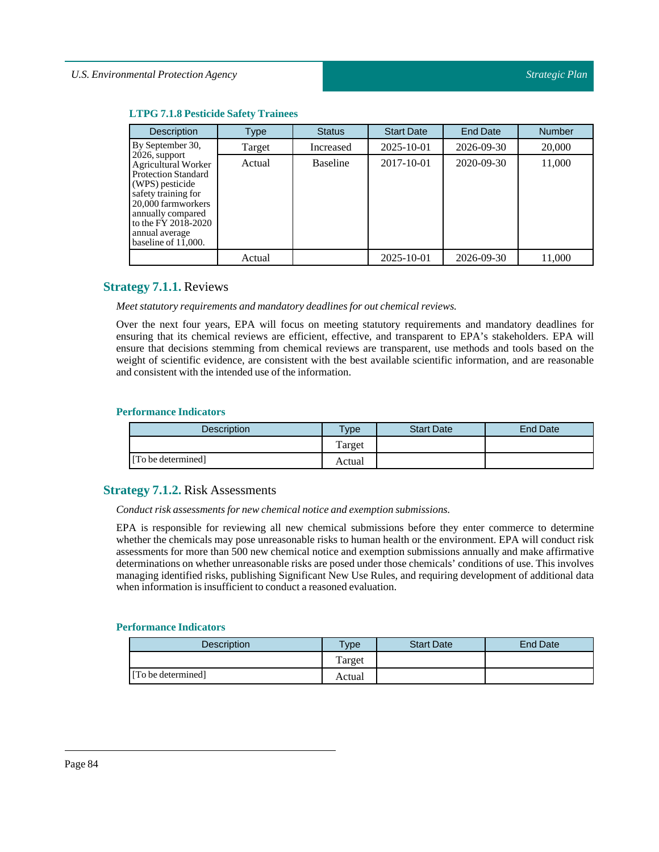| <b>LTPG 7.1.8 Pesticide Safety Trainees</b> |  |
|---------------------------------------------|--|
|                                             |  |

| <b>Description</b>                                                                                                                                                                                                                | Type   | <b>Status</b>   | <b>Start Date</b> | <b>End Date</b>  | <b>Number</b> |
|-----------------------------------------------------------------------------------------------------------------------------------------------------------------------------------------------------------------------------------|--------|-----------------|-------------------|------------------|---------------|
| By September 30,                                                                                                                                                                                                                  | Target | Increased       | $2025 - 10 - 01$  | $2026 - 09 - 30$ | 20,000        |
| $2026$ , support<br><b>Agricultural Worker</b><br><b>Protection Standard</b><br>(WPS) pesticide<br>safety training for<br>20,000 farmworkers<br>annually compared<br>to the FY 2018-2020<br>annual average<br>baseline of 11,000. | Actual | <b>Baseline</b> | 2017-10-01        | $2020 - 09 - 30$ | 11,000        |
|                                                                                                                                                                                                                                   | Actual |                 | 2025-10-01        | 2026-09-30       | 11.000        |

# **Strategy 7.1.1.** Reviews

*Meet statutory requirements and mandatory deadlines for out chemical reviews.*

Over the next four years, EPA will focus on meeting statutory requirements and mandatory deadlines for ensuring that its chemical reviews are efficient, effective, and transparent to EPA's stakeholders. EPA will ensure that decisions stemming from chemical reviews are transparent, use methods and tools based on the weight of scientific evidence, are consistent with the best available scientific information, and are reasonable and consistent with the intended use of the information.

#### **Performance Indicators**

| <b>Description</b> | <b>Type</b> | <b>Start Date</b> | End Date |
|--------------------|-------------|-------------------|----------|
|                    | Target      |                   |          |
| [To be determined] | Actual      |                   |          |

# **Strategy 7.1.2.** Risk Assessments

*Conduct risk assessments for new chemical notice and exemption submissions.*

EPA is responsible for reviewing all new chemical submissions before they enter commerce to determine whether the chemicals may pose unreasonable risks to human health or the environment. EPA will conduct risk assessments for more than 500 new chemical notice and exemption submissions annually and make affirmative determinations on whether unreasonable risks are posed under those chemicals' conditions of use. This involves managing identified risks, publishing Significant New Use Rules, and requiring development of additional data when information is insufficient to conduct a reasoned evaluation.

| Description        | $T$ vpe | <b>Start Date</b> | End Date |
|--------------------|---------|-------------------|----------|
|                    | Target  |                   |          |
| [To be determined] | Actual  |                   |          |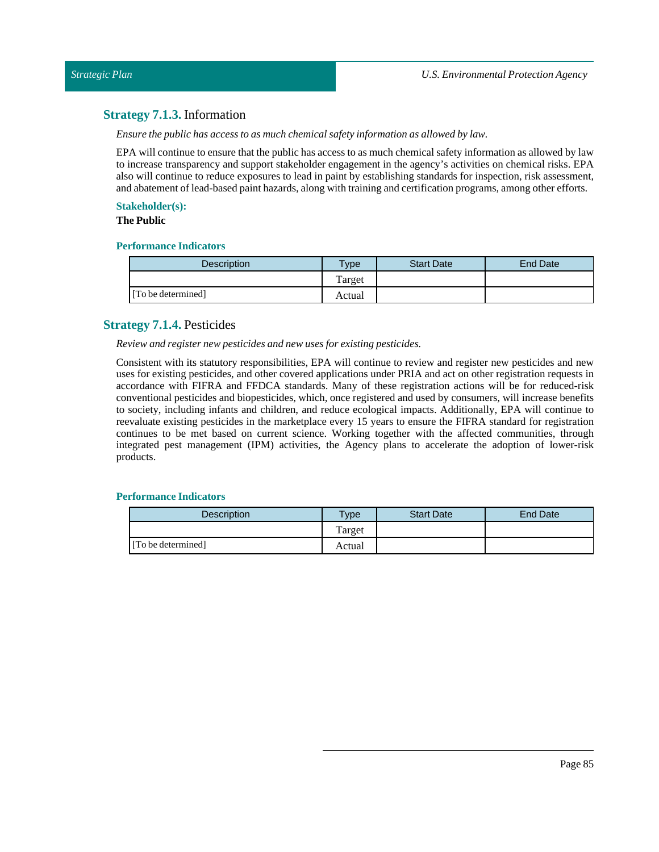# **Strategy 7.1.3.** Information

*Ensure the public has access to as much chemical safety information as allowed by law.*

EPA will continue to ensure that the public has access to as much chemical safety information as allowed by law to increase transparency and support stakeholder engagement in the agency's activities on chemical risks. EPA also will continue to reduce exposures to lead in paint by establishing standards for inspection, risk assessment, and abatement of lead-based paint hazards, along with training and certification programs, among other efforts.

## **Stakeholder(s):**

**The Public**

## **Performance Indicators**

| <b>Description</b> | vpe    | <b>Start Date</b> | End Date |
|--------------------|--------|-------------------|----------|
|                    | Target |                   |          |
| [To be determined] | Actual |                   |          |

# **Strategy 7.1.4.** Pesticides

*Review and register new pesticides and new uses for existing pesticides.*

Consistent with its statutory responsibilities, EPA will continue to review and register new pesticides and new uses for existing pesticides, and other covered applications under PRIA and act on other registration requests in accordance with FIFRA and FFDCA standards. Many of these registration actions will be for reduced-risk conventional pesticides and biopesticides, which, once registered and used by consumers, will increase benefits to society, including infants and children, and reduce ecological impacts. Additionally, EPA will continue to reevaluate existing pesticides in the marketplace every 15 years to ensure the FIFRA standard for registration continues to be met based on current science. Working together with the affected communities, through integrated pest management (IPM) activities, the Agency plans to accelerate the adoption of lower-risk products.

| <b>Description</b> | $T$ <sub>ype</sub> | <b>Start Date</b> | <b>End Date</b> |
|--------------------|--------------------|-------------------|-----------------|
|                    | Target             |                   |                 |
| [To be determined] | Actual             |                   |                 |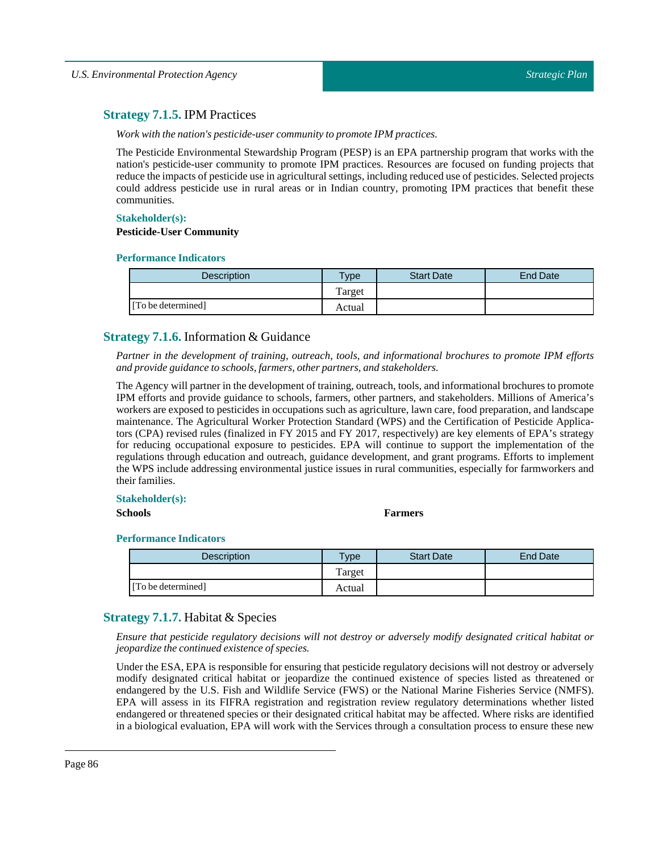# **Strategy 7.1.5.** IPM Practices

*Work with the nation's pesticide-user community to promote IPM practices.*

The Pesticide Environmental Stewardship Program (PESP) is an EPA partnership program that works with the nation's pesticide-user community to promote IPM practices. Resources are focused on funding projects that reduce the impacts of pesticide use in agricultural settings, including reduced use of pesticides. Selected projects could address pesticide use in rural areas or in Indian country, promoting IPM practices that benefit these communities.

#### **Stakeholder(s):**

#### **Pesticide-User Community**

# **Performance Indicators**

| Description        | Type   | <b>Start Date</b> | End Date |
|--------------------|--------|-------------------|----------|
|                    | Target |                   |          |
| [To be determined] | Actual |                   |          |

# **Strategy 7.1.6.** Information & Guidance

*Partner in the development of training, outreach, tools, and informational brochures to promote IPM efforts and provide guidance to schools,farmers, other partners, and stakeholders.*

The Agency will partner in the development of training, outreach, tools, and informational brochures to promote IPM efforts and provide guidance to schools, farmers, other partners, and stakeholders. Millions of America's workers are exposed to pesticides in occupations such as agriculture, lawn care, food preparation, and landscape maintenance. The Agricultural Worker Protection Standard (WPS) and the Certification of Pesticide Applicators (CPA) revised rules (finalized in FY 2015 and FY 2017, respectively) are key elements of EPA's strategy for reducing occupational exposure to pesticides. EPA will continue to support the implementation of the regulations through education and outreach, guidance development, and grant programs. Efforts to implement the WPS include addressing environmental justice issues in rural communities, especially for farmworkers and their families.

#### **Stakeholder(s):**

#### **Schools Farmers**

#### **Performance Indicators**

| <b>Description</b> | Type   | <b>Start Date</b> | End Date |
|--------------------|--------|-------------------|----------|
|                    | Target |                   |          |
| [To be determined] | Actual |                   |          |

# **Strategy 7.1.7.** Habitat & Species

*Ensure that pesticide regulatory decisions will not destroy or adversely modify designated critical habitat or jeopardize the continued existence of species.*

Under the ESA, EPA is responsible for ensuring that pesticide regulatory decisions will not destroy or adversely modify designated critical habitat or jeopardize the continued existence of species listed as threatened or endangered by the U.S. Fish and Wildlife Service (FWS) or the National Marine Fisheries Service (NMFS). EPA will assess in its FIFRA registration and registration review regulatory determinations whether listed endangered or threatened species or their designated critical habitat may be affected. Where risks are identified in a biological evaluation, EPA will work with the Services through a consultation process to ensure these new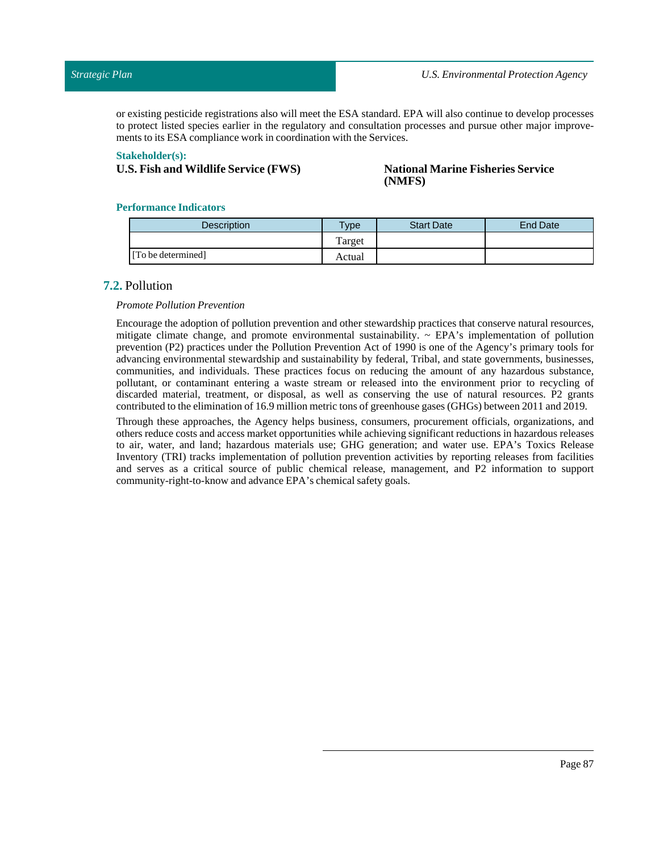or existing pesticide registrations also will meet the ESA standard. EPA will also continue to develop processes to protect listed species earlier in the regulatory and consultation processes and pursue other major improvements to its ESA compliance work in coordination with the Services.

#### **Stakeholder(s):**

# **U.S. Fish and Wildlife Service (FWS) National Marine Fisheries Service**

# **(NMFS)**

#### **Performance Indicators**

| <b>Description</b> | Type   | <b>Start Date</b> | <b>End Date</b> |
|--------------------|--------|-------------------|-----------------|
|                    | Target |                   |                 |
| [To be determined] | Actual |                   |                 |

## **7.2.** Pollution

#### *Promote Pollution Prevention*

Encourage the adoption of pollution prevention and other stewardship practices that conserve natural resources, mitigate climate change, and promote environmental sustainability. ~ EPA's implementation of pollution prevention (P2) practices under the Pollution Prevention Act of 1990 is one of the Agency's primary tools for advancing environmental stewardship and sustainability by federal, Tribal, and state governments, businesses, communities, and individuals. These practices focus on reducing the amount of any hazardous substance, pollutant, or contaminant entering a waste stream or released into the environment prior to recycling of discarded material, treatment, or disposal, as well as conserving the use of natural resources. P2 grants contributed to the elimination of 16.9 million metric tons of greenhouse gases (GHGs) between 2011 and 2019.

Through these approaches, the Agency helps business, consumers, procurement officials, organizations, and others reduce costs and access market opportunities while achieving significant reductions in hazardous releases to air, water, and land; hazardous materials use; GHG generation; and water use. EPA's Toxics Release Inventory (TRI) tracks implementation of pollution prevention activities by reporting releases from facilities and serves as a critical source of public chemical release, management, and P2 information to support community-right-to-know and advance EPA's chemical safety goals.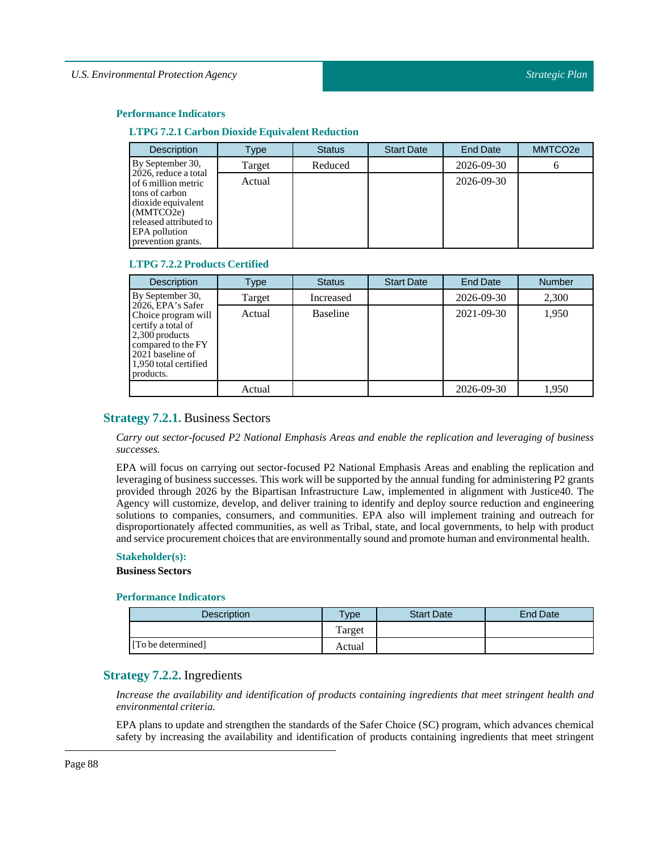#### **Performance Indicators**

#### **LTPG 7.2.1 Carbon Dioxide Equivalent Reduction**

| <b>Description</b>                                                                                                                                                | Type   | <b>Status</b> | <b>Start Date</b> | <b>End Date</b> | MMTCO <sub>2e</sub> |
|-------------------------------------------------------------------------------------------------------------------------------------------------------------------|--------|---------------|-------------------|-----------------|---------------------|
| By September 30,                                                                                                                                                  | Target | Reduced       |                   | 2026-09-30      | o                   |
| 2026, reduce a total<br>of 6 million metric<br>tons of carbon<br>dioxide equivalent<br>(MMTCO2e)<br>released attributed to<br>EPA pollution<br>prevention grants. | Actual |               |                   | 2026-09-30      |                     |

#### **LTPG 7.2.2 Products Certified**

| <b>Description</b>                                                                                                                                               | Type   | <b>Status</b> | <b>Start Date</b> | <b>End Date</b> | <b>Number</b> |
|------------------------------------------------------------------------------------------------------------------------------------------------------------------|--------|---------------|-------------------|-----------------|---------------|
| By September 30,                                                                                                                                                 | Target | Increased     |                   | 2026-09-30      | 2,300         |
| 2026, EPA's Safer<br>Choice program will<br>certify a total of<br>2,300 products<br>compared to the FY<br>2021 baseline of<br>1,950 total certified<br>products. | Actual | Baseline      |                   | 2021-09-30      | 1.950         |
|                                                                                                                                                                  | Actual |               |                   | 2026-09-30      | 1.950         |

## **Strategy 7.2.1.** Business Sectors

*Carry out sector-focused P2 National Emphasis Areas and enable the replication and leveraging of business successes.*

EPA will focus on carrying out sector-focused P2 National Emphasis Areas and enabling the replication and leveraging of business successes. This work will be supported by the annual funding for administering P2 grants provided through 2026 by the Bipartisan Infrastructure Law, implemented in alignment with Justice40. The Agency will customize, develop, and deliver training to identify and deploy source reduction and engineering solutions to companies, consumers, and communities. EPA also will implement training and outreach for disproportionately affected communities, as well as Tribal, state, and local governments, to help with product and service procurement choices that are environmentally sound and promote human and environmental health.

#### **Stakeholder(s):**

#### **Business Sectors**

#### **Performance Indicators**

| <b>Description</b> | $T$ vpe | <b>Start Date</b> | End Date |
|--------------------|---------|-------------------|----------|
|                    | Farget  |                   |          |
| [To be determined] | Actual  |                   |          |

# **Strategy 7.2.2.** Ingredients

*Increase the availability and identification of products containing ingredients that meet stringent health and environmental criteria.*

EPA plans to update and strengthen the standards of the Safer Choice (SC) program, which advances chemical safety by increasing the availability and identification of products containing ingredients that meet stringent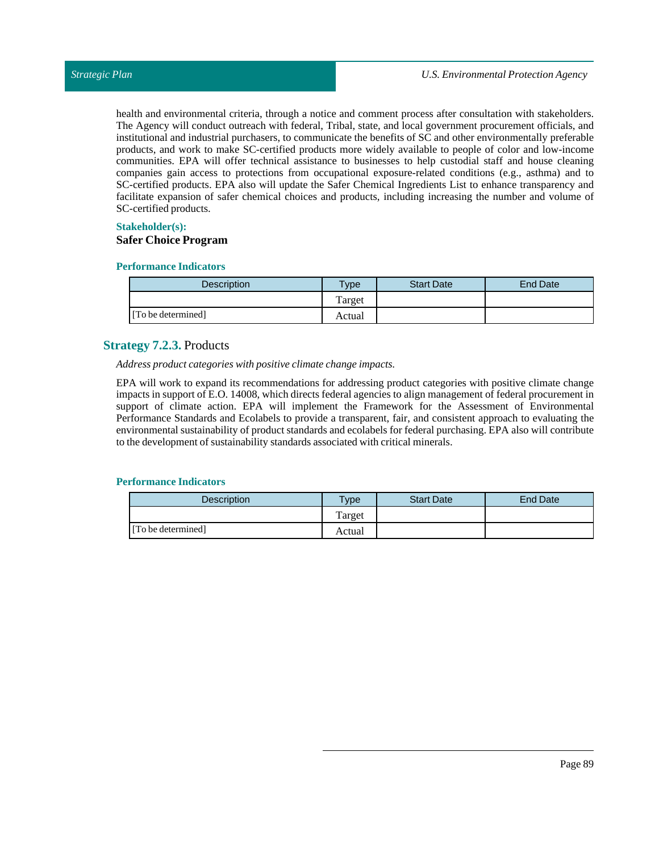health and environmental criteria, through a notice and comment process after consultation with stakeholders. The Agency will conduct outreach with federal, Tribal, state, and local government procurement officials, and institutional and industrial purchasers, to communicate the benefits of SC and other environmentally preferable products, and work to make SC-certified products more widely available to people of color and low-income communities. EPA will offer technical assistance to businesses to help custodial staff and house cleaning companies gain access to protections from occupational exposure-related conditions (e.g., asthma) and to SC-certified products. EPA also will update the Safer Chemical Ingredients List to enhance transparency and facilitate expansion of safer chemical choices and products, including increasing the number and volume of SC-certified products.

## **Stakeholder(s):**

## **Safer Choice Program**

#### **Performance Indicators**

| Description        | Type <sub>o</sub> | <b>Start Date</b> | <b>End Date</b> |
|--------------------|-------------------|-------------------|-----------------|
|                    | Target            |                   |                 |
| [To be determined] | Actual            |                   |                 |

# **Strategy 7.2.3.** Products

*Address product categories with positive climate change impacts.*

EPA will work to expand its recommendations for addressing product categories with positive climate change impacts in support of E.O. 14008, which directs federal agencies to align management of federal procurement in support of climate action. EPA will implement the Framework for the Assessment of Environmental Performance Standards and Ecolabels to provide a transparent, fair, and consistent approach to evaluating the environmental sustainability of product standards and ecolabels for federal purchasing. EPA also will contribute to the development of sustainability standards associated with critical minerals.

| <b>Description</b> | Type   | <b>Start Date</b> | End Date |
|--------------------|--------|-------------------|----------|
|                    | Target |                   |          |
| [To be determined] | Actual |                   |          |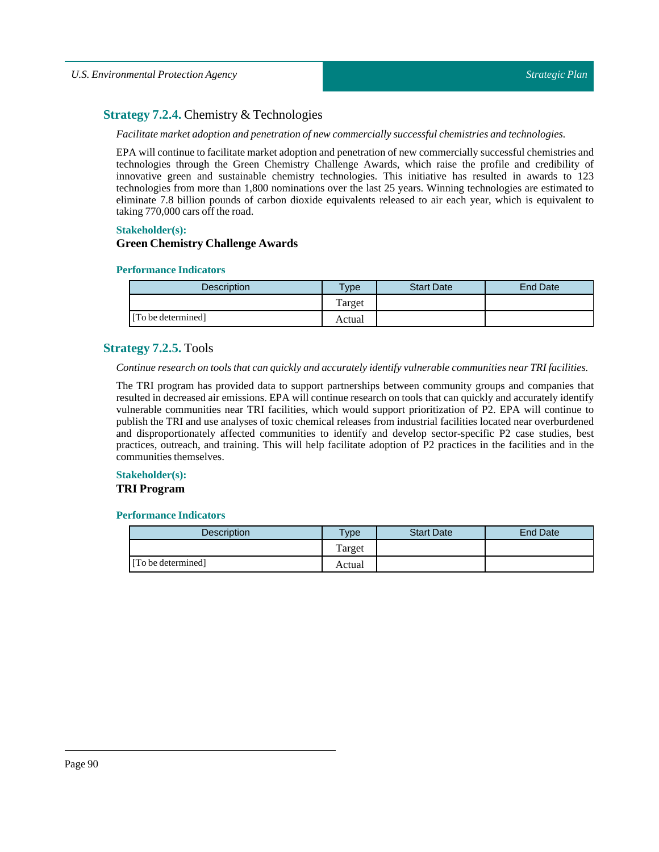# **Strategy 7.2.4.** Chemistry & Technologies

#### *Facilitate market adoption and penetration of new commercially successful chemistries and technologies.*

EPA will continue to facilitate market adoption and penetration of new commercially successful chemistries and technologies through the Green Chemistry Challenge Awards, which raise the profile and credibility of innovative green and sustainable chemistry technologies. This initiative has resulted in awards to 123 technologies from more than 1,800 nominations over the last 25 years. Winning technologies are estimated to eliminate 7.8 billion pounds of carbon dioxide equivalents released to air each year, which is equivalent to taking 770,000 cars off the road.

#### **Stakeholder(s):**

### **Green Chemistry Challenge Awards**

#### **Performance Indicators**

| <b>Description</b> | Type   | <b>Start Date</b> | <b>End Date</b> |
|--------------------|--------|-------------------|-----------------|
|                    | Target |                   |                 |
| [To be determined] | Actual |                   |                 |

# **Strategy 7.2.5.** Tools

#### *Continue research on tools that can quickly and accurately identify vulnerable communities nearTRI facilities.*

The TRI program has provided data to support partnerships between community groups and companies that resulted in decreased air emissions. EPA will continue research on tools that can quickly and accurately identify vulnerable communities near TRI facilities, which would support prioritization of P2. EPA will continue to publish the TRI and use analyses of toxic chemical releases from industrial facilities located near overburdened and disproportionately affected communities to identify and develop sector-specific P2 case studies, best practices, outreach, and training. This will help facilitate adoption of P2 practices in the facilities and in the communities themselves.

# **Stakeholder(s):**

#### **TRI Program**

| Description        | $v$ pe | <b>Start Date</b> | <b>End Date</b> |
|--------------------|--------|-------------------|-----------------|
|                    | Target |                   |                 |
| [To be determined] | Actual |                   |                 |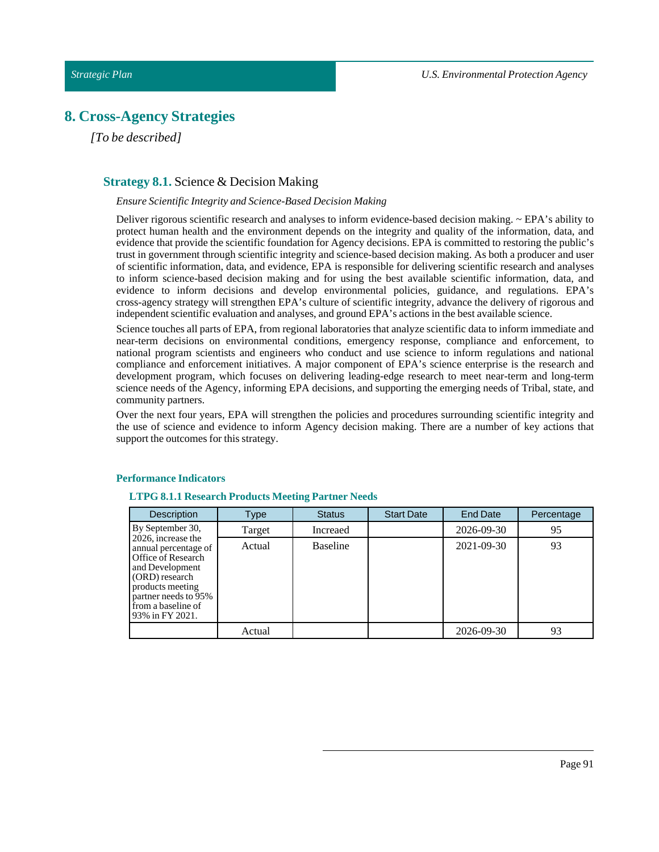# **8. Cross-Agency Strategies**

*[To be described]*

# **Strategy 8.1.** Science & Decision Making

#### *Ensure Scientific Integrity and Science-Based Decision Making*

Deliver rigorous scientific research and analyses to inform evidence-based decision making. ~ EPA's ability to protect human health and the environment depends on the integrity and quality of the information, data, and evidence that provide the scientific foundation for Agency decisions. EPA is committed to restoring the public's trust in government through scientific integrity and science-based decision making. As both a producer and user of scientific information, data, and evidence, EPA is responsible for delivering scientific research and analyses to inform science-based decision making and for using the best available scientific information, data, and evidence to inform decisions and develop environmental policies, guidance, and regulations. EPA's cross-agency strategy will strengthen EPA's culture of scientific integrity, advance the delivery of rigorous and independent scientific evaluation and analyses, and ground EPA's actions in the best available science.

Science touches all parts of EPA, from regional laboratories that analyze scientific data to inform immediate and near-term decisions on environmental conditions, emergency response, compliance and enforcement, to national program scientists and engineers who conduct and use science to inform regulations and national compliance and enforcement initiatives. A major component of EPA's science enterprise is the research and development program, which focuses on delivering leading-edge research to meet near-term and long-term science needs of the Agency, informing EPA decisions, and supporting the emerging needs of Tribal, state, and community partners.

Over the next four years, EPA will strengthen the policies and procedures surrounding scientific integrity and the use of science and evidence to inform Agency decision making. There are a number of key actions that support the outcomes for this strategy.

#### **Performance Indicators**

#### **LTPG 8.1.1 Research Products Meeting Partner Needs**

| <b>Description</b>                                                                                                                                                                         | Type   | <b>Status</b>   | <b>Start Date</b> | End Date   | Percentage |
|--------------------------------------------------------------------------------------------------------------------------------------------------------------------------------------------|--------|-----------------|-------------------|------------|------------|
| By September 30,                                                                                                                                                                           | Target | Increaed        |                   | 2026-09-30 | 95         |
| 2026, increase the<br>annual percentage of<br>Office of Research<br>and Development<br>(ORD) research<br>products meeting<br>partner needs to 95%<br>from a baseline of<br>93% in FY 2021. | Actual | <b>Baseline</b> |                   | 2021-09-30 | 93         |
|                                                                                                                                                                                            | Actual |                 |                   | 2026-09-30 | 93         |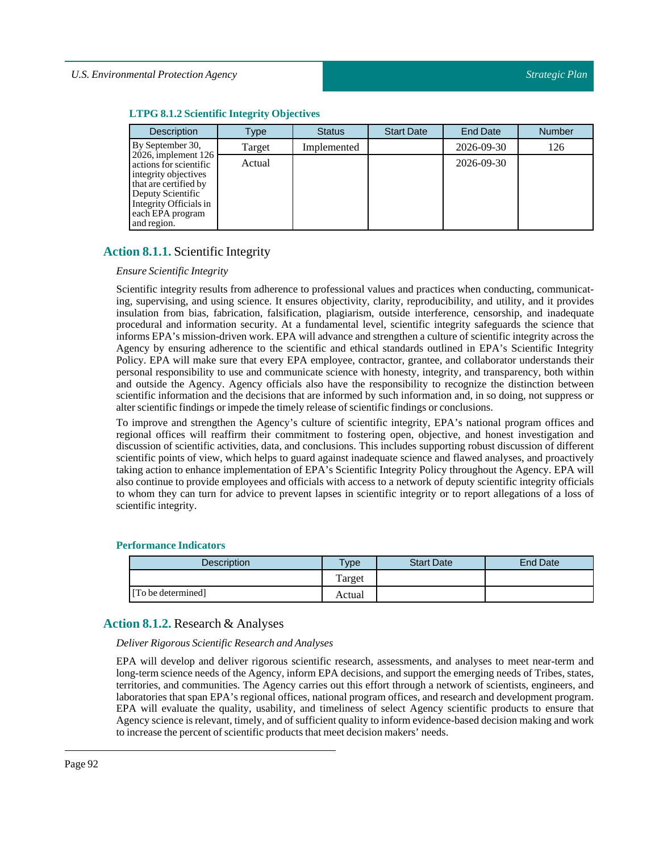# **LTPG 8.1.2Scientific Integrity Objectives**

| <b>Description</b>                                                                                                                                                                  | Type   | <b>Status</b> | <b>Start Date</b> | <b>End Date</b> | <b>Number</b> |
|-------------------------------------------------------------------------------------------------------------------------------------------------------------------------------------|--------|---------------|-------------------|-----------------|---------------|
| By September 30,                                                                                                                                                                    | Target | Implemented   |                   | 2026-09-30      | 126           |
| $2026$ , implement 126<br>actions for scientific<br>integrity objectives<br>that are certified by<br>Deputy Scientific<br>Integrity Officials in<br>each EPA program<br>and region. | Actual |               |                   | 2026-09-30      |               |

# **Action 8.1.1.** Scientific Integrity

# *Ensure Scientific Integrity*

Scientific integrity results from adherence to professional values and practices when conducting, communicating, supervising, and using science. It ensures objectivity, clarity, reproducibility, and utility, and it provides insulation from bias, fabrication, falsification, plagiarism, outside interference, censorship, and inadequate procedural and information security. At a fundamental level, scientific integrity safeguards the science that informs EPA's mission-driven work. EPA will advance and strengthen a culture of scientific integrity across the Agency by ensuring adherence to the scientific and ethical standards outlined in EPA's Scientific Integrity Policy. EPA will make sure that every EPA employee, contractor, grantee, and collaborator understands their personal responsibility to use and communicate science with honesty, integrity, and transparency, both within and outside the Agency. Agency officials also have the responsibility to recognize the distinction between scientific information and the decisions that are informed by such information and, in so doing, not suppress or alter scientific findings or impede the timely release of scientific findings or conclusions.

To improve and strengthen the Agency's culture of scientific integrity, EPA's national program offices and regional offices will reaffirm their commitment to fostering open, objective, and honest investigation and discussion of scientific activities, data, and conclusions. This includes supporting robust discussion of different scientific points of view, which helps to guard against inadequate science and flawed analyses, and proactively taking action to enhance implementation of EPA's Scientific Integrity Policy throughout the Agency. EPA will also continue to provide employees and officials with access to a network of deputy scientific integrity officials to whom they can turn for advice to prevent lapses in scientific integrity or to report allegations of a loss of scientific integrity.

# **Performance Indicators**

| <b>Description</b> | <b>Type</b> | <b>Start Date</b> | End Date |
|--------------------|-------------|-------------------|----------|
|                    | Target      |                   |          |
| [To be determined] | Actual      |                   |          |

# **Action 8.1.2.** Research & Analyses

*Deliver Rigorous Scientific Research and Analyses*

EPA will develop and deliver rigorous scientific research, assessments, and analyses to meet near-term and long-term science needs of the Agency, inform EPA decisions, and support the emerging needs of Tribes, states, territories, and communities. The Agency carries out this effort through a network of scientists, engineers, and laboratories that span EPA's regional offices, national program offices, and research and development program. EPA will evaluate the quality, usability, and timeliness of select Agency scientific products to ensure that Agency science is relevant, timely, and of sufficient quality to inform evidence-based decision making and work to increase the percent of scientific products that meet decision makers' needs.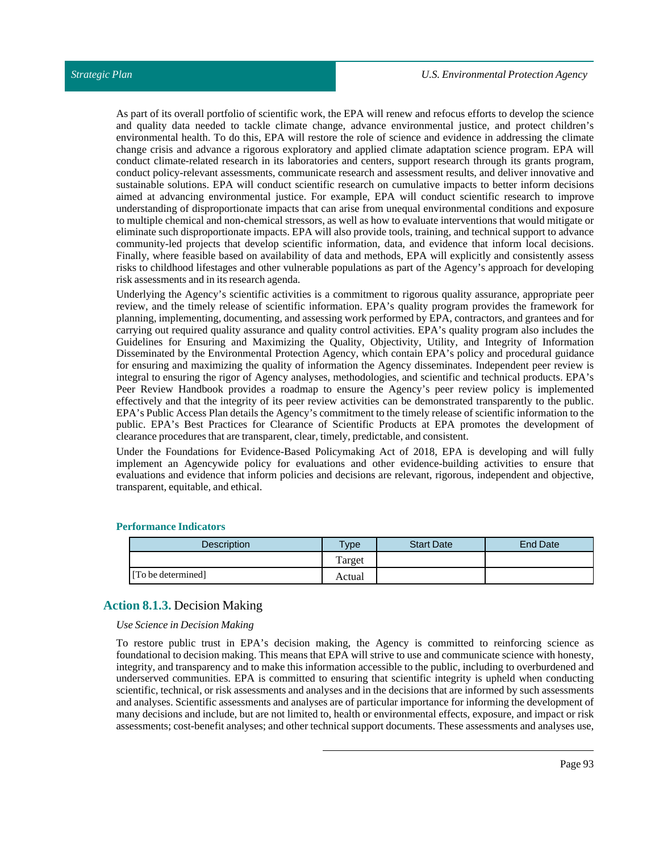As part of its overall portfolio of scientific work, the EPA will renew and refocus efforts to develop the science and quality data needed to tackle climate change, advance environmental justice, and protect children's environmental health. To do this, EPA will restore the role of science and evidence in addressing the climate change crisis and advance a rigorous exploratory and applied climate adaptation science program. EPA will conduct climate-related research in its laboratories and centers, support research through its grants program, conduct policy-relevant assessments, communicate research and assessment results, and deliver innovative and sustainable solutions. EPA will conduct scientific research on cumulative impacts to better inform decisions aimed at advancing environmental justice. For example, EPA will conduct scientific research to improve understanding of disproportionate impacts that can arise from unequal environmental conditions and exposure to multiple chemical and non-chemical stressors, as well as how to evaluate interventions that would mitigate or eliminate such disproportionate impacts. EPA will also provide tools, training, and technical support to advance community-led projects that develop scientific information, data, and evidence that inform local decisions. Finally, where feasible based on availability of data and methods, EPA will explicitly and consistently assess risks to childhood lifestages and other vulnerable populations as part of the Agency's approach for developing risk assessments and in its research agenda.

Underlying the Agency's scientific activities is a commitment to rigorous quality assurance, appropriate peer review, and the timely release of scientific information. EPA's quality program provides the framework for planning, implementing, documenting, and assessing work performed by EPA, contractors, and grantees and for carrying out required quality assurance and quality control activities. EPA's quality program also includes the Guidelines for Ensuring and Maximizing the Quality, Objectivity, Utility, and Integrity of Information Disseminated by the Environmental Protection Agency, which contain EPA's policy and procedural guidance for ensuring and maximizing the quality of information the Agency disseminates. Independent peer review is integral to ensuring the rigor of Agency analyses, methodologies, and scientific and technical products. EPA's Peer Review Handbook provides a roadmap to ensure the Agency's peer review policy is implemented effectively and that the integrity of its peer review activities can be demonstrated transparently to the public. EPA's Public Access Plan details the Agency's commitment to the timely release of scientific information to the public. EPA's Best Practices for Clearance of Scientific Products at EPA promotes the development of clearance procedures that are transparent, clear, timely, predictable, and consistent.

Under the Foundations for Evidence-Based Policymaking Act of 2018, EPA is developing and will fully implement an Agencywide policy for evaluations and other evidence-building activities to ensure that evaluations and evidence that inform policies and decisions are relevant, rigorous, independent and objective, transparent, equitable, and ethical.

| Description        | <b>Type</b> | <b>Start Date</b> | End Date |
|--------------------|-------------|-------------------|----------|
|                    | Target      |                   |          |
| [To be determined] | Actual      |                   |          |

## **Performance Indicators**

## **Action 8.1.3.** Decision Making

#### *Use Science in Decision Making*

To restore public trust in EPA's decision making, the Agency is committed to reinforcing science as foundational to decision making. This means that EPA will strive to use and communicate science with honesty, integrity, and transparency and to make this information accessible to the public, including to overburdened and underserved communities. EPA is committed to ensuring that scientific integrity is upheld when conducting scientific, technical, or risk assessments and analyses and in the decisions that are informed by such assessments and analyses. Scientific assessments and analyses are of particular importance for informing the development of many decisions and include, but are not limited to, health or environmental effects, exposure, and impact or risk assessments; cost-benefit analyses; and other technical support documents. These assessments and analyses use,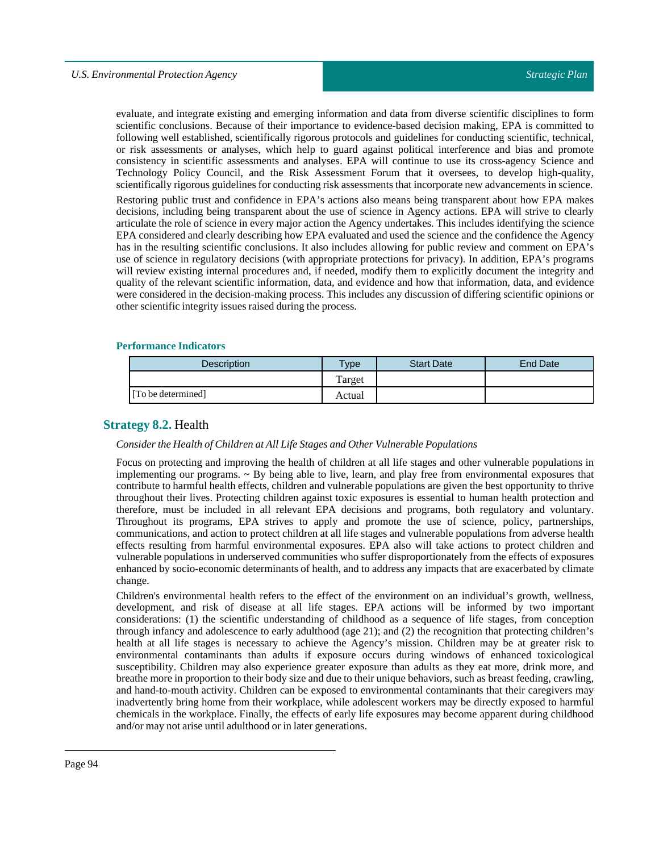evaluate, and integrate existing and emerging information and data from diverse scientific disciplines to form scientific conclusions. Because of their importance to evidence-based decision making, EPA is committed to following well established, scientifically rigorous protocols and guidelines for conducting scientific, technical, or risk assessments or analyses, which help to guard against political interference and bias and promote consistency in scientific assessments and analyses. EPA will continue to use its cross-agency Science and Technology Policy Council, and the Risk Assessment Forum that it oversees, to develop high-quality, scientifically rigorous guidelines for conducting risk assessments thatincorporate new advancements in science.

Restoring public trust and confidence in EPA's actions also means being transparent about how EPA makes decisions, including being transparent about the use of science in Agency actions. EPA will strive to clearly articulate the role of science in every major action the Agency undertakes. This includes identifying the science EPA considered and clearly describing how EPA evaluated and used the science and the confidence the Agency has in the resulting scientific conclusions. It also includes allowing for public review and comment on EPA's use of science in regulatory decisions (with appropriate protections for privacy). In addition, EPA's programs will review existing internal procedures and, if needed, modify them to explicitly document the integrity and quality of the relevant scientific information, data, and evidence and how that information, data, and evidence were considered in the decision-making process. This includes any discussion of differing scientific opinions or other scientific integrity issues raised during the process.

#### **Performance Indicators**

| <b>Description</b> | $v_{\rm p}$ | <b>Start Date</b> | End Date |
|--------------------|-------------|-------------------|----------|
|                    | Target      |                   |          |
| [To be determined] | Actual      |                   |          |

## **Strategy 8.2.** Health

### *Consider the Health of Children at AllLife Stages and Other Vulnerable Populations*

Focus on protecting and improving the health of children at all life stages and other vulnerable populations in implementing our programs. ~ By being able to live, learn, and play free from environmental exposures that contribute to harmful health effects, children and vulnerable populations are given the best opportunity to thrive throughout their lives. Protecting children against toxic exposures is essential to human health protection and therefore, must be included in all relevant EPA decisions and programs, both regulatory and voluntary. Throughout its programs, EPA strives to apply and promote the use of science, policy, partnerships, communications, and action to protect children at all life stages and vulnerable populations from adverse health effects resulting from harmful environmental exposures. EPA also will take actions to protect children and vulnerable populations in underserved communities who suffer disproportionately from the effects of exposures enhanced by socio-economic determinants of health, and to address any impacts that are exacerbated by climate change.

Children's environmental health refers to the effect of the environment on an individual's growth, wellness, development, and risk of disease at all life stages. EPA actions will be informed by two important considerations: (1) the scientific understanding of childhood as a sequence of life stages, from conception through infancy and adolescence to early adulthood (age 21); and (2) the recognition that protecting children's health at all life stages is necessary to achieve the Agency's mission. Children may be at greater risk to environmental contaminants than adults if exposure occurs during windows of enhanced toxicological susceptibility. Children may also experience greater exposure than adults as they eat more, drink more, and breathe more in proportion to their body size and due to their unique behaviors, such as breast feeding, crawling, and hand-to-mouth activity. Children can be exposed to environmental contaminants that their caregivers may inadvertently bring home from their workplace, while adolescent workers may be directly exposed to harmful chemicals in the workplace. Finally, the effects of early life exposures may become apparent during childhood and/or may not arise until adulthood or in later generations.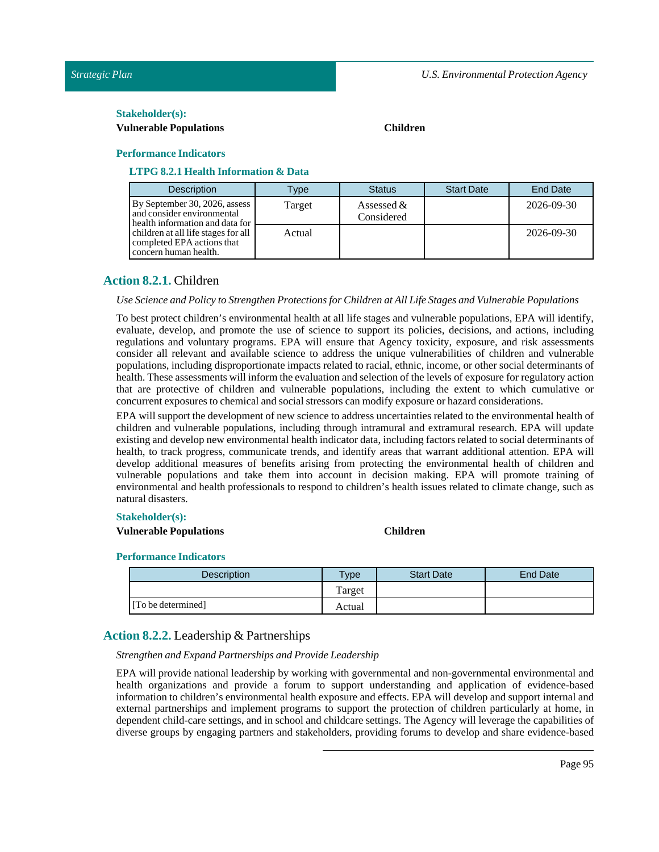#### $Stakeholder(s):$

#### **Vulnerable Populations Children**

#### **Performance Indicators**

# **LTPG 8.2.1 HealthInformation & Data**

| <b>Description</b>                                                                             | Type   | <b>Status</b>              | <b>Start Date</b> | <b>End Date</b> |
|------------------------------------------------------------------------------------------------|--------|----------------------------|-------------------|-----------------|
| By September 30, 2026, assess<br>and consider environmental<br>health information and data for | Target | Assessed $&$<br>Considered |                   | 2026-09-30      |
| children at all life stages for all<br>completed EPA actions that<br>concern human health.     | Actual |                            |                   | 2026-09-30      |

# **Action 8.2.1.** Children

#### *Use Science and Policy to Strengthen Protections for Children at AllLife Stages and Vulnerable Populations*

To best protect children's environmental health at all life stages and vulnerable populations, EPA will identify, evaluate, develop, and promote the use of science to support its policies, decisions, and actions, including regulations and voluntary programs. EPA will ensure that Agency toxicity, exposure, and risk assessments consider all relevant and available science to address the unique vulnerabilities of children and vulnerable populations, including disproportionate impacts related to racial, ethnic, income, or other social determinants of health. These assessments willinform the evaluation and selection of the levels of exposure for regulatory action that are protective of children and vulnerable populations, including the extent to which cumulative or concurrent exposures to chemical and social stressors can modify exposure or hazard considerations.

EPA will support the development of new science to address uncertainties related to the environmental health of children and vulnerable populations, including through intramural and extramural research. EPA will update existing and develop new environmental health indicator data, including factors related to social determinants of health, to track progress, communicate trends, and identify areas that warrant additional attention. EPA will develop additional measures of benefits arising from protecting the environmental health of children and vulnerable populations and take them into account in decision making. EPA will promote training of environmental and health professionals to respond to children's health issues related to climate change, such as natural disasters.

#### **Stakeholder(s):**

## **Vulnerable Populations Children**

#### **Performance Indicators**

| <b>Description</b> | $T$ <sub>ype</sub> | <b>Start Date</b> | End Date |
|--------------------|--------------------|-------------------|----------|
|                    | Target             |                   |          |
| [To be determined] | Actual             |                   |          |

# **Action 8.2.2.** Leadership & Partnerships

#### *Strengthen and Expand Partnerships and ProvideLeadership*

EPA will provide national leadership by working with governmental and non-governmental environmental and health organizations and provide a forum to support understanding and application of evidence-based information to children's environmental health exposure and effects. EPA will develop and support internal and external partnerships and implement programs to support the protection of children particularly at home, in dependent child-care settings, and in school and childcare settings. The Agency will leverage the capabilities of diverse groups by engaging partners and stakeholders, providing forums to develop and share evidence-based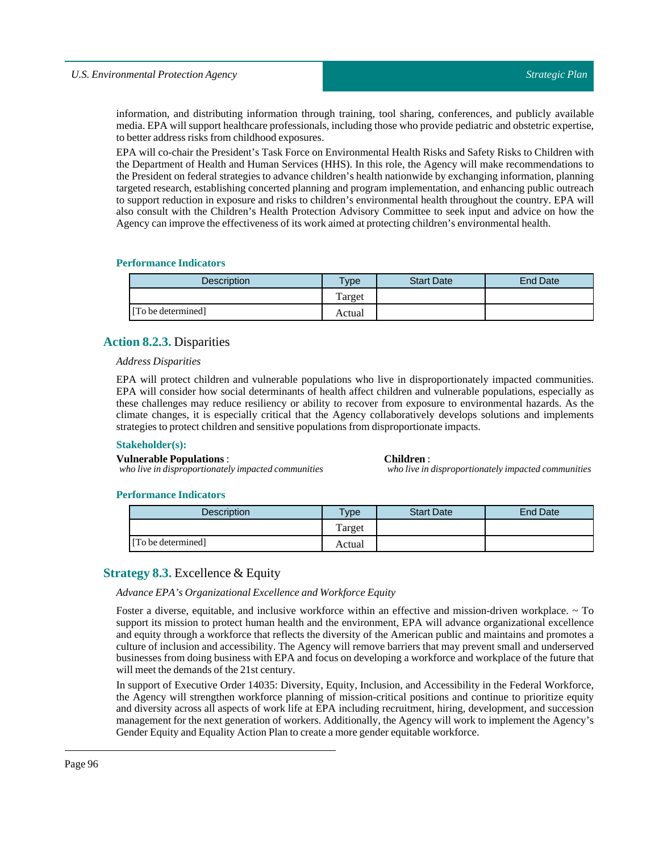#### *U.S. Environmental Protection Agency*

information, and distributing information through training, tool sharing, conferences, and publicly available media. EPA will support healthcare professionals, including those who provide pediatric and obstetric expertise, to better address risks from childhood exposures.

EPA will co-chair the President's Task Force on Environmental Health Risks and Safety Risks to Children with the Department of Health and Human Services (HHS). In this role, the Agency will make recommendations to the President on federal strategies to advance children's health nationwide by exchanging information, planning targeted research, establishing concerted planning and program implementation, and enhancing public outreach to support reduction in exposure and risks to children's environmental health throughout the country. EPA will also consult with the Children's Health Protection Advisory Committee to seek input and advice on how the Agency can improve the effectiveness of its work aimed at protecting children's environmental health.

#### **Performance Indicators**

| <b>Description</b> | <b>Type</b> | <b>Start Date</b> | <b>End Date</b> |
|--------------------|-------------|-------------------|-----------------|
|                    | Target      |                   |                 |
| [To be determined] | Actual      |                   |                 |

# **Action 8.2.3.** Disparities

#### *Address Disparities*

EPA will protect children and vulnerable populations who live in disproportionately impacted communities. EPA will consider how social determinants of health affect children and vulnerable populations, especially as these challenges may reduce resiliency or ability to recover from exposure to environmental hazards. As the climate changes, it is especially critical that the Agency collaboratively develops solutions and implements strategies to protect children and sensitive populations from disproportionate impacts.

#### **Stakeholder(s):**

**Children**:

*who live in disproportionately impacted communities*

#### **Performance Indicators**

**Vulnerable Populations** :

| <b>Description</b> | <b>Type</b> | <b>Start Date</b> | End Date |
|--------------------|-------------|-------------------|----------|
|                    | Target      |                   |          |
| [To be determined] | Actual      |                   |          |

# **Strategy 8.3.** Excellence & Equity

*who live in disproportionately impacted communities*

*Advance EPA's Organizational Excellence and Workforce Equity*

Foster a diverse, equitable, and inclusive workforce within an effective and mission-driven workplace. ~ To support its mission to protect human health and the environment, EPA will advance organizational excellence and equity through a workforce that reflects the diversity of the American public and maintains and promotes a culture of inclusion and accessibility. The Agency will remove barriers that may prevent small and underserved businesses from doing business with EPA and focus on developing a workforce and workplace of the future that will meet the demands of the 21st century.

In support of Executive Order 14035: Diversity, Equity, Inclusion, and Accessibility in the Federal Workforce, the Agency will strengthen workforce planning of mission-critical positions and continue to prioritize equity and diversity across all aspects of work life at EPA including recruitment, hiring, development, and succession management for the next generation of workers. Additionally, the Agency will work to implement the Agency's Gender Equity and Equality Action Plan to create a more gender equitable workforce.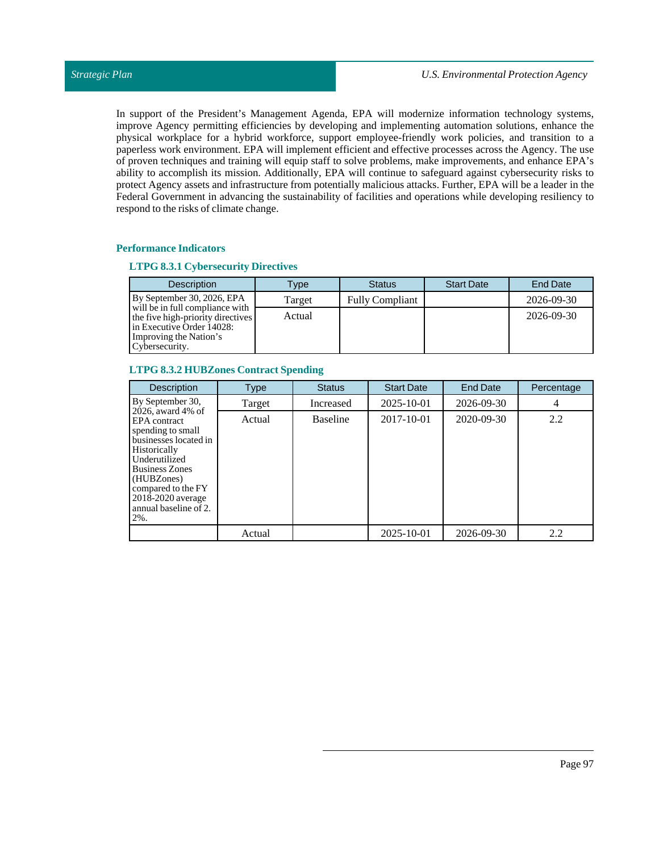In support of the President's Management Agenda, EPA will modernize information technology systems, improve Agency permitting efficiencies by developing and implementing automation solutions, enhance the physical workplace for a hybrid workforce, support employee-friendly work policies, and transition to a paperless work environment. EPA will implement efficient and effective processes across the Agency. The use of proven techniques and training will equip staff to solve problems, make improvements, and enhance EPA's ability to accomplish its mission. Additionally, EPA will continue to safeguard against cybersecurity risks to protect Agency assets and infrastructure from potentially malicious attacks. Further, EPA will be a leader in the Federal Government in advancing the sustainability of facilities and operations while developing resiliency to respond to the risks of climate change.

## **Performance Indicators**

#### **LTPG 8.3.1 Cybersecurity Directives**

| <b>Description</b>                                                                                                                              | Type   | <b>Status</b>          | <b>Start Date</b> | <b>End Date</b> |
|-------------------------------------------------------------------------------------------------------------------------------------------------|--------|------------------------|-------------------|-----------------|
| By September 30, 2026, EPA                                                                                                                      | Target | <b>Fully Compliant</b> |                   | 2026-09-30      |
| will be in full compliance with<br>the five high-priority directives<br>l in Executive Order 14028:<br>Improving the Nation's<br>Cybersecurity. | Actual |                        |                   | 2026-09-30      |

#### **LTPG 8.3.2 HUBZones ContractSpending**

| <b>Description</b>                                                                                                                                                                                                                 | <b>Type</b> | <b>Status</b>   | <b>Start Date</b> | <b>End Date</b> | Percentage |
|------------------------------------------------------------------------------------------------------------------------------------------------------------------------------------------------------------------------------------|-------------|-----------------|-------------------|-----------------|------------|
| By September 30,                                                                                                                                                                                                                   | Target      | Increased       | 2025-10-01        | 2026-09-30      | 4          |
| 2026, award 4% of<br>EPA contract<br>spending to small<br>businesses located in<br>Historically<br>Underutilized<br><b>Business Zones</b><br>(HUBZones)<br>compared to the FY<br>2018-2020 average<br>annual baseline of 2.<br>2%. | Actual      | <b>Baseline</b> | 2017-10-01        | 2020-09-30      | 2.2        |
|                                                                                                                                                                                                                                    | Actual      |                 | 2025-10-01        | 2026-09-30      | 2.2        |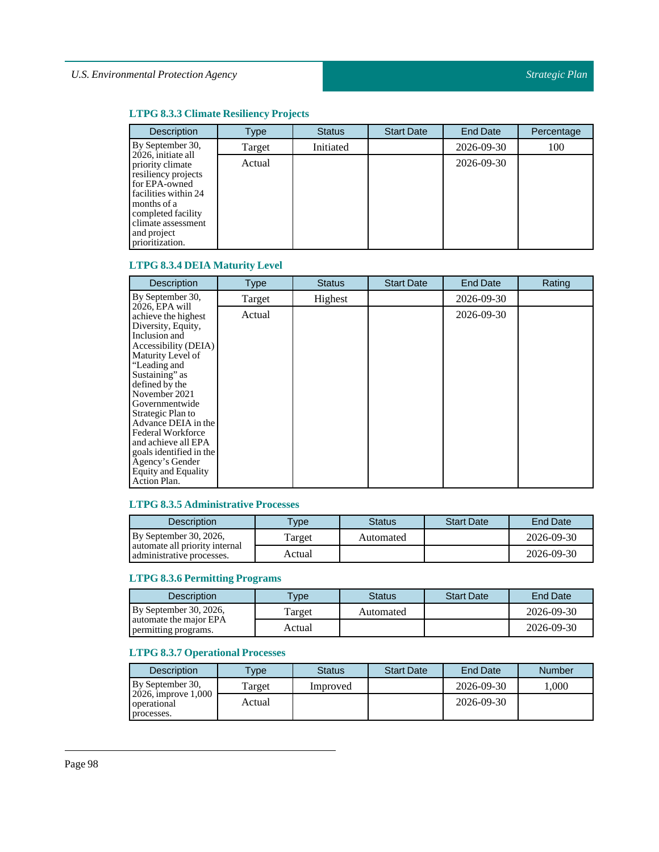# **LTPG 8.3.3 Climate Resiliency Projects**

| <b>Description</b>                                                                                                                                                                                  | Type   | <b>Status</b> | <b>Start Date</b> | <b>End Date</b> | Percentage |
|-----------------------------------------------------------------------------------------------------------------------------------------------------------------------------------------------------|--------|---------------|-------------------|-----------------|------------|
| By September 30,                                                                                                                                                                                    | Target | Initiated     |                   | 2026-09-30      | 100        |
| 2026, initiate all<br>priority climate<br>resiliency projects<br>for EPA-owned<br>facilities within 24<br>months of a<br>completed facility<br>climate assessment<br>and project<br>prioritization. | Actual |               |                   | 2026-09-30      |            |

# **LTPG 8.3.4 DEIA Maturity Level**

| Description                                                                                                                                                                                                                                                                                                                                                                                          | <b>Type</b> | <b>Status</b> | <b>Start Date</b> | <b>End Date</b> | Rating |
|------------------------------------------------------------------------------------------------------------------------------------------------------------------------------------------------------------------------------------------------------------------------------------------------------------------------------------------------------------------------------------------------------|-------------|---------------|-------------------|-----------------|--------|
| By September 30,                                                                                                                                                                                                                                                                                                                                                                                     | Target      | Highest       |                   | 2026-09-30      |        |
| 2026, EPA will<br>achieve the highest<br>Diversity, Equity,<br>Inclusion and<br>Accessibility (DEIA)<br>Maturity Level of<br>"Leading and<br>Sustaining" as<br>defined by the<br>November 2021<br>Governmentwide<br>Strategic Plan to<br>Advance DEIA in the<br>Federal Workforce<br>and achieve all EPA<br>goals identified in the<br>Agency's Gender<br><b>Equity and Equality</b><br>Action Plan. | Actual      |               |                   | 2026-09-30      |        |

# **LTPG 8.3.5 Administrative Processes**

| <b>Description</b>                                          | <b>vpe</b> | <b>Status</b> | <b>Start Date</b> | End Date   |
|-------------------------------------------------------------|------------|---------------|-------------------|------------|
| By September 30, 2026,                                      | Target     | Automated     |                   | 2026-09-30 |
| automate all priority internal<br>administrative processes. | Actual     |               |                   | 2026-09-30 |

# **LTPG 8.3.6 Permitting Programs**

| <b>Description</b>                             | <b>Vpe</b> | Status    | <b>Start Date</b> | End Date   |
|------------------------------------------------|------------|-----------|-------------------|------------|
| By September 30, 2026,                         | Target     | Automated |                   | 2026-09-30 |
| automate the major EPA<br>permitting programs. | Actual     |           |                   | 2026-09-30 |

# **LTPG 8.3.7 Operational Processes**

| <b>Description</b>                               | $T$ <sub>V</sub> $pe$ | <b>Status</b> | <b>Start Date</b> | End Date   | <b>Number</b> |
|--------------------------------------------------|-----------------------|---------------|-------------------|------------|---------------|
| By September 30,                                 | Target                | Improved      |                   | 2026-09-30 | .000          |
| 2026, improve 1,000<br>operational<br>processes. | Actual                |               |                   | 2026-09-30 |               |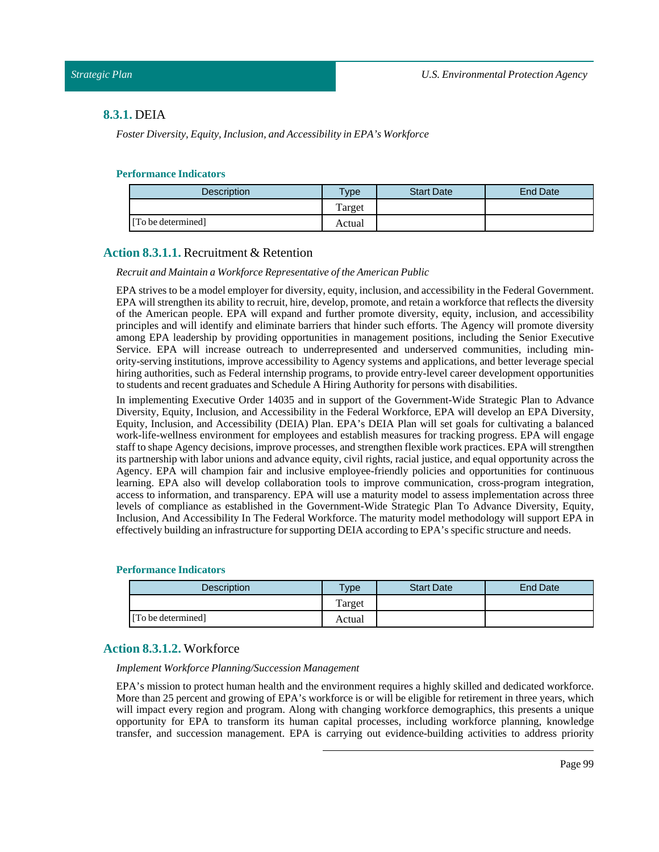# **8.3.1.** DEIA

*Foster Diversity, Equity, Inclusion, and Accessibility in EPA's Workforce*

#### **Performance Indicators**

| Description        | $T$ <sub>V</sub> $pe$ | <b>Start Date</b> | <b>End Date</b> |
|--------------------|-----------------------|-------------------|-----------------|
|                    | Target                |                   |                 |
| [To be determined] | Actual                |                   |                 |

# **Action 8.3.1.1.** Recruitment & Retention

#### *Recruit and Maintain a Workforce Representative ofthe American Public*

EPA strives to be a model employer for diversity, equity, inclusion, and accessibility in the Federal Government. EPA will strengthen its ability to recruit, hire, develop, promote, and retain a workforce that reflects the diversity of the American people. EPA will expand and further promote diversity, equity, inclusion, and accessibility principles and will identify and eliminate barriers that hinder such efforts. The Agency will promote diversity among EPA leadership by providing opportunities in management positions, including the Senior Executive Service. EPA will increase outreach to underrepresented and underserved communities, including minority-serving institutions, improve accessibility to Agency systems and applications, and better leverage special hiring authorities, such as Federal internship programs, to provide entry-level career development opportunities to students and recent graduates and Schedule A Hiring Authority for persons with disabilities.

In implementing Executive Order 14035 and in support of the Government-Wide Strategic Plan to Advance Diversity, Equity, Inclusion, and Accessibility in the Federal Workforce, EPA will develop an EPA Diversity, Equity, Inclusion, and Accessibility (DEIA) Plan. EPA's DEIA Plan will set goals for cultivating a balanced work-life-wellness environment for employees and establish measures for tracking progress. EPA will engage staff to shape Agency decisions, improve processes, and strengthen flexible work practices. EPA will strengthen its partnership with labor unions and advance equity, civil rights, racial justice, and equal opportunity across the Agency. EPA will champion fair and inclusive employee-friendly policies and opportunities for continuous learning. EPA also will develop collaboration tools to improve communication, cross-program integration, access to information, and transparency. EPA will use a maturity model to assess implementation across three levels of compliance as established in the Government-Wide Strategic Plan To Advance Diversity, Equity, Inclusion, And Accessibility In The Federal Workforce. The maturity model methodology will support EPA in effectively building an infrastructure for supporting DEIA according to EPA's specific structure and needs.

#### **Performance Indicators**

| <b>Description</b> | Type   | <b>Start Date</b> | End Date |
|--------------------|--------|-------------------|----------|
|                    | Target |                   |          |
| [To be determined] | Actual |                   |          |

#### **Action 8.3.1.2.** Workforce

*Implement Workforce Planning/Succession Management*

EPA's mission to protect human health and the environment requires a highly skilled and dedicated workforce. More than 25 percent and growing of EPA's workforce is or will be eligible for retirement in three years, which will impact every region and program. Along with changing workforce demographics, this presents a unique opportunity for EPA to transform its human capital processes, including workforce planning, knowledge transfer, and succession management. EPA is carrying out evidence-building activities to address priority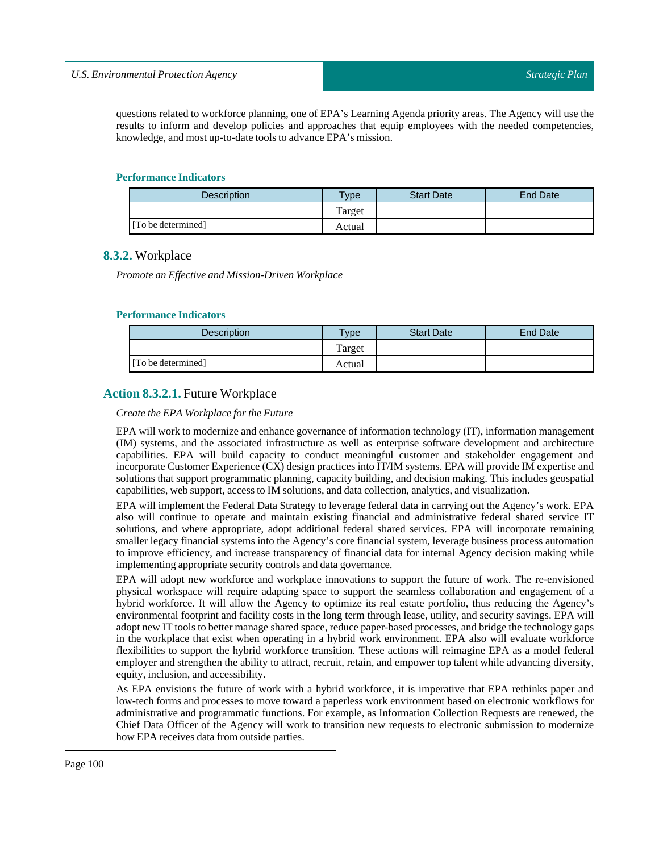questions related to workforce planning, one of EPA's Learning Agenda priority areas. The Agency will use the results to inform and develop policies and approaches that equip employees with the needed competencies, knowledge, and most up-to-date tools to advance EPA's mission.

#### **Performance Indicators**

| Description        | $v_{\rm p}$ | <b>Start Date</b> | End Date |
|--------------------|-------------|-------------------|----------|
|                    | Target      |                   |          |
| [To be determined] | Actual      |                   |          |

# **8.3.2.** Workplace

*Promote an Effective and Mission-Driven Workplace*

## **Performance Indicators**

| Description        | $T$ ype | <b>Start Date</b> | <b>End Date</b> |
|--------------------|---------|-------------------|-----------------|
|                    | Target  |                   |                 |
| [To be determined] | Actual  |                   |                 |

# **Action 8.3.2.1.** Future Workplace

#### *Create the EPA Workplace for the Future*

EPA will work to modernize and enhance governance of information technology (IT), information management (IM) systems, and the associated infrastructure as well as enterprise software development and architecture capabilities. EPA will build capacity to conduct meaningful customer and stakeholder engagement and incorporate Customer Experience (CX) design practices into IT/IM systems. EPA will provide IM expertise and solutions that support programmatic planning, capacity building, and decision making. This includes geospatial capabilities, web support, access to IM solutions, and data collection, analytics, and visualization.

EPA will implement the Federal Data Strategy to leverage federal data in carrying out the Agency's work. EPA also will continue to operate and maintain existing financial and administrative federal shared service IT solutions, and where appropriate, adopt additional federal shared services. EPA will incorporate remaining smaller legacy financial systems into the Agency's core financial system, leverage business process automation to improve efficiency, and increase transparency of financial data for internal Agency decision making while implementing appropriate security controls and data governance.

EPA will adopt new workforce and workplace innovations to support the future of work. The re-envisioned physical workspace will require adapting space to support the seamless collaboration and engagement of a hybrid workforce. It will allow the Agency to optimize its real estate portfolio, thus reducing the Agency's environmental footprint and facility costs in the long term through lease, utility, and security savings. EPA will adopt new IT tools to better manage shared space, reduce paper-based processes, and bridge the technology gaps in the workplace that exist when operating in a hybrid work environment. EPA also will evaluate workforce flexibilities to support the hybrid workforce transition. These actions will reimagine EPA as a model federal employer and strengthen the ability to attract, recruit, retain, and empower top talent while advancing diversity, equity, inclusion, and accessibility.

As EPA envisions the future of work with a hybrid workforce, it is imperative that EPA rethinks paper and low-tech forms and processes to move toward a paperless work environment based on electronic workflows for administrative and programmatic functions. For example, as Information Collection Requests are renewed, the Chief Data Officer of the Agency will work to transition new requests to electronic submission to modernize how EPA receives data from outside parties.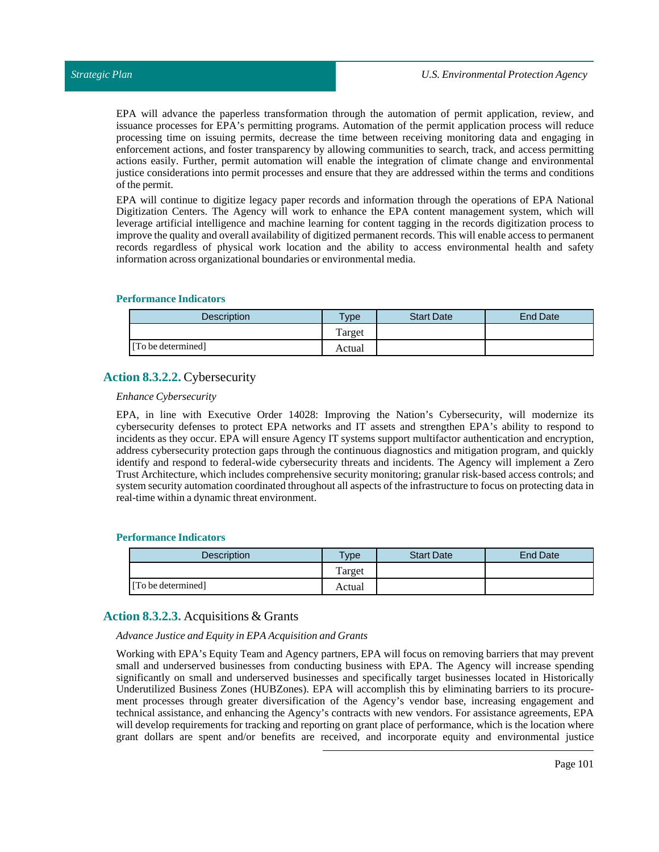EPA will advance the paperless transformation through the automation of permit application, review, and issuance processes for EPA's permitting programs. Automation of the permit application process will reduce processing time on issuing permits, decrease the time between receiving monitoring data and engaging in enforcement actions, and foster transparency by allowing communities to search, track, and access permitting actions easily. Further, permit automation will enable the integration of climate change and environmental justice considerations into permit processes and ensure that they are addressed within the terms and conditions of the permit.

EPA will continue to digitize legacy paper records and information through the operations of EPA National Digitization Centers. The Agency will work to enhance the EPA content management system, which will leverage artificial intelligence and machine learning for content tagging in the records digitization process to improve the quality and overall availability of digitized permanent records. This will enable access to permanent records regardless of physical work location and the ability to access environmental health and safety information across organizational boundaries or environmental media.

#### **Performance Indicators**

| Description        | $v$ pe | <b>Start Date</b> | <b>End Date</b> |
|--------------------|--------|-------------------|-----------------|
|                    | Target |                   |                 |
| [To be determined] | Actual |                   |                 |

# **Action 8.3.2.2.** Cybersecurity

#### *Enhance Cybersecurity*

EPA, in line with Executive Order 14028: Improving the Nation's Cybersecurity, will modernize its cybersecurity defenses to protect EPA networks and IT assets and strengthen EPA's ability to respond to incidents as they occur. EPA will ensure Agency IT systems support multifactor authentication and encryption, address cybersecurity protection gaps through the continuous diagnostics and mitigation program, and quickly identify and respond to federal-wide cybersecurity threats and incidents. The Agency will implement a Zero Trust Architecture, which includes comprehensive security monitoring; granular risk-based access controls; and system security automation coordinated throughout all aspects of the infrastructure to focus on protecting data in real-time within a dynamic threat environment.

#### **Performance Indicators**

| <b>Description</b> | $T$ <sub>ype</sub> | <b>Start Date</b> | <b>End Date</b> |
|--------------------|--------------------|-------------------|-----------------|
|                    | Target             |                   |                 |
| [To be determined] | Actual             |                   |                 |

# **Action 8.3.2.3.** Acquisitions & Grants

*Advance Justice and Equity in EPA Acquisition and Grants*

Working with EPA's Equity Team and Agency partners, EPA will focus on removing barriers that may prevent small and underserved businesses from conducting business with EPA. The Agency will increase spending significantly on small and underserved businesses and specifically target businesses located in Historically Underutilized Business Zones (HUBZones). EPA will accomplish this by eliminating barriers to its procurement processes through greater diversification of the Agency's vendor base, increasing engagement and technical assistance, and enhancing the Agency's contracts with new vendors. For assistance agreements, EPA will develop requirements for tracking and reporting on grant place of performance, which is the location where grant dollars are spent and/or benefits are received, and incorporate equity and environmental justice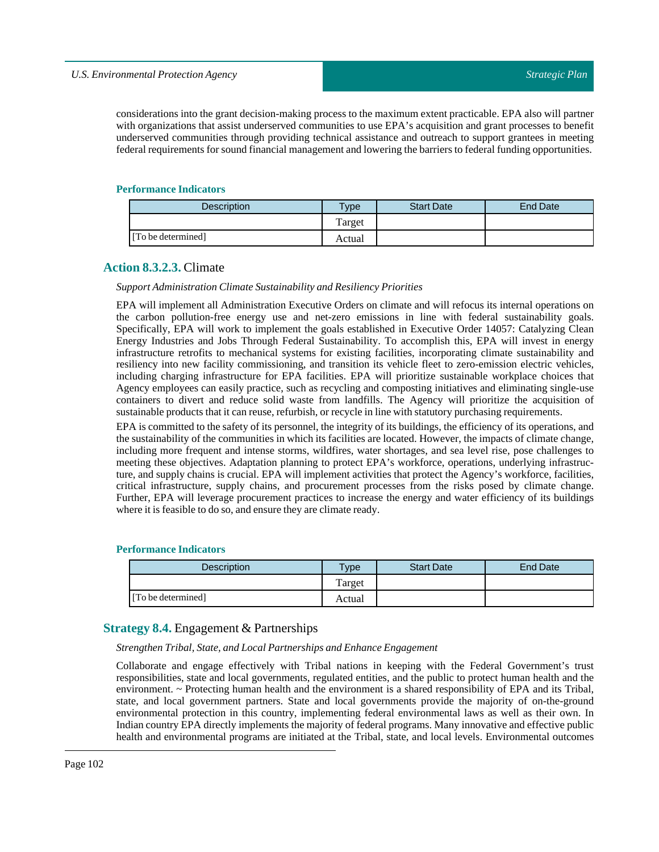considerations into the grant decision-making process to the maximum extent practicable. EPA also will partner with organizations that assist underserved communities to use EPA's acquisition and grant processes to benefit underserved communities through providing technical assistance and outreach to support grantees in meeting federal requirements for sound financial management and lowering the barriers to federal funding opportunities.

#### **Performance Indicators**

| Description        | $v_{\rm p}$ | <b>Start Date</b> | <b>End Date</b> |
|--------------------|-------------|-------------------|-----------------|
|                    | Target      |                   |                 |
| [To be determined] | Actual      |                   |                 |

# **Action 8.3.2.3.** Climate

#### *Support Administration Climate Sustainability and Resiliency Priorities*

EPA will implement all Administration Executive Orders on climate and will refocus its internal operations on the carbon pollution-free energy use and net-zero emissions in line with federal sustainability goals. Specifically, EPA will work to implement the goals established in Executive Order 14057: Catalyzing Clean Energy Industries and Jobs Through Federal Sustainability. To accomplish this, EPA will invest in energy infrastructure retrofits to mechanical systems for existing facilities, incorporating climate sustainability and resiliency into new facility commissioning, and transition its vehicle fleet to zero-emission electric vehicles, including charging infrastructure for EPA facilities. EPA will prioritize sustainable workplace choices that Agency employees can easily practice, such as recycling and composting initiatives and eliminating single-use containers to divert and reduce solid waste from landfills. The Agency will prioritize the acquisition of sustainable products that it can reuse, refurbish, or recycle in line with statutory purchasing requirements.

EPA is committed to the safety of its personnel, the integrity of its buildings, the efficiency of its operations, and the sustainability of the communities in which its facilities are located. However, the impacts of climate change, including more frequent and intense storms, wildfires, water shortages, and sea level rise, pose challenges to meeting these objectives. Adaptation planning to protect EPA's workforce, operations, underlying infrastructure, and supply chains is crucial. EPA will implement activities that protect the Agency's workforce, facilities, critical infrastructure, supply chains, and procurement processes from the risks posed by climate change. Further, EPA will leverage procurement practices to increase the energy and water efficiency of its buildings where it is feasible to do so, and ensure they are climate ready.

#### **Performance Indicators**

| <b>Description</b> | $T$ ype | <b>Start Date</b> | End Date |
|--------------------|---------|-------------------|----------|
|                    | Target  |                   |          |
| [To be determined] | Actual  |                   |          |

# **Strategy 8.4.** Engagement & Partnerships

#### *StrengthenTribal, State, andLocal Partnerships and Enhance Engagement*

Collaborate and engage effectively with Tribal nations in keeping with the Federal Government's trust responsibilities, state and local governments, regulated entities, and the public to protect human health and the environment. ~ Protecting human health and the environment is a shared responsibility of EPA and its Tribal, state, and local government partners. State and local governments provide the majority of on-the-ground environmental protection in this country, implementing federal environmental laws as well as their own. In Indian country EPA directly implements the majority of federal programs. Many innovative and effective public health and environmental programs are initiated at the Tribal, state, and local levels. Environmental outcomes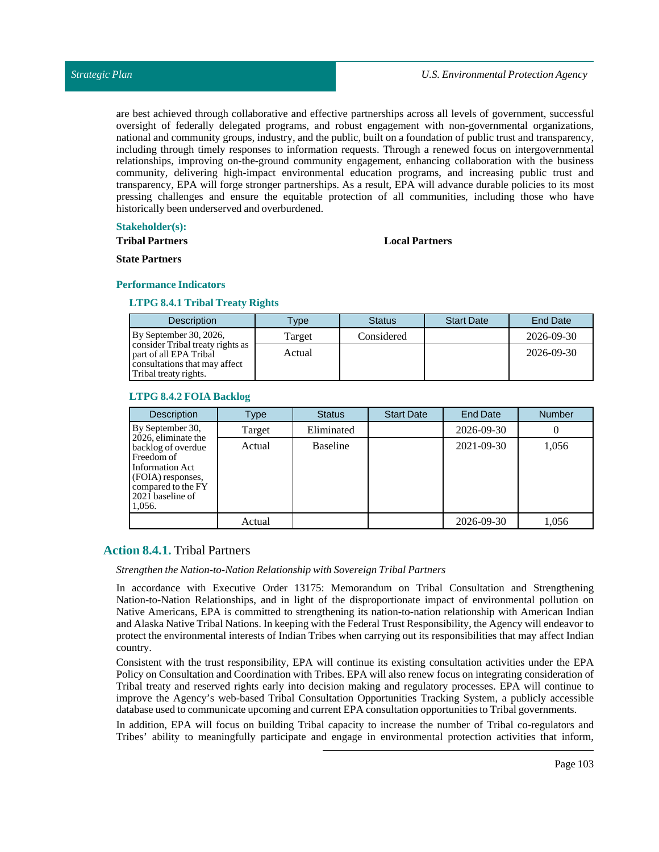are best achieved through collaborative and effective partnerships across all levels of government, successful oversight of federally delegated programs, and robust engagement with non-governmental organizations, national and community groups, industry, and the public, built on a foundation of public trust and transparency, including through timely responses to information requests. Through a renewed focus on intergovernmental relationships, improving on-the-ground community engagement, enhancing collaboration with the business community, delivering high-impact environmental education programs, and increasing public trust and transparency, EPA will forge stronger partnerships. As a result, EPA will advance durable policies to its most pressing challenges and ensure the equitable protection of all communities, including those who have historically been underserved and overburdened.

#### **Stakeholder(s):**

**Tribal Partners**

#### **Local Partners**

**State Partners**

#### **Performance Indicators**

#### **LTPG 8.4.1 Tribal Treaty Rights**

| <b>Description</b>                                                                                                   | <b>Type</b> | <b>Status</b> | <b>Start Date</b> | <b>End Date</b> |
|----------------------------------------------------------------------------------------------------------------------|-------------|---------------|-------------------|-----------------|
| By September 30, 2026,                                                                                               | Target      | Considered    |                   | 2026-09-30      |
| consider Tribal treaty rights as<br>part of all EPA Tribal<br>consultations that may affect<br>Tribal treaty rights. | Actual      |               |                   | 2026-09-30      |

#### **LTPG 8.4.2 FOIA Backlog**

| <b>Description</b>                                                                                                                                  | Type   | <b>Status</b>   | <b>Start Date</b> | End Date   | <b>Number</b> |
|-----------------------------------------------------------------------------------------------------------------------------------------------------|--------|-----------------|-------------------|------------|---------------|
| By September 30,                                                                                                                                    | Target | Eliminated      |                   | 2026-09-30 | U             |
| 2026, eliminate the<br>backlog of overdue<br>Freedom of<br>Information Act<br>(FOIA) responses,<br>compared to the FY<br>2021 baseline of<br>1.056. | Actual | <b>Baseline</b> |                   | 2021-09-30 | 1,056         |
|                                                                                                                                                     | Actual |                 |                   | 2026-09-30 | 1,056         |

# **Action 8.4.1.** Tribal Partners

*Strengthen the Nation-to-Nation Relationship with SovereignTribal Partners*

In accordance with Executive Order 13175: Memorandum on Tribal Consultation and Strengthening Nation-to-Nation Relationships, and in light of the disproportionate impact of environmental pollution on Native Americans, EPA is committed to strengthening its nation-to-nation relationship with American Indian and Alaska Native Tribal Nations. In keeping with the Federal Trust Responsibility, the Agency will endeavor to protect the environmental interests of Indian Tribes when carrying out its responsibilities that may affect Indian country.

Consistent with the trust responsibility, EPA will continue its existing consultation activities under the EPA Policy on Consultation and Coordination with Tribes. EPA will also renew focus on integrating consideration of Tribal treaty and reserved rights early into decision making and regulatory processes. EPA will continue to improve the Agency's web-based Tribal Consultation Opportunities Tracking System, a publicly accessible database used to communicate upcoming and current EPA consultation opportunities to Tribal governments.

In addition, EPA will focus on building Tribal capacity to increase the number of Tribal co-regulators and Tribes' ability to meaningfully participate and engage in environmental protection activities that inform,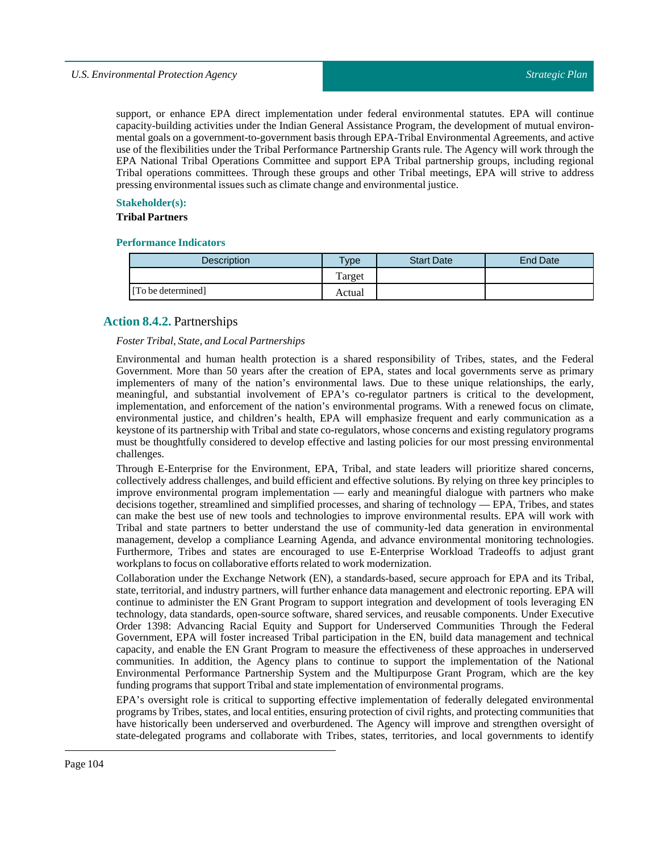## *U.S. Environmental Protection Agency*

support, or enhance EPA direct implementation under federal environmental statutes. EPA will continue capacity-building activities under the Indian General Assistance Program, the development of mutual environmental goals on a government-to-government basis through EPA-Tribal Environmental Agreements, and active use of the flexibilities under the Tribal Performance Partnership Grants rule. The Agency will work through the EPA National Tribal Operations Committee and support EPA Tribal partnership groups, including regional Tribal operations committees. Through these groups and other Tribal meetings, EPA will strive to address pressing environmental issues such as climate change and environmental justice.

# **Stakeholder(s):**

#### **Tribal Partners**

#### **Performance Indicators**

| Description        | $T$ <sub>V</sub> pe | <b>Start Date</b> | <b>End Date</b> |
|--------------------|---------------------|-------------------|-----------------|
|                    | Target              |                   |                 |
| [To be determined] | Actual              |                   |                 |

# **Action 8.4.2.** Partnerships

#### *FosterTribal, State, andLocal Partnerships*

Environmental and human health protection is a shared responsibility of Tribes, states, and the Federal Government. More than 50 years after the creation of EPA, states and local governments serve as primary implementers of many of the nation's environmental laws. Due to these unique relationships, the early, meaningful, and substantial involvement of EPA's co-regulator partners is critical to the development, implementation, and enforcement of the nation's environmental programs. With a renewed focus on climate, environmental justice, and children's health, EPA will emphasize frequent and early communication as a keystone of its partnership with Tribal and state co-regulators, whose concerns and existing regulatory programs must be thoughtfully considered to develop effective and lasting policies for our most pressing environmental challenges.

Through E-Enterprise for the Environment, EPA, Tribal, and state leaders will prioritize shared concerns, collectively address challenges, and build efficient and effective solutions. By relying on three key principles to improve environmental program implementation — early and meaningful dialogue with partners who make decisions together, streamlined and simplified processes, and sharing of technology — EPA, Tribes, and states can make the best use of new tools and technologies to improve environmental results. EPA will work with Tribal and state partners to better understand the use of community-led data generation in environmental management, develop a compliance Learning Agenda, and advance environmental monitoring technologies. Furthermore, Tribes and states are encouraged to use E-Enterprise Workload Tradeoffs to adjust grant workplans to focus on collaborative efforts related to work modernization.

Collaboration under the Exchange Network (EN), a standards-based, secure approach for EPA and its Tribal, state, territorial, and industry partners, will further enhance data management and electronic reporting. EPA will continue to administer the EN Grant Program to support integration and development of tools leveraging EN technology, data standards, open-source software, shared services, and reusable components. Under Executive Order 1398: Advancing Racial Equity and Support for Underserved Communities Through the Federal Government, EPA will foster increased Tribal participation in the EN, build data management and technical capacity, and enable the EN Grant Program to measure the effectiveness of these approaches in underserved communities. In addition, the Agency plans to continue to support the implementation of the National Environmental Performance Partnership System and the Multipurpose Grant Program, which are the key funding programs that support Tribal and state implementation of environmental programs.

EPA's oversight role is critical to supporting effective implementation of federally delegated environmental programs by Tribes, states, and local entities, ensuring protection of civil rights, and protecting communities that have historically been underserved and overburdened. The Agency will improve and strengthen oversight of state-delegated programs and collaborate with Tribes, states, territories, and local governments to identify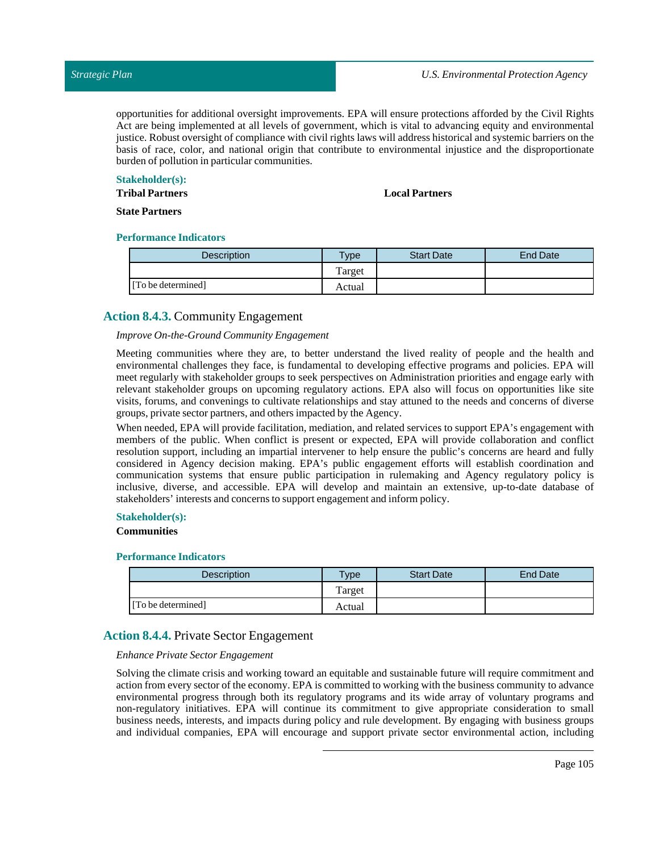opportunities for additional oversight improvements. EPA will ensure protections afforded by the Civil Rights Act are being implemented at all levels of government, which is vital to advancing equity and environmental justice. Robust oversight of compliance with civil rights laws will address historical and systemic barriers on the basis of race, color, and national origin that contribute to environmental injustice and the disproportionate burden of pollution in particular communities.

#### **Stakeholder(s):**

**Tribal Partners**

#### **Local Partners**

**State Partners**

#### **Performance Indicators**

| <b>Description</b> | Type   | <b>Start Date</b> | End Date |
|--------------------|--------|-------------------|----------|
|                    | Target |                   |          |
| [To be determined] | Actual |                   |          |

# **Action 8.4.3.** Community Engagement

#### *Improve On-the-Ground Community Engagement*

Meeting communities where they are, to better understand the lived reality of people and the health and environmental challenges they face, is fundamental to developing effective programs and policies. EPA will meet regularly with stakeholder groups to seek perspectives on Administration priorities and engage early with relevant stakeholder groups on upcoming regulatory actions. EPA also will focus on opportunities like site visits, forums, and convenings to cultivate relationships and stay attuned to the needs and concerns of diverse groups, private sector partners, and others impacted by the Agency.

When needed, EPA will provide facilitation, mediation, and related services to support EPA's engagement with members of the public. When conflict is present or expected, EPA will provide collaboration and conflict resolution support, including an impartial intervener to help ensure the public's concerns are heard and fully considered in Agency decision making. EPA's public engagement efforts will establish coordination and communication systems that ensure public participation in rulemaking and Agency regulatory policy is inclusive, diverse, and accessible. EPA will develop and maintain an extensive, up-to-date database of stakeholders' interests and concerns to support engagement and inform policy.

#### **Stakeholder(s):**

#### **Communities**

#### **Performance Indicators**

| <b>Description</b> | $T$ ype | <b>Start Date</b> | <b>End Date</b> |
|--------------------|---------|-------------------|-----------------|
|                    | Target  |                   |                 |
| [To be determined] | Actual  |                   |                 |

# **Action 8.4.4.** Private Sector Engagement

#### *Enhance Private Sector Engagement*

Solving the climate crisis and working toward an equitable and sustainable future will require commitment and action from every sector of the economy. EPA is committed to working with the business community to advance environmental progress through both its regulatory programs and its wide array of voluntary programs and non-regulatory initiatives. EPA will continue its commitment to give appropriate consideration to small business needs, interests, and impacts during policy and rule development. By engaging with business groups and individual companies, EPA will encourage and support private sector environmental action, including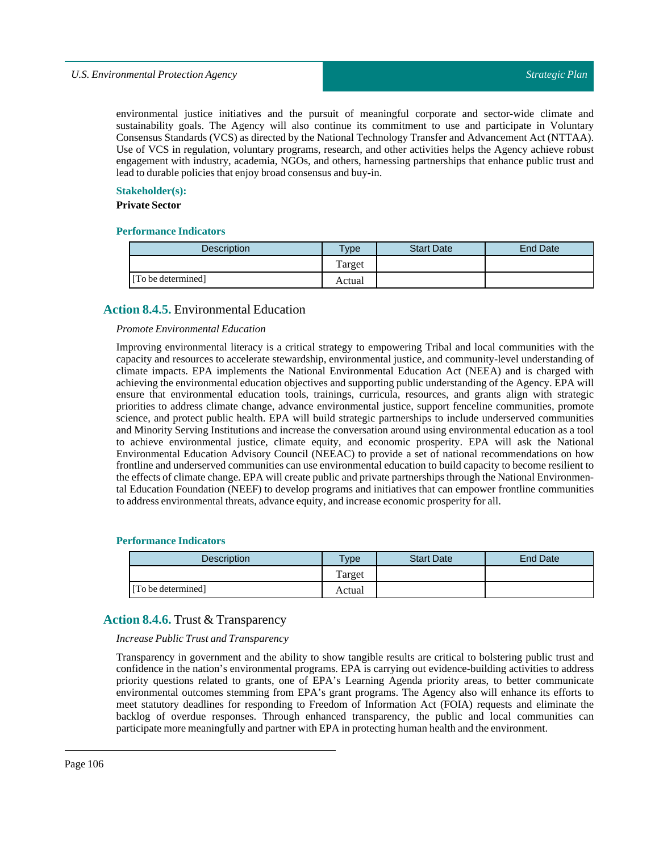# *U.S. Environmental Protection Agency*

environmental justice initiatives and the pursuit of meaningful corporate and sector-wide climate and sustainability goals. The Agency will also continue its commitment to use and participate in Voluntary Consensus Standards (VCS) as directed by the National Technology Transfer and Advancement Act (NTTAA). Use of VCS in regulation, voluntary programs, research, and other activities helps the Agency achieve robust engagement with industry, academia, NGOs, and others, harnessing partnerships that enhance public trust and lead to durable policies that enjoy broad consensus and buy-in.

#### **Stakeholder(s):**

# **Private Sector**

### **Performance Indicators**

| <b>Description</b> | $T$ ype | <b>Start Date</b> | End Date |
|--------------------|---------|-------------------|----------|
|                    | Target  |                   |          |
| [To be determined] | Actual  |                   |          |

# **Action 8.4.5.** Environmental Education

#### *Promote Environmental Education*

Improving environmental literacy is a critical strategy to empowering Tribal and local communities with the capacity and resources to accelerate stewardship, environmental justice, and community-level understanding of climate impacts. EPA implements the National Environmental Education Act (NEEA) and is charged with achieving the environmental education objectives and supporting public understanding of the Agency. EPA will ensure that environmental education tools, trainings, curricula, resources, and grants align with strategic priorities to address climate change, advance environmental justice, support fenceline communities, promote science, and protect public health. EPA will build strategic partnerships to include underserved communities and Minority Serving Institutions and increase the conversation around using environmental education as a tool to achieve environmental justice, climate equity, and economic prosperity. EPA will ask the National Environmental Education Advisory Council (NEEAC) to provide a set of national recommendations on how frontline and underserved communities can use environmental education to build capacity to become resilient to the effects of climate change. EPA will create public and private partnerships through the National Environmental Education Foundation (NEEF) to develop programs and initiatives that can empower frontline communities to address environmental threats, advance equity, and increase economic prosperity for all.

#### **Performance Indicators**

| Description        | $T$ <sub>V</sub> $pe$ | <b>Start Date</b> | <b>End Date</b> |
|--------------------|-----------------------|-------------------|-----------------|
|                    | Target                |                   |                 |
| [To be determined] | Actual                |                   |                 |

#### **Action 8.4.6.** Trust & Transparency

*Increase PublicTrust andTransparency*

Transparency in government and the ability to show tangible results are critical to bolstering public trust and confidence in the nation's environmental programs. EPA is carrying out evidence-building activities to address priority questions related to grants, one of EPA's Learning Agenda priority areas, to better communicate environmental outcomes stemming from EPA's grant programs. The Agency also will enhance its efforts to meet statutory deadlines for responding to Freedom of Information Act (FOIA) requests and eliminate the backlog of overdue responses. Through enhanced transparency, the public and local communities can participate more meaningfully and partner with EPA in protecting human health and the environment.